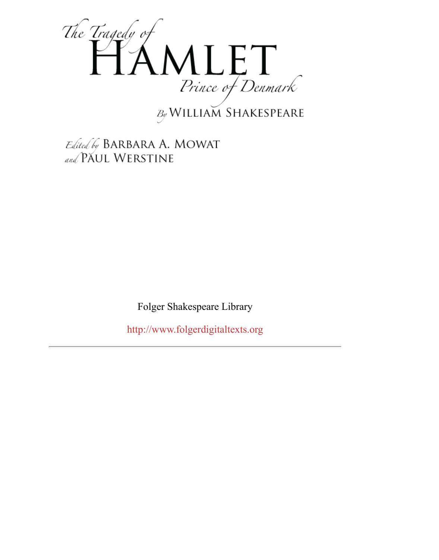Prince of Denmark<br>By WILLIAM SHAKESPEARE

Edited by BARBARA A. MOWAT and PAUL WERSTINE

Folger Shakespeare Library

http://www.folgerdigitaltexts.org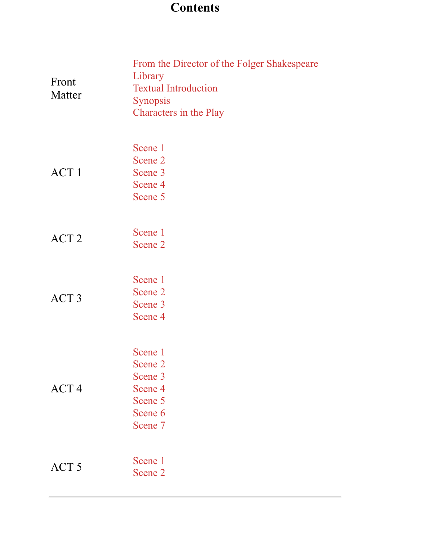| Front<br>Matter  | Library<br><b>Textual Introduction</b><br><b>Synopsis</b><br>Characters in the Play |
|------------------|-------------------------------------------------------------------------------------|
| ACT <sub>1</sub> | Scene 1<br>Scene 2<br>Scene 3<br>Scene 4<br>Scene 5                                 |
| ACT <sub>2</sub> | Scene 1<br>Scene 2                                                                  |
| ACT <sub>3</sub> | Scene 1<br>Scene 2<br>Scene 3<br>Scene 4                                            |
| ACT <sub>4</sub> | Scene 1<br>Scene 2<br>Scene 3<br>Scene 4<br>Scene 5<br>Scene 6<br>Scene 7           |
| ACT <sub>5</sub> | Scene 1<br>Scene 2                                                                  |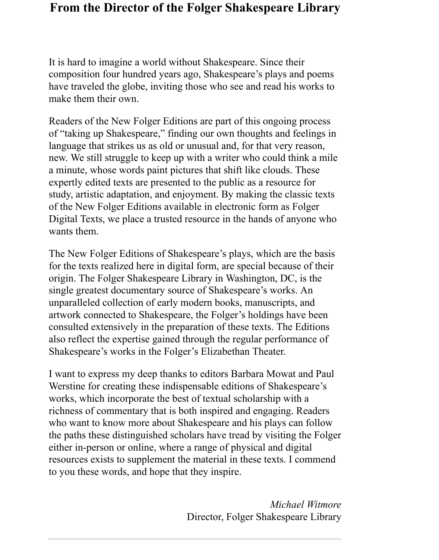### **From the Director of the Folger Shakespeare Library**

It is hard to imagine a world without Shakespeare. Since their composition four hundred years ago, Shakespeare's plays and poems have traveled the globe, inviting those who see and read his works to make them their own.

Readers of the New Folger Editions are part of this ongoing process of "taking up Shakespeare," finding our own thoughts and feelings in language that strikes us as old or unusual and, for that very reason, new. We still struggle to keep up with a writer who could think a mile a minute, whose words paint pictures that shift like clouds. These expertly edited texts are presented to the public as a resource for study, artistic adaptation, and enjoyment. By making the classic texts of the New Folger Editions available in electronic form as Folger Digital Texts, we place a trusted resource in the hands of anyone who wants them.

The New Folger Editions of Shakespeare's plays, which are the basis for the texts realized here in digital form, are special because of their origin. The Folger Shakespeare Library in Washington, DC, is the single greatest documentary source of Shakespeare's works. An unparalleled collection of early modern books, manuscripts, and artwork connected to Shakespeare, the Folger's holdings have been consulted extensively in the preparation of these texts. The Editions also reflect the expertise gained through the regular performance of Shakespeare's works in the Folger's Elizabethan Theater.

I want to express my deep thanks to editors Barbara Mowat and Paul Werstine for creating these indispensable editions of Shakespeare's works, which incorporate the best of textual scholarship with a richness of commentary that is both inspired and engaging. Readers who want to know more about Shakespeare and his plays can follow the paths these distinguished scholars have tread by visiting the Folger either in-person or online, where a range of physical and digital resources exists to supplement the material in these texts. I commend to you these words, and hope that they inspire.

> *Michael Witmore* Director, Folger Shakespeare Library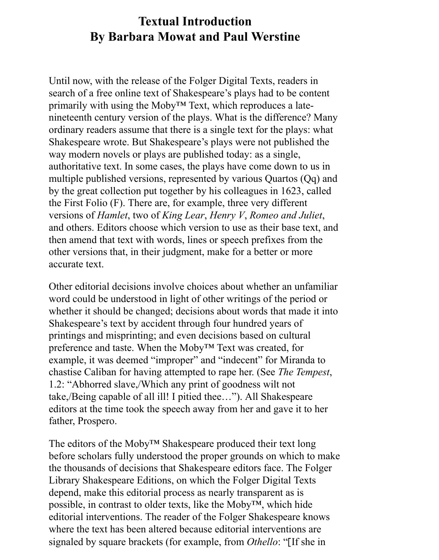## **Textual Introduction By Barbara Mowat and Paul Werstine**

Until now, with the release of the Folger Digital Texts, readers in search of a free online text of Shakespeare's plays had to be content primarily with using the Moby<sup>™</sup> Text, which reproduces a latenineteenth century version of the plays. What is the difference? Many ordinary readers assume that there is a single text for the plays: what Shakespeare wrote. But Shakespeare's plays were not published the way modern novels or plays are published today: as a single, authoritative text. In some cases, the plays have come down to us in multiple published versions, represented by various Quartos (Qq) and by the great collection put together by his colleagues in 1623, called the First Folio (F). There are, for example, three very different versions of *Hamlet*, two of *King Lear*, *Henry V*, *Romeo and Juliet*, and others. Editors choose which version to use as their base text, and then amend that text with words, lines or speech prefixes from the other versions that, in their judgment, make for a better or more accurate text.

Other editorial decisions involve choices about whether an unfamiliar word could be understood in light of other writings of the period or whether it should be changed; decisions about words that made it into Shakespeare's text by accident through four hundred years of printings and misprinting; and even decisions based on cultural preference and taste. When the Moby™ Text was created, for example, it was deemed "improper" and "indecent" for Miranda to chastise Caliban for having attempted to rape her. (See *The Tempest*, 1.2: "Abhorred slave,/Which any print of goodness wilt not take,/Being capable of all ill! I pitied thee…"). All Shakespeare editors at the time took the speech away from her and gave it to her father, Prospero.

The editors of the Moby™ Shakespeare produced their text long before scholars fully understood the proper grounds on which to make the thousands of decisions that Shakespeare editors face. The Folger Library Shakespeare Editions, on which the Folger Digital Texts depend, make this editorial process as nearly transparent as is possible, in contrast to older texts, like the Moby™, which hide editorial interventions. The reader of the Folger Shakespeare knows where the text has been altered because editorial interventions are signaled by square brackets (for example, from *Othello*: "[If she in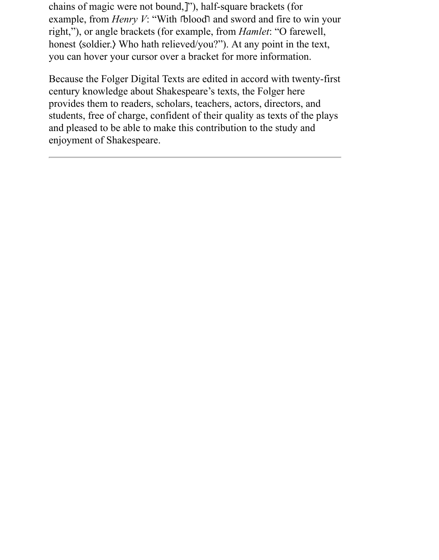chains of magic were not bound, ]"), half-square brackets (for example, from *Henry V*: "With *folood* and sword and fire to win your right,"), or angle brackets (for example, from *Hamlet*: "O farewell, honest (soldier.) Who hath relieved/you?"). At any point in the text, you can hover your cursor over a bracket for more information.

Because the Folger Digital Texts are edited in accord with twenty-first century knowledge about Shakespeare's texts, the Folger here provides them to readers, scholars, teachers, actors, directors, and students, free of charge, confident of their quality as texts of the plays and pleased to be able to make this contribution to the study and enjoyment of Shakespeare.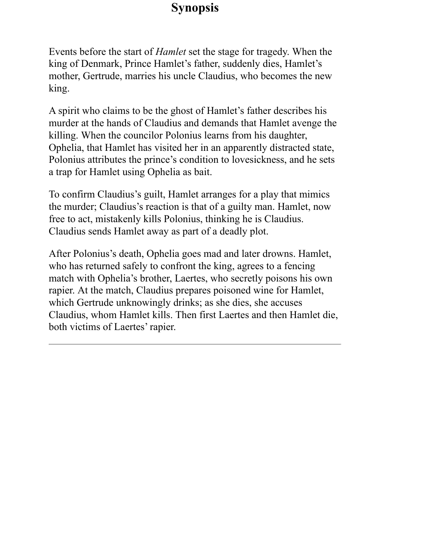## **Synopsis**

Events before the start of *Hamlet* set the stage for tragedy. When the king of Denmark, Prince Hamlet's father, suddenly dies, Hamlet's mother, Gertrude, marries his uncle Claudius, who becomes the new king.

A spirit who claims to be the ghost of Hamlet's father describes his murder at the hands of Claudius and demands that Hamlet avenge the killing. When the councilor Polonius learns from his daughter, Ophelia, that Hamlet has visited her in an apparently distracted state, Polonius attributes the prince's condition to lovesickness, and he sets a trap for Hamlet using Ophelia as bait.

To confirm Claudius's guilt, Hamlet arranges for a play that mimics the murder; Claudius's reaction is that of a guilty man. Hamlet, now free to act, mistakenly kills Polonius, thinking he is Claudius. Claudius sends Hamlet away as part of a deadly plot.

After Polonius's death, Ophelia goes mad and later drowns. Hamlet, who has returned safely to confront the king, agrees to a fencing match with Ophelia's brother, Laertes, who secretly poisons his own rapier. At the match, Claudius prepares poisoned wine for Hamlet, which Gertrude unknowingly drinks; as she dies, she accuses Claudius, whom Hamlet kills. Then first Laertes and then Hamlet die, both victims of Laertes' rapier.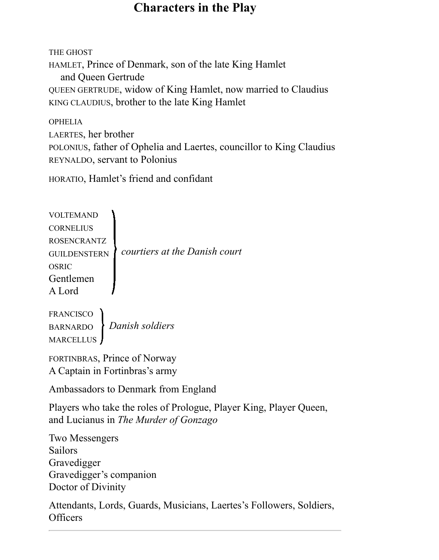### **Characters in the Play**

THE GHOST HAMLET, Prince of Denmark, son of the late King Hamlet and Queen Gertrude QUEEN GERTRUDE, widow of King Hamlet, now married to Claudius KING CLAUDIUS, brother to the late King Hamlet

OPHELIA LAERTES, her brother POLONIUS, father of Ophelia and Laertes, councillor to King Claudius REYNALDO, servant to Polonius

HORATIO, Hamlet's friend and confidant

| <b>VOLTEMAND</b><br><b>CORNELIUS</b><br><b>ROSENCRANTZ</b><br><b>GUILDENSTERN</b><br><b>OSRIC</b><br>Gentlemen | courtiers at the Danish court |
|----------------------------------------------------------------------------------------------------------------|-------------------------------|
| $A$ Lord                                                                                                       |                               |

*Danish soldiers* BARNARDO FRANCISCO MARCELLUS J

FORTINBRAS, Prince of Norway A Captain in Fortinbras's army

Ambassadors to Denmark from England

Players who take the roles of Prologue, Player King, Player Queen, and Lucianus in *The Murder of Gonzago*

Two Messengers Sailors Gravedigger Gravedigger's companion Doctor of Divinity

Attendants, Lords, Guards, Musicians, Laertes's Followers, Soldiers, **Officers**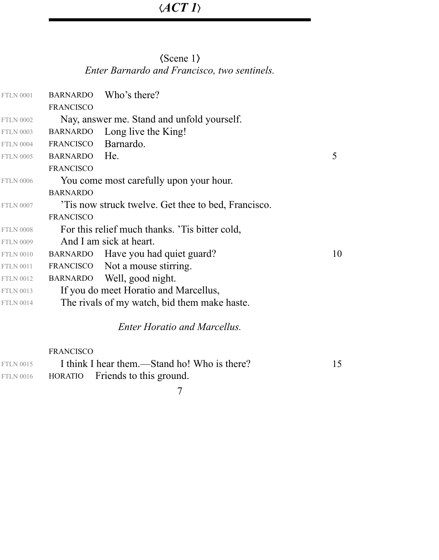# *ACT 1*

### *Enter Barnardo and Francisco, two sentinels.*  $\langle$ Scene 1 $\rangle$

| <b>FTLN 0001</b> | <b>BARNARDO</b>     | Who's there?                                        |    |
|------------------|---------------------|-----------------------------------------------------|----|
|                  | <b>FRANCISCO</b>    |                                                     |    |
| <b>FTLN 0002</b> |                     | Nay, answer me. Stand and unfold yourself.          |    |
| <b>FTLN 0003</b> | <b>BARNARDO</b>     | Long live the King!                                 |    |
| <b>FTLN 0004</b> | FRANCISCO Barnardo. |                                                     |    |
| <b>FTLN 0005</b> | BARNARDO He.        |                                                     | 5  |
|                  | <b>FRANCISCO</b>    |                                                     |    |
| <b>FTLN 0006</b> |                     | You come most carefully upon your hour.             |    |
|                  | <b>BARNARDO</b>     |                                                     |    |
| <b>FTLN 0007</b> |                     | This now struck twelve. Get thee to bed, Francisco. |    |
|                  | <b>FRANCISCO</b>    |                                                     |    |
| <b>FTLN 0008</b> |                     | For this relief much thanks. This bitter cold,      |    |
| <b>FTLN 0009</b> |                     | And I am sick at heart.                             |    |
| <b>FTLN 0010</b> |                     | BARNARDO Have you had quiet guard?                  | 10 |
| <b>FTLN 0011</b> |                     | FRANCISCO Not a mouse stirring.                     |    |
| <b>FTLN 0012</b> |                     | BARNARDO Well, good night.                          |    |
| <b>FTLN 0013</b> |                     | If you do meet Horatio and Marcellus,               |    |
| <b>FTLN 0014</b> |                     | The rivals of my watch, bid them make haste.        |    |
|                  |                     | <b>Enter Horatio and Marcellus.</b>                 |    |
|                  | <b>FRANCISCO</b>    |                                                     |    |

|                  | ------------ |                                              |    |
|------------------|--------------|----------------------------------------------|----|
| <b>FTLN 0015</b> |              | I think I hear them.—Stand ho! Who is there? | 15 |
| <b>FTLN 0016</b> |              | HORATIO Friends to this ground.              |    |

7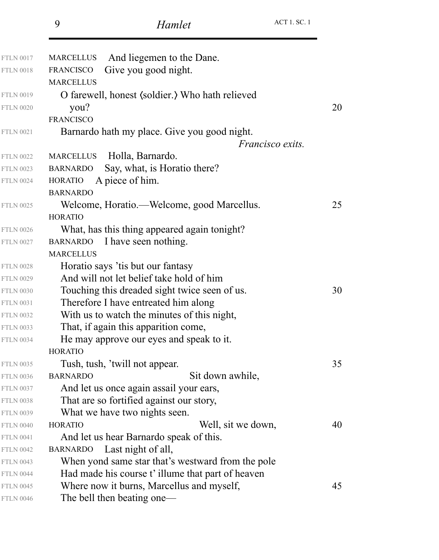| <b>FTLN 0017</b> | And liegemen to the Dane.<br><b>MARCELLUS</b>     |    |
|------------------|---------------------------------------------------|----|
| <b>FTLN 0018</b> | Give you good night.<br><b>FRANCISCO</b>          |    |
|                  | <b>MARCELLUS</b>                                  |    |
| <b>FTLN 0019</b> | O farewell, honest (soldier.) Who hath relieved   |    |
| <b>FTLN 0020</b> | you?                                              | 20 |
|                  | <b>FRANCISCO</b>                                  |    |
| <b>FTLN 0021</b> | Barnardo hath my place. Give you good night.      |    |
|                  | <i>Francisco exits.</i>                           |    |
| <b>FTLN 0022</b> | MARCELLUS Holla, Barnardo.                        |    |
| <b>FTLN 0023</b> | Say, what, is Horatio there?<br><b>BARNARDO</b>   |    |
| <b>FTLN 0024</b> | A piece of him.<br><b>HORATIO</b>                 |    |
|                  | <b>BARNARDO</b>                                   |    |
| <b>FTLN 0025</b> | Welcome, Horatio.—Welcome, good Marcellus.        | 25 |
|                  | <b>HORATIO</b>                                    |    |
| <b>FTLN 0026</b> | What, has this thing appeared again tonight?      |    |
| <b>FTLN 0027</b> | I have seen nothing.<br><b>BARNARDO</b>           |    |
|                  | <b>MARCELLUS</b>                                  |    |
| <b>FTLN 0028</b> | Horatio says 'tis but our fantasy                 |    |
| <b>FTLN 0029</b> | And will not let belief take hold of him          |    |
| <b>FTLN 0030</b> | Touching this dreaded sight twice seen of us.     | 30 |
| <b>FTLN 0031</b> | Therefore I have entreated him along              |    |
| <b>FTLN 0032</b> | With us to watch the minutes of this night,       |    |
| <b>FTLN 0033</b> | That, if again this apparition come,              |    |
| <b>FTLN 0034</b> | He may approve our eyes and speak to it.          |    |
|                  | <b>HORATIO</b>                                    |    |
| <b>FTLN 0035</b> | Tush, tush, 'twill not appear.                    | 35 |
| <b>FTLN 0036</b> | Sit down awhile,<br><b>BARNARDO</b>               |    |
| <b>FTLN 0037</b> | And let us once again assail your ears,           |    |
| <b>FTLN 0038</b> | That are so fortified against our story,          |    |
| <b>FTLN 0039</b> | What we have two nights seen.                     |    |
| <b>FTLN 0040</b> | <b>HORATIO</b><br>Well, sit we down,              | 40 |
| <b>FTLN 0041</b> | And let us hear Barnardo speak of this.           |    |
| <b>FTLN 0042</b> | Last night of all,<br><b>BARNARDO</b>             |    |
| <b>FTLN 0043</b> | When yond same star that's westward from the pole |    |
| <b>FTLN 0044</b> | Had made his course t' illume that part of heaven |    |
| <b>FTLN 0045</b> | Where now it burns, Marcellus and myself,         | 45 |
| <b>FTLN 0046</b> | The bell then beating one—                        |    |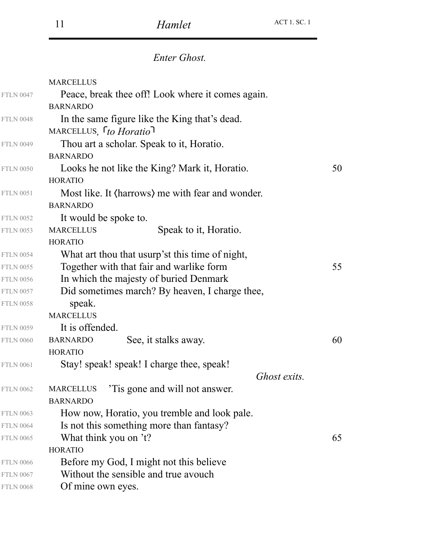## *Enter Ghost.*

|                  | <b>MARCELLUS</b>                                   |    |
|------------------|----------------------------------------------------|----|
| <b>FTLN 0047</b> | Peace, break thee off! Look where it comes again.  |    |
|                  | <b>BARNARDO</b>                                    |    |
| <b>FTLN 0048</b> | In the same figure like the King that's dead.      |    |
|                  | MARCELLUS, <i>to Horatio</i>                       |    |
| <b>FTLN 0049</b> | Thou art a scholar. Speak to it, Horatio.          |    |
|                  | <b>BARNARDO</b>                                    |    |
| <b>FTLN 0050</b> | Looks he not like the King? Mark it, Horatio.      | 50 |
|                  | <b>HORATIO</b>                                     |    |
| <b>FTLN 0051</b> | Most like. It (harrows) me with fear and wonder.   |    |
|                  | <b>BARNARDO</b>                                    |    |
| <b>FTLN 0052</b> | It would be spoke to.                              |    |
| <b>FTLN 0053</b> | Speak to it, Horatio.<br><b>MARCELLUS</b>          |    |
|                  | <b>HORATIO</b>                                     |    |
| <b>FTLN 0054</b> | What art thou that usurp'st this time of night,    |    |
| <b>FTLN 0055</b> | Together with that fair and warlike form           | 55 |
| <b>FTLN 0056</b> | In which the majesty of buried Denmark             |    |
| <b>FTLN 0057</b> | Did sometimes march? By heaven, I charge thee,     |    |
| <b>FTLN 0058</b> | speak.                                             |    |
|                  | <b>MARCELLUS</b>                                   |    |
| <b>FTLN 0059</b> | It is offended.                                    |    |
| <b>FTLN 0060</b> | See, it stalks away.<br><b>BARNARDO</b>            | 60 |
|                  | <b>HORATIO</b>                                     |    |
| <b>FTLN 0061</b> | Stay! speak! speak! I charge thee, speak!          |    |
|                  | <i>Ghost exits.</i>                                |    |
| <b>FTLN 0062</b> | This gone and will not answer.<br><b>MARCELLUS</b> |    |
|                  | <b>BARNARDO</b>                                    |    |
| <b>FTLN 0063</b> | How now, Horatio, you tremble and look pale.       |    |
| <b>FTLN 0064</b> | Is not this something more than fantasy?           |    |
| <b>FTLN 0065</b> | What think you on 't?                              | 65 |
|                  | <b>HORATIO</b>                                     |    |
| <b>FTLN 0066</b> | Before my God, I might not this believe            |    |
| <b>FTLN 0067</b> | Without the sensible and true avouch               |    |
| <b>FTLN 0068</b> | Of mine own eyes.                                  |    |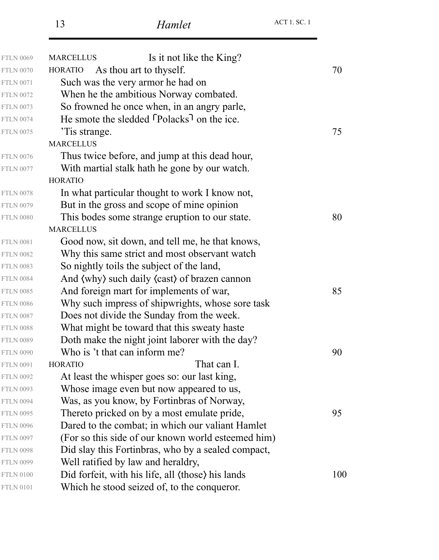| <b>FTLN 0069</b> | Is it not like the King?<br><b>MARCELLUS</b>                       |     |
|------------------|--------------------------------------------------------------------|-----|
| <b>FTLN 0070</b> | As thou art to thyself.<br><b>HORATIO</b>                          | 70  |
| <b>FTLN 0071</b> | Such was the very armor he had on                                  |     |
| <b>FTLN 0072</b> | When he the ambitious Norway combated.                             |     |
| <b>FTLN 0073</b> | So frowned he once when, in an angry parle,                        |     |
| <b>FTLN 0074</b> | He smote the sledded <sup>r</sup> Polacks <sup>1</sup> on the ice. |     |
| <b>FTLN 0075</b> | Tis strange.                                                       | 75  |
|                  | <b>MARCELLUS</b>                                                   |     |
| <b>FTLN 0076</b> | Thus twice before, and jump at this dead hour,                     |     |
| <b>FTLN 0077</b> | With martial stalk hath he gone by our watch.                      |     |
|                  | <b>HORATIO</b>                                                     |     |
| <b>FTLN 0078</b> | In what particular thought to work I know not,                     |     |
| <b>FTLN 0079</b> | But in the gross and scope of mine opinion                         |     |
| <b>FTLN 0080</b> | This bodes some strange eruption to our state.                     | 80  |
|                  | <b>MARCELLUS</b>                                                   |     |
| <b>FTLN 0081</b> | Good now, sit down, and tell me, he that knows,                    |     |
| <b>FTLN 0082</b> | Why this same strict and most observant watch                      |     |
| <b>FTLN 0083</b> | So nightly toils the subject of the land,                          |     |
| <b>FTLN 0084</b> | And (why) such daily (cast) of brazen cannon                       |     |
| <b>FTLN 0085</b> | And foreign mart for implements of war,                            | 85  |
| <b>FTLN 0086</b> | Why such impress of shipwrights, whose sore task                   |     |
| <b>FTLN 0087</b> | Does not divide the Sunday from the week.                          |     |
| <b>FTLN 0088</b> | What might be toward that this sweaty haste                        |     |
| <b>FTLN 0089</b> | Doth make the night joint laborer with the day?                    |     |
| <b>FTLN 0090</b> | Who is 't that can inform me?                                      | 90  |
| <b>FTLN 0091</b> | That can I.<br><b>HORATIO</b>                                      |     |
| <b>FTLN 0092</b> | At least the whisper goes so: our last king,                       |     |
| <b>FTLN 0093</b> | Whose image even but now appeared to us,                           |     |
| <b>FTLN 0094</b> | Was, as you know, by Fortinbras of Norway,                         |     |
| <b>FTLN 0095</b> | Thereto pricked on by a most emulate pride,                        | 95  |
| <b>FTLN 0096</b> | Dared to the combat; in which our valiant Hamlet                   |     |
| <b>FTLN 0097</b> | (For so this side of our known world esteemed him)                 |     |
| <b>FTLN 0098</b> | Did slay this Fortinbras, who by a sealed compact,                 |     |
| <b>FTLN 0099</b> | Well ratified by law and heraldry,                                 |     |
| <b>FTLN 0100</b> | Did forfeit, with his life, all (those) his lands                  | 100 |
| <b>FTLN 0101</b> | Which he stood seized of, to the conqueror.                        |     |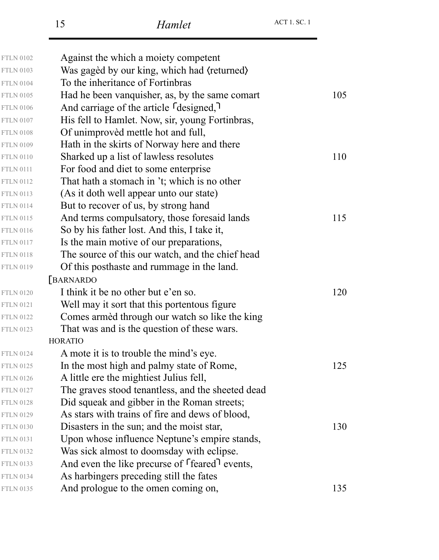| <b>FTLN 0102</b> | Against the which a moiety competent                                   |     |
|------------------|------------------------------------------------------------------------|-----|
| <b>FTLN 0103</b> | Was gaged by our king, which had (returned)                            |     |
| <b>FTLN 0104</b> | To the inheritance of Fortinbras                                       |     |
| <b>FTLN 0105</b> | Had he been vanquisher, as, by the same comart                         | 105 |
| <b>FTLN 0106</b> | And carriage of the article [designed,]                                |     |
| <b>FTLN 0107</b> | His fell to Hamlet. Now, sir, young Fortinbras,                        |     |
| <b>FTLN 0108</b> | Of unimproved mettle hot and full,                                     |     |
| <b>FTLN 0109</b> | Hath in the skirts of Norway here and there                            |     |
| <b>FTLN 0110</b> | Sharked up a list of lawless resolutes                                 | 110 |
| <b>FTLN 0111</b> | For food and diet to some enterprise                                   |     |
| <b>FTLN 0112</b> | That hath a stomach in 't; which is no other                           |     |
| <b>FTLN 0113</b> | (As it doth well appear unto our state)                                |     |
| <b>FTLN 0114</b> | But to recover of us, by strong hand                                   |     |
| <b>FTLN 0115</b> | And terms compulsatory, those foresaid lands                           | 115 |
| <b>FTLN 0116</b> | So by his father lost. And this, I take it,                            |     |
| <b>FTLN 0117</b> | Is the main motive of our preparations,                                |     |
| <b>FTLN 0118</b> | The source of this our watch, and the chief head                       |     |
| <b>FTLN 0119</b> | Of this posthaste and rummage in the land.                             |     |
|                  | <b>[BARNARDO</b>                                                       |     |
| <b>FTLN 0120</b> | I think it be no other but e'en so.                                    | 120 |
| <b>FTLN 0121</b> | Well may it sort that this portentous figure                           |     |
| <b>FTLN 0122</b> | Comes armèd through our watch so like the king                         |     |
| <b>FTLN 0123</b> | That was and is the question of these wars.                            |     |
|                  | <b>HORATIO</b>                                                         |     |
| <b>FTLN 0124</b> | A mote it is to trouble the mind's eye.                                |     |
| <b>FTLN 0125</b> | In the most high and palmy state of Rome,                              | 125 |
| <b>FTLN 0126</b> | A little ere the mightiest Julius fell,                                |     |
| <b>FTLN 0127</b> | The graves stood tenantless, and the sheeted dead                      |     |
| <b>FTLN 0128</b> | Did squeak and gibber in the Roman streets;                            |     |
| <b>FTLN 0129</b> | As stars with trains of fire and dews of blood,                        |     |
| <b>FTLN 0130</b> | Disasters in the sun; and the moist star,                              | 130 |
| <b>FTLN 0131</b> | Upon whose influence Neptune's empire stands,                          |     |
| <b>FTLN 0132</b> | Was sick almost to doomsday with eclipse.                              |     |
| <b>FTLN 0133</b> | And even the like precurse of <sup>r</sup> feared <sup>1</sup> events, |     |
| <b>FTLN 0134</b> | As harbingers preceding still the fates                                |     |
| <b>FTLN 0135</b> | And prologue to the omen coming on,                                    | 135 |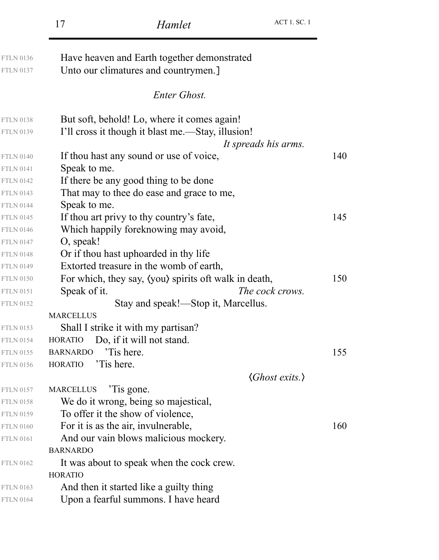|                  | <b>ACT 1. SC. 1</b><br>17<br>Hamlet                                       |     |
|------------------|---------------------------------------------------------------------------|-----|
| <b>FTLN 0136</b> | Have heaven and Earth together demonstrated                               |     |
| <b>FTLN 0137</b> | Unto our climatures and countrymen.]                                      |     |
|                  | <b>Enter Ghost.</b>                                                       |     |
| <b>FTLN 0138</b> | But soft, behold! Lo, where it comes again!                               |     |
| <b>FTLN 0139</b> | I'll cross it though it blast me.—Stay, illusion!<br>It spreads his arms. |     |
| <b>FTLN 0140</b> | If thou hast any sound or use of voice,                                   | 140 |
| <b>FTLN 0141</b> | Speak to me.                                                              |     |
| <b>FTLN 0142</b> | If there be any good thing to be done                                     |     |
| <b>FTLN 0143</b> | That may to thee do ease and grace to me,                                 |     |
| <b>FTLN 0144</b> | Speak to me.                                                              |     |
| <b>FTLN 0145</b> | If thou art privy to thy country's fate,                                  | 145 |
| <b>FTLN 0146</b> | Which happily foreknowing may avoid,                                      |     |
| <b>FTLN 0147</b> | O, speak!                                                                 |     |
| <b>FTLN 0148</b> | Or if thou hast uphoarded in thy life                                     |     |
| <b>FTLN 0149</b> | Extorted treasure in the womb of earth,                                   |     |
| <b>FTLN 0150</b> | For which, they say, (you) spirits oft walk in death,                     | 150 |
| <b>FTLN 0151</b> | Speak of it.<br>The cock crows.                                           |     |
| <b>FTLN 0152</b> | Stay and speak!—Stop it, Marcellus.                                       |     |
|                  | <b>MARCELLUS</b>                                                          |     |
| <b>FTLN 0153</b> | Shall I strike it with my partisan?                                       |     |
| <b>FTLN 0154</b> | HORATIO Do, if it will not stand.                                         |     |
| <b>FTLN 0155</b> | Tis here.<br><b>BARNARDO</b>                                              | 155 |
| <b>FTLN 0156</b> | HORATIO 'Tis here.                                                        |     |
|                  | $\langle Ghost \; exists. \rangle$                                        |     |
| <b>FTLN 0157</b> | MARCELLUS<br>Tis gone.                                                    |     |
| <b>FTLN 0158</b> | We do it wrong, being so majestical,                                      |     |
| <b>FTLN 0159</b> | To offer it the show of violence,                                         |     |
| <b>FTLN 0160</b> | For it is as the air, invulnerable,                                       | 160 |
| <b>FTLN 0161</b> | And our vain blows malicious mockery.                                     |     |
|                  | <b>BARNARDO</b>                                                           |     |
| <b>FTLN 0162</b> | It was about to speak when the cock crew.                                 |     |
|                  | <b>HORATIO</b>                                                            |     |
| <b>FTLN 0163</b> | And then it started like a guilty thing                                   |     |
| <b>FTLN 0164</b> | Upon a fearful summons. I have heard                                      |     |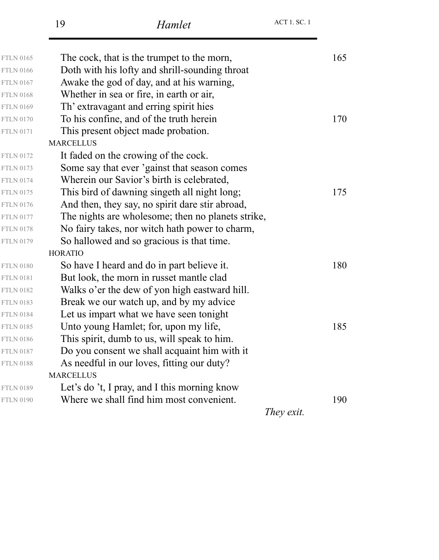|                  | 19               | Hamlet                                            | <b>ACT 1. SC. 1</b> |
|------------------|------------------|---------------------------------------------------|---------------------|
| <b>FTLN 0165</b> |                  | The cock, that is the trumpet to the morn,        |                     |
| <b>FTLN 0166</b> |                  | Doth with his lofty and shrill-sounding throat    |                     |
| <b>FTLN 0167</b> |                  | Awake the god of day, and at his warning,         |                     |
| <b>FTLN 0168</b> |                  | Whether in sea or fire, in earth or air,          |                     |
| <b>FTLN 0169</b> |                  | Th' extravagant and erring spirit hies            |                     |
| <b>FTLN 0170</b> |                  | To his confine, and of the truth herein           |                     |
| <b>FTLN 0171</b> |                  | This present object made probation.               |                     |
|                  | <b>MARCELLUS</b> |                                                   |                     |
| <b>FTLN 0172</b> |                  | It faded on the crowing of the cock.              |                     |
| <b>FTLN 0173</b> |                  | Some say that ever 'gainst that season comes      |                     |
| <b>FTLN 0174</b> |                  | Wherein our Savior's birth is celebrated,         |                     |
| <b>FTLN 0175</b> |                  | This bird of dawning singeth all night long;      |                     |
| <b>FTLN 0176</b> |                  | And then, they say, no spirit dare stir abroad,   |                     |
| <b>FTLN 0177</b> |                  | The nights are wholesome; then no planets strike, |                     |
| <b>FTLN 0178</b> |                  | No fairy takes, nor witch hath power to charm,    |                     |
| <b>FTLN 0179</b> |                  | So hallowed and so gracious is that time.         |                     |
|                  | <b>HORATIO</b>   |                                                   |                     |
| <b>FTLN 0180</b> |                  | So have I heard and do in part believe it.        |                     |
| <b>FTLN 0181</b> |                  | But look, the morn in russet mantle clad          |                     |
| <b>FTLN 0182</b> |                  | Walks o'er the dew of yon high eastward hill.     |                     |
| <b>FTLN 0183</b> |                  | Break we our watch up, and by my advice           |                     |
| <b>FTLN 0184</b> |                  | Let us impart what we have seen tonight           |                     |
| <b>FTLN 0185</b> |                  | Unto young Hamlet; for, upon my life,             |                     |
| <b>FTLN 0186</b> |                  | This spirit, dumb to us, will speak to him.       |                     |
| <b>FTLN 0187</b> |                  | Do you consent we shall acquaint him with it      |                     |
| <b>FTLN 0188</b> |                  | As needful in our loves, fitting our duty?        |                     |
|                  | <b>MARCELLUS</b> |                                                   |                     |
| <b>FTLN 0189</b> |                  | Let's do 't, I pray, and I this morning know      |                     |
| <b>FTLN 0190</b> |                  | Where we shall find him most convenient.          |                     |
|                  |                  |                                                   | They exit.          |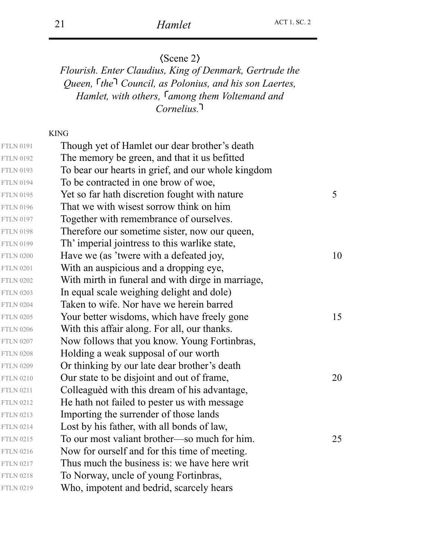$\langle$ Scene 2 $\rangle$ 

*Flourish. Enter Claudius, King of Denmark, Gertrude the Queen, the Council, as Polonius, and his son Laertes, Hamlet, with others, Famong them Voltemand and Cornelius.*

#### KING

| <b>FTLN 0191</b> | Though yet of Hamlet our dear brother's death      |    |
|------------------|----------------------------------------------------|----|
| <b>FTLN 0192</b> | The memory be green, and that it us befitted       |    |
| <b>FTLN 0193</b> | To bear our hearts in grief, and our whole kingdom |    |
| <b>FTLN 0194</b> | To be contracted in one brow of woe,               |    |
| <b>FTLN 0195</b> | Yet so far hath discretion fought with nature      | 5  |
| <b>FTLN 0196</b> | That we with wisest sorrow think on him            |    |
| <b>FTLN 0197</b> | Together with remembrance of ourselves.            |    |
| <b>FTLN 0198</b> | Therefore our sometime sister, now our queen,      |    |
| <b>FTLN 0199</b> | Th' imperial jointress to this warlike state,      |    |
| <b>FTLN 0200</b> | Have we (as 'twere with a defeated joy,            | 10 |
| <b>FTLN 0201</b> | With an auspicious and a dropping eye,             |    |
| <b>FTLN 0202</b> | With mirth in funeral and with dirge in marriage,  |    |
| <b>FTLN 0203</b> | In equal scale weighing delight and dole)          |    |
| <b>FTLN 0204</b> | Taken to wife. Nor have we herein barred           |    |
| <b>FTLN 0205</b> | Your better wisdoms, which have freely gone        | 15 |
| <b>FTLN 0206</b> | With this affair along. For all, our thanks.       |    |
| <b>FTLN 0207</b> | Now follows that you know. Young Fortinbras,       |    |
| <b>FTLN 0208</b> | Holding a weak supposal of our worth               |    |
| <b>FTLN 0209</b> | Or thinking by our late dear brother's death       |    |
| <b>FTLN 0210</b> | Our state to be disjoint and out of frame,         | 20 |
| <b>FTLN 0211</b> | Colleagued with this dream of his advantage,       |    |
| <b>FTLN 0212</b> | He hath not failed to pester us with message       |    |
| <b>FTLN 0213</b> | Importing the surrender of those lands             |    |
| <b>FTLN 0214</b> | Lost by his father, with all bonds of law,         |    |
| <b>FTLN 0215</b> | To our most valiant brother—so much for him.       | 25 |
| <b>FTLN 0216</b> | Now for ourself and for this time of meeting.      |    |
| <b>FTLN 0217</b> | Thus much the business is: we have here writ       |    |
| <b>FTLN 0218</b> | To Norway, uncle of young Fortinbras,              |    |
| <b>FTLN 0219</b> | Who, impotent and bedrid, scarcely hears           |    |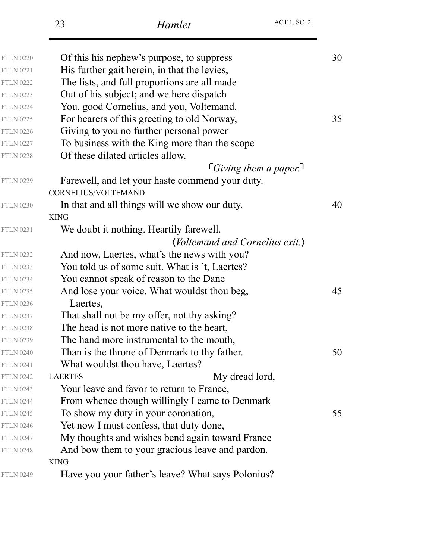|                  | 23                  | Hamlet                                            | <b>ACT 1. SC. 2</b>           |
|------------------|---------------------|---------------------------------------------------|-------------------------------|
| <b>FTLN 0220</b> |                     | Of this his nephew's purpose, to suppress         |                               |
| <b>FTLN 0221</b> |                     | His further gait herein, in that the levies,      |                               |
| <b>FTLN 0222</b> |                     | The lists, and full proportions are all made      |                               |
| <b>FTLN 0223</b> |                     | Out of his subject; and we here dispatch          |                               |
| <b>FTLN 0224</b> |                     | You, good Cornelius, and you, Voltemand,          |                               |
| <b>FTLN 0225</b> |                     | For bearers of this greeting to old Norway,       |                               |
| <b>FTLN 0226</b> |                     | Giving to you no further personal power           |                               |
| <b>FTLN 0227</b> |                     | To business with the King more than the scope     |                               |
| <b>FTLN 0228</b> |                     | Of these dilated articles allow.                  |                               |
|                  |                     |                                                   | $\lceil$ Giving them a paper. |
| <b>FTLN 0229</b> |                     | Farewell, and let your haste commend your duty.   |                               |
|                  | CORNELIUS/VOLTEMAND |                                                   |                               |
| <b>FTLN 0230</b> |                     | In that and all things will we show our duty.     |                               |
|                  | <b>KING</b>         |                                                   |                               |
| <b>FTLN 0231</b> |                     | We doubt it nothing. Heartily farewell.           |                               |
|                  |                     | (Voltemand and Cornelius exit.)                   |                               |
| <b>FTLN 0232</b> |                     | And now, Laertes, what's the news with you?       |                               |
| <b>FTLN 0233</b> |                     | You told us of some suit. What is 't, Laertes?    |                               |
| <b>FTLN 0234</b> |                     | You cannot speak of reason to the Dane            |                               |
| <b>FTLN 0235</b> |                     | And lose your voice. What wouldst thou beg,       |                               |
| <b>FTLN 0236</b> | Laertes,            |                                                   |                               |
| <b>FTLN 0237</b> |                     | That shall not be my offer, not thy asking?       |                               |
| <b>FTLN 0238</b> |                     | The head is not more native to the heart,         |                               |
| <b>FTLN 0239</b> |                     | The hand more instrumental to the mouth,          |                               |
| <b>FTLN 0240</b> |                     | Than is the throne of Denmark to thy father.      |                               |
| <b>FTLN 0241</b> |                     | What wouldst thou have, Laertes?                  |                               |
| <b>FTLN 0242</b> | <b>LAERTES</b>      | My dread lord,                                    |                               |
| <b>FTLN 0243</b> |                     | Your leave and favor to return to France,         |                               |
| <b>FTLN 0244</b> |                     | From whence though willingly I came to Denmark    |                               |
| <b>FTLN 0245</b> |                     | To show my duty in your coronation,               |                               |
| <b>FTLN 0246</b> |                     | Yet now I must confess, that duty done,           |                               |
| <b>FTLN 0247</b> |                     | My thoughts and wishes bend again toward France   |                               |
| <b>FTLN 0248</b> |                     | And bow them to your gracious leave and pardon.   |                               |
|                  | <b>KING</b>         |                                                   |                               |
| <b>FTLN 0249</b> |                     | Have you your father's leave? What says Polonius? |                               |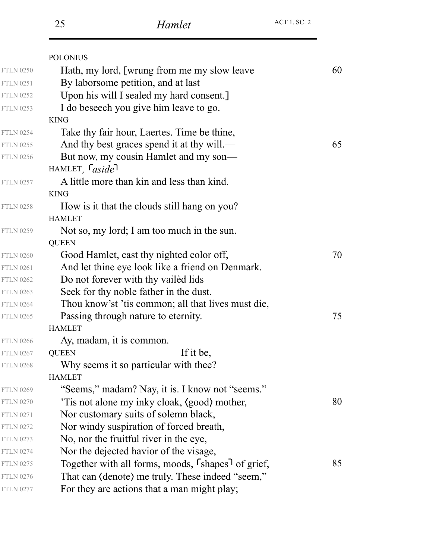|                  | <b>POLONIUS</b>                                                            |    |
|------------------|----------------------------------------------------------------------------|----|
| <b>FTLN 0250</b> | Hath, my lord, [wrung from me my slow leave                                | 60 |
| <b>FTLN 0251</b> | By laborsome petition, and at last                                         |    |
| <b>FTLN 0252</b> | Upon his will I sealed my hard consent.]                                   |    |
| <b>FTLN 0253</b> | I do be seech you give him leave to go.                                    |    |
|                  | <b>KING</b>                                                                |    |
| <b>FTLN 0254</b> | Take thy fair hour, Laertes. Time be thine,                                |    |
| <b>FTLN 0255</b> | And thy best graces spend it at thy will.—                                 | 65 |
| <b>FTLN 0256</b> | But now, my cousin Hamlet and my son—                                      |    |
|                  | HAMLET, $\lceil \text{aside} \rceil$                                       |    |
| <b>FTLN 0257</b> | A little more than kin and less than kind.                                 |    |
|                  | <b>KING</b>                                                                |    |
| <b>FTLN 0258</b> | How is it that the clouds still hang on you?                               |    |
|                  | <b>HAMLET</b>                                                              |    |
| <b>FTLN 0259</b> | Not so, my lord; I am too much in the sun.                                 |    |
|                  | <b>QUEEN</b>                                                               |    |
| <b>FTLN 0260</b> | Good Hamlet, cast thy nighted color off,                                   | 70 |
| <b>FTLN 0261</b> | And let thine eye look like a friend on Denmark.                           |    |
| <b>FTLN 0262</b> | Do not forever with thy vailed lids                                        |    |
| <b>FTLN 0263</b> | Seek for thy noble father in the dust.                                     |    |
| <b>FTLN 0264</b> | Thou know'st 'tis common; all that lives must die,                         |    |
| <b>FTLN 0265</b> | Passing through nature to eternity.                                        | 75 |
|                  | <b>HAMLET</b>                                                              |    |
| <b>FTLN 0266</b> | Ay, madam, it is common.                                                   |    |
| <b>FTLN 0267</b> | If it be,<br><b>QUEEN</b>                                                  |    |
| <b>FTLN 0268</b> | Why seems it so particular with thee?                                      |    |
|                  | <b>HAMLET</b>                                                              |    |
| <b>FTLN 0269</b> | "Seems," madam? Nay, it is. I know not "seems."                            |    |
| <b>FTLN 0270</b> | Tis not alone my inky cloak, (good) mother,                                | 80 |
| <b>FTLN 0271</b> | Nor customary suits of solemn black,                                       |    |
| <b>FTLN 0272</b> | Nor windy suspiration of forced breath,                                    |    |
| <b>FTLN 0273</b> | No, nor the fruitful river in the eye,                                     |    |
| <b>FTLN 0274</b> | Nor the dejected havior of the visage,                                     |    |
| <b>FTLN 0275</b> | Together with all forms, moods, <sup>r</sup> shapes <sup>1</sup> of grief, | 85 |
| <b>FTLN 0276</b> | That can (denote) me truly. These indeed "seem,"                           |    |
| <b>FTLN 0277</b> | For they are actions that a man might play;                                |    |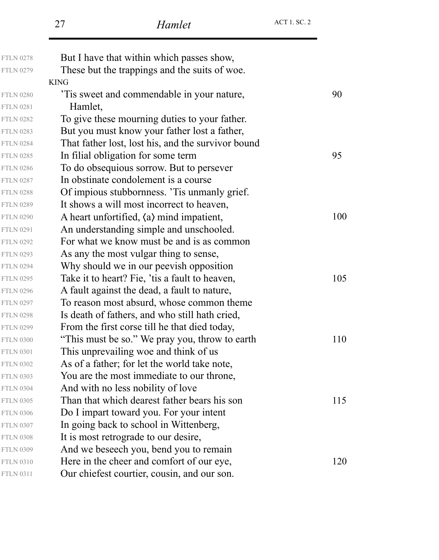| <b>FTLN 0278</b> | But I have that within which passes show,                |     |
|------------------|----------------------------------------------------------|-----|
| <b>FTLN 0279</b> | These but the trappings and the suits of woe.            |     |
|                  | <b>KING</b>                                              |     |
| <b>FTLN 0280</b> | This sweet and commendable in your nature,               | 90  |
| <b>FTLN 0281</b> | Hamlet,                                                  |     |
| <b>FTLN 0282</b> | To give these mourning duties to your father.            |     |
| <b>FTLN 0283</b> | But you must know your father lost a father,             |     |
| <b>FTLN 0284</b> | That father lost, lost his, and the survivor bound       |     |
| <b>FTLN 0285</b> | In filial obligation for some term                       | 95  |
| <b>FTLN 0286</b> | To do obsequious sorrow. But to persever                 |     |
| <b>FTLN 0287</b> | In obstinate condolement is a course                     |     |
| <b>FTLN 0288</b> | Of impious stubbornness. Tis unmanly grief.              |     |
| <b>FTLN 0289</b> | It shows a will most incorrect to heaven,                |     |
| <b>FTLN 0290</b> | A heart unfortified, $\langle a \rangle$ mind impatient, | 100 |
| <b>FTLN 0291</b> | An understanding simple and unschooled.                  |     |
| <b>FTLN 0292</b> | For what we know must be and is as common                |     |
| <b>FTLN 0293</b> | As any the most vulgar thing to sense,                   |     |
| <b>FTLN 0294</b> | Why should we in our peevish opposition                  |     |
| <b>FTLN 0295</b> | Take it to heart? Fie, 'tis a fault to heaven,           | 105 |
| <b>FTLN 0296</b> | A fault against the dead, a fault to nature,             |     |
| <b>FTLN 0297</b> | To reason most absurd, whose common theme                |     |
| <b>FTLN 0298</b> | Is death of fathers, and who still hath cried,           |     |
| <b>FTLN 0299</b> | From the first corse till he that died today,            |     |
| <b>FTLN 0300</b> | "This must be so." We pray you, throw to earth           | 110 |
| <b>FTLN 0301</b> | This unprevailing woe and think of us                    |     |
| <b>FTLN 0302</b> | As of a father; for let the world take note,             |     |
| <b>FTLN 0303</b> | You are the most immediate to our throne,                |     |
| <b>FTLN 0304</b> | And with no less nobility of love                        |     |
| <b>FTLN 0305</b> | Than that which dearest father bears his son             | 115 |
| <b>FTLN 0306</b> | Do I impart toward you. For your intent                  |     |
| <b>FTLN 0307</b> | In going back to school in Wittenberg,                   |     |
| <b>FTLN 0308</b> | It is most retrograde to our desire,                     |     |
| <b>FTLN 0309</b> | And we beseech you, bend you to remain                   |     |
| <b>FTLN 0310</b> | Here in the cheer and comfort of our eye,                | 120 |
| <b>FTLN 0311</b> | Our chiefest courtier, cousin, and our son.              |     |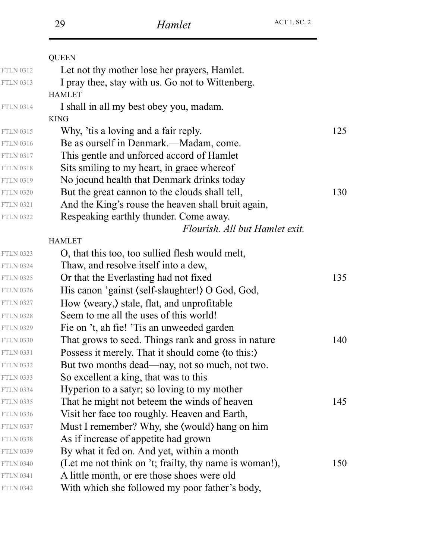|                  | <b>QUEEN</b>                                           |     |
|------------------|--------------------------------------------------------|-----|
| <b>FTLN 0312</b> | Let not thy mother lose her prayers, Hamlet.           |     |
| <b>FTLN 0313</b> | I pray thee, stay with us. Go not to Wittenberg.       |     |
|                  | <b>HAMLET</b>                                          |     |
| <b>FTLN 0314</b> | I shall in all my best obey you, madam.                |     |
|                  | <b>KING</b>                                            |     |
| <b>FTLN 0315</b> | Why, 'tis a loving and a fair reply.                   | 125 |
| <b>FTLN 0316</b> | Be as ourself in Denmark.—Madam, come.                 |     |
| <b>FTLN 0317</b> | This gentle and unforced accord of Hamlet              |     |
| <b>FTLN 0318</b> | Sits smiling to my heart, in grace whereof             |     |
| <b>FTLN 0319</b> | No jocund health that Denmark drinks today             |     |
| <b>FTLN 0320</b> | But the great cannon to the clouds shall tell,         | 130 |
| <b>FTLN 0321</b> | And the King's rouse the heaven shall bruit again,     |     |
| <b>FTLN 0322</b> | Respeaking earthly thunder. Come away.                 |     |
|                  | Flourish. All but Hamlet exit.                         |     |
|                  | <b>HAMLET</b>                                          |     |
| <b>FTLN 0323</b> | O, that this too, too sullied flesh would melt,        |     |
| <b>FTLN 0324</b> | Thaw, and resolve itself into a dew,                   |     |
| <b>FTLN 0325</b> | Or that the Everlasting had not fixed                  | 135 |
| <b>FTLN 0326</b> | His canon 'gainst (self-slaughter!) O God, God,        |     |
| <b>FTLN 0327</b> | How (weary,) stale, flat, and unprofitable             |     |
| <b>FTLN 0328</b> | Seem to me all the uses of this world!                 |     |
| <b>FTLN 0329</b> | Fie on 't, ah fie! 'Tis an unweeded garden             |     |
| <b>FTLN 0330</b> | That grows to seed. Things rank and gross in nature    | 140 |
| <b>FTLN 0331</b> | Possess it merely. That it should come (to this:)      |     |
| <b>FTLN 0332</b> | But two months dead—nay, not so much, not two.         |     |
| <b>FTLN 0333</b> | So excellent a king, that was to this                  |     |
| <b>FTLN 0334</b> | Hyperion to a satyr; so loving to my mother            |     |
| <b>FTLN 0335</b> | That he might not beteem the winds of heaven           | 145 |
| <b>FTLN 0336</b> | Visit her face too roughly. Heaven and Earth,          |     |
| <b>FTLN 0337</b> | Must I remember? Why, she (would) hang on him          |     |
| <b>FTLN 0338</b> | As if increase of appetite had grown                   |     |
| <b>FTLN 0339</b> | By what it fed on. And yet, within a month             |     |
| <b>FTLN 0340</b> | (Let me not think on 't; frailty, thy name is woman!), | 150 |
| <b>FTLN 0341</b> | A little month, or ere those shoes were old            |     |
| <b>FTLN 0342</b> | With which she followed my poor father's body,         |     |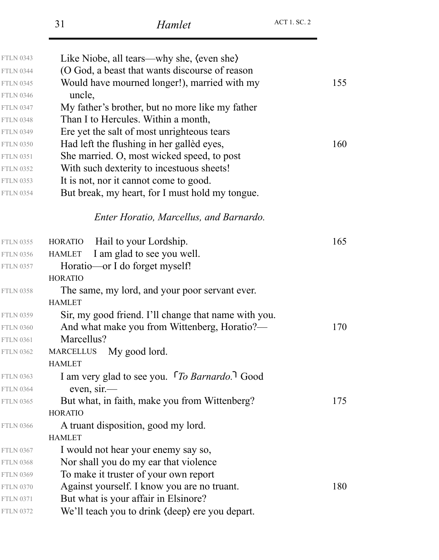| <b>FTLN 0343</b> | Like Niobe, all tears—why she, (even she)            |     |
|------------------|------------------------------------------------------|-----|
| <b>FTLN 0344</b> | (O God, a beast that wants discourse of reason       |     |
| <b>FTLN 0345</b> | Would have mourned longer!), married with my         | 155 |
| <b>FTLN 0346</b> | uncle,                                               |     |
| <b>FTLN 0347</b> | My father's brother, but no more like my father      |     |
| <b>FTLN 0348</b> | Than I to Hercules. Within a month,                  |     |
| <b>FTLN 0349</b> | Ere yet the salt of most unrighteous tears           |     |
| <b>FTLN 0350</b> | Had left the flushing in her galled eyes,            | 160 |
| <b>FTLN 0351</b> | She married. O, most wicked speed, to post           |     |
| <b>FTLN 0352</b> | With such dexterity to incestuous sheets!            |     |
| <b>FTLN 0353</b> | It is not, nor it cannot come to good.               |     |
| <b>FTLN 0354</b> | But break, my heart, for I must hold my tongue.      |     |
|                  | Enter Horatio, Marcellus, and Barnardo.              |     |
| <b>FTLN 0355</b> | Hail to your Lordship.<br>HORATIO                    | 165 |
| <b>FTLN 0356</b> | HAMLET I am glad to see you well.                    |     |
| <b>FTLN 0357</b> | Horatio—or I do forget myself!                       |     |
|                  | <b>HORATIO</b>                                       |     |
| <b>FTLN 0358</b> | The same, my lord, and your poor servant ever.       |     |
|                  | <b>HAMLET</b>                                        |     |
| <b>FTLN 0359</b> | Sir, my good friend. I'll change that name with you. |     |
| <b>FTLN 0360</b> | And what make you from Wittenberg, Horatio?—         | 170 |
| <b>FTLN 0361</b> | Marcellus?                                           |     |
| <b>FTLN 0362</b> | MARCELLUS My good lord.                              |     |
|                  | <b>HAMLET</b>                                        |     |
| <b>FTLN 0363</b> | I am very glad to see you. To Barnardo. Good         |     |
| <b>FTLN 0364</b> | even, $s$ ir.—                                       |     |
| <b>FTLN 0365</b> | But what, in faith, make you from Wittenberg?        | 175 |
|                  | <b>HORATIO</b>                                       |     |
| <b>FTLN 0366</b> | A truant disposition, good my lord.                  |     |
|                  | <b>HAMLET</b>                                        |     |
| <b>FTLN 0367</b> | I would not hear your enemy say so,                  |     |
| <b>FTLN 0368</b> | Nor shall you do my ear that violence                |     |
| <b>FTLN 0369</b> | To make it truster of your own report                |     |
| <b>FTLN 0370</b> | Against yourself. I know you are no truant.          | 180 |
| <b>FTLN 0371</b> | But what is your affair in Elsinore?                 |     |
| <b>FTLN 0372</b> | We'll teach you to drink (deep) ere you depart.      |     |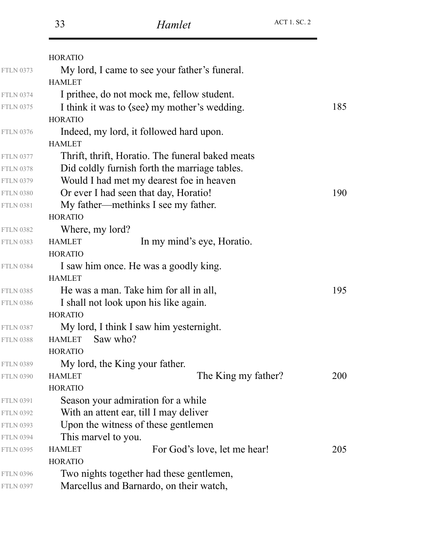|                  | <b>HORATIO</b>                                                 |     |
|------------------|----------------------------------------------------------------|-----|
| <b>FTLN 0373</b> | My lord, I came to see your father's funeral.                  |     |
|                  | <b>HAMLET</b>                                                  |     |
| <b>FTLN 0374</b> | I prithee, do not mock me, fellow student.                     |     |
| <b>FTLN 0375</b> | I think it was to $\langle$ see $\rangle$ my mother's wedding. | 185 |
|                  | <b>HORATIO</b>                                                 |     |
| <b>FTLN 0376</b> | Indeed, my lord, it followed hard upon.                        |     |
|                  | <b>HAMLET</b>                                                  |     |
| <b>FTLN 0377</b> | Thrift, thrift, Horatio. The funeral baked meats               |     |
| <b>FTLN 0378</b> | Did coldly furnish forth the marriage tables.                  |     |
| <b>FTLN 0379</b> | Would I had met my dearest foe in heaven                       |     |
| <b>FTLN 0380</b> | Or ever I had seen that day, Horatio!                          | 190 |
| <b>FTLN 0381</b> | My father—methinks I see my father.                            |     |
|                  | <b>HORATIO</b>                                                 |     |
| <b>FTLN 0382</b> | Where, my lord?                                                |     |
| <b>FTLN 0383</b> | In my mind's eye, Horatio.<br><b>HAMLET</b>                    |     |
|                  | <b>HORATIO</b>                                                 |     |
| <b>FTLN 0384</b> | I saw him once. He was a goodly king.                          |     |
|                  | <b>HAMLET</b>                                                  |     |
| <b>FTLN 0385</b> | He was a man. Take him for all in all,                         | 195 |
| <b>FTLN 0386</b> | I shall not look upon his like again.                          |     |
|                  | <b>HORATIO</b>                                                 |     |
| <b>FTLN 0387</b> | My lord, I think I saw him yesternight.                        |     |
| <b>FTLN 0388</b> | Saw who?<br><b>HAMLET</b>                                      |     |
|                  | <b>HORATIO</b>                                                 |     |
| <b>FTLN 0389</b> | My lord, the King your father.                                 |     |
| <b>FTLN 0390</b> | The King my father?<br><b>HAMLET</b>                           | 200 |
|                  | <b>HORATIO</b>                                                 |     |
| <b>FTLN 0391</b> | Season your admiration for a while                             |     |
| <b>FTLN 0392</b> | With an attent ear, till I may deliver                         |     |
| <b>FTLN 0393</b> | Upon the witness of these gentlemen                            |     |
| <b>FTLN 0394</b> | This marvel to you.                                            |     |
| <b>FTLN 0395</b> | For God's love, let me hear!<br><b>HAMLET</b>                  | 205 |
|                  | <b>HORATIO</b>                                                 |     |
| <b>FTLN 0396</b> | Two nights together had these gentlemen,                       |     |
| <b>FTLN 0397</b> | Marcellus and Barnardo, on their watch,                        |     |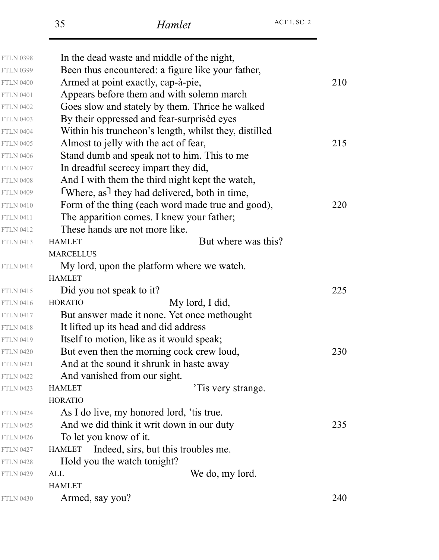| <b>FTLN 0398</b> | In the dead waste and middle of the night,                                                 |     |
|------------------|--------------------------------------------------------------------------------------------|-----|
| <b>FTLN 0399</b> | Been thus encountered: a figure like your father,                                          |     |
| <b>FTLN 0400</b> | Armed at point exactly, cap-à-pie,                                                         | 210 |
| <b>FTLN 0401</b> | Appears before them and with solemn march                                                  |     |
| <b>FTLN 0402</b> | Goes slow and stately by them. Thrice he walked                                            |     |
| <b>FTLN 0403</b> | By their oppressed and fear-surprised eyes                                                 |     |
| <b>FTLN 0404</b> | Within his truncheon's length, whilst they, distilled                                      |     |
| <b>FTLN 0405</b> | Almost to jelly with the act of fear,                                                      | 215 |
| <b>FTLN 0406</b> | Stand dumb and speak not to him. This to me                                                |     |
| <b>FTLN 0407</b> | In dreadful secrecy impart they did,                                                       |     |
| <b>FTLN 0408</b> | And I with them the third night kept the watch,                                            |     |
| <b>FTLN 0409</b> | Where, as <sup><math>\overline{\phantom{a}}</math></sup> they had delivered, both in time, |     |
| <b>FTLN 0410</b> | Form of the thing (each word made true and good),                                          | 220 |
| <b>FTLN 0411</b> | The apparition comes. I knew your father;                                                  |     |
| <b>FTLN 0412</b> | These hands are not more like.                                                             |     |
| <b>FTLN 0413</b> | But where was this?<br><b>HAMLET</b>                                                       |     |
|                  | <b>MARCELLUS</b>                                                                           |     |
| <b>FTLN 0414</b> | My lord, upon the platform where we watch.                                                 |     |
|                  | <b>HAMLET</b>                                                                              |     |
| <b>FTLN 0415</b> | Did you not speak to it?                                                                   | 225 |
| <b>FTLN 0416</b> | My lord, I did,<br><b>HORATIO</b>                                                          |     |
| <b>FTLN 0417</b> | But answer made it none. Yet once methought                                                |     |
| <b>FTLN 0418</b> | It lifted up its head and did address                                                      |     |
| <b>FTLN 0419</b> | Itself to motion, like as it would speak;                                                  |     |
| <b>FTLN 0420</b> | But even then the morning cock crew loud,                                                  | 230 |
| <b>FTLN 0421</b> | And at the sound it shrunk in haste away                                                   |     |
| <b>FTLN 0422</b> | And vanished from our sight.                                                               |     |
| <b>FTLN 0423</b> | Tis very strange.<br><b>HAMLET</b>                                                         |     |
|                  | <b>HORATIO</b>                                                                             |     |
| <b>FTLN 0424</b> | As I do live, my honored lord, 'tis true.                                                  |     |
| <b>FTLN 0425</b> | And we did think it writ down in our duty                                                  | 235 |
| <b>FTLN 0426</b> | To let you know of it.                                                                     |     |
| <b>FTLN 0427</b> | HAMLET Indeed, sirs, but this troubles me.                                                 |     |
| <b>FTLN 0428</b> | Hold you the watch tonight?                                                                |     |
| <b>FTLN 0429</b> | We do, my lord.<br><b>ALL</b>                                                              |     |
|                  | <b>HAMLET</b>                                                                              |     |
| <b>FTLN 0430</b> | Armed, say you?                                                                            | 240 |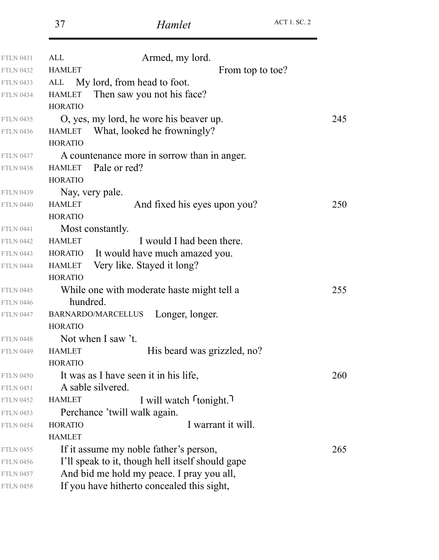| <b>FTLN 0431</b> | Armed, my lord.<br>ALL                           |     |
|------------------|--------------------------------------------------|-----|
| <b>FTLN 0432</b> | <b>HAMLET</b><br>From top to toe?                |     |
| <b>FTLN 0433</b> | My lord, from head to foot.<br>ALL               |     |
| <b>FTLN 0434</b> | Then saw you not his face?<br><b>HAMLET</b>      |     |
|                  | <b>HORATIO</b>                                   |     |
| <b>FTLN 0435</b> | O, yes, my lord, he wore his beaver up.          | 245 |
| <b>FTLN 0436</b> | What, looked he frowningly?<br><b>HAMLET</b>     |     |
|                  | <b>HORATIO</b>                                   |     |
| <b>FTLN 0437</b> | A countenance more in sorrow than in anger.      |     |
| <b>FTLN 0438</b> | Pale or red?<br><b>HAMLET</b>                    |     |
|                  | <b>HORATIO</b>                                   |     |
| <b>FTLN 0439</b> | Nay, very pale.                                  |     |
| <b>FTLN 0440</b> | And fixed his eyes upon you?<br><b>HAMLET</b>    | 250 |
|                  | <b>HORATIO</b>                                   |     |
| <b>FTLN 0441</b> | Most constantly.                                 |     |
| <b>FTLN 0442</b> | I would I had been there.<br><b>HAMLET</b>       |     |
| <b>FTLN 0443</b> | It would have much amazed you.<br><b>HORATIO</b> |     |
| <b>FTLN 0444</b> | Very like. Stayed it long?<br><b>HAMLET</b>      |     |
|                  | <b>HORATIO</b>                                   |     |
| <b>FTLN 0445</b> | While one with moderate haste might tell a       | 255 |
| <b>FTLN 0446</b> | hundred.                                         |     |
| <b>FTLN 0447</b> | Longer, longer.<br>BARNARDO/MARCELLUS            |     |
|                  | <b>HORATIO</b>                                   |     |
| <b>FTLN 0448</b> | Not when I saw 't.                               |     |
| <b>FTLN 0449</b> | His beard was grizzled, no?<br><b>HAMLET</b>     |     |
|                  | <b>HORATIO</b>                                   |     |
| <b>FTLN 0450</b> | It was as I have seen it in his life,            | 260 |
| <b>FTLN 0451</b> | A sable silvered.                                |     |
| <b>FTLN 0452</b> | I will watch <u>ftonight</u> .<br><b>HAMLET</b>  |     |
| <b>FTLN 0453</b> | Perchance 'twill walk again.                     |     |
| <b>FTLN 0454</b> | I warrant it will.<br><b>HORATIO</b>             |     |
|                  | <b>HAMLET</b>                                    |     |
| <b>FTLN 0455</b> | If it assume my noble father's person,           | 265 |
| <b>FTLN 0456</b> | I'll speak to it, though hell itself should gape |     |
| <b>FTLN 0457</b> | And bid me hold my peace. I pray you all,        |     |
| <b>FTLN 0458</b> | If you have hitherto concealed this sight,       |     |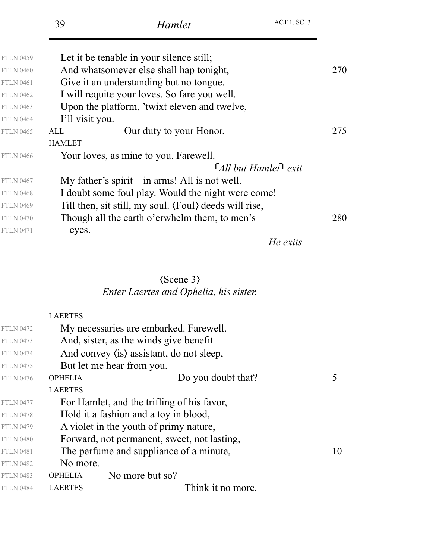| <b>FTLN 0459</b> | Let it be tenable in your silence still;               |     |
|------------------|--------------------------------------------------------|-----|
| <b>FTLN 0460</b> | And whatsomever else shall hap tonight,                | 270 |
| <b>FTLN 0461</b> | Give it an understanding but no tongue.                |     |
| <b>FTLN 0462</b> | I will requite your loves. So fare you well.           |     |
| <b>FTLN 0463</b> | Upon the platform, 'twixt eleven and twelve,           |     |
| <b>FTLN 0464</b> | I'll visit you.                                        |     |
| <b>FTLN 0465</b> | Our duty to your Honor.<br>ALL                         | 275 |
|                  | <b>HAMLET</b>                                          |     |
| <b>FTLN 0466</b> | Your loves, as mine to you. Farewell.                  |     |
|                  | $\lceil$ All but Hamlet $\ell$ exit.                   |     |
| <b>FTLN 0467</b> | My father's spirit—in arms! All is not well.           |     |
| <b>FTLN 0468</b> | I doubt some foul play. Would the night were come!     |     |
| <b>FTLN 0469</b> | Till then, sit still, my soul. (Foul) deeds will rise, |     |
| <b>FTLN 0470</b> | Though all the earth o'erwhelm them, to men's          | 280 |
| <b>FTLN 0471</b> | eyes.                                                  |     |
|                  |                                                        |     |

*He exits.*

#### *Enter Laertes and Ophelia, his sister.* Scene 3

#### LAERTES

| <b>FTLN 0472</b> |                | My necessaries are embarked. Farewell.      |                    |    |
|------------------|----------------|---------------------------------------------|--------------------|----|
| <b>FTLN 0473</b> |                | And, sister, as the winds give benefit      |                    |    |
| <b>FTLN 0474</b> |                | And convey (is) assistant, do not sleep,    |                    |    |
| <b>FTLN 0475</b> |                | But let me hear from you.                   |                    |    |
| <b>FTLN 0476</b> | <b>OPHELIA</b> |                                             | Do you doubt that? |    |
|                  | <b>LAERTES</b> |                                             |                    |    |
| <b>FTLN 0477</b> |                | For Hamlet, and the trifling of his favor,  |                    |    |
| <b>FTLN 0478</b> |                | Hold it a fashion and a toy in blood,       |                    |    |
| <b>FTLN 0479</b> |                | A violet in the youth of primy nature,      |                    |    |
| <b>FTLN 0480</b> |                | Forward, not permanent, sweet, not lasting, |                    |    |
| <b>FTLN 0481</b> |                | The perfume and suppliance of a minute,     |                    | 10 |
| <b>FTLN 0482</b> | No more.       |                                             |                    |    |
| <b>FTLN 0483</b> | <b>OPHELIA</b> | No more but so?                             |                    |    |
| <b>FTLN 0484</b> | <b>LAERTES</b> |                                             | Think it no more.  |    |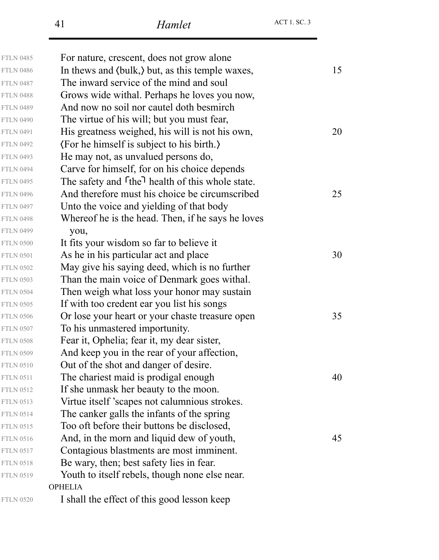| <b>FTLN 0485</b> | For nature, crescent, does not grow alone                                |    |
|------------------|--------------------------------------------------------------------------|----|
| <b>FTLN 0486</b> | In thems and (bulk,) but, as this temple waxes,                          | 15 |
| <b>FTLN 0487</b> | The inward service of the mind and soul                                  |    |
| <b>FTLN 0488</b> | Grows wide withal. Perhaps he loves you now,                             |    |
| <b>FTLN 0489</b> | And now no soil nor cautel doth besmirch                                 |    |
| <b>FTLN 0490</b> | The virtue of his will; but you must fear,                               |    |
| <b>FTLN 0491</b> | His greatness weighed, his will is not his own,                          | 20 |
| <b>FTLN 0492</b> | (For he himself is subject to his birth.)                                |    |
| <b>FTLN 0493</b> | He may not, as unvalued persons do,                                      |    |
| <b>FTLN 0494</b> | Carve for himself, for on his choice depends                             |    |
| <b>FTLN 0495</b> | The safety and <sup>f</sup> the <sup>1</sup> health of this whole state. |    |
| <b>FTLN 0496</b> | And therefore must his choice be circumscribed                           | 25 |
| <b>FTLN 0497</b> | Unto the voice and yielding of that body                                 |    |
| <b>FTLN 0498</b> | Whereof he is the head. Then, if he says he loves                        |    |
| <b>FTLN 0499</b> | you,                                                                     |    |
| <b>FTLN 0500</b> | It fits your wisdom so far to believe it                                 |    |
| <b>FTLN 0501</b> | As he in his particular act and place                                    | 30 |
| <b>FTLN 0502</b> | May give his saying deed, which is no further                            |    |
| <b>FTLN 0503</b> | Than the main voice of Denmark goes withal.                              |    |
| <b>FTLN 0504</b> | Then weigh what loss your honor may sustain                              |    |
| <b>FTLN 0505</b> | If with too credent ear you list his songs                               |    |
| <b>FTLN 0506</b> | Or lose your heart or your chaste treasure open                          | 35 |
| <b>FTLN 0507</b> | To his unmastered importunity.                                           |    |
| <b>FTLN 0508</b> | Fear it, Ophelia; fear it, my dear sister,                               |    |
| <b>FTLN 0509</b> | And keep you in the rear of your affection,                              |    |
| <b>FTLN 0510</b> | Out of the shot and danger of desire.                                    |    |
| <b>FTLN 0511</b> | The chariest maid is prodigal enough                                     | 40 |
| <b>FTLN 0512</b> | If she unmask her beauty to the moon.                                    |    |
| <b>FTLN 0513</b> | Virtue itself 'scapes not calumnious strokes.                            |    |
| <b>FTLN 0514</b> | The canker galls the infants of the spring                               |    |
| <b>FTLN 0515</b> | Too oft before their buttons be disclosed,                               |    |
| <b>FTLN 0516</b> | And, in the morn and liquid dew of youth,                                | 45 |
| <b>FTLN 0517</b> | Contagious blastments are most imminent.                                 |    |
| <b>FTLN 0518</b> | Be wary, then; best safety lies in fear.                                 |    |
| <b>FTLN 0519</b> | Youth to itself rebels, though none else near.                           |    |
|                  | <b>OPHELIA</b>                                                           |    |
| <b>FTLN 0520</b> | I shall the effect of this good lesson keep                              |    |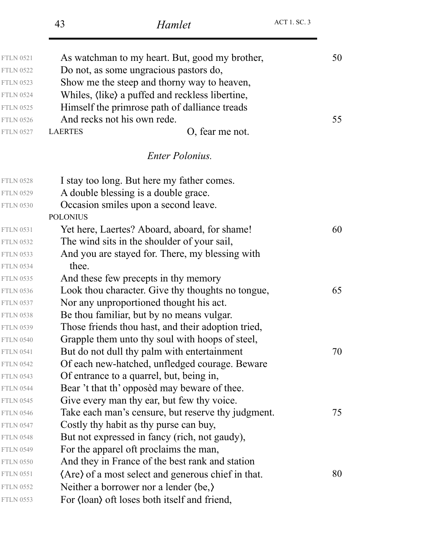|                  | 43<br>Hamlet                                          | <b>ACT 1. SC. 3</b> |
|------------------|-------------------------------------------------------|---------------------|
| <b>FTLN 0521</b> | As watchman to my heart. But, good my brother,        | 50                  |
| <b>FTLN 0522</b> | Do not, as some ungracious pastors do,                |                     |
| <b>FTLN 0523</b> | Show me the steep and thorny way to heaven,           |                     |
| <b>FTLN 0524</b> | Whiles, (like) a puffed and reckless libertine,       |                     |
| <b>FTLN 0525</b> | Himself the primrose path of dalliance treads         |                     |
| <b>FTLN 0526</b> | And recks not his own rede.                           | 55                  |
| <b>FTLN 0527</b> | O, fear me not.<br><b>LAERTES</b>                     |                     |
|                  | <b>Enter Polonius.</b>                                |                     |
| <b>FTLN 0528</b> | I stay too long. But here my father comes.            |                     |
| <b>FTLN 0529</b> | A double blessing is a double grace.                  |                     |
| <b>FTLN 0530</b> | Occasion smiles upon a second leave.                  |                     |
|                  | <b>POLONIUS</b>                                       |                     |
| <b>FTLN 0531</b> | Yet here, Laertes? Aboard, aboard, for shame!         | 60                  |
| <b>FTLN 0532</b> | The wind sits in the shoulder of your sail,           |                     |
| <b>FTLN 0533</b> | And you are stayed for. There, my blessing with       |                     |
| <b>FTLN 0534</b> | thee.                                                 |                     |
| <b>FTLN 0535</b> | And these few precepts in thy memory                  |                     |
| <b>FTLN 0536</b> | Look thou character. Give thy thoughts no tongue,     | 65                  |
| <b>FTLN 0537</b> | Nor any unproportioned thought his act.               |                     |
| <b>FTLN 0538</b> | Be thou familiar, but by no means vulgar.             |                     |
| <b>FTLN 0539</b> | Those friends thou hast, and their adoption tried,    |                     |
| <b>FTLN 0540</b> | Grapple them unto thy soul with hoops of steel,       |                     |
| <b>FTLN 0541</b> | But do not dull thy palm with entertainment           | 70                  |
| <b>FTLN 0542</b> | Of each new-hatched, unfledged courage. Beware        |                     |
| <b>FTLN 0543</b> | Of entrance to a quarrel, but, being in,              |                     |
| <b>FTLN 0544</b> | Bear 't that th' opposed may beware of thee.          |                     |
| <b>FTLN 0545</b> | Give every man thy ear, but few thy voice.            |                     |
| <b>FTLN 0546</b> | Take each man's censure, but reserve thy judgment.    | 75                  |
| <b>FTLN 0547</b> | Costly thy habit as thy purse can buy,                |                     |
| <b>FTLN 0548</b> | But not expressed in fancy (rich, not gaudy),         |                     |
| <b>FTLN 0549</b> | For the apparel oft proclaims the man,                |                     |
| <b>FTLN 0550</b> | And they in France of the best rank and station       |                     |
| <b>FTLN 0551</b> | (Are) of a most select and generous chief in that.    | 80                  |
| <b>FTLN 0552</b> | Neither a borrower nor a lender $\langle be, \rangle$ |                     |
| <b>FTLN 0553</b> | For (loan) oft loses both itself and friend,          |                     |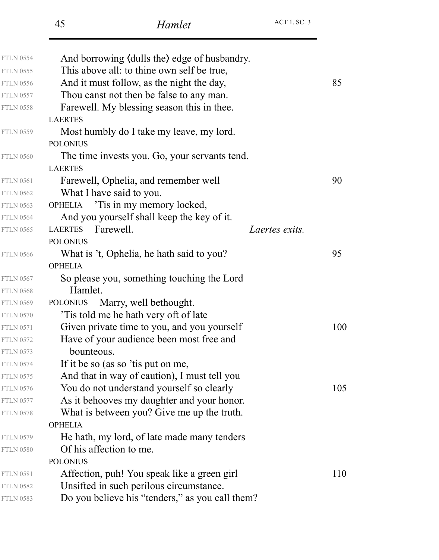| <b>FTLN 0554</b> | And borrowing (dulls the) edge of husbandry.         |     |
|------------------|------------------------------------------------------|-----|
| <b>FTLN 0555</b> | This above all: to thine own self be true,           |     |
| <b>FTLN 0556</b> | And it must follow, as the night the day,            | 85  |
| <b>FTLN 0557</b> | Thou canst not then be false to any man.             |     |
| <b>FTLN 0558</b> | Farewell. My blessing season this in thee.           |     |
|                  | <b>LAERTES</b>                                       |     |
| <b>FTLN 0559</b> | Most humbly do I take my leave, my lord.             |     |
|                  | <b>POLONIUS</b>                                      |     |
| <b>FTLN 0560</b> | The time invests you. Go, your servants tend.        |     |
|                  | <b>LAERTES</b>                                       |     |
| <b>FTLN 0561</b> | Farewell, Ophelia, and remember well                 | 90  |
| <b>FTLN 0562</b> | What I have said to you.                             |     |
| <b>FTLN 0563</b> | OPHELIA Tis in my memory locked,                     |     |
| <b>FTLN 0564</b> | And you yourself shall keep the key of it.           |     |
| <b>FTLN 0565</b> | Farewell.<br><b>LAERTES</b><br><i>Laertes exits.</i> |     |
|                  | <b>POLONIUS</b>                                      |     |
| <b>FTLN 0566</b> | What is 't, Ophelia, he hath said to you?            | 95  |
|                  | <b>OPHELIA</b>                                       |     |
| <b>FTLN 0567</b> | So please you, something touching the Lord           |     |
| <b>FTLN 0568</b> | Hamlet.                                              |     |
| <b>FTLN 0569</b> | Marry, well bethought.<br>POLONIUS                   |     |
| <b>FTLN 0570</b> | This told me he hath very oft of late                |     |
| <b>FTLN 0571</b> | Given private time to you, and you yourself          | 100 |
| <b>FTLN 0572</b> | Have of your audience been most free and             |     |
| <b>FTLN 0573</b> | bounteous.                                           |     |
| <b>FTLN 0574</b> | If it be so (as so 't is put on me,                  |     |
| <b>FTLN 0575</b> | And that in way of caution), I must tell you         |     |
| <b>FTLN 0576</b> | You do not understand yourself so clearly            | 105 |
| <b>FTLN 0577</b> | As it behooves my daughter and your honor.           |     |
| <b>FTLN 0578</b> | What is between you? Give me up the truth.           |     |
|                  | <b>OPHELIA</b>                                       |     |
| <b>FTLN 0579</b> | He hath, my lord, of late made many tenders          |     |
| <b>FTLN 0580</b> | Of his affection to me.                              |     |
|                  | <b>POLONIUS</b>                                      |     |
| <b>FTLN 0581</b> | Affection, puh! You speak like a green girl          | 110 |
| <b>FTLN 0582</b> | Unsifted in such perilous circumstance.              |     |
| <b>FTLN 0583</b> | Do you believe his "tenders," as you call them?      |     |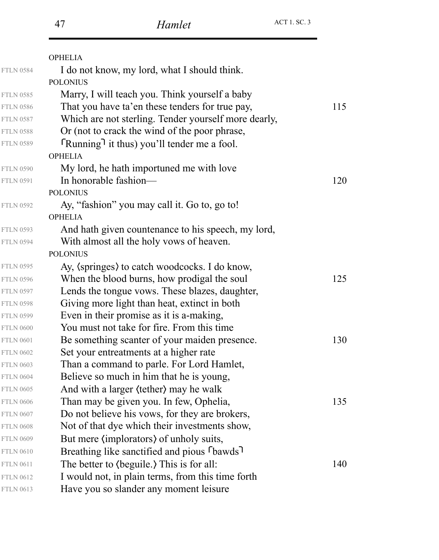|                  | <b>OPHELIA</b>                                                                    |     |
|------------------|-----------------------------------------------------------------------------------|-----|
| <b>FTLN 0584</b> | I do not know, my lord, what I should think.                                      |     |
|                  | <b>POLONIUS</b>                                                                   |     |
| <b>FTLN 0585</b> | Marry, I will teach you. Think yourself a baby                                    |     |
| <b>FTLN 0586</b> | That you have ta'en these tenders for true pay,                                   | 115 |
| <b>FTLN 0587</b> | Which are not sterling. Tender yourself more dearly,                              |     |
| <b>FTLN 0588</b> | Or (not to crack the wind of the poor phrase,                                     |     |
| <b>FTLN 0589</b> | $\lceil$ Running <sup><math>\rceil</math></sup> it thus) you'll tender me a fool. |     |
|                  | <b>OPHELIA</b>                                                                    |     |
| <b>FTLN 0590</b> | My lord, he hath importuned me with love                                          |     |
| <b>FTLN 0591</b> | In honorable fashion—                                                             | 120 |
|                  | <b>POLONIUS</b>                                                                   |     |
| <b>FTLN 0592</b> | Ay, "fashion" you may call it. Go to, go to!                                      |     |
|                  | <b>OPHELIA</b>                                                                    |     |
| <b>FTLN 0593</b> | And hath given countenance to his speech, my lord,                                |     |
| <b>FTLN 0594</b> | With almost all the holy vows of heaven.                                          |     |
|                  | <b>POLONIUS</b>                                                                   |     |
| <b>FTLN 0595</b> | Ay, (springes) to catch woodcocks. I do know,                                     |     |
| <b>FTLN 0596</b> | When the blood burns, how prodigal the soul                                       | 125 |
| <b>FTLN 0597</b> | Lends the tongue vows. These blazes, daughter,                                    |     |
| <b>FTLN 0598</b> | Giving more light than heat, extinct in both                                      |     |
| <b>FTLN 0599</b> | Even in their promise as it is a-making,                                          |     |
| <b>FTLN 0600</b> | You must not take for fire. From this time                                        |     |
| <b>FTLN 0601</b> | Be something scanter of your maiden presence.                                     | 130 |
| <b>FTLN 0602</b> | Set your entreatments at a higher rate                                            |     |
| <b>FTLN 0603</b> | Than a command to parle. For Lord Hamlet,                                         |     |
| <b>FTLN 0604</b> | Believe so much in him that he is young,                                          |     |
| <b>FTLN 0605</b> | And with a larger (tether) may he walk                                            |     |
| <b>FTLN 0606</b> | Than may be given you. In few, Ophelia,                                           | 135 |
| <b>FTLN 0607</b> | Do not believe his vows, for they are brokers,                                    |     |
| <b>FTLN 0608</b> | Not of that dye which their investments show,                                     |     |
| <b>FTLN 0609</b> | But mere (implorators) of unholy suits,                                           |     |
| <b>FTLN 0610</b> | Breathing like sanctified and pious <sup>I</sup> bawds <sup>1</sup>               |     |
| <b>FTLN 0611</b> | The better to (beguile.) This is for all:                                         | 140 |
| <b>FTLN 0612</b> | I would not, in plain terms, from this time forth                                 |     |
| <b>FTLN 0613</b> | Have you so slander any moment leisure                                            |     |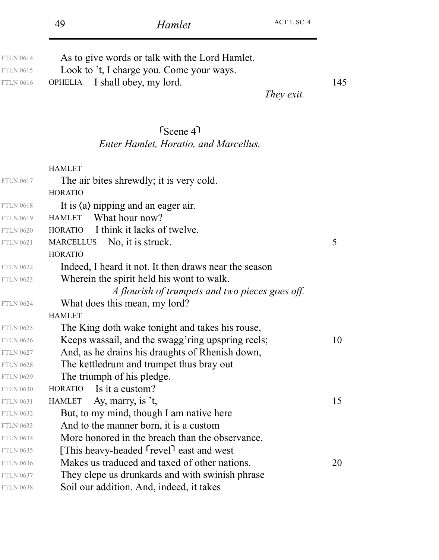| <b>FTLN 0614</b><br><b>FTLN 0615</b><br><b>FTLN 0616</b> | As to give words or talk with the Lord Hamlet.<br>Look to 't, I charge you. Come your ways.<br>I shall obey, my lord.<br><b>OPHELIA</b><br>They exit. | 145 |
|----------------------------------------------------------|-------------------------------------------------------------------------------------------------------------------------------------------------------|-----|
|                                                          | $r_{\text{Scene}}$ 4<br><b>Enter Hamlet, Horatio, and Marcellus.</b>                                                                                  |     |
|                                                          |                                                                                                                                                       |     |
|                                                          | <b>HAMLET</b>                                                                                                                                         |     |
| <b>FTLN 0617</b>                                         | The air bites shrewdly; it is very cold.                                                                                                              |     |
|                                                          | <b>HORATIO</b>                                                                                                                                        |     |
| <b>FTLN 0618</b>                                         | It is $\langle a \rangle$ nipping and an eager air.                                                                                                   |     |
| <b>FTLN 0619</b>                                         | What hour now?<br><b>HAMLET</b>                                                                                                                       |     |
| <b>FTLN 0620</b>                                         | I think it lacks of twelve.<br><b>HORATIO</b>                                                                                                         |     |
| <b>FTLN 0621</b>                                         | No, it is struck.<br><b>MARCELLUS</b>                                                                                                                 | 5   |
|                                                          | <b>HORATIO</b>                                                                                                                                        |     |
| <b>FTLN 0622</b>                                         | Indeed, I heard it not. It then draws near the season                                                                                                 |     |
| <b>FTLN 0623</b>                                         | Wherein the spirit held his wont to walk.                                                                                                             |     |
|                                                          | A flourish of trumpets and two pieces goes off.                                                                                                       |     |
| <b>FTLN 0624</b>                                         | What does this mean, my lord?                                                                                                                         |     |
|                                                          | <b>HAMLET</b>                                                                                                                                         |     |
| <b>FTLN 0625</b>                                         | The King doth wake tonight and takes his rouse,                                                                                                       |     |
| <b>FTLN 0626</b>                                         | Keeps wassail, and the swagg ring upspring reels;                                                                                                     | 10  |
| <b>FTLN 0627</b>                                         | And, as he drains his draughts of Rhenish down,                                                                                                       |     |
| <b>FTLN 0628</b>                                         | The kettledrum and trumpet thus bray out                                                                                                              |     |
| <b>FTLN 0629</b><br><b>FTLN 0630</b>                     | The triumph of his pledge.<br>Is it a custom?<br><b>HORATIO</b>                                                                                       |     |
| <b>FTLN 0631</b>                                         | Ay, marry, is $t$ ,<br>HAMLET                                                                                                                         | 15  |
| <b>FTLN 0632</b>                                         | But, to my mind, though I am native here                                                                                                              |     |
| <b>FTLN 0633</b>                                         | And to the manner born, it is a custom                                                                                                                |     |
| <b>FTLN 0634</b>                                         | More honored in the breach than the observance.                                                                                                       |     |
| <b>FTLN 0635</b>                                         | [This heavy-headed revel] east and west                                                                                                               |     |
| <b>FTLN 0636</b>                                         | Makes us traduced and taxed of other nations.                                                                                                         | 20  |
| <b>FTLN 0637</b>                                         | They clepe us drunkards and with swinish phrase                                                                                                       |     |
| <b>FTLN 0638</b>                                         | Soil our addition. And, indeed, it takes                                                                                                              |     |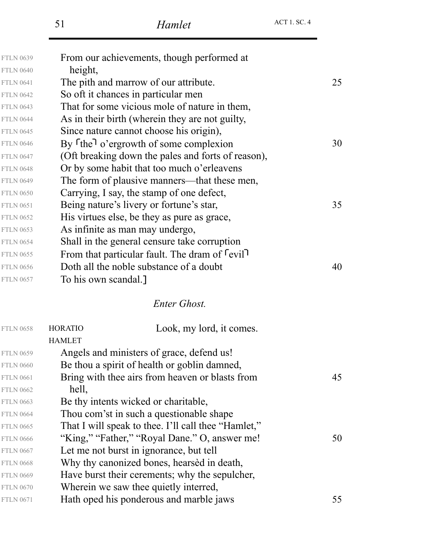| <b>FTLN 0639</b> | From our achievements, though performed at            |    |
|------------------|-------------------------------------------------------|----|
| <b>FTLN 0640</b> | height,                                               |    |
| <b>FTLN 0641</b> | The pith and marrow of our attribute.                 | 25 |
| <b>FTLN 0642</b> | So oft it chances in particular men                   |    |
| <b>FTLN 0643</b> | That for some vicious mole of nature in them,         |    |
| <b>FTLN 0644</b> | As in their birth (wherein they are not guilty,       |    |
| <b>FTLN 0645</b> | Since nature cannot choose his origin),               |    |
| <b>FTLN 0646</b> | By fthe o'ergrowth of some complexion                 | 30 |
| <b>FTLN 0647</b> | (Oft breaking down the pales and forts of reason),    |    |
| <b>FTLN 0648</b> | Or by some habit that too much o'erleavens            |    |
| <b>FTLN 0649</b> | The form of plausive manners—that these men,          |    |
| <b>FTLN 0650</b> | Carrying, I say, the stamp of one defect,             |    |
| <b>FTLN 0651</b> | Being nature's livery or fortune's star,              | 35 |
| <b>FTLN 0652</b> | His virtues else, be they as pure as grace,           |    |
| <b>FTLN 0653</b> | As infinite as man may undergo,                       |    |
| <b>FTLN 0654</b> | Shall in the general censure take corruption          |    |
| <b>FTLN 0655</b> | From that particular fault. The dram of $\lceil$ evil |    |
| <b>FTLN 0656</b> | Doth all the noble substance of a doubt               | 40 |
| <b>FTLN 0657</b> | To his own scandal.                                   |    |
|                  | <b>Enter Ghost.</b>                                   |    |
| <b>FTLN 0658</b> | Look, my lord, it comes.<br><b>HORATIO</b>            |    |
|                  | <b>HAMLET</b>                                         |    |
| <b>FTLN 0659</b> | Angels and ministers of grace, defend us!             |    |
| <b>FTLN 0660</b> | Be thou a spirit of health or goblin damned,          |    |
| <b>FTLN 0661</b> | Bring with thee airs from heaven or blasts from       | 45 |
| <b>FTLN 0662</b> | hell,                                                 |    |
| <b>FTLN 0663</b> | Be thy intents wicked or charitable,                  |    |
| <b>FTLN 0664</b> | Thou com'st in such a questionable shape              |    |
| <b>FTLN 0665</b> | That I will speak to thee. I'll call thee "Hamlet,"   |    |
| <b>FTLN 0666</b> | "King," "Father," "Royal Dane." O, answer me!         | 50 |
| <b>FTLN 0667</b> | Let me not burst in ignorance, but tell               |    |
| <b>FTLN 0668</b> | Why thy canonized bones, hearsed in death,            |    |
| <b>FTLN 0669</b> | Have burst their cerements; why the sepulcher,        |    |

Wherein we saw thee quietly interred,

FTLN 0670

FTLN 0671 **Hath oped his ponderous and marble jaws** 55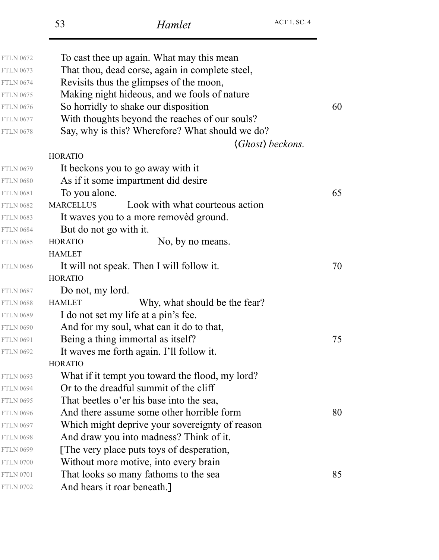| <b>FTLN 0672</b> | To cast thee up again. What may this mean           |    |
|------------------|-----------------------------------------------------|----|
| <b>FTLN 0673</b> | That thou, dead corse, again in complete steel,     |    |
| <b>FTLN 0674</b> | Revisits thus the glimpses of the moon,             |    |
| <b>FTLN 0675</b> | Making night hideous, and we fools of nature        |    |
| <b>FTLN 0676</b> | So horridly to shake our disposition                | 60 |
| <b>FTLN 0677</b> | With thoughts beyond the reaches of our souls?      |    |
| <b>FTLN 0678</b> | Say, why is this? Wherefore? What should we do?     |    |
|                  | $\langle Ghost \rangle$ beckons.                    |    |
|                  | <b>HORATIO</b>                                      |    |
| <b>FTLN 0679</b> | It beckons you to go away with it                   |    |
| <b>FTLN 0680</b> | As if it some impartment did desire                 |    |
| <b>FTLN 0681</b> | To you alone.                                       | 65 |
| <b>FTLN 0682</b> | Look with what courteous action<br><b>MARCELLUS</b> |    |
| <b>FTLN 0683</b> | It waves you to a more removed ground.              |    |
| <b>FTLN 0684</b> | But do not go with it.                              |    |
| <b>FTLN 0685</b> | <b>HORATIO</b><br>No, by no means.                  |    |
|                  | <b>HAMLET</b>                                       |    |
| <b>FTLN 0686</b> | It will not speak. Then I will follow it.           | 70 |
|                  | <b>HORATIO</b>                                      |    |
| <b>FTLN 0687</b> | Do not, my lord.                                    |    |
| <b>FTLN 0688</b> | Why, what should be the fear?<br><b>HAMLET</b>      |    |
| <b>FTLN 0689</b> | I do not set my life at a pin's fee.                |    |
| <b>FTLN 0690</b> | And for my soul, what can it do to that,            |    |
| <b>FTLN 0691</b> | Being a thing immortal as itself?                   | 75 |
| <b>FTLN 0692</b> | It waves me forth again. I'll follow it.            |    |
|                  | <b>HORATIO</b>                                      |    |
| <b>FTLN 0693</b> | What if it tempt you toward the flood, my lord?     |    |
| <b>FTLN 0694</b> | Or to the dreadful summit of the cliff              |    |
| <b>FTLN 0695</b> | That beetles o'er his base into the sea,            |    |
| <b>FTLN 0696</b> | And there assume some other horrible form           | 80 |
| <b>FTLN 0697</b> | Which might deprive your sovereignty of reason      |    |
| <b>FTLN 0698</b> | And draw you into madness? Think of it.             |    |
| <b>FTLN 0699</b> | [The very place puts toys of desperation,           |    |
| <b>FTLN 0700</b> | Without more motive, into every brain               |    |
| <b>FTLN 0701</b> | That looks so many fathoms to the sea               | 85 |
| <b>FTLN 0702</b> | And hears it roar beneath.]                         |    |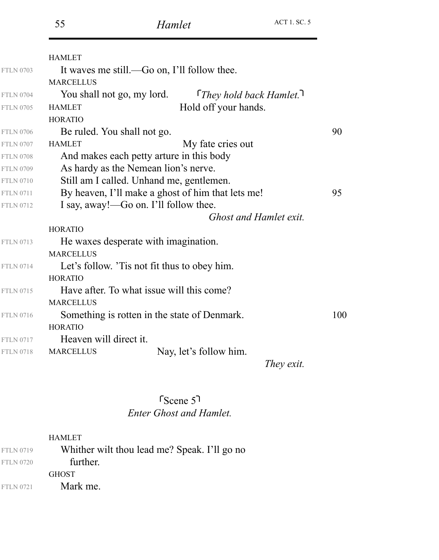|                  | <b>HAMLET</b>                                     |                        |     |
|------------------|---------------------------------------------------|------------------------|-----|
| <b>FTLN 0703</b> | It waves me still.—Go on, I'll follow thee.       |                        |     |
|                  | <b>MARCELLUS</b>                                  |                        |     |
| <b>FTLN 0704</b> | You shall not go, my lord.                        | They hold back Hamlet. |     |
| <b>FTLN 0705</b> | <b>HAMLET</b>                                     | Hold off your hands.   |     |
|                  | <b>HORATIO</b>                                    |                        |     |
| <b>FTLN 0706</b> | Be ruled. You shall not go.                       |                        | 90  |
| <b>FTLN 0707</b> | <b>HAMLET</b>                                     | My fate cries out      |     |
| <b>FTLN 0708</b> | And makes each petty arture in this body          |                        |     |
| <b>FTLN 0709</b> | As hardy as the Nemean lion's nerve.              |                        |     |
| <b>FTLN 0710</b> | Still am I called. Unhand me, gentlemen.          |                        |     |
| <b>FTLN 0711</b> | By heaven, I'll make a ghost of him that lets me! |                        | 95  |
| <b>FTLN 0712</b> | I say, away!—Go on. I'll follow thee.             |                        |     |
|                  |                                                   | Ghost and Hamlet exit. |     |
|                  | <b>HORATIO</b>                                    |                        |     |
| <b>FTLN 0713</b> | He waxes desperate with imagination.              |                        |     |
|                  | <b>MARCELLUS</b>                                  |                        |     |
| <b>FTLN 0714</b> | Let's follow. This not fit thus to obey him.      |                        |     |
|                  | <b>HORATIO</b>                                    |                        |     |
| <b>FTLN 0715</b> | Have after. To what issue will this come?         |                        |     |
|                  | <b>MARCELLUS</b>                                  |                        |     |
| <b>FTLN 0716</b> | Something is rotten in the state of Denmark.      |                        | 100 |
|                  | <b>HORATIO</b>                                    |                        |     |
| <b>FTLN 0717</b> | Heaven will direct it.                            |                        |     |
| <b>FTLN 0718</b> | <b>MARCELLUS</b>                                  | Nay, let's follow him. |     |
|                  |                                                   | They exit.             |     |

## *Enter Ghost and Hamlet.*  $s$ Scene 5

#### HAMLET

| <b>FTLN 0719</b> |              | Whither wilt thou lead me? Speak. I'll go no |  |
|------------------|--------------|----------------------------------------------|--|
| <b>FTLN 0720</b> | further.     |                                              |  |
|                  | <b>GHOST</b> |                                              |  |
| <b>FTLN 0721</b> | Mark me.     |                                              |  |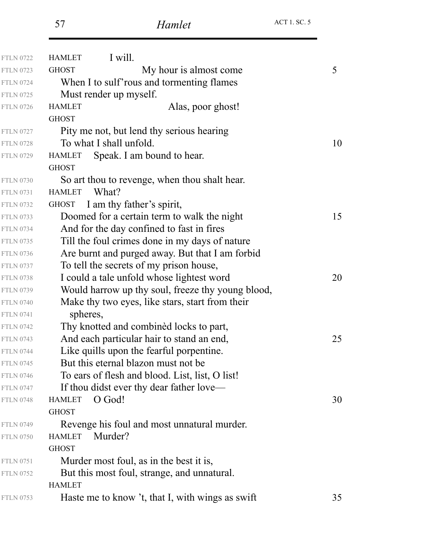| <b>FTLN 0722</b> | I will.<br><b>HAMLET</b>                          |    |
|------------------|---------------------------------------------------|----|
| <b>FTLN 0723</b> | My hour is almost come<br><b>GHOST</b>            | 5  |
| <b>FTLN 0724</b> | When I to sulf rous and tormenting flames         |    |
| <b>FTLN 0725</b> | Must render up myself.                            |    |
| <b>FTLN 0726</b> | Alas, poor ghost!<br><b>HAMLET</b>                |    |
|                  | <b>GHOST</b>                                      |    |
| <b>FTLN 0727</b> | Pity me not, but lend thy serious hearing         |    |
| <b>FTLN 0728</b> | To what I shall unfold.                           | 10 |
| <b>FTLN 0729</b> | Speak. I am bound to hear.<br><b>HAMLET</b>       |    |
|                  | <b>GHOST</b>                                      |    |
| <b>FTLN 0730</b> | So art thou to revenge, when thou shalt hear.     |    |
| <b>FTLN 0731</b> | What?<br><b>HAMLET</b>                            |    |
| <b>FTLN 0732</b> | I am thy father's spirit,<br><b>GHOST</b>         |    |
| <b>FTLN 0733</b> | Doomed for a certain term to walk the night       | 15 |
| <b>FTLN 0734</b> | And for the day confined to fast in fires         |    |
| <b>FTLN 0735</b> | Till the foul crimes done in my days of nature    |    |
| <b>FTLN 0736</b> | Are burnt and purged away. But that I am forbid   |    |
| <b>FTLN 0737</b> | To tell the secrets of my prison house,           |    |
| <b>FTLN 0738</b> | I could a tale unfold whose lightest word         | 20 |
| <b>FTLN 0739</b> | Would harrow up thy soul, freeze thy young blood, |    |
| <b>FTLN 0740</b> | Make thy two eyes, like stars, start from their   |    |
| <b>FTLN 0741</b> | spheres,                                          |    |
| <b>FTLN 0742</b> | Thy knotted and combined locks to part,           |    |
| <b>FTLN 0743</b> | And each particular hair to stand an end,         | 25 |
| <b>FTLN 0744</b> | Like quills upon the fearful porpentine.          |    |
| <b>FTLN 0745</b> | But this eternal blazon must not be.              |    |
| <b>FTLN 0746</b> | To ears of flesh and blood. List, list, O list!   |    |
| <b>FTLN 0747</b> | If thou didst ever thy dear father love—          |    |
| <b>FTLN 0748</b> | O God!<br><b>HAMLET</b>                           | 30 |
|                  | <b>GHOST</b>                                      |    |
| <b>FTLN 0749</b> | Revenge his foul and most unnatural murder.       |    |
| <b>FTLN 0750</b> | Murder?<br><b>HAMLET</b>                          |    |
|                  | <b>GHOST</b>                                      |    |
| <b>FTLN 0751</b> | Murder most foul, as in the best it is,           |    |
| <b>FTLN 0752</b> | But this most foul, strange, and unnatural.       |    |
|                  | <b>HAMLET</b>                                     |    |
| <b>FTLN 0753</b> | Haste me to know 't, that I, with wings as swift  | 35 |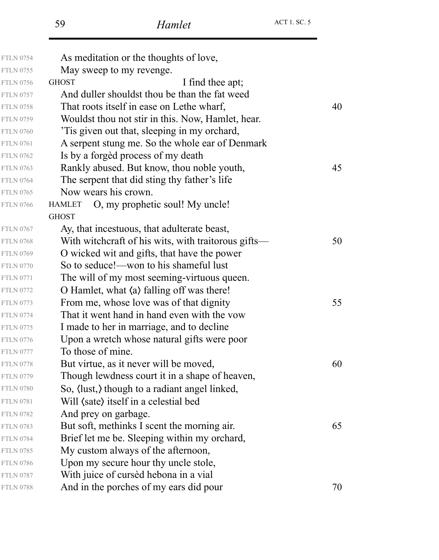| <b>FTLN 0754</b> | As meditation or the thoughts of love,                    |    |
|------------------|-----------------------------------------------------------|----|
| <b>FTLN 0755</b> | May sweep to my revenge.                                  |    |
| <b>FTLN 0756</b> | I find thee apt;<br><b>GHOST</b>                          |    |
| <b>FTLN 0757</b> | And duller shouldst thou be than the fat weed             |    |
| <b>FTLN 0758</b> | That roots itself in ease on Lethe wharf,                 | 40 |
| <b>FTLN 0759</b> | Wouldst thou not stir in this. Now, Hamlet, hear.         |    |
| <b>FTLN 0760</b> | This given out that, sleeping in my orchard,              |    |
| <b>FTLN 0761</b> | A serpent stung me. So the whole ear of Denmark           |    |
| <b>FTLN 0762</b> | Is by a forged process of my death                        |    |
| <b>FTLN 0763</b> | Rankly abused. But know, thou noble youth,                | 45 |
| <b>FTLN 0764</b> | The serpent that did sting thy father's life              |    |
| <b>FTLN 0765</b> | Now wears his crown.                                      |    |
| <b>FTLN 0766</b> | O, my prophetic soul! My uncle!<br><b>HAMLET</b>          |    |
|                  | <b>GHOST</b>                                              |    |
| <b>FTLN 0767</b> | Ay, that incestuous, that adulterate beast,               |    |
| <b>FTLN 0768</b> | With witchcraft of his wits, with traitorous gifts—       | 50 |
| <b>FTLN 0769</b> | O wicked wit and gifts, that have the power               |    |
| <b>FTLN 0770</b> | So to seduce!—won to his shameful lust                    |    |
| <b>FTLN 0771</b> | The will of my most seeming-virtuous queen.               |    |
| <b>FTLN 0772</b> | O Hamlet, what $\langle a \rangle$ falling off was there! |    |
| <b>FTLN 0773</b> | From me, whose love was of that dignity                   | 55 |
| <b>FTLN 0774</b> | That it went hand in hand even with the vow               |    |
| <b>FTLN 0775</b> | I made to her in marriage, and to decline                 |    |
| <b>FTLN 0776</b> | Upon a wretch whose natural gifts were poor               |    |
| <b>FTLN 0777</b> | To those of mine.                                         |    |
| <b>FTLN 0778</b> | But virtue, as it never will be moved,                    | 60 |
| <b>FTLN 0779</b> | Though lewdness court it in a shape of heaven,            |    |
| <b>FTLN 0780</b> | So, (lust,) though to a radiant angel linked,             |    |
| <b>FTLN 0781</b> | Will (sate) itself in a celestial bed                     |    |
| <b>FTLN 0782</b> | And prey on garbage.                                      |    |
| <b>FTLN 0783</b> | But soft, methinks I scent the morning air.               | 65 |
| <b>FTLN 0784</b> | Brief let me be. Sleeping within my orchard,              |    |
| <b>FTLN 0785</b> | My custom always of the afternoon,                        |    |
| <b>FTLN 0786</b> | Upon my secure hour thy uncle stole,                      |    |
| <b>FTLN 0787</b> | With juice of cursed hebona in a vial                     |    |
| <b>FTLN 0788</b> | And in the porches of my ears did pour                    | 70 |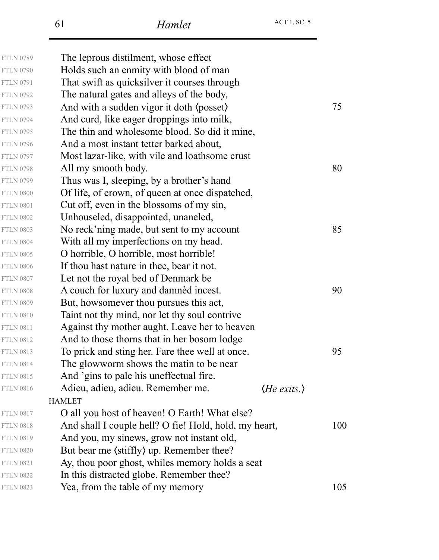| <b>FTLN 0789</b> | The leprous distilment, whose effect                                 |     |
|------------------|----------------------------------------------------------------------|-----|
| <b>FTLN 0790</b> | Holds such an enmity with blood of man                               |     |
| <b>FTLN 0791</b> | That swift as quicksilver it courses through                         |     |
| <b>FTLN 0792</b> | The natural gates and alleys of the body,                            |     |
| <b>FTLN 0793</b> | And with a sudden vigor it doth (posset)                             | 75  |
| <b>FTLN 0794</b> | And curd, like eager droppings into milk,                            |     |
| <b>FTLN 0795</b> | The thin and wholesome blood. So did it mine,                        |     |
| <b>FTLN 0796</b> | And a most instant tetter barked about,                              |     |
| <b>FTLN 0797</b> | Most lazar-like, with vile and loathsome crust                       |     |
| <b>FTLN 0798</b> | All my smooth body.                                                  | 80  |
| <b>FTLN 0799</b> | Thus was I, sleeping, by a brother's hand                            |     |
| <b>FTLN 0800</b> | Of life, of crown, of queen at once dispatched,                      |     |
| <b>FTLN 0801</b> | Cut off, even in the blossoms of my sin,                             |     |
| <b>FTLN 0802</b> | Unhouseled, disappointed, unaneled,                                  |     |
| <b>FTLN 0803</b> | No reck'ning made, but sent to my account                            | 85  |
| <b>FTLN 0804</b> | With all my imperfections on my head.                                |     |
| <b>FTLN 0805</b> | O horrible, O horrible, most horrible!                               |     |
| <b>FTLN 0806</b> | If thou hast nature in thee, bear it not.                            |     |
| <b>FTLN 0807</b> | Let not the royal bed of Denmark be                                  |     |
| <b>FTLN 0808</b> | A couch for luxury and damned incest.                                | 90  |
| <b>FTLN 0809</b> | But, howsomever thou pursues this act,                               |     |
| <b>FTLN 0810</b> | Taint not thy mind, nor let thy soul contrive                        |     |
| <b>FTLN 0811</b> | Against thy mother aught. Leave her to heaven                        |     |
| <b>FTLN 0812</b> | And to those thorns that in her bosom lodge                          |     |
| <b>FTLN 0813</b> | To prick and sting her. Fare thee well at once.                      | 95  |
| <b>FTLN 0814</b> | The glowworm shows the matin to be near                              |     |
| <b>FTLN 0815</b> | And 'gins to pale his uneffectual fire.                              |     |
| <b>FTLN 0816</b> | Adieu, adieu, adieu. Remember me.<br>$\langle He \; exists. \rangle$ |     |
|                  | <b>HAMLET</b>                                                        |     |
| <b>FTLN 0817</b> | O all you host of heaven! O Earth! What else?                        |     |
| <b>FTLN 0818</b> | And shall I couple hell? O fie! Hold, hold, my heart,                | 100 |
| <b>FTLN 0819</b> | And you, my sinews, grow not instant old,                            |     |
| <b>FTLN 0820</b> | But bear me (stiffly) up. Remember thee?                             |     |
| <b>FTLN 0821</b> | Ay, thou poor ghost, whiles memory holds a seat                      |     |
| <b>FTLN 0822</b> | In this distracted globe. Remember thee?                             |     |
| <b>FTLN 0823</b> | Yea, from the table of my memory                                     | 105 |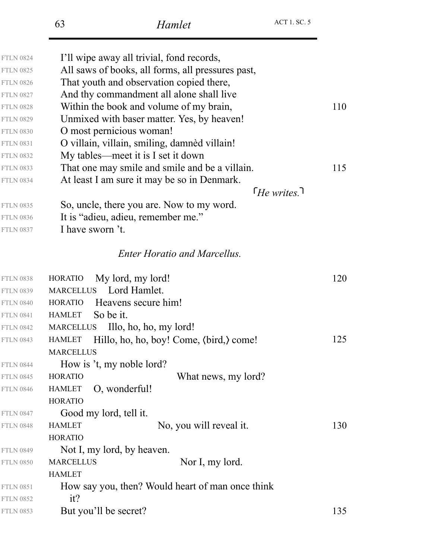| <b>FTLN 0824</b> | I'll wipe away all trivial, fond records,                |     |
|------------------|----------------------------------------------------------|-----|
| <b>FTLN 0825</b> | All saws of books, all forms, all pressures past,        |     |
| <b>FTLN 0826</b> | That youth and observation copied there,                 |     |
| <b>FTLN 0827</b> | And thy commandment all alone shall live                 |     |
| <b>FTLN 0828</b> | Within the book and volume of my brain,                  | 110 |
| <b>FTLN 0829</b> | Unmixed with baser matter. Yes, by heaven!               |     |
| <b>FTLN 0830</b> | O most pernicious woman!                                 |     |
| <b>FTLN 0831</b> | O villain, villain, smiling, damnèd villain!             |     |
| <b>FTLN 0832</b> | My tables—meet it is I set it down                       |     |
| <b>FTLN 0833</b> | That one may smile and smile and be a villain.           | 115 |
| <b>FTLN 0834</b> | At least I am sure it may be so in Denmark.              |     |
|                  | $\lceil H_e \text{ writes} \rceil$                       |     |
| <b>FTLN 0835</b> | So, uncle, there you are. Now to my word.                |     |
| <b>FTLN 0836</b> | It is "adieu, adieu, remember me."                       |     |
| <b>FTLN 0837</b> | I have sworn 't.                                         |     |
|                  |                                                          |     |
|                  | <b>Enter Horatio and Marcellus.</b>                      |     |
| <b>FTLN 0838</b> | My lord, my lord!<br><b>HORATIO</b>                      | 120 |
| <b>FTLN 0839</b> | Lord Hamlet.<br><b>MARCELLUS</b>                         |     |
| <b>FTLN 0840</b> | Heavens secure him!<br><b>HORATIO</b>                    |     |
| <b>FTLN 0841</b> | So be it.<br><b>HAMLET</b>                               |     |
| <b>FTLN 0842</b> | MARCELLUS Illo, ho, ho, my lord!                         |     |
| <b>FTLN 0843</b> | <b>HAMLET</b><br>Hillo, ho, ho, boy! Come, (bird,) come! | 125 |
|                  | <b>MARCELLUS</b>                                         |     |
| <b>FTLN 0844</b> | How is 't, my noble lord?                                |     |
| <b>FTLN 0845</b> | What news, my lord?<br><b>HORATIO</b>                    |     |
| <b>FTLN 0846</b> | O, wonderful!<br>HAMLET                                  |     |
|                  | <b>HORATIO</b>                                           |     |
| <b>FTLN 0847</b> | Good my lord, tell it.                                   |     |
| <b>FTLN 0848</b> | No, you will reveal it.<br><b>HAMLET</b>                 | 130 |
|                  | <b>HORATIO</b>                                           |     |
| <b>FTLN 0849</b> | Not I, my lord, by heaven.                               |     |
| <b>FTLN 0850</b> | <b>MARCELLUS</b><br>Nor I, my lord.                      |     |
|                  | <b>HAMLET</b>                                            |     |
| <b>FTLN 0851</b> | How say you, then? Would heart of man once think         |     |
| <b>FTLN 0852</b> | it?                                                      |     |
| <b>FTLN 0853</b> | But you'll be secret?                                    | 135 |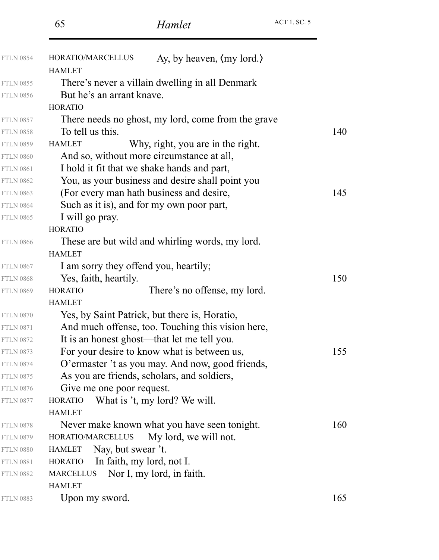| <b>FTLN 0854</b>                     | Ay, by heaven, $\langle$ my lord. $\rangle$<br>HORATIO/MARCELLUS               |     |
|--------------------------------------|--------------------------------------------------------------------------------|-----|
|                                      | <b>HAMLET</b>                                                                  |     |
| <b>FTLN 0855</b>                     | There's never a villain dwelling in all Denmark                                |     |
| <b>FTLN 0856</b>                     | But he's an arrant knave.                                                      |     |
|                                      | <b>HORATIO</b>                                                                 |     |
| <b>FTLN 0857</b>                     | There needs no ghost, my lord, come from the grave<br>To tell us this.         |     |
| <b>FTLN 0858</b>                     | <b>HAMLET</b>                                                                  | 140 |
| <b>FTLN 0859</b><br><b>FTLN 0860</b> | Why, right, you are in the right.<br>And so, without more circumstance at all, |     |
| <b>FTLN 0861</b>                     | I hold it fit that we shake hands and part,                                    |     |
| <b>FTLN 0862</b>                     | You, as your business and desire shall point you                               |     |
| <b>FTLN 0863</b>                     | (For every man hath business and desire,                                       | 145 |
| <b>FTLN 0864</b>                     | Such as it is), and for my own poor part,                                      |     |
| <b>FTLN 0865</b>                     | I will go pray.                                                                |     |
|                                      | <b>HORATIO</b>                                                                 |     |
| <b>FTLN 0866</b>                     | These are but wild and whirling words, my lord.                                |     |
|                                      | <b>HAMLET</b>                                                                  |     |
| <b>FTLN 0867</b>                     | I am sorry they offend you, heartily;                                          |     |
| <b>FTLN 0868</b>                     | Yes, faith, heartily.                                                          | 150 |
| <b>FTLN 0869</b>                     | There's no offense, my lord.<br><b>HORATIO</b>                                 |     |
|                                      | <b>HAMLET</b>                                                                  |     |
| <b>FTLN 0870</b>                     | Yes, by Saint Patrick, but there is, Horatio,                                  |     |
| <b>FTLN 0871</b>                     | And much offense, too. Touching this vision here,                              |     |
| <b>FTLN 0872</b>                     | It is an honest ghost—that let me tell you.                                    |     |
| <b>FTLN 0873</b>                     | For your desire to know what is between us,                                    | 155 |
| <b>FTLN 0874</b>                     | O'ermaster 't as you may. And now, good friends,                               |     |
| <b>FTLN 0875</b>                     | As you are friends, scholars, and soldiers,                                    |     |
| <b>FTLN 0876</b>                     | Give me one poor request.                                                      |     |
| <b>FTLN 0877</b>                     | What is 't, my lord? We will.<br><b>HORATIO</b>                                |     |
|                                      | <b>HAMLET</b>                                                                  |     |
| <b>FTLN 0878</b>                     | Never make known what you have seen tonight.                                   | 160 |
| <b>FTLN 0879</b>                     | My lord, we will not.<br>HORATIO/MARCELLUS                                     |     |
| <b>FTLN 0880</b>                     | Nay, but swear 't.<br>HAMLET                                                   |     |
| <b>FTLN 0881</b>                     | In faith, my lord, not I.<br><b>HORATIO</b>                                    |     |
| <b>FTLN 0882</b>                     | Nor I, my lord, in faith.<br><b>MARCELLUS</b><br><b>HAMLET</b>                 |     |
| <b>FTLN 0883</b>                     |                                                                                | 165 |
|                                      | Upon my sword.                                                                 |     |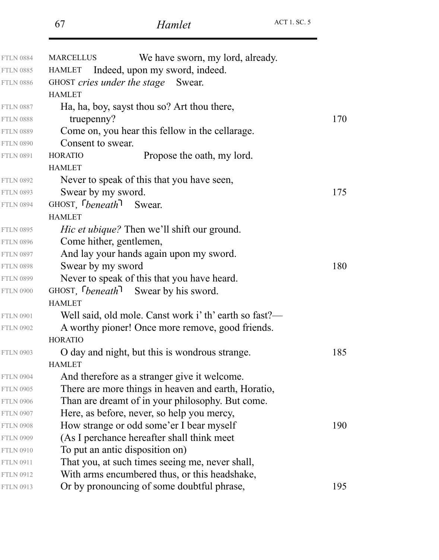| <b>FTLN 0884</b> | We have sworn, my lord, already.<br><b>MARCELLUS</b>   |     |
|------------------|--------------------------------------------------------|-----|
| <b>FTLN 0885</b> | HAMLET Indeed, upon my sword, indeed.                  |     |
| <b>FTLN 0886</b> | GHOST cries under the stage Swear.                     |     |
|                  | <b>HAMLET</b>                                          |     |
| <b>FTLN 0887</b> | Ha, ha, boy, sayst thou so? Art thou there,            |     |
| <b>FTLN 0888</b> | true penny?                                            | 170 |
| <b>FTLN 0889</b> | Come on, you hear this fellow in the cellarage.        |     |
| <b>FTLN 0890</b> | Consent to swear.                                      |     |
| <b>FTLN 0891</b> | Propose the oath, my lord.<br><b>HORATIO</b>           |     |
|                  | <b>HAMLET</b>                                          |     |
| <b>FTLN 0892</b> | Never to speak of this that you have seen,             |     |
| <b>FTLN 0893</b> | Swear by my sword.                                     | 175 |
| <b>FTLN 0894</b> | GHOST, $\sqrt{beneath}$ Swear.                         |     |
|                  | <b>HAMLET</b>                                          |     |
| <b>FTLN 0895</b> | <i>Hic et ubique?</i> Then we'll shift our ground.     |     |
| <b>FTLN 0896</b> | Come hither, gentlemen,                                |     |
| <b>FTLN 0897</b> | And lay your hands again upon my sword.                |     |
| <b>FTLN 0898</b> | Swear by my sword                                      | 180 |
| <b>FTLN 0899</b> | Never to speak of this that you have heard.            |     |
| <b>FTLN 0900</b> | GHOST, <i>beneath</i> <sup>1</sup> Swear by his sword. |     |
|                  | <b>HAMLET</b>                                          |     |
| <b>FTLN 0901</b> | Well said, old mole. Canst work i' th' earth so fast?— |     |
| <b>FTLN 0902</b> | A worthy pioner! Once more remove, good friends.       |     |
|                  | <b>HORATIO</b>                                         |     |
| <b>FTLN 0903</b> | O day and night, but this is wondrous strange.         | 185 |
|                  | <b>HAMLET</b>                                          |     |
| <b>FTLN 0904</b> | And therefore as a stranger give it welcome.           |     |
| <b>FTLN 0905</b> | There are more things in heaven and earth, Horatio,    |     |
| <b>FTLN 0906</b> | Than are dreamt of in your philosophy. But come.       |     |
| <b>FTLN 0907</b> | Here, as before, never, so help you mercy,             |     |
| <b>FTLN 0908</b> | How strange or odd some'er I bear myself               | 190 |
| <b>FTLN 0909</b> | (As I perchance hereafter shall think meet)            |     |
| <b>FTLN 0910</b> | To put an antic disposition on)                        |     |
| <b>FTLN 0911</b> | That you, at such times seeing me, never shall,        |     |
| <b>FTLN 0912</b> | With arms encumbered thus, or this headshake,          |     |
| <b>FTLN 0913</b> | Or by pronouncing of some doubtful phrase,             | 195 |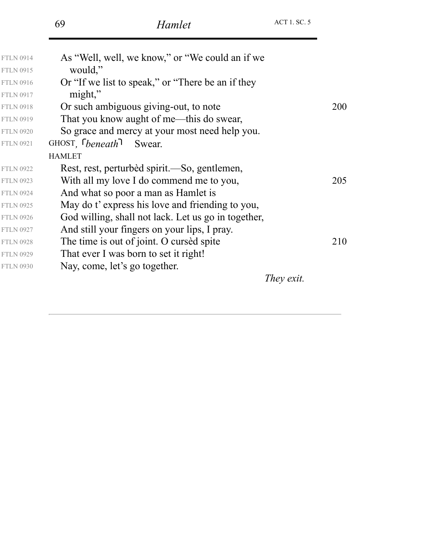| <b>FTLN 0914</b> | As "Well, well, we know," or "We could an if we              |            |
|------------------|--------------------------------------------------------------|------------|
| <b>FTLN 0915</b> | would,"                                                      |            |
| <b>FTLN 0916</b> | Or "If we list to speak," or "There be an if they            |            |
| <b>FTLN 0917</b> | might,"                                                      |            |
| <b>FTLN 0918</b> | Or such ambiguous giving-out, to note                        | <b>200</b> |
| <b>FTLN 0919</b> | That you know aught of me—this do swear,                     |            |
| <b>FTLN 0920</b> | So grace and mercy at your most need help you.               |            |
| <b>FTLN 0921</b> | $GHOST,$ $Ibeneath$ <sup><math>\lceil</math></sup><br>Swear. |            |
|                  | <b>HAMLET</b>                                                |            |
| <b>FTLN 0922</b> | Rest, rest, perturbèd spirit.—So, gentlemen,                 |            |
| <b>FTLN 0923</b> | With all my love I do commend me to you,                     | 205        |
| <b>FTLN 0924</b> | And what so poor a man as Hamlet is                          |            |
| <b>FTLN 0925</b> | May do t' express his love and friending to you,             |            |
| <b>FTLN 0926</b> | God willing, shall not lack. Let us go in together,          |            |
| <b>FTLN 0927</b> | And still your fingers on your lips, I pray.                 |            |
| <b>FTLN 0928</b> | The time is out of joint. O cursed spite                     | 210        |
| <b>FTLN 0929</b> | That ever I was born to set it right!                        |            |
| <b>FTLN 0930</b> | Nay, come, let's go together.                                |            |
|                  | They exit.                                                   |            |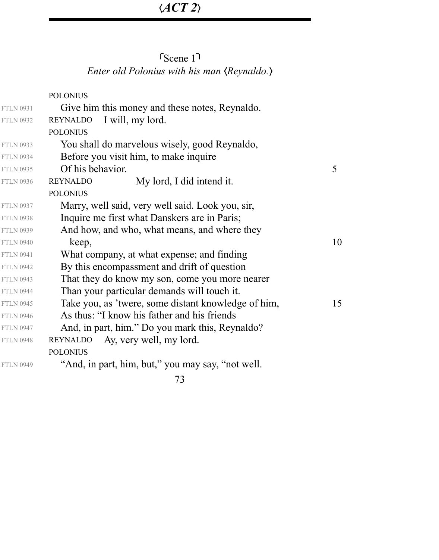| S <sub>cene</sub> 1 <sup>1</sup>            |  |
|---------------------------------------------|--|
| Enter old Polonius with his man (Reynaldo.) |  |

|                  | <b>POLONIUS</b>                                     |    |
|------------------|-----------------------------------------------------|----|
| <b>FTLN 0931</b> | Give him this money and these notes, Reynaldo.      |    |
| <b>FTLN 0932</b> | <b>REYNALDO</b><br>I will, my lord.                 |    |
|                  | <b>POLONIUS</b>                                     |    |
| <b>FTLN 0933</b> | You shall do marvelous wisely, good Reynaldo,       |    |
| <b>FTLN 0934</b> | Before you visit him, to make inquire               |    |
| <b>FTLN 0935</b> | Of his behavior.                                    | 5  |
| <b>FTLN 0936</b> | My lord, I did intend it.<br><b>REYNALDO</b>        |    |
|                  | <b>POLONIUS</b>                                     |    |
| <b>FTLN 0937</b> | Marry, well said, very well said. Look you, sir,    |    |
| <b>FTLN 0938</b> | Inquire me first what Danskers are in Paris;        |    |
| <b>FTLN 0939</b> | And how, and who, what means, and where they        |    |
| <b>FTLN 0940</b> | keep,                                               | 10 |
| <b>FTLN 0941</b> | What company, at what expense; and finding          |    |
| <b>FTLN 0942</b> | By this encompassment and drift of question         |    |
| <b>FTLN 0943</b> | That they do know my son, come you more nearer      |    |
| <b>FTLN 0944</b> | Than your particular demands will touch it.         |    |
| <b>FTLN 0945</b> | Take you, as 'twere, some distant knowledge of him, | 15 |
| <b>FTLN 0946</b> | As thus: "I know his father and his friends         |    |
| <b>FTLN 0947</b> | And, in part, him." Do you mark this, Reynaldo?     |    |
| <b>FTLN 0948</b> | Ay, very well, my lord.<br><b>REYNALDO</b>          |    |
|                  | <b>POLONIUS</b>                                     |    |
| <b>FTLN 0949</b> | "And, in part, him, but," you may say, "not well.   |    |
|                  |                                                     |    |

73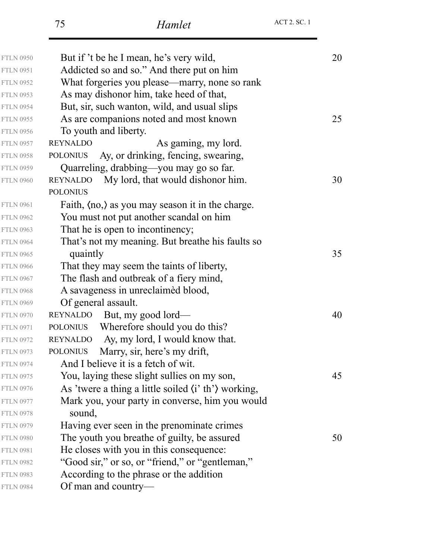| <b>FTLN 0950</b> | But if 't be he I mean, he's very wild,                            | 20 |
|------------------|--------------------------------------------------------------------|----|
| <b>FTLN 0951</b> | Addicted so and so." And there put on him                          |    |
| <b>FTLN 0952</b> | What forgeries you please—marry, none so rank                      |    |
| <b>FTLN 0953</b> | As may dishonor him, take heed of that,                            |    |
| <b>FTLN 0954</b> | But, sir, such wanton, wild, and usual slips                       |    |
| <b>FTLN 0955</b> | As are companions noted and most known                             | 25 |
| <b>FTLN 0956</b> | To youth and liberty.                                              |    |
| <b>FTLN 0957</b> | <b>REYNALDO</b><br>As gaming, my lord.                             |    |
| <b>FTLN 0958</b> | Ay, or drinking, fencing, swearing,<br><b>POLONIUS</b>             |    |
| <b>FTLN 0959</b> | Quarreling, drabbing-you may go so far.                            |    |
| <b>FTLN 0960</b> | My lord, that would dishonor him.<br><b>REYNALDO</b>               | 30 |
|                  | <b>POLONIUS</b>                                                    |    |
| <b>FTLN 0961</b> | Faith, $\langle$ no, $\rangle$ as you may season it in the charge. |    |
| <b>FTLN 0962</b> | You must not put another scandal on him                            |    |
| <b>FTLN 0963</b> | That he is open to incontinency;                                   |    |
| <b>FTLN 0964</b> | That's not my meaning. But breathe his faults so                   |    |
| <b>FTLN 0965</b> | quaintly                                                           | 35 |
| <b>FTLN 0966</b> | That they may seem the taints of liberty,                          |    |
| <b>FTLN 0967</b> | The flash and outbreak of a fiery mind,                            |    |
| <b>FTLN 0968</b> | A savageness in unreclaimed blood,                                 |    |
| <b>FTLN 0969</b> | Of general assault.                                                |    |
| <b>FTLN 0970</b> | REYNALDO<br>But, my good lord—                                     | 40 |
| <b>FTLN 0971</b> | Wherefore should you do this?<br><b>POLONIUS</b>                   |    |
| <b>FTLN 0972</b> | Ay, my lord, I would know that.<br><b>REYNALDO</b>                 |    |
| <b>FTLN 0973</b> | Marry, sir, here's my drift,<br><b>POLONIUS</b>                    |    |
| <b>FTLN 0974</b> | And I believe it is a fetch of wit.                                |    |
| <b>FTLN 0975</b> | You, laying these slight sullies on my son,                        | 45 |
| <b>FTLN 0976</b> | As 'twere a thing a little soiled (i' th') working,                |    |
| <b>FTLN 0977</b> | Mark you, your party in converse, him you would                    |    |
| <b>FTLN 0978</b> | sound,                                                             |    |
| <b>FTLN 0979</b> | Having ever seen in the prenominate crimes                         |    |
| <b>FTLN 0980</b> | The youth you breathe of guilty, be assured                        | 50 |
| <b>FTLN 0981</b> | He closes with you in this consequence:                            |    |
| <b>FTLN 0982</b> | "Good sir," or so, or "friend," or "gentleman,"                    |    |
| <b>FTLN 0983</b> | According to the phrase or the addition                            |    |
| <b>FTLN 0984</b> | Of man and country—                                                |    |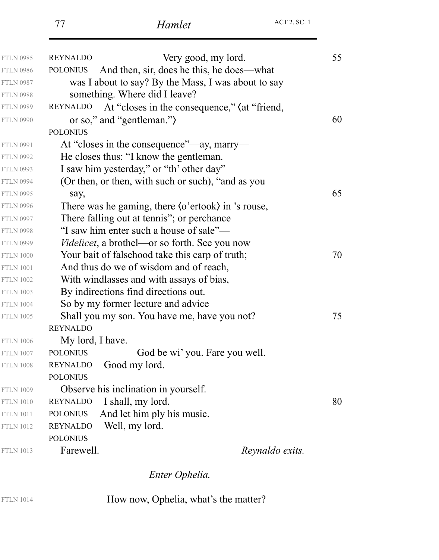| <b>FTLN 0985</b> | Very good, my lord.<br><b>REYNALDO</b>                       | 55 |
|------------------|--------------------------------------------------------------|----|
| <b>FTLN 0986</b> | And then, sir, does he this, he does—what<br><b>POLONIUS</b> |    |
| <b>FTLN 0987</b> | was I about to say? By the Mass, I was about to say          |    |
| <b>FTLN 0988</b> | something. Where did I leave?                                |    |
| <b>FTLN 0989</b> | At "closes in the consequence," (at "friend,<br>REYNALDO     |    |
| <b>FTLN 0990</b> | or so," and "gentleman.")                                    | 60 |
|                  | <b>POLONIUS</b>                                              |    |
| <b>FTLN 0991</b> | At "closes in the consequence"—ay, marry—                    |    |
| <b>FTLN 0992</b> | He closes thus: "I know the gentleman.                       |    |
| <b>FTLN 0993</b> | I saw him yesterday," or "th' other day"                     |    |
| <b>FTLN 0994</b> | (Or then, or then, with such or such), "and as you           |    |
| <b>FTLN 0995</b> | say,                                                         | 65 |
| <b>FTLN 0996</b> | There was he gaming, there (o'ertook) in 's rouse,           |    |
| <b>FTLN 0997</b> | There falling out at tennis"; or perchance                   |    |
| <b>FTLN 0998</b> | "I saw him enter such a house of sale"—                      |    |
| <b>FTLN 0999</b> | <i>Videlicet</i> , a brothel—or so forth. See you now        |    |
| <b>FTLN 1000</b> | Your bait of falsehood take this carp of truth;              | 70 |
| <b>FTLN 1001</b> | And thus do we of wisdom and of reach,                       |    |
| <b>FTLN 1002</b> | With windlasses and with assays of bias,                     |    |
| <b>FTLN 1003</b> | By indirections find directions out.                         |    |
| <b>FTLN 1004</b> | So by my former lecture and advice                           |    |
| <b>FTLN 1005</b> | Shall you my son. You have me, have you not?                 | 75 |
|                  | <b>REYNALDO</b>                                              |    |
| <b>FTLN 1006</b> | My lord, I have.                                             |    |
| <b>FTLN 1007</b> | <b>POLONIUS</b><br>God be wi' you. Fare you well.            |    |
| <b>FTLN 1008</b> | Good my lord.<br><b>REYNALDO</b>                             |    |
|                  | <b>POLONIUS</b>                                              |    |
| <b>FTLN 1009</b> | Observe his inclination in yourself.                         |    |
| <b>FTLN 1010</b> | I shall, my lord.<br><b>REYNALDO</b>                         | 80 |
| <b>FTLN 1011</b> | And let him ply his music.<br><b>POLONIUS</b>                |    |
| <b>FTLN 1012</b> | Well, my lord.<br><b>REYNALDO</b>                            |    |
|                  | <b>POLONIUS</b>                                              |    |
| <b>FTLN 1013</b> | Farewell.<br>Reynaldo exits.                                 |    |
|                  |                                                              |    |

*Enter Ophelia.*

| <b>FTLN 1014</b> | How now, Ophelia, what's the matter? |  |
|------------------|--------------------------------------|--|
|------------------|--------------------------------------|--|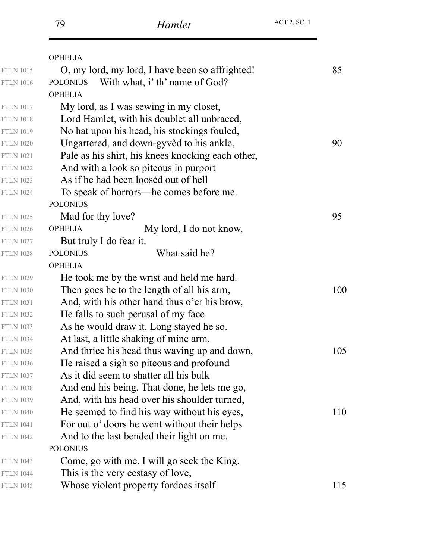|                  | <b>OPHELIA</b>                                    |     |
|------------------|---------------------------------------------------|-----|
| <b>FTLN 1015</b> | O, my lord, my lord, I have been so affrighted!   | 85  |
| <b>FTLN 1016</b> | With what, i' th' name of God?<br><b>POLONIUS</b> |     |
|                  | <b>OPHELIA</b>                                    |     |
| <b>FTLN 1017</b> | My lord, as I was sewing in my closet,            |     |
| <b>FTLN 1018</b> | Lord Hamlet, with his doublet all unbraced,       |     |
| <b>FTLN 1019</b> | No hat upon his head, his stockings fouled,       |     |
| <b>FTLN 1020</b> | Ungartered, and down-gyved to his ankle,          | 90  |
| <b>FTLN 1021</b> | Pale as his shirt, his knees knocking each other, |     |
| <b>FTLN 1022</b> | And with a look so piteous in purport             |     |
| <b>FTLN 1023</b> | As if he had been loosed out of hell              |     |
| <b>FTLN 1024</b> | To speak of horrors—he comes before me.           |     |
|                  | <b>POLONIUS</b>                                   |     |
| <b>FTLN 1025</b> | Mad for thy love?                                 | 95  |
| <b>FTLN 1026</b> | <b>OPHELIA</b><br>My lord, I do not know,         |     |
| <b>FTLN 1027</b> | But truly I do fear it.                           |     |
| <b>FTLN 1028</b> | What said he?<br><b>POLONIUS</b>                  |     |
|                  | <b>OPHELIA</b>                                    |     |
| <b>FTLN 1029</b> | He took me by the wrist and held me hard.         |     |
| <b>FTLN 1030</b> | Then goes he to the length of all his arm,        | 100 |
| <b>FTLN 1031</b> | And, with his other hand thus o'er his brow,      |     |
| <b>FTLN 1032</b> | He falls to such perusal of my face               |     |
| <b>FTLN 1033</b> | As he would draw it. Long stayed he so.           |     |
| <b>FTLN 1034</b> | At last, a little shaking of mine arm,            |     |
| <b>FTLN 1035</b> | And thrice his head thus waving up and down,      | 105 |
| <b>FTLN 1036</b> | He raised a sigh so piteous and profound          |     |
| <b>FTLN 1037</b> | As it did seem to shatter all his bulk            |     |
| <b>FTLN 1038</b> | And end his being. That done, he lets me go,      |     |
| <b>FTLN 1039</b> | And, with his head over his shoulder turned,      |     |
| <b>FTLN 1040</b> | He seemed to find his way without his eyes,       | 110 |
| <b>FTLN 1041</b> | For out o' doors he went without their helps      |     |
| <b>FTLN 1042</b> | And to the last bended their light on me.         |     |
|                  | <b>POLONIUS</b>                                   |     |
| <b>FTLN 1043</b> | Come, go with me. I will go seek the King.        |     |
| <b>FTLN 1044</b> | This is the very ecstasy of love,                 |     |
| <b>FTLN 1045</b> | Whose violent property fordoes itself             | 115 |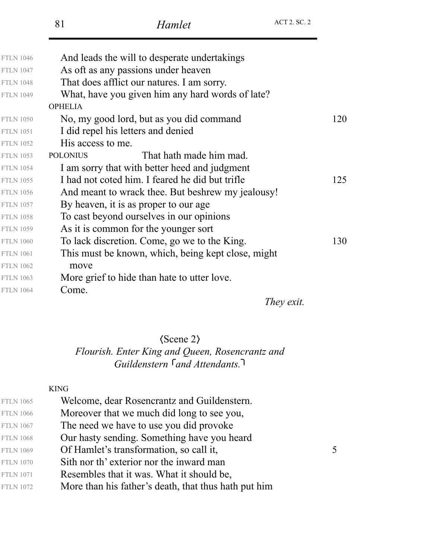| <b>FTLN 1046</b> | And leads the will to desperate undertakings       |     |
|------------------|----------------------------------------------------|-----|
| <b>FTLN 1047</b> | As oft as any passions under heaven                |     |
| <b>FTLN 1048</b> | That does afflict our natures. I am sorry.         |     |
| <b>FTLN 1049</b> | What, have you given him any hard words of late?   |     |
|                  | <b>OPHELIA</b>                                     |     |
| <b>FTLN 1050</b> | No, my good lord, but as you did command           | 120 |
| <b>FTLN 1051</b> | I did repel his letters and denied                 |     |
| <b>FTLN 1052</b> | His access to me.                                  |     |
| <b>FTLN 1053</b> | That hath made him mad.<br><b>POLONIUS</b>         |     |
| <b>FTLN 1054</b> | I am sorry that with better heed and judgment      |     |
| <b>FTLN 1055</b> | I had not coted him. I feared he did but trifle    | 125 |
| <b>FTLN 1056</b> | And meant to wrack thee. But beshrew my jealousy!  |     |
| <b>FTLN 1057</b> | By heaven, it is as proper to our age              |     |
| <b>FTLN 1058</b> | To cast beyond ourselves in our opinions           |     |
| <b>FTLN 1059</b> | As it is common for the younger sort               |     |
| <b>FTLN 1060</b> | To lack discretion. Come, go we to the King.       | 130 |
| <b>FTLN 1061</b> | This must be known, which, being kept close, might |     |
| <b>FTLN 1062</b> | move                                               |     |
| <b>FTLN 1063</b> | More grief to hide than hate to utter love.        |     |
| <b>FTLN 1064</b> | Come.                                              |     |

*They exit.*

### *Flourish. Enter King and Queen, Rosencrantz and* Guildenstern <sup>C</sup>and Attendants.  $\langle$ Scene 2 $\rangle$

#### KING

| <b>FTLN 1065</b> | Welcome, dear Rosencrantz and Guildenstern.          |   |
|------------------|------------------------------------------------------|---|
| <b>FTLN 1066</b> | Moreover that we much did long to see you,           |   |
| <b>FTLN 1067</b> | The need we have to use you did provoke              |   |
| <b>FTLN 1068</b> | Our hasty sending. Something have you heard          |   |
| <b>FTLN 1069</b> | Of Hamlet's transformation, so call it,              | 5 |
| <b>FTLN 1070</b> | Sith nor th' exterior nor the inward man             |   |
| <b>FTLN 1071</b> | Resembles that it was. What it should be,            |   |
| <b>FTLN 1072</b> | More than his father's death, that thus hath put him |   |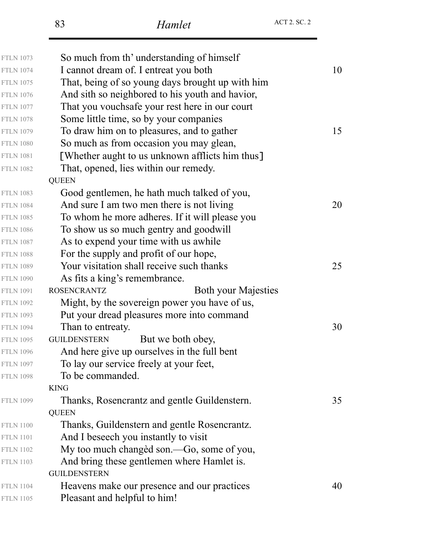| <b>FTLN 1073</b> | So much from th' understanding of himself        |    |
|------------------|--------------------------------------------------|----|
| <b>FTLN 1074</b> | I cannot dream of. I entreat you both            | 10 |
| <b>FTLN 1075</b> | That, being of so young days brought up with him |    |
| <b>FTLN 1076</b> | And sith so neighbored to his youth and havior,  |    |
| <b>FTLN 1077</b> | That you vouchsafe your rest here in our court   |    |
| <b>FTLN 1078</b> | Some little time, so by your companies           |    |
| <b>FTLN 1079</b> | To draw him on to pleasures, and to gather       | 15 |
| <b>FTLN 1080</b> | So much as from occasion you may glean,          |    |
| <b>FTLN 1081</b> | [Whether aught to us unknown afflicts him thus]  |    |
| <b>FTLN 1082</b> | That, opened, lies within our remedy.            |    |
|                  | <b>QUEEN</b>                                     |    |
| <b>FTLN 1083</b> | Good gentlemen, he hath much talked of you,      |    |
| <b>FTLN 1084</b> | And sure I am two men there is not living        | 20 |
| <b>FTLN 1085</b> | To whom he more adheres. If it will please you   |    |
| <b>FTLN 1086</b> | To show us so much gentry and goodwill           |    |
| <b>FTLN 1087</b> | As to expend your time with us awhile            |    |
| <b>FTLN 1088</b> | For the supply and profit of our hope,           |    |
| <b>FTLN 1089</b> | Your visitation shall receive such thanks        | 25 |
| <b>FTLN 1090</b> | As fits a king's remembrance.                    |    |
| <b>FTLN 1091</b> | <b>ROSENCRANTZ</b><br><b>Both your Majesties</b> |    |
| <b>FTLN 1092</b> | Might, by the sovereign power you have of us,    |    |
| <b>FTLN 1093</b> | Put your dread pleasures more into command       |    |
| <b>FTLN 1094</b> | Than to entreaty.                                | 30 |
| <b>FTLN 1095</b> | <b>GUILDENSTERN</b><br>But we both obey,         |    |
| <b>FTLN 1096</b> | And here give up ourselves in the full bent      |    |
| <b>FTLN 1097</b> | To lay our service freely at your feet,          |    |
| <b>FTLN 1098</b> | To be commanded.                                 |    |
|                  | <b>KING</b>                                      |    |
| <b>FTLN 1099</b> | Thanks, Rosencrantz and gentle Guildenstern.     | 35 |
|                  | <b>QUEEN</b>                                     |    |
| <b>FTLN 1100</b> | Thanks, Guildenstern and gentle Rosencrantz.     |    |
| <b>FTLN 1101</b> | And I beseech you instantly to visit             |    |
| <b>FTLN 1102</b> | My too much changed son.—Go, some of you,        |    |
| <b>FTLN 1103</b> | And bring these gentlemen where Hamlet is.       |    |
|                  | <b>GUILDENSTERN</b>                              |    |
| <b>FTLN 1104</b> | Heavens make our presence and our practices      | 40 |
| <b>FTLN 1105</b> | Pleasant and helpful to him!                     |    |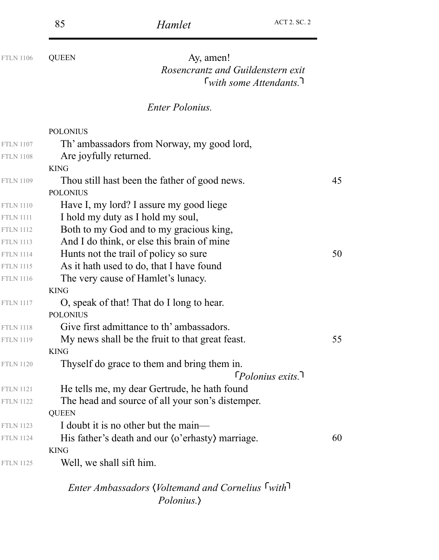| 85 | Hamlet | <b>ACT 2. SC. 2</b> |
|----|--------|---------------------|
|    |        |                     |

FTLN 1106

### *Rosencrantz and Guildenstern exit with some Attendants.* QUEEN Ay, amen!

#### *Enter Polonius.*

|                  | <b>POLONIUS</b>                                          |    |
|------------------|----------------------------------------------------------|----|
| <b>FTLN 1107</b> | Th' ambassadors from Norway, my good lord,               |    |
| <b>FTLN 1108</b> | Are joyfully returned.                                   |    |
|                  | <b>KING</b>                                              |    |
| <b>FTLN 1109</b> | Thou still hast been the father of good news.            | 45 |
|                  | <b>POLONIUS</b>                                          |    |
| <b>FTLN 1110</b> | Have I, my lord? I assure my good liege                  |    |
| <b>FTLN 1111</b> | I hold my duty as I hold my soul,                        |    |
| <b>FTLN 1112</b> | Both to my God and to my gracious king,                  |    |
| <b>FTLN 1113</b> | And I do think, or else this brain of mine               |    |
| <b>FTLN 1114</b> | Hunts not the trail of policy so sure                    | 50 |
| <b>FTLN 1115</b> | As it hath used to do, that I have found                 |    |
| <b>FTLN 1116</b> | The very cause of Hamlet's lunacy.                       |    |
|                  | <b>KING</b>                                              |    |
| <b>FTLN 1117</b> | O, speak of that! That do I long to hear.                |    |
|                  | <b>POLONIUS</b>                                          |    |
| <b>FTLN 1118</b> | Give first admittance to th' ambassadors.                |    |
| <b>FTLN 1119</b> | My news shall be the fruit to that great feast.          | 55 |
|                  | <b>KING</b>                                              |    |
| <b>FTLN 1120</b> | Thyself do grace to them and bring them in.              |    |
|                  | $\lceil$ Polonius exits. $\rceil$                        |    |
| <b>FTLN 1121</b> | He tells me, my dear Gertrude, he hath found             |    |
| <b>FTLN 1122</b> | The head and source of all your son's distemper.         |    |
|                  | <b>QUEEN</b>                                             |    |
| <b>FTLN 1123</b> | I doubt it is no other but the main—                     |    |
| <b>FTLN 1124</b> | His father's death and our (o'erhasty) marriage.         | 60 |
|                  | <b>KING</b>                                              |    |
| <b>FTLN 1125</b> | Well, we shall sift him.                                 |    |
|                  | <b>Enter Ambassadors (Voltemand and Cornelius With I</b> |    |

*Polonius.*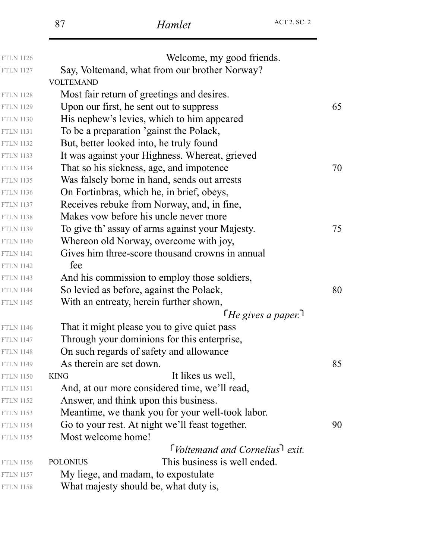| <b>FTLN 1126</b> | Welcome, my good friends.                                         |    |
|------------------|-------------------------------------------------------------------|----|
| <b>FTLN 1127</b> |                                                                   |    |
|                  | Say, Voltemand, what from our brother Norway?<br><b>VOLTEMAND</b> |    |
| <b>FTLN 1128</b> | Most fair return of greetings and desires.                        |    |
|                  |                                                                   | 65 |
| <b>FTLN 1129</b> | Upon our first, he sent out to suppress                           |    |
| <b>FTLN 1130</b> | His nephew's levies, which to him appeared                        |    |
| <b>FTLN 1131</b> | To be a preparation 'gainst the Polack,                           |    |
| <b>FTLN 1132</b> | But, better looked into, he truly found                           |    |
| <b>FTLN 1133</b> | It was against your Highness. Whereat, grieved                    |    |
| <b>FTLN 1134</b> | That so his sickness, age, and impotence                          | 70 |
| <b>FTLN 1135</b> | Was falsely borne in hand, sends out arrests                      |    |
| <b>FTLN 1136</b> | On Fortinbras, which he, in brief, obeys,                         |    |
| <b>FTLN 1137</b> | Receives rebuke from Norway, and, in fine,                        |    |
| <b>FTLN 1138</b> | Makes vow before his uncle never more                             |    |
| <b>FTLN 1139</b> | To give th' assay of arms against your Majesty.                   | 75 |
| <b>FTLN 1140</b> | Whereon old Norway, overcome with joy,                            |    |
| <b>FTLN 1141</b> | Gives him three-score thousand crowns in annual                   |    |
| <b>FTLN 1142</b> | fee                                                               |    |
| <b>FTLN 1143</b> | And his commission to employ those soldiers,                      |    |
| <b>FTLN 1144</b> | So levied as before, against the Polack,                          | 80 |
| <b>FTLN 1145</b> | With an entreaty, herein further shown,                           |    |
|                  | $\int$ He gives a paper.                                          |    |
| <b>FTLN 1146</b> | That it might please you to give quiet pass                       |    |
| <b>FTLN 1147</b> | Through your dominions for this enterprise,                       |    |
| <b>FTLN 1148</b> | On such regards of safety and allowance                           |    |
| <b>FTLN 1149</b> | As therein are set down.                                          | 85 |
| <b>FTLN 1150</b> | It likes us well,<br><b>KING</b>                                  |    |
| <b>FTLN 1151</b> | And, at our more considered time, we'll read,                     |    |
| <b>FTLN 1152</b> | Answer, and think upon this business.                             |    |
| <b>FTLN 1153</b> | Meantime, we thank you for your well-took labor.                  |    |
| <b>FTLN 1154</b> | Go to your rest. At night we'll feast together.                   | 90 |
| <b>FTLN 1155</b> | Most welcome home!                                                |    |
|                  | $\lceil$ Voltemand and Cornelius $\lceil$ exit.                   |    |
| <b>FTLN 1156</b> | This business is well ended.<br><b>POLONIUS</b>                   |    |
| <b>FTLN 1157</b> | My liege, and madam, to expostulate                               |    |
| <b>FTLN 1158</b> | What majesty should be, what duty is,                             |    |
|                  |                                                                   |    |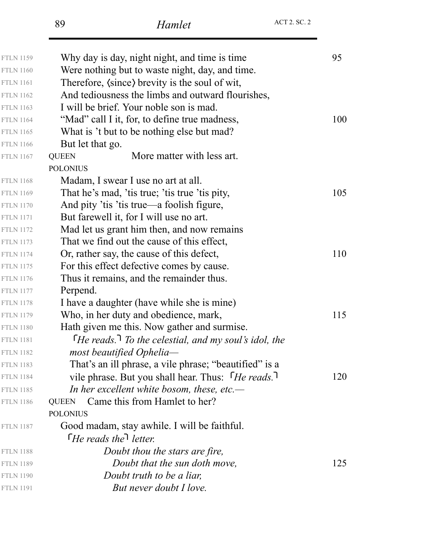| <b>FTLN 1159</b> | Why day is day, night night, and time is time                         | 95  |
|------------------|-----------------------------------------------------------------------|-----|
| <b>FTLN 1160</b> | Were nothing but to waste night, day, and time.                       |     |
| <b>FTLN 1161</b> | Therefore, $\langle$ since $\rangle$ brevity is the soul of wit,      |     |
| <b>FTLN 1162</b> | And tediousness the limbs and outward flourishes,                     |     |
| <b>FTLN 1163</b> | I will be brief. Your noble son is mad.                               |     |
| <b>FTLN 1164</b> | "Mad" call I it, for, to define true madness,                         | 100 |
| <b>FTLN 1165</b> | What is 't but to be nothing else but mad?                            |     |
| <b>FTLN 1166</b> | But let that go.                                                      |     |
| <b>FTLN 1167</b> | More matter with less art.<br><b>QUEEN</b>                            |     |
|                  | <b>POLONIUS</b>                                                       |     |
| <b>FTLN 1168</b> | Madam, I swear I use no art at all.                                   |     |
| <b>FTLN 1169</b> | That he's mad, 't is true; 't is true 't is pity,                     | 105 |
| <b>FTLN 1170</b> | And pity 'tis 'tis true—a foolish figure,                             |     |
| <b>FTLN 1171</b> | But farewell it, for I will use no art.                               |     |
| <b>FTLN 1172</b> | Mad let us grant him then, and now remains                            |     |
| <b>FTLN 1173</b> | That we find out the cause of this effect,                            |     |
| <b>FTLN 1174</b> | Or, rather say, the cause of this defect,                             | 110 |
| <b>FTLN 1175</b> | For this effect defective comes by cause.                             |     |
| <b>FTLN 1176</b> | Thus it remains, and the remainder thus.                              |     |
| <b>FTLN 1177</b> | Perpend.                                                              |     |
| <b>FTLN 1178</b> | I have a daughter (have while she is mine)                            |     |
| <b>FTLN 1179</b> | Who, in her duty and obedience, mark,                                 | 115 |
| <b>FTLN 1180</b> | Hath given me this. Now gather and surmise.                           |     |
| <b>FTLN 1181</b> | $\int$ He reads. To the celestial, and my soul's idol, the            |     |
| <b>FTLN 1182</b> | most beautified Ophelia-                                              |     |
| <b>FTLN 1183</b> | That's an ill phrase, a vile phrase; "beautified" is a                |     |
| <b>FTLN 1184</b> | vile phrase. But you shall hear. Thus: <i>He reads</i> . <sup>1</sup> | 120 |
| <b>FTLN 1185</b> | In her excellent white bosom, these, etc.—                            |     |
| <b>FTLN 1186</b> | Came this from Hamlet to her?<br><b>QUEEN</b>                         |     |
|                  | <b>POLONIUS</b>                                                       |     |
| <b>FTLN 1187</b> | Good madam, stay awhile. I will be faithful.                          |     |
|                  | $H$ e reads the letter.                                               |     |
| <b>FTLN 1188</b> | Doubt thou the stars are fire,                                        |     |
| <b>FTLN 1189</b> | Doubt that the sun doth move,                                         | 125 |
| <b>FTLN 1190</b> | Doubt truth to be a liar,                                             |     |
| <b>FTLN 1191</b> | But never doubt I love.                                               |     |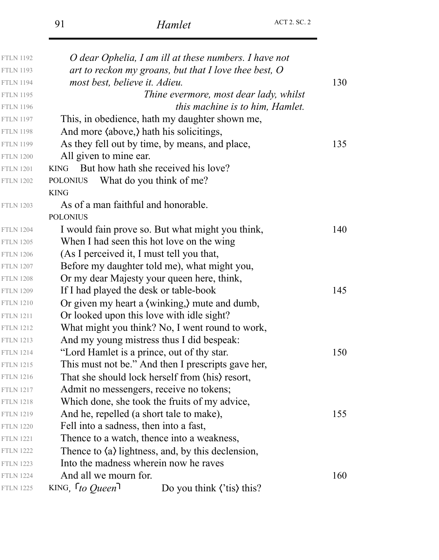| <b>FTLN 1192</b> | O dear Ophelia, I am ill at these numbers. I have not                               |     |
|------------------|-------------------------------------------------------------------------------------|-----|
| <b>FTLN 1193</b> | art to reckon my groans, but that I love thee best, $O$                             |     |
| <b>FTLN 1194</b> | most best, believe it. Adieu.                                                       | 130 |
| <b>FTLN 1195</b> | Thine evermore, most dear lady, whilst                                              |     |
| <b>FTLN 1196</b> | <i>this machine is to him, Hamlet.</i>                                              |     |
| <b>FTLN 1197</b> | This, in obedience, hath my daughter shown me,                                      |     |
| <b>FTLN 1198</b> | And more (above,) hath his solicitings,                                             |     |
| <b>FTLN 1199</b> | As they fell out by time, by means, and place,                                      | 135 |
| <b>FTLN 1200</b> | All given to mine ear.                                                              |     |
| <b>FTLN 1201</b> | But how hath she received his love?<br><b>KING</b>                                  |     |
| <b>FTLN 1202</b> | What do you think of me?<br><b>POLONIUS</b>                                         |     |
|                  | <b>KING</b>                                                                         |     |
| <b>FTLN 1203</b> | As of a man faithful and honorable.                                                 |     |
|                  | <b>POLONIUS</b>                                                                     |     |
| <b>FTLN 1204</b> | I would fain prove so. But what might you think,                                    | 140 |
| <b>FTLN 1205</b> | When I had seen this hot love on the wing                                           |     |
| <b>FTLN 1206</b> | (As I perceived it, I must tell you that,                                           |     |
| <b>FTLN 1207</b> | Before my daughter told me), what might you,                                        |     |
| <b>FTLN 1208</b> | Or my dear Majesty your queen here, think,                                          |     |
| <b>FTLN 1209</b> | If I had played the desk or table-book                                              | 145 |
| <b>FTLN 1210</b> | Or given my heart a (winking,) mute and dumb,                                       |     |
| <b>FTLN 1211</b> | Or looked upon this love with idle sight?                                           |     |
| <b>FTLN 1212</b> | What might you think? No, I went round to work,                                     |     |
| <b>FTLN 1213</b> | And my young mistress thus I did bespeak:                                           |     |
| <b>FTLN 1214</b> | "Lord Hamlet is a prince, out of thy star.                                          | 150 |
| <b>FTLN 1215</b> | This must not be." And then I prescripts gave her,                                  |     |
| <b>FTLN 1216</b> | That she should lock herself from (his) resort,                                     |     |
| <b>FTLN 1217</b> | Admit no messengers, receive no tokens;                                             |     |
| <b>FTLN 1218</b> | Which done, she took the fruits of my advice,                                       |     |
| <b>FTLN 1219</b> | And he, repelled (a short tale to make),                                            | 155 |
| <b>FTLN 1220</b> | Fell into a sadness, then into a fast,                                              |     |
| <b>FTLN 1221</b> | Thence to a watch, thence into a weakness,                                          |     |
| <b>FTLN 1222</b> | Thence to $\langle a \rangle$ lightness, and, by this declension,                   |     |
| <b>FTLN 1223</b> | Into the madness wherein now he raves                                               |     |
| <b>FTLN 1224</b> | And all we mourn for.                                                               | 160 |
| <b>FTLN 1225</b> | KING, $\lceil$ to Queen <sup>1</sup><br>Do you think $\langle$ 'tis $\rangle$ this? |     |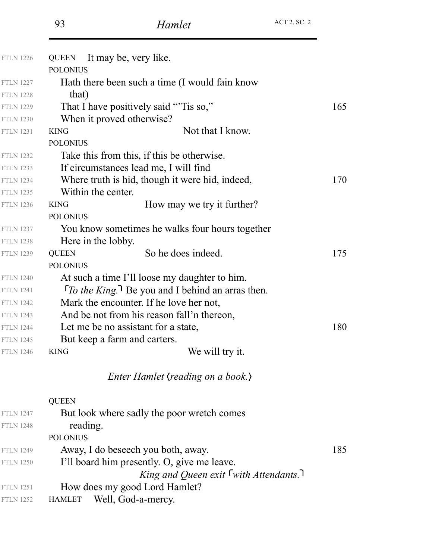| <b>FTLN 1226</b> | It may be, very like.<br><b>QUEEN</b>                             |     |
|------------------|-------------------------------------------------------------------|-----|
|                  | <b>POLONIUS</b>                                                   |     |
| <b>FTLN 1227</b> | Hath there been such a time (I would fain know                    |     |
| <b>FTLN 1228</b> | that)                                                             |     |
| <b>FTLN 1229</b> | That I have positively said "Tis so,"                             | 165 |
| <b>FTLN 1230</b> | When it proved otherwise?                                         |     |
| <b>FTLN 1231</b> | Not that I know.<br><b>KING</b>                                   |     |
|                  | <b>POLONIUS</b>                                                   |     |
| <b>FTLN 1232</b> | Take this from this, if this be otherwise.                        |     |
| <b>FTLN 1233</b> | If circumstances lead me, I will find                             |     |
| <b>FTLN 1234</b> | Where truth is hid, though it were hid, indeed,                   | 170 |
| <b>FTLN 1235</b> | Within the center.                                                |     |
| <b>FTLN 1236</b> | How may we try it further?<br><b>KING</b>                         |     |
|                  | <b>POLONIUS</b>                                                   |     |
| <b>FTLN 1237</b> | You know sometimes he walks four hours together                   |     |
| <b>FTLN 1238</b> | Here in the lobby.                                                |     |
| <b>FTLN 1239</b> | So he does indeed.<br><b>QUEEN</b>                                | 175 |
|                  | <b>POLONIUS</b>                                                   |     |
| <b>FTLN 1240</b> | At such a time I'll loose my daughter to him.                     |     |
| <b>FTLN 1241</b> | $\lceil$ To the King. $\lceil$ Be you and I behind an arras then. |     |
| <b>FTLN 1242</b> | Mark the encounter. If he love her not,                           |     |
| <b>FTLN 1243</b> | And be not from his reason fall'n thereon,                        |     |
| <b>FTLN 1244</b> | Let me be no assistant for a state,                               | 180 |
| <b>FTLN 1245</b> | But keep a farm and carters.                                      |     |
| <b>FTLN 1246</b> | We will try it.<br><b>KING</b>                                    |     |
|                  | Enter Hamlet (reading on a book.)                                 |     |
|                  | <b>QUEEN</b>                                                      |     |
| <b>FTLN 1247</b> | But look where sadly the poor wretch comes                        |     |
| <b>FTLN 1248</b> | reading.                                                          |     |
|                  | <b>POLONIUS</b>                                                   |     |
| <b>FTLN 1249</b> | Away, I do beseech you both, away.                                | 185 |
| <b>FTLN 1250</b> | I'll board him presently. O, give me leave.                       |     |
|                  | King and Queen exit $\lceil$ with Attendants.                     |     |
| <b>FTLN 1251</b> | How does my good Lord Hamlet?                                     |     |

HAMLET Well, God-a-mercy. FTLN 1252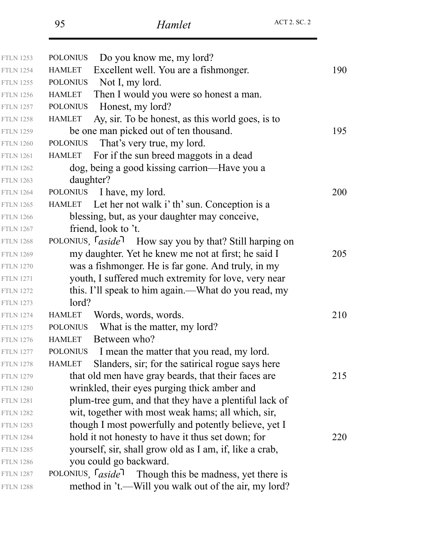| <b>FTLN 1253</b> | Do you know me, my lord?<br><b>POLONIUS</b>                                  |     |
|------------------|------------------------------------------------------------------------------|-----|
| <b>FTLN 1254</b> | Excellent well. You are a fishmonger.<br><b>HAMLET</b>                       | 190 |
| <b>FTLN 1255</b> | Not I, my lord.<br><b>POLONIUS</b>                                           |     |
| <b>FTLN 1256</b> | Then I would you were so honest a man.<br><b>HAMLET</b>                      |     |
| <b>FTLN 1257</b> | Honest, my lord?<br><b>POLONIUS</b>                                          |     |
| <b>FTLN 1258</b> | Ay, sir. To be honest, as this world goes, is to<br><b>HAMLET</b>            |     |
| <b>FTLN 1259</b> | be one man picked out of ten thousand.                                       | 195 |
| <b>FTLN 1260</b> | That's very true, my lord.<br><b>POLONIUS</b>                                |     |
| <b>FTLN 1261</b> | For if the sun breed maggots in a dead<br><b>HAMLET</b>                      |     |
| <b>FTLN 1262</b> | dog, being a good kissing carrion—Have you a                                 |     |
| <b>FTLN 1263</b> | daughter?                                                                    |     |
| <b>FTLN 1264</b> | POLONIUS I have, my lord.                                                    | 200 |
| <b>FTLN 1265</b> | HAMLET Let her not walk i' th' sun. Conception is a                          |     |
| <b>FTLN 1266</b> | blessing, but, as your daughter may conceive,                                |     |
| <b>FTLN 1267</b> | friend, look to 't.                                                          |     |
| <b>FTLN 1268</b> | POLONIUS, $\lceil \text{aside} \rceil$ How say you by that? Still harping on |     |
| <b>FTLN 1269</b> | my daughter. Yet he knew me not at first; he said I                          | 205 |
| <b>FTLN 1270</b> | was a fishmonger. He is far gone. And truly, in my                           |     |
| <b>FTLN 1271</b> | youth, I suffered much extremity for love, very near                         |     |
| <b>FTLN 1272</b> | this. I'll speak to him again.—What do you read, my                          |     |
| <b>FTLN 1273</b> | lord?                                                                        |     |
| <b>FTLN 1274</b> | Words, words, words.<br><b>HAMLET</b>                                        | 210 |
| <b>FTLN 1275</b> | What is the matter, my lord?<br><b>POLONIUS</b>                              |     |
| <b>FTLN 1276</b> | Between who?<br><b>HAMLET</b>                                                |     |
| <b>FTLN 1277</b> | I mean the matter that you read, my lord.<br><b>POLONIUS</b>                 |     |
| <b>FTLN 1278</b> | Slanders, sir; for the satirical rogue says here<br><b>HAMLET</b>            |     |
| <b>FTLN 1279</b> | that old men have gray beards, that their faces are                          | 215 |
| <b>FTLN 1280</b> | wrinkled, their eyes purging thick amber and                                 |     |
| <b>FTLN 1281</b> | plum-tree gum, and that they have a plentiful lack of                        |     |
| <b>FTLN 1282</b> | wit, together with most weak hams; all which, sir,                           |     |
| <b>FTLN 1283</b> | though I most powerfully and potently believe, yet I                         |     |
| <b>FTLN 1284</b> | hold it not honesty to have it thus set down; for                            | 220 |
| <b>FTLN 1285</b> | yourself, sir, shall grow old as I am, if, like a crab,                      |     |
| <b>FTLN 1286</b> | you could go backward.                                                       |     |
| <b>FTLN 1287</b> | POLONIUS, $\lceil \text{aside} \rceil$ Though this be madness, yet there is  |     |
| <b>FTLN 1288</b> | method in 't.—Will you walk out of the air, my lord?                         |     |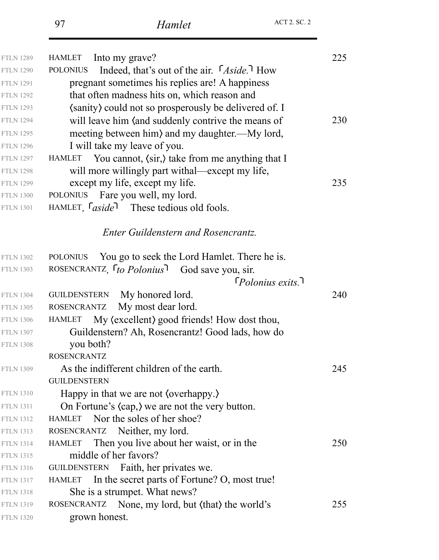| <b>FTLN 1289</b> | Into my grave?<br><b>HAMLET</b>                                                                      | 225 |
|------------------|------------------------------------------------------------------------------------------------------|-----|
| <b>FTLN 1290</b> | Indeed, that's out of the air. [Aside.] How<br><b>POLONIUS</b>                                       |     |
| <b>FTLN 1291</b> | pregnant sometimes his replies are! A happiness                                                      |     |
| <b>FTLN 1292</b> | that often madness hits on, which reason and                                                         |     |
| <b>FTLN 1293</b> | (sanity) could not so prosperously be delivered of. I                                                |     |
| <b>FTLN 1294</b> | will leave him (and suddenly contrive the means of                                                   | 230 |
| <b>FTLN 1295</b> | meeting between him) and my daughter.—My lord,                                                       |     |
| <b>FTLN 1296</b> | I will take my leave of you.                                                                         |     |
| <b>FTLN 1297</b> | HAMLET<br>You cannot, $\langle \sin \rangle$ take from me anything that I                            |     |
| <b>FTLN 1298</b> | will more willingly part withal—except my life,                                                      |     |
| <b>FTLN 1299</b> | except my life, except my life.                                                                      | 235 |
| <b>FTLN 1300</b> | POLONIUS<br>Fare you well, my lord.                                                                  |     |
| <b>FTLN 1301</b> | HAMLET, $\lceil \text{aside} \rceil$ These tedious old fools.                                        |     |
|                  | <b>Enter Guildenstern and Rosencrantz.</b>                                                           |     |
| <b>FTLN 1302</b> | You go to seek the Lord Hamlet. There he is.<br><b>POLONIUS</b>                                      |     |
| <b>FTLN 1303</b> | ROSENCRANTZ, <i>ro Polonius</i> <sup>1</sup> God save you, sir.<br>$\lceil$ Polonius exits. $\rceil$ |     |
| <b>FTLN 1304</b> | My honored lord.<br><b>GUILDENSTERN</b>                                                              | 240 |
| <b>FTLN 1305</b> | My most dear lord.<br>ROSENCRANTZ                                                                    |     |
| <b>FTLN 1306</b> | <b>HAMLET</b><br>My (excellent) good friends! How dost thou,                                         |     |
| <b>FTLN 1307</b> | Guildenstern? Ah, Rosencrantz! Good lads, how do                                                     |     |
| <b>FTLN 1308</b> | you both?                                                                                            |     |
|                  | <b>ROSENCRANTZ</b>                                                                                   |     |
| <b>FTLN 1309</b> | As the indifferent children of the earth.                                                            | 245 |
|                  | <b>GUILDENSTERN</b>                                                                                  |     |
| <b>FTLN 1310</b> | Happy in that we are not (overhappy.)                                                                |     |
| <b>FTLN 1311</b> | On Fortune's (cap,) we are not the very button.                                                      |     |
| <b>FTLN 1312</b> | HAMLET Nor the soles of her shoe?                                                                    |     |
| <b>FTLN 1313</b> | ROSENCRANTZ Neither, my lord.                                                                        |     |
| <b>FTLN 1314</b> | HAMLET Then you live about her waist, or in the                                                      | 250 |
| <b>FTLN 1315</b> | middle of her favors?                                                                                |     |
| <b>FTLN 1316</b> | GUILDENSTERN Faith, her privates we.                                                                 |     |
| <b>FTLN 1317</b> | In the secret parts of Fortune? O, most true!<br>HAMLET                                              |     |
| <b>FTLN 1318</b> | She is a strumpet. What news?                                                                        |     |
| <b>FTLN 1319</b> | ROSENCRANTZ None, my lord, but (that) the world's                                                    | 255 |
| <b>FTLN 1320</b> | grown honest.                                                                                        |     |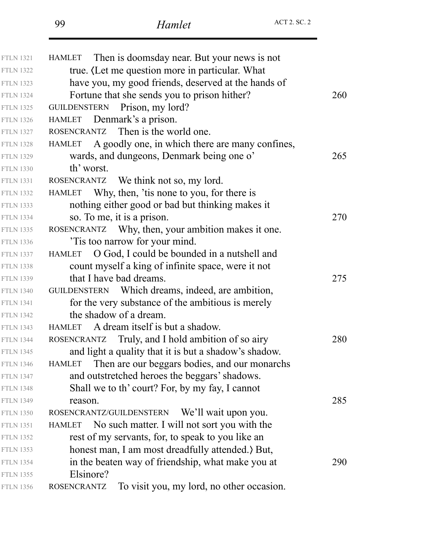| <b>FTLN 1321</b> | Then is doomsday near. But your news is not<br>HAMLET           |     |
|------------------|-----------------------------------------------------------------|-----|
| <b>FTLN 1322</b> | true. (Let me question more in particular. What                 |     |
| <b>FTLN 1323</b> | have you, my good friends, deserved at the hands of             |     |
| <b>FTLN 1324</b> | Fortune that she sends you to prison hither?                    | 260 |
| <b>FTLN 1325</b> | Prison, my lord?<br>GUILDENSTERN                                |     |
| <b>FTLN 1326</b> | HAMLET Denmark's a prison.                                      |     |
| <b>FTLN 1327</b> | ROSENCRANTZ Then is the world one.                              |     |
| <b>FTLN 1328</b> | HAMLET A goodly one, in which there are many confines,          |     |
| <b>FTLN 1329</b> | wards, and dungeons, Denmark being one o'                       | 265 |
| <b>FTLN 1330</b> | th' worst.                                                      |     |
| <b>FTLN 1331</b> | We think not so, my lord.<br>ROSENCRANTZ                        |     |
| <b>FTLN 1332</b> | HAMLET Why, then, 't is none to you, for there is               |     |
| <b>FTLN 1333</b> | nothing either good or bad but thinking makes it                |     |
| <b>FTLN 1334</b> | so. To me, it is a prison.                                      | 270 |
| <b>FTLN 1335</b> | ROSENCRANTZ Why, then, your ambition makes it one.              |     |
| <b>FTLN 1336</b> | This too narrow for your mind.                                  |     |
| <b>FTLN 1337</b> | O God, I could be bounded in a nutshell and<br>HAMLET           |     |
| <b>FTLN 1338</b> | count myself a king of infinite space, were it not              |     |
| <b>FTLN 1339</b> | that I have bad dreams.                                         | 275 |
| <b>FTLN 1340</b> | GUILDENSTERN Which dreams, indeed, are ambition,                |     |
| <b>FTLN 1341</b> | for the very substance of the ambitious is merely               |     |
| <b>FTLN 1342</b> | the shadow of a dream.                                          |     |
| <b>FTLN 1343</b> | <b>HAMLET</b><br>A dream itself is but a shadow.                |     |
| <b>FTLN 1344</b> | Truly, and I hold ambition of so airy<br>ROSENCRANTZ            | 280 |
| <b>FTLN 1345</b> | and light a quality that it is but a shadow's shadow.           |     |
| <b>FTLN 1346</b> | Then are our beggars bodies, and our monarchs<br><b>HAMLET</b>  |     |
| <b>FTLN 1347</b> | and outstretched heroes the beggars' shadows.                   |     |
| <b>FTLN 1348</b> | Shall we to th' court? For, by my fay, I cannot                 |     |
| <b>FTLN 1349</b> | reason.                                                         | 285 |
| <b>FTLN 1350</b> | We'll wait upon you.<br>ROSENCRANTZ/GUILDENSTERN                |     |
| <b>FTLN 1351</b> | No such matter. I will not sort you with the<br>HAMLET          |     |
| <b>FTLN 1352</b> | rest of my servants, for, to speak to you like an               |     |
| <b>FTLN 1353</b> | honest man, I am most dreadfully attended.) But,                |     |
| <b>FTLN 1354</b> | in the beaten way of friendship, what make you at               | 290 |
| <b>FTLN 1355</b> | Elsinore?                                                       |     |
| <b>FTLN 1356</b> | To visit you, my lord, no other occasion.<br><b>ROSENCRANTZ</b> |     |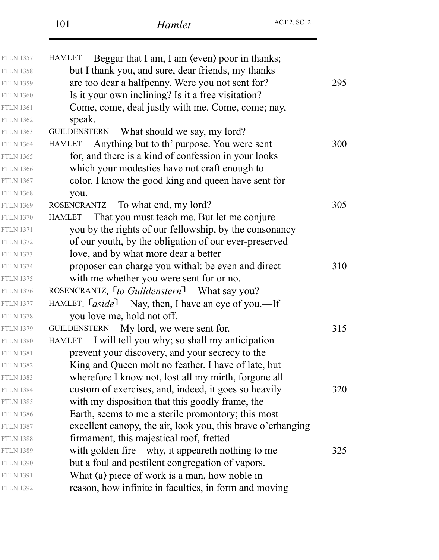| <b>FTLN 1357</b> | Beggar that I am, I am (even) poor in thanks;<br><b>HAMLET</b>           |     |
|------------------|--------------------------------------------------------------------------|-----|
| <b>FTLN 1358</b> | but I thank you, and sure, dear friends, my thanks                       |     |
| <b>FTLN 1359</b> | are too dear a halfpenny. Were you not sent for?                         | 295 |
| <b>FTLN 1360</b> | Is it your own inclining? Is it a free visitation?                       |     |
| <b>FTLN 1361</b> | Come, come, deal justly with me. Come, come; nay,                        |     |
| <b>FTLN 1362</b> | speak.                                                                   |     |
| <b>FTLN 1363</b> | <b>GUILDENSTERN</b><br>What should we say, my lord?                      |     |
| <b>FTLN 1364</b> | Anything but to th' purpose. You were sent<br>HAMLET                     | 300 |
| <b>FTLN 1365</b> | for, and there is a kind of confession in your looks                     |     |
| <b>FTLN 1366</b> | which your modesties have not craft enough to                            |     |
| <b>FTLN 1367</b> | color. I know the good king and queen have sent for                      |     |
| <b>FTLN 1368</b> | you.                                                                     |     |
| <b>FTLN 1369</b> | To what end, my lord?<br>ROSENCRANTZ                                     | 305 |
| <b>FTLN 1370</b> | That you must teach me. But let me conjure<br><b>HAMLET</b>              |     |
| <b>FTLN 1371</b> | you by the rights of our fellowship, by the consonancy                   |     |
| <b>FTLN 1372</b> | of our youth, by the obligation of our ever-preserved                    |     |
| <b>FTLN 1373</b> | love, and by what more dear a better                                     |     |
| <b>FTLN 1374</b> | proposer can charge you withal: be even and direct                       | 310 |
| <b>FTLN 1375</b> | with me whether you were sent for or no.                                 |     |
| <b>FTLN 1376</b> | ROSENCRANTZ, $\lceil \text{to } \text{Guidenstern} \rceil$ What say you? |     |
| <b>FTLN 1377</b> | HAMLET, $\lceil \text{aside} \rceil$ Nay, then, I have an eye of you.—If |     |
| <b>FTLN 1378</b> | you love me, hold not off.                                               |     |
| <b>FTLN 1379</b> | GUILDENSTERN My lord, we were sent for.                                  | 315 |
| <b>FTLN 1380</b> | I will tell you why; so shall my anticipation<br><b>HAMLET</b>           |     |
| <b>FTLN 1381</b> | prevent your discovery, and your secrecy to the                          |     |
| <b>FTLN 1382</b> | King and Queen molt no feather. I have of late, but                      |     |
| <b>FTLN 1383</b> | wherefore I know not, lost all my mirth, forgone all                     |     |
| <b>FTLN 1384</b> | custom of exercises, and, indeed, it goes so heavily                     | 320 |
| <b>FTLN 1385</b> | with my disposition that this goodly frame, the                          |     |
| <b>FTLN 1386</b> | Earth, seems to me a sterile promontory; this most                       |     |
| <b>FTLN 1387</b> | excellent canopy, the air, look you, this brave o'erhanging              |     |
| <b>FTLN 1388</b> | firmament, this majestical roof, fretted                                 |     |
| <b>FTLN 1389</b> | with golden fire—why, it appeareth nothing to me                         | 325 |
| <b>FTLN 1390</b> | but a foul and pestilent congregation of vapors.                         |     |
| <b>FTLN 1391</b> | What $\langle a \rangle$ piece of work is a man, how noble in            |     |
| <b>FTLN 1392</b> | reason, how infinite in faculties, in form and moving                    |     |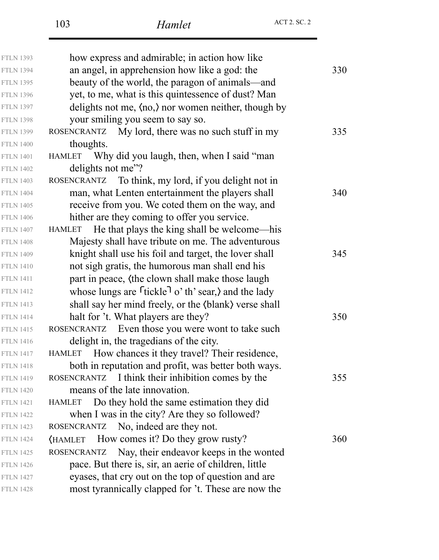| <b>FTLN 1393</b> | how express and admirable; in action how like                       |     |
|------------------|---------------------------------------------------------------------|-----|
| <b>FTLN 1394</b> | an angel, in apprehension how like a god: the                       | 330 |
| <b>FTLN 1395</b> | beauty of the world, the paragon of animals—and                     |     |
| <b>FTLN 1396</b> | yet, to me, what is this quintessence of dust? Man                  |     |
| <b>FTLN 1397</b> | delights not me, (no,) nor women neither, though by                 |     |
| <b>FTLN 1398</b> | your smiling you seem to say so.                                    |     |
| <b>FTLN 1399</b> | My lord, there was no such stuff in my<br>ROSENCRANTZ               | 335 |
| <b>FTLN 1400</b> | thoughts.                                                           |     |
| <b>FTLN 1401</b> | Why did you laugh, then, when I said "man"<br><b>HAMLET</b>         |     |
| <b>FTLN 1402</b> | delights not me"?                                                   |     |
| <b>FTLN 1403</b> | ROSENCRANTZ To think, my lord, if you delight not in                |     |
| <b>FTLN 1404</b> | man, what Lenten entertainment the players shall                    | 340 |
| <b>FTLN 1405</b> | receive from you. We coted them on the way, and                     |     |
| <b>FTLN 1406</b> | hither are they coming to offer you service.                        |     |
| <b>FTLN 1407</b> | He that plays the king shall be welcome—his<br><b>HAMLET</b>        |     |
| <b>FTLN 1408</b> | Majesty shall have tribute on me. The adventurous                   |     |
| <b>FTLN 1409</b> | knight shall use his foil and target, the lover shall               | 345 |
| <b>FTLN 1410</b> | not sigh gratis, the humorous man shall end his                     |     |
| <b>FTLN 1411</b> | part in peace, (the clown shall make those laugh                    |     |
| <b>FTLN 1412</b> | whose lungs are $f$ tickle $\overline{a}$ o' th' sear, and the lady |     |
| <b>FTLN 1413</b> | shall say her mind freely, or the (blank) verse shall               |     |
| <b>FTLN 1414</b> | halt for 't. What players are they?                                 | 350 |
| <b>FTLN 1415</b> | Even those you were wont to take such<br><b>ROSENCRANTZ</b>         |     |
| <b>FTLN 1416</b> | delight in, the tragedians of the city.                             |     |
| <b>FTLN 1417</b> | How chances it they travel? Their residence,<br><b>HAMLET</b>       |     |
| <b>FTLN 1418</b> | both in reputation and profit, was better both ways.                |     |
| <b>FTLN 1419</b> | ROSENCRANTZ I think their inhibition comes by the                   | 355 |
| <b>FTLN 1420</b> | means of the late innovation.                                       |     |
| <b>FTLN 1421</b> | Do they hold the same estimation they did<br>HAMLET                 |     |
| <b>FTLN 1422</b> | when I was in the city? Are they so followed?                       |     |
| <b>FTLN 1423</b> | ROSENCRANTZ No, indeed are they not.                                |     |
| <b>FTLN 1424</b> | (HAMLET How comes it? Do they grow rusty?                           | 360 |
| <b>FTLN 1425</b> | ROSENCRANTZ Nay, their endeavor keeps in the wonted                 |     |
| <b>FTLN 1426</b> | pace. But there is, sir, an aerie of children, little               |     |
| <b>FTLN 1427</b> | eyases, that cry out on the top of question and are                 |     |
| <b>FTLN 1428</b> | most tyrannically clapped for 't. These are now the                 |     |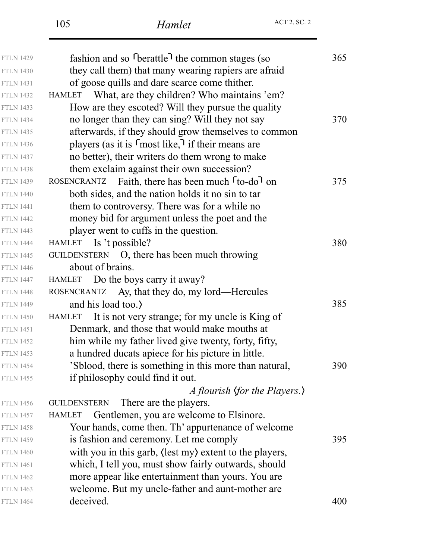| <b>FTLN 1429</b> | fashion and so $\lceil$ berattle $\lceil$ the common stages (so           | 365 |
|------------------|---------------------------------------------------------------------------|-----|
| <b>FTLN 1430</b> | they call them) that many wearing rapiers are afraid                      |     |
| <b>FTLN 1431</b> | of goose quills and dare scarce come thither.                             |     |
| <b>FTLN 1432</b> | What, are they children? Who maintains 'em?<br><b>HAMLET</b>              |     |
| <b>FTLN 1433</b> | How are they escoted? Will they pursue the quality                        |     |
| <b>FTLN 1434</b> | no longer than they can sing? Will they not say                           | 370 |
| <b>FTLN 1435</b> | afterwards, if they should grow themselves to common                      |     |
| <b>FTLN 1436</b> | players (as it is $\lceil \text{most like} \rceil$ if their means are     |     |
| <b>FTLN 1437</b> | no better), their writers do them wrong to make                           |     |
| <b>FTLN 1438</b> | them exclaim against their own succession?                                |     |
| <b>FTLN 1439</b> | ROSENCRANTZ Faith, there has been much <sup>r</sup> to-do <sup>1</sup> on | 375 |
| <b>FTLN 1440</b> | both sides, and the nation holds it no sin to tar                         |     |
| <b>FTLN 1441</b> | them to controversy. There was for a while no                             |     |
| <b>FTLN 1442</b> | money bid for argument unless the poet and the                            |     |
| <b>FTLN 1443</b> | player went to cuffs in the question.                                     |     |
| <b>FTLN 1444</b> | <b>HAMLET</b><br>Is 't possible?                                          | 380 |
| <b>FTLN 1445</b> | GUILDENSTERN O, there has been much throwing                              |     |
| <b>FTLN 1446</b> | about of brains.                                                          |     |
| <b>FTLN 1447</b> | HAMLET Do the boys carry it away?                                         |     |
| <b>FTLN 1448</b> | ROSENCRANTZ Ay, that they do, my lord—Hercules                            |     |
| <b>FTLN 1449</b> | and his load too.)                                                        | 385 |
| <b>FTLN 1450</b> | It is not very strange; for my uncle is King of<br><b>HAMLET</b>          |     |
| <b>FTLN 1451</b> | Denmark, and those that would make mouths at                              |     |
| <b>FTLN 1452</b> | him while my father lived give twenty, forty, fifty,                      |     |
| <b>FTLN 1453</b> | a hundred ducats apiece for his picture in little.                        |     |
| <b>FTLN 1454</b> | 'Sblood, there is something in this more than natural,                    | 390 |
| <b>FTLN 1455</b> | if philosophy could find it out.                                          |     |
|                  | A flourish (for the Players.)                                             |     |
| <b>FTLN 1456</b> | <b>GUILDENSTERN</b><br>There are the players.                             |     |
| <b>FTLN 1457</b> | Gentlemen, you are welcome to Elsinore.<br><b>HAMLET</b>                  |     |
| <b>FTLN 1458</b> | Your hands, come then. Th' appurtenance of welcome                        |     |
| <b>FTLN 1459</b> | is fashion and ceremony. Let me comply                                    | 395 |
| <b>FTLN 1460</b> | with you in this garb, (lest my) extent to the players,                   |     |
| <b>FTLN 1461</b> | which, I tell you, must show fairly outwards, should                      |     |
| <b>FTLN 1462</b> | more appear like entertainment than yours. You are                        |     |
| <b>FTLN 1463</b> | welcome. But my uncle-father and aunt-mother are                          |     |
| <b>FTLN 1464</b> | deceived.                                                                 | 400 |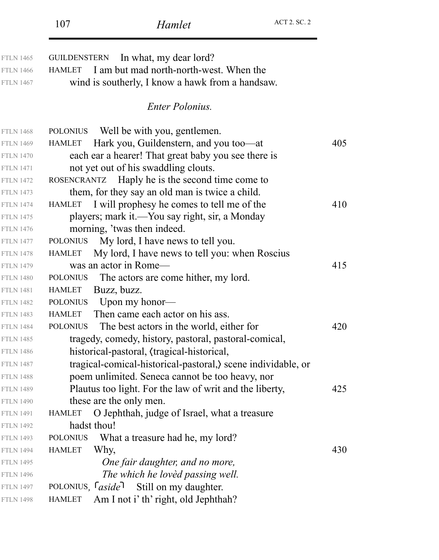| <b>FTLN 1465</b> | In what, my dear lord?<br>GUILDENSTERN                          |     |
|------------------|-----------------------------------------------------------------|-----|
| <b>FTLN 1466</b> | HAMLET I am but mad north-north-west. When the                  |     |
| <b>FTLN 1467</b> | wind is southerly, I know a hawk from a handsaw.                |     |
|                  | <i>Enter Polonius.</i>                                          |     |
| <b>FTLN 1468</b> | Well be with you, gentlemen.<br><b>POLONIUS</b>                 |     |
| <b>FTLN 1469</b> | Hark you, Guildenstern, and you too—at<br><b>HAMLET</b>         | 405 |
| <b>FTLN 1470</b> | each ear a hearer! That great baby you see there is             |     |
| <b>FTLN 1471</b> | not yet out of his swaddling clouts.                            |     |
| <b>FTLN 1472</b> | ROSENCRANTZ Haply he is the second time come to                 |     |
| <b>FTLN 1473</b> | them, for they say an old man is twice a child.                 |     |
| <b>FTLN 1474</b> | I will prophesy he comes to tell me of the<br>HAMLET            | 410 |
| <b>FTLN 1475</b> | players; mark it.—You say right, sir, a Monday                  |     |
| <b>FTLN 1476</b> | morning, 'twas then indeed.                                     |     |
| <b>FTLN 1477</b> | My lord, I have news to tell you.<br><b>POLONIUS</b>            |     |
| <b>FTLN 1478</b> | My lord, I have news to tell you: when Roscius<br><b>HAMLET</b> |     |
| <b>FTLN 1479</b> | was an actor in Rome—                                           | 415 |
| <b>FTLN 1480</b> | The actors are come hither, my lord.<br><b>POLONIUS</b>         |     |
| <b>FTLN 1481</b> | Buzz, buzz.<br><b>HAMLET</b>                                    |     |
| <b>FTLN 1482</b> | <b>POLONIUS</b><br>Upon my honor—                               |     |
| <b>FTLN 1483</b> | Then came each actor on his ass.<br><b>HAMLET</b>               |     |
| <b>FTLN 1484</b> | The best actors in the world, either for<br><b>POLONIUS</b>     | 420 |
| <b>FTLN 1485</b> | tragedy, comedy, history, pastoral, pastoral-comical,           |     |
| <b>FTLN 1486</b> | historical-pastoral, (tragical-historical,                      |     |
| <b>FTLN 1487</b> | tragical-comical-historical-pastoral, scene individable, or     |     |
| <b>FTLN 1488</b> | poem unlimited. Seneca cannot be too heavy, nor                 |     |
| <b>FTLN 1489</b> | Plautus too light. For the law of writ and the liberty,         | 425 |
| <b>FTLN 1490</b> | these are the only men.                                         |     |
| <b>FTLN 1491</b> | O Jephthah, judge of Israel, what a treasure<br><b>HAMLET</b>   |     |
| <b>FTLN 1492</b> | hadst thou!                                                     |     |
| <b>FTLN 1493</b> | What a treasure had he, my lord?<br><b>POLONIUS</b>             |     |
| <b>FTLN 1494</b> | Why,<br><b>HAMLET</b>                                           | 430 |
| <b>FTLN 1495</b> | One fair daughter, and no more,                                 |     |
| <b>FTLN 1496</b> | The which he loved passing well.                                |     |
| <b>FTLN 1497</b> | POLONIUS, <i>aside</i> <sup>1</sup> Still on my daughter.       |     |
| <b>FTLN 1498</b> | Am I not i' th' right, old Jephthah?<br><b>HAMLET</b>           |     |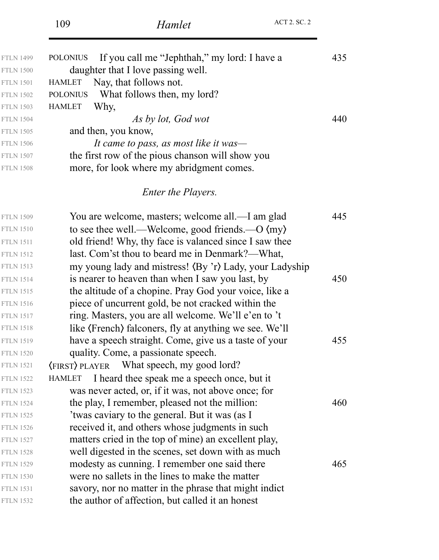| <b>FTLN 1499</b> | If you call me "Jephthah," my lord: I have a<br><b>POLONIUS</b> | 435 |
|------------------|-----------------------------------------------------------------|-----|
| <b>FTLN 1500</b> | daughter that I love passing well.                              |     |
| <b>FTLN 1501</b> | Nay, that follows not.<br><b>HAMLET</b>                         |     |
| <b>FTLN 1502</b> | What follows then, my lord?<br><b>POLONIUS</b>                  |     |
| <b>FTLN 1503</b> | <b>HAMLET</b><br>Why,                                           |     |
| <b>FTLN 1504</b> | As by lot, God wot                                              | 440 |
| <b>FTLN 1505</b> | and then, you know,                                             |     |
| <b>FTLN 1506</b> | It came to pass, as most like it was—                           |     |
| <b>FTLN 1507</b> | the first row of the pious chanson will show you                |     |
| <b>FTLN 1508</b> | more, for look where my abridgment comes.                       |     |
|                  |                                                                 |     |

# *Enter the Players.*

| <b>FTLN 1509</b> | You are welcome, masters; welcome all.—I am glad                | 445 |
|------------------|-----------------------------------------------------------------|-----|
| <b>FTLN 1510</b> | to see thee well.—Welcome, good friends.—O $\langle my \rangle$ |     |
| <b>FTLN 1511</b> | old friend! Why, thy face is valanced since I saw thee          |     |
| <b>FTLN 1512</b> | last. Com'st thou to beard me in Denmark?—What,                 |     |
| <b>FTLN 1513</b> | my young lady and mistress! (By 'r) Lady, your Ladyship         |     |
| <b>FTLN 1514</b> | is nearer to heaven than when I saw you last, by                | 450 |
| <b>FTLN 1515</b> | the altitude of a chopine. Pray God your voice, like a          |     |
| <b>FTLN 1516</b> | piece of uncurrent gold, be not cracked within the              |     |
| <b>FTLN 1517</b> | ring. Masters, you are all welcome. We'll e'en to 't            |     |
| <b>FTLN 1518</b> | like (French) falconers, fly at anything we see. We'll          |     |
| <b>FTLN 1519</b> | have a speech straight. Come, give us a taste of your           | 455 |
| <b>FTLN 1520</b> | quality. Come, a passionate speech.                             |     |
| <b>FTLN 1521</b> | (FIRST) PLAYER What speech, my good lord?                       |     |
| <b>FTLN 1522</b> | I heard thee speak me a speech once, but it<br><b>HAMLET</b>    |     |
| <b>FTLN 1523</b> | was never acted, or, if it was, not above once; for             |     |
| <b>FTLN 1524</b> | the play, I remember, pleased not the million:                  | 460 |
| <b>FTLN 1525</b> | 'twas caviary to the general. But it was (as I                  |     |
| <b>FTLN 1526</b> | received it, and others whose judgments in such                 |     |
| <b>FTLN 1527</b> | matters cried in the top of mine) an excellent play,            |     |
| <b>FTLN 1528</b> | well digested in the scenes, set down with as much              |     |
| <b>FTLN 1529</b> | modesty as cunning. I remember one said there                   | 465 |
| <b>FTLN 1530</b> | were no sallets in the lines to make the matter                 |     |
| <b>FTLN 1531</b> | savory, nor no matter in the phrase that might indict           |     |
| <b>FTLN 1532</b> | the author of affection, but called it an honest                |     |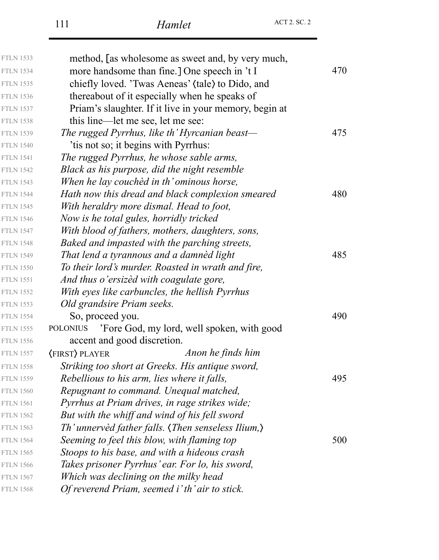| <b>FTLN 1533</b> | method, [as wholesome as sweet and, by very much,      |     |
|------------------|--------------------------------------------------------|-----|
| <b>FTLN 1534</b> | more handsome than fine.] One speech in 't I           | 470 |
| <b>FTLN 1535</b> | chiefly loved. 'Twas Aeneas' (tale) to Dido, and       |     |
| <b>FTLN 1536</b> | thereabout of it especially when he speaks of          |     |
| <b>FTLN 1537</b> | Priam's slaughter. If it live in your memory, begin at |     |
| <b>FTLN 1538</b> | this line—let me see, let me see:                      |     |
| <b>FTLN 1539</b> | The rugged Pyrrhus, like th' Hyrcanian beast-          | 475 |
| <b>FTLN 1540</b> | 'tis not so; it begins with Pyrrhus:                   |     |
| <b>FTLN 1541</b> | The rugged Pyrrhus, he whose sable arms,               |     |
| <b>FTLN 1542</b> | Black as his purpose, did the night resemble           |     |
| <b>FTLN 1543</b> | When he lay couchèd in th' ominous horse,              |     |
| <b>FTLN 1544</b> | Hath now this dread and black complexion smeared       | 480 |
| <b>FTLN 1545</b> | With heraldry more dismal. Head to foot,               |     |
| <b>FTLN 1546</b> | Now is he total gules, horridly tricked                |     |
| <b>FTLN 1547</b> | With blood of fathers, mothers, daughters, sons,       |     |
| <b>FTLN 1548</b> | Baked and impasted with the parching streets,          |     |
| <b>FTLN 1549</b> | That lend a tyrannous and a damnèd light               | 485 |
| <b>FTLN 1550</b> | To their lord's murder. Roasted in wrath and fire,     |     |
| <b>FTLN 1551</b> | And thus o'ersized with coagulate gore,                |     |
| <b>FTLN 1552</b> | With eyes like carbuncles, the hellish Pyrrhus         |     |
| <b>FTLN 1553</b> | Old grandsire Priam seeks.                             |     |
| <b>FTLN 1554</b> | So, proceed you.                                       | 490 |
| <b>FTLN 1555</b> | 'Fore God, my lord, well spoken, with good<br>POLONIUS |     |
| <b>FTLN 1556</b> | accent and good discretion.                            |     |
| <b>FTLN 1557</b> | Anon he finds him<br><b>(FIRST) PLAYER</b>             |     |
| <b>FTLN 1558</b> | Striking too short at Greeks. His antique sword,       |     |
| <b>FTLN 1559</b> | Rebellious to his arm, lies where it falls,            | 495 |
| <b>FTLN 1560</b> | Repugnant to command. Unequal matched,                 |     |
| <b>FTLN 1561</b> | <i>Pyrrhus at Priam drives, in rage strikes wide;</i>  |     |
| <b>FTLN 1562</b> | But with the whiff and wind of his fell sword          |     |
| <b>FTLN 1563</b> | Th' unnervèd father falls. (Then senseless Ilium,)     |     |
| <b>FTLN 1564</b> | Seeming to feel this blow, with flaming top            | 500 |
| <b>FTLN 1565</b> | Stoops to his base, and with a hideous crash           |     |
| <b>FTLN 1566</b> | Takes prisoner Pyrrhus' ear. For lo, his sword,        |     |
| <b>FTLN 1567</b> | Which was declining on the milky head                  |     |
| <b>FTLN 1568</b> | Of reverend Priam, seemed i'th' air to stick.          |     |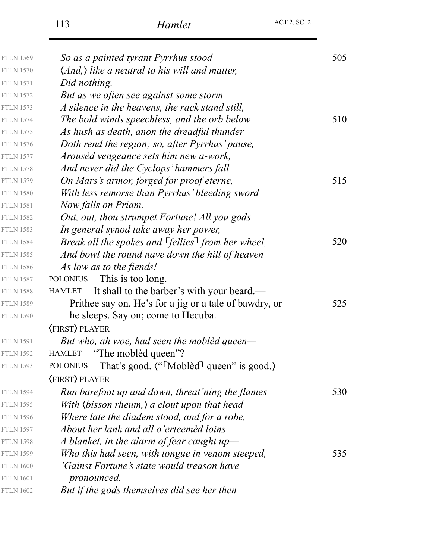| <b>FTLN 1569</b> | So as a painted tyrant Pyrrhus stood                               | 505 |
|------------------|--------------------------------------------------------------------|-----|
| <b>FTLN 1570</b> | (And,) like a neutral to his will and matter,                      |     |
| <b>FTLN 1571</b> | Did nothing.                                                       |     |
| <b>FTLN 1572</b> | But as we often see against some storm                             |     |
| <b>FTLN 1573</b> | A silence in the heavens, the rack stand still,                    |     |
| <b>FTLN 1574</b> | The bold winds speechless, and the orb below                       | 510 |
| <b>FTLN 1575</b> | As hush as death, anon the dreadful thunder                        |     |
| <b>FTLN 1576</b> | Doth rend the region; so, after Pyrrhus' pause,                    |     |
| <b>FTLN 1577</b> | Arousèd vengeance sets him new a-work,                             |     |
| <b>FTLN 1578</b> | And never did the Cyclops' hammers fall                            |     |
| <b>FTLN 1579</b> | On Mars's armor, forged for proof eterne,                          | 515 |
| <b>FTLN 1580</b> | With less remorse than Pyrrhus' bleeding sword                     |     |
| <b>FTLN 1581</b> | Now falls on Priam.                                                |     |
| <b>FTLN 1582</b> | Out, out, thou strumpet Fortune! All you gods                      |     |
| <b>FTLN 1583</b> | In general synod take away her power,                              |     |
| <b>FTLN 1584</b> | Break all the spokes and $\lceil$ fellies $\rceil$ from her wheel, | 520 |
| <b>FTLN 1585</b> | And bowl the round nave down the hill of heaven                    |     |
| <b>FTLN 1586</b> | As low as to the fiends!                                           |     |
| <b>FTLN 1587</b> | This is too long.<br><b>POLONIUS</b>                               |     |
| <b>FTLN 1588</b> | It shall to the barber's with your beard.—<br><b>HAMLET</b>        |     |
| <b>FTLN 1589</b> | Prithee say on. He's for a jig or a tale of bawdry, or             | 525 |
| <b>FTLN 1590</b> | he sleeps. Say on; come to Hecuba.                                 |     |
|                  | (FIRST) PLAYER                                                     |     |
| <b>FTLN 1591</b> | But who, ah woe, had seen the mobled queen—                        |     |
| <b>FTLN 1592</b> | "The mobled queen"?<br><b>HAMLET</b>                               |     |
| <b>FTLN 1593</b> | That's good. ("Mobled" queen" is good.)<br><b>POLONIUS</b>         |     |
|                  | (FIRST) PLAYER                                                     |     |
| <b>FTLN 1594</b> | Run barefoot up and down, threat ning the flames                   | 530 |
| <b>FTLN 1595</b> | With (bisson rheum,) a clout upon that head                        |     |
| <b>FTLN 1596</b> | Where late the diadem stood, and for a robe,                       |     |
| <b>FTLN 1597</b> | About her lank and all o'erteemèd loins                            |     |
| <b>FTLN 1598</b> | A blanket, in the alarm of fear caught up-                         |     |
| <b>FTLN 1599</b> | Who this had seen, with tongue in venom steeped,                   | 535 |
| <b>FTLN 1600</b> | 'Gainst Fortune's state would treason have                         |     |
| <b>FTLN 1601</b> | pronounced.                                                        |     |
| <b>FTLN 1602</b> | But if the gods themselves did see her then                        |     |
|                  |                                                                    |     |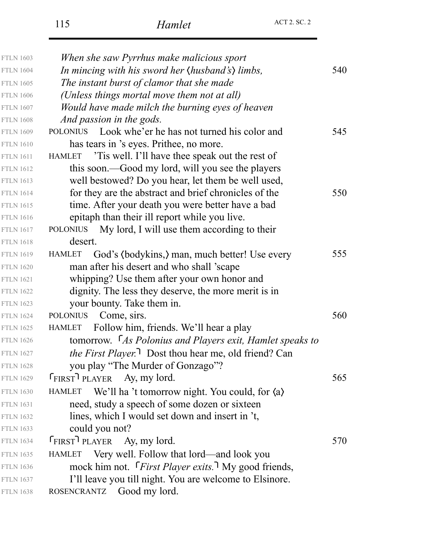| <b>FTLN 1603</b> | When she saw Pyrrhus make malicious sport                                |     |
|------------------|--------------------------------------------------------------------------|-----|
| <b>FTLN 1604</b> | In mincing with his sword her (husband's) limbs,                         | 540 |
| <b>FTLN 1605</b> | The instant burst of clamor that she made                                |     |
| <b>FTLN 1606</b> | (Unless things mortal move them not at all)                              |     |
| <b>FTLN 1607</b> | Would have made milch the burning eyes of heaven                         |     |
| <b>FTLN 1608</b> | And passion in the gods.                                                 |     |
| <b>FTLN 1609</b> | POLONIUS Look whe'er he has not turned his color and                     | 545 |
| <b>FTLN 1610</b> | has tears in 's eyes. Prithee, no more.                                  |     |
| <b>FTLN 1611</b> | HAMLET 'Tis well. I'll have thee speak out the rest of                   |     |
| <b>FTLN 1612</b> | this soon.—Good my lord, will you see the players                        |     |
| <b>FTLN 1613</b> | well bestowed? Do you hear, let them be well used,                       |     |
| <b>FTLN 1614</b> | for they are the abstract and brief chronicles of the                    | 550 |
| <b>FTLN 1615</b> | time. After your death you were better have a bad                        |     |
| <b>FTLN 1616</b> | epitaph than their ill report while you live.                            |     |
| <b>FTLN 1617</b> | My lord, I will use them according to their<br>POLONIUS                  |     |
| <b>FTLN 1618</b> | desert.                                                                  |     |
| <b>FTLN 1619</b> | <b>HAMLET</b><br>God's (bodykins,) man, much better! Use every           | 555 |
| <b>FTLN 1620</b> | man after his desert and who shall 'scape                                |     |
| <b>FTLN 1621</b> | whipping? Use them after your own honor and                              |     |
| <b>FTLN 1622</b> | dignity. The less they deserve, the more merit is in                     |     |
| <b>FTLN 1623</b> | your bounty. Take them in.                                               |     |
| <b>FTLN 1624</b> | <b>POLONIUS</b><br>Come, sirs.                                           | 560 |
| <b>FTLN 1625</b> | HAMLET Follow him, friends. We'll hear a play                            |     |
| <b>FTLN 1626</b> | tomorrow. <sup>T</sup> As Polonius and Players exit, Hamlet speaks to    |     |
| <b>FTLN 1627</b> | the First Player. <sup>1</sup> Dost thou hear me, old friend? Can        |     |
| <b>FTLN 1628</b> | you play "The Murder of Gonzago"?                                        |     |
| <b>FTLN 1629</b> | FIRST PLAYER Ay, my lord.                                                | 565 |
| <b>FTLN 1630</b> | HAMLET<br>We'll ha 't tomorrow night. You could, for $\langle a \rangle$ |     |
| <b>FTLN 1631</b> | need, study a speech of some dozen or sixteen                            |     |
| <b>FTLN 1632</b> | lines, which I would set down and insert in 't,                          |     |
| <b>FTLN 1633</b> | could you not?                                                           |     |
| <b>FTLN 1634</b> | FIRST PLAYER Ay, my lord.                                                | 570 |
| <b>FTLN 1635</b> | HAMLET Very well. Follow that lord—and look you                          |     |
| <b>FTLN 1636</b> | mock him not. <i>First Player exits</i> . <sup>7</sup> My good friends,  |     |
| <b>FTLN 1637</b> | I'll leave you till night. You are welcome to Elsinore.                  |     |
| <b>FTLN 1638</b> | ROSENCRANTZ<br>Good my lord.                                             |     |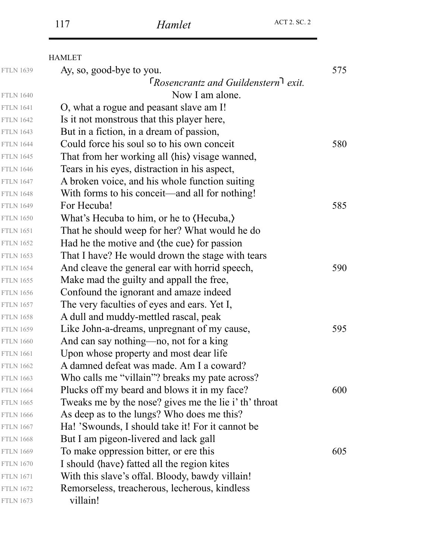|                  | <b>HAMLET</b>                                         |     |
|------------------|-------------------------------------------------------|-----|
| <b>FTLN 1639</b> | Ay, so, good-bye to you.                              | 575 |
|                  | $\lceil$ Rosencrantz and Guildenstern exit.           |     |
| <b>FTLN 1640</b> | Now I am alone.                                       |     |
| <b>FTLN 1641</b> | O, what a rogue and peasant slave am I!               |     |
| <b>FTLN 1642</b> | Is it not monstrous that this player here,            |     |
| <b>FTLN 1643</b> | But in a fiction, in a dream of passion,              |     |
| <b>FTLN 1644</b> | Could force his soul so to his own conceit            | 580 |
| <b>FTLN 1645</b> | That from her working all (his) visage wanned,        |     |
| <b>FTLN 1646</b> | Tears in his eyes, distraction in his aspect,         |     |
| <b>FTLN 1647</b> | A broken voice, and his whole function suiting        |     |
| <b>FTLN 1648</b> | With forms to his conceit—and all for nothing!        |     |
| <b>FTLN 1649</b> | For Hecuba!                                           | 585 |
| <b>FTLN 1650</b> | What's Hecuba to him, or he to (Hecuba,)              |     |
| <b>FTLN 1651</b> | That he should weep for her? What would he do         |     |
| <b>FTLN 1652</b> | Had he the motive and (the cue) for passion           |     |
| <b>FTLN 1653</b> | That I have? He would drown the stage with tears      |     |
| <b>FTLN 1654</b> | And cleave the general ear with horrid speech,        | 590 |
| <b>FTLN 1655</b> | Make mad the guilty and appall the free,              |     |
| <b>FTLN 1656</b> | Confound the ignorant and amaze indeed                |     |
| <b>FTLN 1657</b> | The very faculties of eyes and ears. Yet I,           |     |
| <b>FTLN 1658</b> | A dull and muddy-mettled rascal, peak                 |     |
| <b>FTLN 1659</b> | Like John-a-dreams, unpregnant of my cause,           | 595 |
| <b>FTLN 1660</b> | And can say nothing—no, not for a king                |     |
| <b>FTLN 1661</b> | Upon whose property and most dear life                |     |
| <b>FTLN 1662</b> | A damned defeat was made. Am I a coward?              |     |
| <b>FTLN 1663</b> | Who calls me "villain"? breaks my pate across?        |     |
| <b>FTLN 1664</b> | Plucks off my beard and blows it in my face?          | 600 |
| <b>FTLN 1665</b> | Tweaks me by the nose? gives me the lie i' th' throat |     |
| <b>FTLN 1666</b> | As deep as to the lungs? Who does me this?            |     |
| <b>FTLN 1667</b> | Ha! 'Swounds, I should take it! For it cannot be      |     |
| <b>FTLN 1668</b> | But I am pigeon-livered and lack gall                 |     |
| <b>FTLN 1669</b> | To make oppression bitter, or ere this                | 605 |
| <b>FTLN 1670</b> | I should (have) fatted all the region kites           |     |
| <b>FTLN 1671</b> | With this slave's offal. Bloody, bawdy villain!       |     |
| <b>FTLN 1672</b> | Remorseless, treacherous, lecherous, kindless         |     |
| <b>FTLN 1673</b> | villain!                                              |     |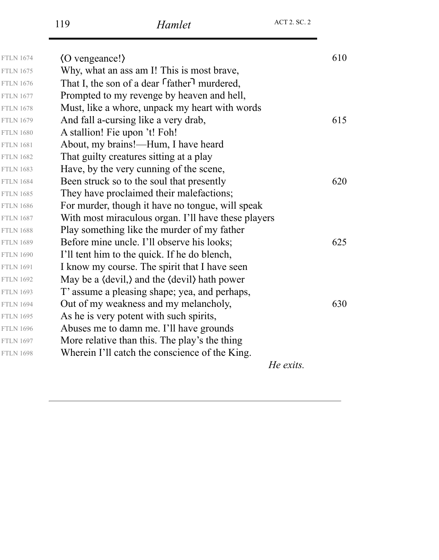| <b>FTLN 1674</b> | $\langle$ 0 vengeance! $\rangle$                    | 610 |
|------------------|-----------------------------------------------------|-----|
| <b>FTLN 1675</b> | Why, what an ass am I! This is most brave,          |     |
| <b>FTLN 1676</b> | That I, the son of a dear <i>father</i> murdered,   |     |
| <b>FTLN 1677</b> | Prompted to my revenge by heaven and hell,          |     |
| <b>FTLN 1678</b> | Must, like a whore, unpack my heart with words      |     |
| <b>FTLN 1679</b> | And fall a-cursing like a very drab,                | 615 |
| <b>FTLN 1680</b> | A stallion! Fie upon 't! Foh!                       |     |
| <b>FTLN 1681</b> | About, my brains!—Hum, I have heard                 |     |
| <b>FTLN 1682</b> | That guilty creatures sitting at a play             |     |
| <b>FTLN 1683</b> | Have, by the very cunning of the scene,             |     |
| <b>FTLN 1684</b> | Been struck so to the soul that presently           | 620 |
| <b>FTLN 1685</b> | They have proclaimed their malefactions;            |     |
| <b>FTLN 1686</b> | For murder, though it have no tongue, will speak    |     |
| <b>FTLN 1687</b> | With most miraculous organ. I'll have these players |     |
| <b>FTLN 1688</b> | Play something like the murder of my father         |     |
| <b>FTLN 1689</b> | Before mine uncle. I'll observe his looks;          | 625 |
| <b>FTLN 1690</b> | I'll tent him to the quick. If he do blench,        |     |
| <b>FTLN 1691</b> | I know my course. The spirit that I have seen       |     |
| <b>FTLN 1692</b> | May be a (devil,) and the (devil) hath power        |     |
| <b>FTLN 1693</b> | T' assume a pleasing shape; yea, and perhaps,       |     |
| <b>FTLN 1694</b> | Out of my weakness and my melancholy,               | 630 |
| <b>FTLN 1695</b> | As he is very potent with such spirits,             |     |
| <b>FTLN 1696</b> | Abuses me to damn me. I'll have grounds             |     |
| <b>FTLN 1697</b> | More relative than this. The play's the thing       |     |
| <b>FTLN 1698</b> | Wherein I'll catch the conscience of the King.      |     |
|                  | He exits.                                           |     |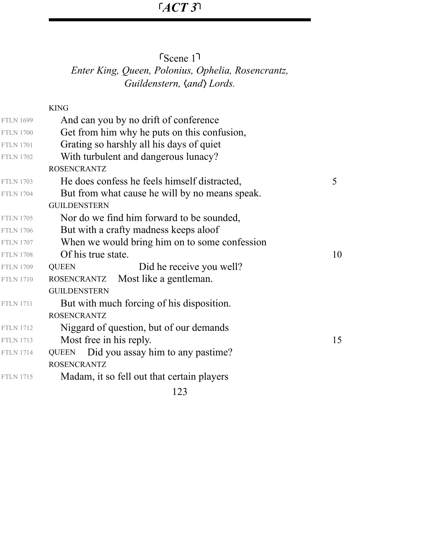# *ACT 3*

### *Enter King, Queen, Polonius, Ophelia, Rosencrantz,*  $G$ uildenstern,  $\langle$ and $\rangle$  Lords. Scene 1

|                  | <b>KING</b>                                    |    |
|------------------|------------------------------------------------|----|
| <b>FTLN 1699</b> | And can you by no drift of conference          |    |
| <b>FTLN 1700</b> | Get from him why he puts on this confusion,    |    |
| <b>FTLN 1701</b> | Grating so harshly all his days of quiet       |    |
| <b>FTLN 1702</b> | With turbulent and dangerous lunacy?           |    |
|                  | <b>ROSENCRANTZ</b>                             |    |
| <b>FTLN 1703</b> | He does confess he feels himself distracted,   | 5  |
| <b>FTLN 1704</b> | But from what cause he will by no means speak. |    |
|                  | <b>GUILDENSTERN</b>                            |    |
| <b>FTLN 1705</b> | Nor do we find him forward to be sounded,      |    |
| <b>FTLN 1706</b> | But with a crafty madness keeps aloof          |    |
| <b>FTLN 1707</b> | When we would bring him on to some confession  |    |
| <b>FTLN 1708</b> | Of his true state.                             | 10 |
| <b>FTLN 1709</b> | Did he receive you well?<br><b>QUEEN</b>       |    |
| <b>FTLN 1710</b> | ROSENCRANTZ Most like a gentleman.             |    |
|                  | <b>GUILDENSTERN</b>                            |    |
| <b>FTLN 1711</b> | But with much forcing of his disposition.      |    |
|                  | <b>ROSENCRANTZ</b>                             |    |
| <b>FTLN 1712</b> | Niggard of question, but of our demands        |    |
| <b>FTLN 1713</b> | Most free in his reply.                        | 15 |
| <b>FTLN 1714</b> | Did you assay him to any pastime?<br>QUEEN     |    |
|                  | <b>ROSENCRANTZ</b>                             |    |
| <b>FTLN 1715</b> | Madam, it so fell out that certain players     |    |
|                  |                                                |    |

123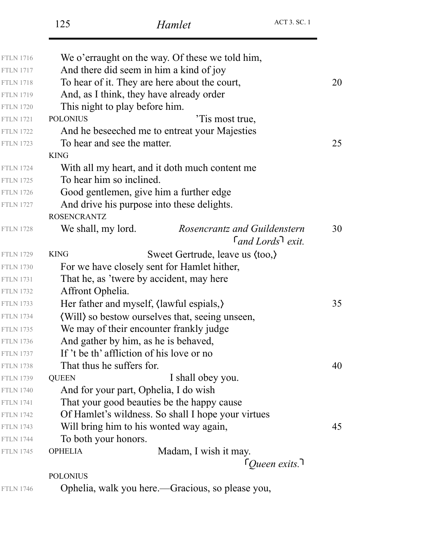| <b>FTLN 1716</b> | We o'erraught on the way. Of these we told him,         |    |
|------------------|---------------------------------------------------------|----|
| <b>FTLN 1717</b> | And there did seem in him a kind of joy                 |    |
| <b>FTLN 1718</b> | To hear of it. They are here about the court,           | 20 |
| <b>FTLN 1719</b> | And, as I think, they have already order                |    |
| <b>FTLN 1720</b> | This night to play before him.                          |    |
| <b>FTLN 1721</b> | <b>POLONIUS</b><br>Tis most true,                       |    |
| <b>FTLN 1722</b> | And he beseeched me to entreat your Majesties           |    |
| <b>FTLN 1723</b> | To hear and see the matter.                             | 25 |
|                  | <b>KING</b>                                             |    |
| <b>FTLN 1724</b> | With all my heart, and it doth much content me          |    |
| <b>FTLN 1725</b> | To hear him so inclined.                                |    |
| <b>FTLN 1726</b> | Good gentlemen, give him a further edge                 |    |
| <b>FTLN 1727</b> | And drive his purpose into these delights.              |    |
|                  | <b>ROSENCRANTZ</b>                                      |    |
| <b>FTLN 1728</b> | We shall, my lord.<br>Rosencrantz and Guildenstern      | 30 |
|                  | $\lceil$ and Lords <sup><math>\rceil</math></sup> exit. |    |
| <b>FTLN 1729</b> | <b>KING</b><br>Sweet Gertrude, leave us (too,)          |    |
| <b>FTLN 1730</b> | For we have closely sent for Hamlet hither,             |    |
| <b>FTLN 1731</b> | That he, as 'twere by accident, may here                |    |
| <b>FTLN 1732</b> | Affront Ophelia.                                        |    |
| <b>FTLN 1733</b> | Her father and myself, (lawful espials,)                | 35 |
| <b>FTLN 1734</b> | (Will) so bestow ourselves that, seeing unseen,         |    |
| <b>FTLN 1735</b> | We may of their encounter frankly judge                 |    |
| <b>FTLN 1736</b> | And gather by him, as he is behaved,                    |    |
| <b>FTLN 1737</b> | If 't be th' affliction of his love or no               |    |
| <b>FTLN 1738</b> | That thus he suffers for.                               | 40 |
| <b>FTLN 1739</b> | I shall obey you.<br><b>QUEEN</b>                       |    |
| <b>FTLN 1740</b> | And for your part, Ophelia, I do wish                   |    |
| <b>FTLN 1741</b> | That your good beauties be the happy cause              |    |
| <b>FTLN 1742</b> | Of Hamlet's wildness. So shall I hope your virtues      |    |
| <b>FTLN 1743</b> | Will bring him to his wonted way again,                 | 45 |
| <b>FTLN 1744</b> | To both your honors.                                    |    |
| <b>FTLN 1745</b> | Madam, I wish it may.<br><b>OPHELIA</b>                 |    |
|                  | $\lceil$ <i>Queen exits.</i> <sup>1</sup>               |    |
|                  | <b>POLONIUS</b>                                         |    |
|                  |                                                         |    |

FTLN 1746

Ophelia, walk you here.—Gracious, so please you,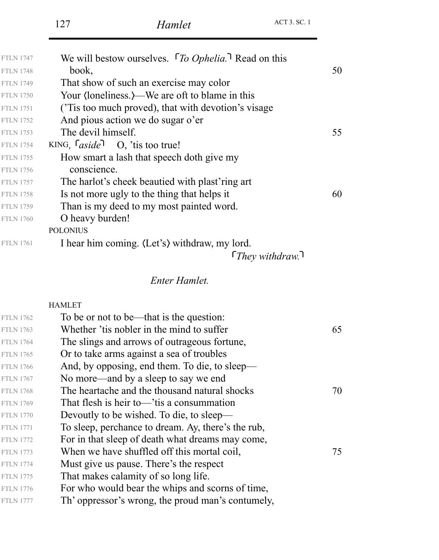| <b>FTLN 1747</b> | We will bestow ourselves. To Ophelia. Read on this    |    |
|------------------|-------------------------------------------------------|----|
| <b>FTLN 1748</b> | book,                                                 | 50 |
| <b>FTLN 1749</b> | That show of such an exercise may color               |    |
| <b>FTLN 1750</b> | Your (loneliness.)—We are oft to blame in this        |    |
| <b>FTLN 1751</b> | (T is too much proved), that with devotion's visage   |    |
| <b>FTLN 1752</b> | And pious action we do sugar o'er                     |    |
| <b>FTLN 1753</b> | The devil himself.                                    | 55 |
| <b>FTLN 1754</b> | KING, $\lceil \text{aside} \rceil$ O, 't is too true! |    |
| <b>FTLN 1755</b> | How smart a lash that speech doth give my             |    |
| <b>FTLN 1756</b> | conscience.                                           |    |
| <b>FTLN 1757</b> | The harlot's cheek beautied with plast'ring art       |    |
| <b>FTLN 1758</b> | Is not more ugly to the thing that helps it           | 60 |
| <b>FTLN 1759</b> | Than is my deed to my most painted word.              |    |
| <b>FTLN 1760</b> | O heavy burden!                                       |    |
|                  | <b>POLONIUS</b>                                       |    |
| <b>FTLN 1761</b> | I hear him coming. (Let's) withdraw, my lord.         |    |
|                  | $\int$ They withdraw.                                 |    |

### *Enter Hamlet.*

#### HAMLET

| <b>FTLN 1762</b> | To be or not to be—that is the question:           |    |
|------------------|----------------------------------------------------|----|
| <b>FTLN 1763</b> | Whether 'tis nobler in the mind to suffer          | 65 |
| <b>FTLN 1764</b> | The slings and arrows of outrageous fortune,       |    |
| <b>FTLN 1765</b> | Or to take arms against a sea of troubles          |    |
| <b>FTLN 1766</b> | And, by opposing, end them. To die, to sleep—      |    |
| <b>FTLN 1767</b> | No more—and by a sleep to say we end               |    |
| <b>FTLN 1768</b> | The heartache and the thousand natural shocks      | 70 |
| <b>FTLN 1769</b> | That flesh is heir to—'tis a consummation          |    |
| <b>FTLN 1770</b> | Devoutly to be wished. To die, to sleep—           |    |
| <b>FTLN 1771</b> | To sleep, perchance to dream. Ay, there's the rub, |    |
| <b>FTLN 1772</b> | For in that sleep of death what dreams may come,   |    |
| <b>FTLN 1773</b> | When we have shuffled off this mortal coil,        | 75 |
| <b>FTLN 1774</b> | Must give us pause. There's the respect            |    |
| <b>FTLN 1775</b> | That makes calamity of so long life.               |    |
| <b>FTLN 1776</b> | For who would bear the whips and scorns of time,   |    |
| <b>FTLN 1777</b> | Th' oppressor's wrong, the proud man's contumely,  |    |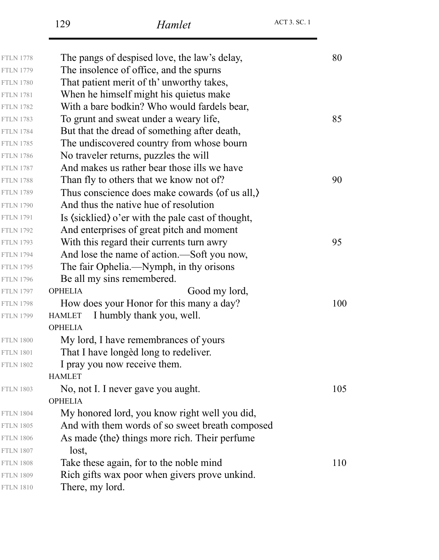|                  | 129<br>Hamlet                                     | <b>ACT 3. SC. 1</b> |
|------------------|---------------------------------------------------|---------------------|
| <b>FTLN 1778</b> | The pangs of despised love, the law's delay,      | 80                  |
| <b>FTLN 1779</b> | The insolence of office, and the spurns           |                     |
| <b>FTLN 1780</b> | That patient merit of th' unworthy takes,         |                     |
| <b>FTLN 1781</b> | When he himself might his quietus make            |                     |
| <b>FTLN 1782</b> | With a bare bodkin? Who would fardels bear,       |                     |
| <b>FTLN 1783</b> | To grunt and sweat under a weary life,            | 85                  |
| <b>FTLN 1784</b> | But that the dread of something after death,      |                     |
| <b>FTLN 1785</b> | The undiscovered country from whose bourn         |                     |
| <b>FTLN 1786</b> | No traveler returns, puzzles the will             |                     |
| <b>FTLN 1787</b> | And makes us rather bear those ills we have       |                     |
| <b>FTLN 1788</b> | Than fly to others that we know not of?           | 90                  |
| <b>FTLN 1789</b> | Thus conscience does make cowards (of us all.)    |                     |
| <b>FTLN 1790</b> | And thus the native hue of resolution             |                     |
| <b>FTLN 1791</b> | Is (sicklied) o'er with the pale cast of thought, |                     |
| <b>FTLN 1792</b> | And enterprises of great pitch and moment         |                     |
| <b>FTLN 1793</b> | With this regard their currents turn awry         | 95                  |
| <b>FTLN 1794</b> | And lose the name of action.—Soft you now,        |                     |
| <b>FTLN 1795</b> | The fair Ophelia.—Nymph, in thy orisons           |                     |
| <b>FTLN 1796</b> | Be all my sins remembered.                        |                     |
| <b>FTLN 1797</b> | Good my lord,<br><b>OPHELIA</b>                   |                     |
| <b>FTLN 1798</b> | How does your Honor for this many a day?          | 100                 |
| <b>FTLN 1799</b> | I humbly thank you, well.<br><b>HAMLET</b>        |                     |
|                  | <b>OPHELIA</b>                                    |                     |
| <b>FTLN 1800</b> | My lord, I have remembrances of yours             |                     |
| <b>FTLN 1801</b> | That I have longed long to redeliver.             |                     |
| <b>FTLN 1802</b> | I pray you now receive them.                      |                     |
|                  | <b>HAMLET</b>                                     |                     |
| <b>FTLN 1803</b> | No, not I. I never gave you aught.                | 105                 |
|                  | <b>OPHELIA</b>                                    |                     |
| <b>FTLN 1804</b> | My honored lord, you know right well you did,     |                     |
| <b>FTLN 1805</b> | And with them words of so sweet breath composed   |                     |
| <b>FTLN 1806</b> | As made (the) things more rich. Their perfume     |                     |
| <b>FTLN 1807</b> | lost,                                             |                     |
| <b>FTLN 1808</b> | Take these again, for to the noble mind           | 110                 |
| <b>FTLN 1809</b> | Rich gifts wax poor when givers prove unkind.     |                     |
| <b>FTLN 1810</b> | There, my lord.                                   |                     |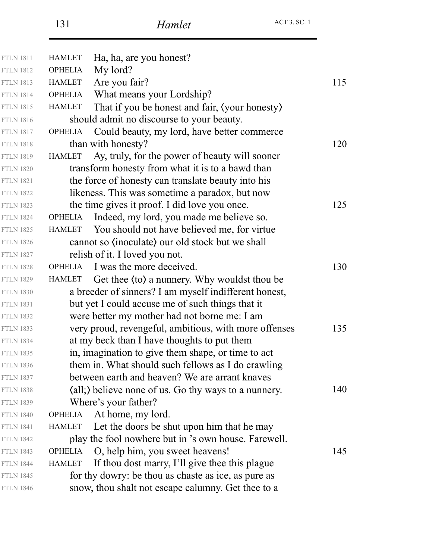| <b>FTLN 1811</b> | Ha, ha, are you honest?<br><b>HAMLET</b>                                        |     |
|------------------|---------------------------------------------------------------------------------|-----|
| <b>FTLN 1812</b> | My lord?<br><b>OPHELIA</b>                                                      |     |
| <b>FTLN 1813</b> | Are you fair?<br><b>HAMLET</b>                                                  | 115 |
| <b>FTLN 1814</b> | What means your Lordship?<br><b>OPHELIA</b>                                     |     |
| <b>FTLN 1815</b> | <b>HAMLET</b><br>That if you be honest and fair, (your honesty)                 |     |
| <b>FTLN 1816</b> | should admit no discourse to your beauty.                                       |     |
| <b>FTLN 1817</b> | Could beauty, my lord, have better commerce<br><b>OPHELIA</b>                   |     |
| <b>FTLN 1818</b> | than with honesty?                                                              | 120 |
| <b>FTLN 1819</b> | Ay, truly, for the power of beauty will sooner<br><b>HAMLET</b>                 |     |
| <b>FTLN 1820</b> | transform honesty from what it is to a bawd than                                |     |
| <b>FTLN 1821</b> | the force of honesty can translate beauty into his                              |     |
| <b>FTLN 1822</b> | likeness. This was sometime a paradox, but now                                  |     |
| <b>FTLN 1823</b> | the time gives it proof. I did love you once.                                   | 125 |
| <b>FTLN 1824</b> | Indeed, my lord, you made me believe so.<br><b>OPHELIA</b>                      |     |
| <b>FTLN 1825</b> | You should not have believed me, for virtue<br><b>HAMLET</b>                    |     |
| <b>FTLN 1826</b> | cannot so (inoculate) our old stock but we shall                                |     |
| <b>FTLN 1827</b> | relish of it. I loved you not.                                                  |     |
| <b>FTLN 1828</b> | I was the more deceived.<br><b>OPHELIA</b>                                      | 130 |
| <b>FTLN 1829</b> | Get thee $\langle$ to $\rangle$ a nunnery. Why wouldst thou be<br><b>HAMLET</b> |     |
| <b>FTLN 1830</b> | a breeder of sinners? I am myself indifferent honest,                           |     |
| <b>FTLN 1831</b> | but yet I could accuse me of such things that it                                |     |
| <b>FTLN 1832</b> | were better my mother had not borne me: I am                                    |     |
| <b>FTLN 1833</b> | very proud, revengeful, ambitious, with more offenses                           | 135 |
| <b>FTLN 1834</b> | at my beck than I have thoughts to put them                                     |     |
| <b>FTLN 1835</b> | in, imagination to give them shape, or time to act                              |     |
| <b>FTLN 1836</b> | them in. What should such fellows as I do crawling                              |     |
| <b>FTLN 1837</b> | between earth and heaven? We are arrant knaves                                  |     |
| <b>FTLN 1838</b> | (all;) believe none of us. Go thy ways to a nunnery.                            | 140 |
| <b>FTLN 1839</b> | Where's your father?                                                            |     |
| <b>FTLN 1840</b> | At home, my lord.<br><b>OPHELIA</b>                                             |     |
| <b>FTLN 1841</b> | Let the doors be shut upon him that he may<br>HAMLET                            |     |
| <b>FTLN 1842</b> | play the fool nowhere but in 's own house. Farewell.                            |     |
| <b>FTLN 1843</b> | O, help him, you sweet heavens!<br><b>OPHELIA</b>                               | 145 |
| <b>FTLN 1844</b> | If thou dost marry, I'll give thee this plague<br><b>HAMLET</b>                 |     |
| <b>FTLN 1845</b> | for thy dowry: be thou as chaste as ice, as pure as                             |     |
| <b>FTLN 1846</b> | snow, thou shalt not escape calumny. Get thee to a                              |     |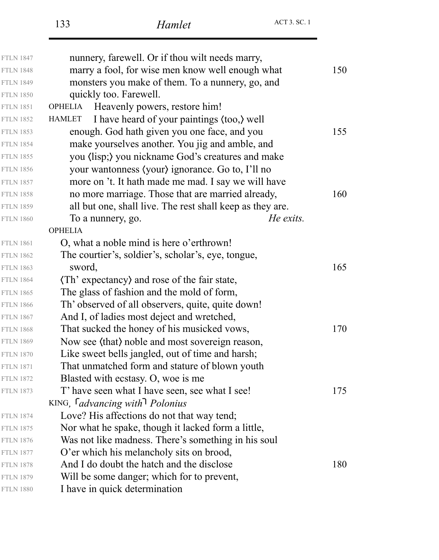| <b>FTLN 1847</b> | nunnery, farewell. Or if thou wilt needs marry,             |     |
|------------------|-------------------------------------------------------------|-----|
| <b>FTLN 1848</b> | marry a fool, for wise men know well enough what            | 150 |
| <b>FTLN 1849</b> | monsters you make of them. To a nunnery, go, and            |     |
| <b>FTLN 1850</b> | quickly too. Farewell.                                      |     |
| <b>FTLN 1851</b> | <b>OPHELIA</b><br>Heavenly powers, restore him!             |     |
| <b>FTLN 1852</b> | I have heard of your paintings (too.) well<br><b>HAMLET</b> |     |
| <b>FTLN 1853</b> | enough. God hath given you one face, and you                | 155 |
| <b>FTLN 1854</b> | make yourselves another. You jig and amble, and             |     |
| <b>FTLN 1855</b> | you (lisp;) you nickname God's creatures and make           |     |
| <b>FTLN 1856</b> | your wantonness (your) ignorance. Go to, I'll no            |     |
| <b>FTLN 1857</b> | more on 't. It hath made me mad. I say we will have         |     |
| <b>FTLN 1858</b> | no more marriage. Those that are married already,           | 160 |
| <b>FTLN 1859</b> | all but one, shall live. The rest shall keep as they are.   |     |
| <b>FTLN 1860</b> | To a nunnery, go.<br>He exits.                              |     |
|                  | <b>OPHELIA</b>                                              |     |
| <b>FTLN 1861</b> | O, what a noble mind is here o'erthrown!                    |     |
| <b>FTLN 1862</b> | The courtier's, soldier's, scholar's, eye, tongue,          |     |
| <b>FTLN 1863</b> | sword,                                                      | 165 |
| <b>FTLN 1864</b> | (Th' expectancy) and rose of the fair state,                |     |
| <b>FTLN 1865</b> | The glass of fashion and the mold of form,                  |     |
| <b>FTLN 1866</b> | Th' observed of all observers, quite, quite down!           |     |
| <b>FTLN 1867</b> | And I, of ladies most deject and wretched,                  |     |
| <b>FTLN 1868</b> | That sucked the honey of his musicked vows,                 | 170 |
| <b>FTLN 1869</b> | Now see (that) noble and most sovereign reason,             |     |
| <b>FTLN 1870</b> | Like sweet bells jangled, out of time and harsh;            |     |
| <b>FTLN 1871</b> | That unmatched form and stature of blown youth              |     |
| <b>FTLN 1872</b> | Blasted with ecstasy. O, woe is me                          |     |
| <b>FTLN 1873</b> | T' have seen what I have seen, see what I see!              | 175 |
|                  | KING, $\lceil$ advancing with $\lceil$ Polonius             |     |
| <b>FTLN 1874</b> | Love? His affections do not that way tend;                  |     |
| <b>FTLN 1875</b> | Nor what he spake, though it lacked form a little,          |     |
| <b>FTLN 1876</b> | Was not like madness. There's something in his soul         |     |
| <b>FTLN 1877</b> | O'er which his melancholy sits on brood,                    |     |
| <b>FTLN 1878</b> | And I do doubt the hatch and the disclose                   | 180 |
| <b>FTLN 1879</b> | Will be some danger; which for to prevent,                  |     |
| <b>FTLN 1880</b> | I have in quick determination                               |     |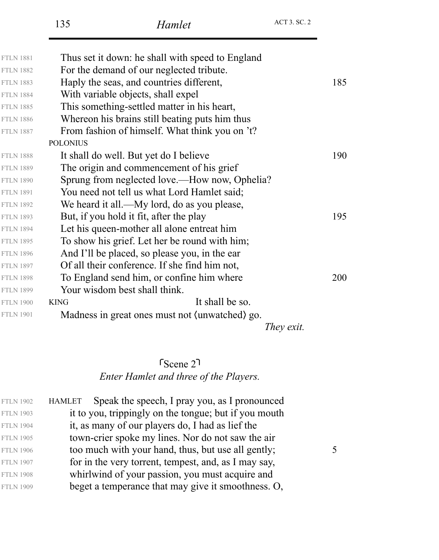| <b>FTLN 1881</b> | Thus set it down: he shall with speed to England |     |
|------------------|--------------------------------------------------|-----|
| <b>FTLN 1882</b> | For the demand of our neglected tribute.         |     |
| <b>FTLN 1883</b> | Haply the seas, and countries different,         | 185 |
| <b>FTLN 1884</b> | With variable objects, shall expel               |     |
| <b>FTLN 1885</b> | This something-settled matter in his heart,      |     |
| <b>FTLN 1886</b> | Whereon his brains still beating puts him thus   |     |
| <b>FTLN 1887</b> | From fashion of himself. What think you on 't?   |     |
|                  | <b>POLONIUS</b>                                  |     |
| <b>FTLN 1888</b> | It shall do well. But yet do I believe           | 190 |
| <b>FTLN 1889</b> | The origin and commencement of his grief         |     |
| <b>FTLN 1890</b> | Sprung from neglected love.—How now, Ophelia?    |     |
| <b>FTLN 1891</b> | You need not tell us what Lord Hamlet said;      |     |
| <b>FTLN 1892</b> | We heard it all.—My lord, do as you please,      |     |
| <b>FTLN 1893</b> | But, if you hold it fit, after the play          | 195 |
| <b>FTLN 1894</b> | Let his queen-mother all alone entreat him       |     |
| <b>FTLN 1895</b> | To show his grief. Let her be round with him;    |     |
| <b>FTLN 1896</b> | And I'll be placed, so please you, in the ear    |     |
| <b>FTLN 1897</b> | Of all their conference. If she find him not,    |     |
| <b>FTLN 1898</b> | To England send him, or confine him where        | 200 |
| <b>FTLN 1899</b> | Your wisdom best shall think.                    |     |
| <b>FTLN 1900</b> | It shall be so.<br><b>KING</b>                   |     |
| <b>FTLN 1901</b> | Madness in great ones must not (unwatched) go.   |     |
|                  | They exit.                                       |     |
|                  |                                                  |     |

## *Enter Hamlet and three of the Players.*  $s$ Cene 2<sup>1</sup>

| <b>FTLN 1902</b> | Speak the speech, I pray you, as I pronounced<br><b>HAMLET</b> |  |
|------------------|----------------------------------------------------------------|--|
| <b>FTLN 1903</b> | it to you, trippingly on the tongue; but if you mouth          |  |
| <b>FTLN 1904</b> | it, as many of our players do, I had as lief the               |  |
| <b>FTLN 1905</b> | town-crier spoke my lines. Nor do not saw the air              |  |
| <b>FTLN 1906</b> | too much with your hand, thus, but use all gently;             |  |
| <b>FTLN 1907</b> | for in the very torrent, tempest, and, as I may say,           |  |
| <b>FTLN 1908</b> | whirlwind of your passion, you must acquire and                |  |
| <b>FTLN 1909</b> | beget a temperance that may give it smoothness. O,             |  |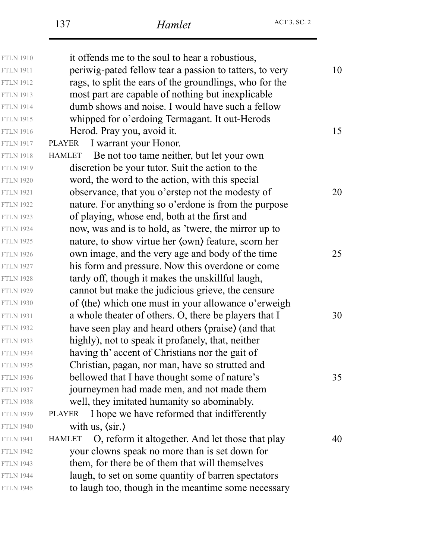| <b>FTLN 1910</b> | it offends me to the soul to hear a robustious,                   |    |
|------------------|-------------------------------------------------------------------|----|
| <b>FTLN 1911</b> | periwig-pated fellow tear a passion to tatters, to very           | 10 |
| <b>FTLN 1912</b> | rags, to split the ears of the groundlings, who for the           |    |
| <b>FTLN 1913</b> | most part are capable of nothing but inexplicable                 |    |
| <b>FTLN 1914</b> | dumb shows and noise. I would have such a fellow                  |    |
| <b>FTLN 1915</b> | whipped for o'erdoing Termagant. It out-Herods                    |    |
| <b>FTLN 1916</b> | Herod. Pray you, avoid it.                                        | 15 |
| <b>FTLN 1917</b> | I warrant your Honor.<br><b>PLAYER</b>                            |    |
| <b>FTLN 1918</b> | Be not too tame neither, but let your own<br><b>HAMLET</b>        |    |
| <b>FTLN 1919</b> | discretion be your tutor. Suit the action to the                  |    |
| <b>FTLN 1920</b> | word, the word to the action, with this special                   |    |
| <b>FTLN 1921</b> | observance, that you o'erstep not the modesty of                  | 20 |
| <b>FTLN 1922</b> | nature. For anything so o'erdone is from the purpose              |    |
| <b>FTLN 1923</b> | of playing, whose end, both at the first and                      |    |
| <b>FTLN 1924</b> | now, was and is to hold, as 'twere, the mirror up to              |    |
| <b>FTLN 1925</b> | nature, to show virtue her (own) feature, scorn her               |    |
| <b>FTLN 1926</b> | own image, and the very age and body of the time                  | 25 |
| <b>FTLN 1927</b> | his form and pressure. Now this overdone or come                  |    |
| <b>FTLN 1928</b> | tardy off, though it makes the unskillful laugh,                  |    |
| <b>FTLN 1929</b> | cannot but make the judicious grieve, the censure                 |    |
| <b>FTLN 1930</b> | of (the) which one must in your allowance o'erweigh               |    |
| <b>FTLN 1931</b> | a whole theater of others. O, there be players that I             | 30 |
| <b>FTLN 1932</b> | have seen play and heard others (praise) (and that                |    |
| <b>FTLN 1933</b> | highly), not to speak it profanely, that, neither                 |    |
| <b>FTLN 1934</b> | having th' accent of Christians nor the gait of                   |    |
| <b>FTLN 1935</b> | Christian, pagan, nor man, have so strutted and                   |    |
| <b>FTLN 1936</b> | bellowed that I have thought some of nature's                     | 35 |
| <b>FTLN 1937</b> | journeymen had made men, and not made them                        |    |
| <b>FTLN 1938</b> | well, they imitated humanity so abominably.                       |    |
| <b>FTLN 1939</b> | I hope we have reformed that indifferently<br>PLAYER              |    |
| <b>FTLN 1940</b> | with us, $\langle \sin \rangle$                                   |    |
| <b>FTLN 1941</b> | O, reform it altogether. And let those that play<br><b>HAMLET</b> | 40 |
| <b>FTLN 1942</b> | your clowns speak no more than is set down for                    |    |
| <b>FTLN 1943</b> | them, for there be of them that will themselves                   |    |
| <b>FTLN 1944</b> | laugh, to set on some quantity of barren spectators               |    |
| <b>FTLN 1945</b> | to laugh too, though in the meantime some necessary               |    |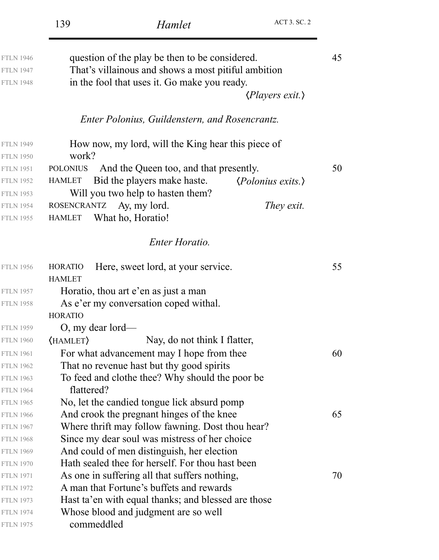|                  | ACT 3. SC. 2<br>139<br>Hamlet                                                        |    |
|------------------|--------------------------------------------------------------------------------------|----|
| <b>FTLN 1946</b> | question of the play be then to be considered.                                       | 45 |
| <b>FTLN 1947</b> | That's villainous and shows a most pitiful ambition                                  |    |
| <b>FTLN 1948</b> | in the fool that uses it. Go make you ready.                                         |    |
|                  | $\langle$ <i>Players exit.</i> $\rangle$                                             |    |
|                  | Enter Polonius, Guildenstern, and Rosencrantz.                                       |    |
| <b>FTLN 1949</b> | How now, my lord, will the King hear this piece of                                   |    |
| <b>FTLN 1950</b> | work?                                                                                |    |
| <b>FTLN 1951</b> | And the Queen too, and that presently.<br><b>POLONIUS</b>                            | 50 |
| <b>FTLN 1952</b> | Bid the players make haste.<br><b>HAMLET</b><br>$\langle Polonius \; exists.\rangle$ |    |
| <b>FTLN 1953</b> | Will you two help to hasten them?                                                    |    |
| <b>FTLN 1954</b> | ROSENCRANTZ Ay, my lord.<br>They exit.                                               |    |
| <b>FTLN 1955</b> | What ho, Horatio!<br>HAMLET                                                          |    |
|                  | Enter Horatio.                                                                       |    |
| <b>FTLN 1956</b> | Here, sweet lord, at your service.<br><b>HORATIO</b>                                 | 55 |
|                  | <b>HAMLET</b>                                                                        |    |
| <b>FTLN 1957</b> | Horatio, thou art e'en as just a man                                                 |    |
| <b>FTLN 1958</b> | As e'er my conversation coped withal.<br><b>HORATIO</b>                              |    |
|                  |                                                                                      |    |
| <b>FTLN 1959</b> | $O$ , my dear lord—                                                                  |    |
| <b>FTLN 1960</b> | Nay, do not think I flatter,<br>(HAMLET)                                             |    |
| <b>FTLN 1961</b> | For what advancement may I hope from thee                                            | 60 |
| <b>FTLN 1962</b> | That no revenue hast but thy good spirits                                            |    |
| <b>FTLN 1963</b> | To feed and clothe thee? Why should the poor be                                      |    |
| <b>FTLN 1964</b> | flattered?                                                                           |    |
| <b>FTLN 1965</b> | No, let the candied tongue lick absurd pomp                                          |    |
| <b>FTLN 1966</b> | And crook the pregnant hinges of the knee                                            | 65 |
| <b>FTLN 1967</b> | Where thrift may follow fawning. Dost thou hear?                                     |    |
| <b>FTLN 1968</b> | Since my dear soul was mistress of her choice                                        |    |
| <b>FTLN 1969</b> | And could of men distinguish, her election                                           |    |
| <b>FTLN 1970</b> | Hath sealed thee for herself. For thou hast been                                     |    |
| <b>FTLN 1971</b> | As one in suffering all that suffers nothing,                                        | 70 |
| <b>FTLN 1972</b> | A man that Fortune's buffets and rewards                                             |    |
| <b>FTLN 1973</b> | Hast ta'en with equal thanks; and blessed are those                                  |    |
| <b>FTLN 1974</b> | Whose blood and judgment are so well                                                 |    |
| <b>FTLN 1975</b> | commeddled                                                                           |    |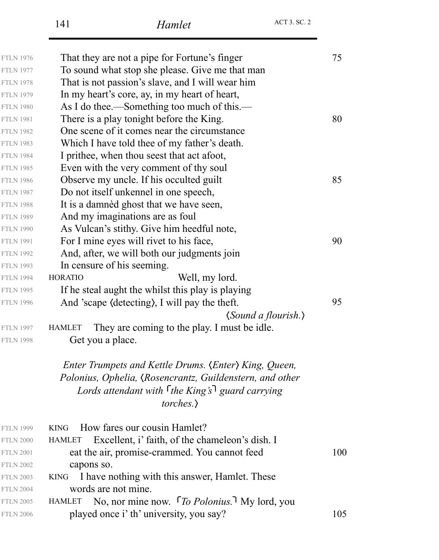| <b>FTLN 1976</b> | That they are not a pipe for Fortune's finger                             | 75  |
|------------------|---------------------------------------------------------------------------|-----|
| <b>FTLN 1977</b> | To sound what stop she please. Give me that man                           |     |
| <b>FTLN 1978</b> | That is not passion's slave, and I will wear him                          |     |
| <b>FTLN 1979</b> | In my heart's core, ay, in my heart of heart,                             |     |
| <b>FTLN 1980</b> | As I do thee.—Something too much of this.—                                |     |
| <b>FTLN 1981</b> | There is a play tonight before the King.                                  | 80  |
| <b>FTLN 1982</b> | One scene of it comes near the circumstance                               |     |
| <b>FTLN 1983</b> | Which I have told thee of my father's death.                              |     |
| <b>FTLN 1984</b> | I prithee, when thou seest that act afoot,                                |     |
| <b>FTLN 1985</b> | Even with the very comment of thy soul                                    |     |
| <b>FTLN 1986</b> | Observe my uncle. If his occulted guilt                                   | 85  |
| <b>FTLN 1987</b> | Do not itself unkennel in one speech,                                     |     |
| <b>FTLN 1988</b> | It is a damned ghost that we have seen,                                   |     |
| <b>FTLN 1989</b> | And my imaginations are as foul                                           |     |
| <b>FTLN 1990</b> | As Vulcan's stithy. Give him heedful note,                                |     |
| <b>FTLN 1991</b> | For I mine eyes will rivet to his face,                                   | 90  |
| <b>FTLN 1992</b> | And, after, we will both our judgments join                               |     |
| <b>FTLN 1993</b> | In censure of his seeming.                                                |     |
| <b>FTLN 1994</b> | Well, my lord.<br><b>HORATIO</b>                                          |     |
| <b>FTLN 1995</b> | If he steal aught the whilst this play is playing                         |     |
| <b>FTLN 1996</b> | And 'scape (detecting), I will pay the theft.                             | 95  |
|                  | <i>(Sound a flourish.)</i>                                                |     |
| <b>FTLN 1997</b> | They are coming to the play. I must be idle.<br><b>HAMLET</b>             |     |
| <b>FTLN 1998</b> | Get you a place.                                                          |     |
|                  | Enter Trumpets and Kettle Drums. (Enter) King, Queen,                     |     |
|                  | Polonius, Ophelia, <i>(Rosencrantz, Guildenstern, and other</i>           |     |
|                  | Lords attendant with $\lceil$ the King's guard carrying                   |     |
|                  | <i>torches.</i>                                                           |     |
| <b>FTLN 1999</b> | How fares our cousin Hamlet?<br><b>KING</b>                               |     |
| <b>FTLN 2000</b> | Excellent, i' faith, of the chameleon's dish. I<br><b>HAMLET</b>          |     |
| <b>FTLN 2001</b> | eat the air, promise-crammed. You cannot feed                             | 100 |
| <b>FTLN 2002</b> | capons so.                                                                |     |
| <b>FTLN 2003</b> | I have nothing with this answer, Hamlet. These<br><b>KING</b>             |     |
| <b>FTLN 2004</b> | words are not mine.                                                       |     |
| <b>FTLN 2005</b> | No, nor mine now. To Polonius. <sup>1</sup> My lord, you<br><b>HAMLET</b> |     |
| <b>FTLN 2006</b> | played once i' th' university, you say?                                   | 105 |
|                  |                                                                           |     |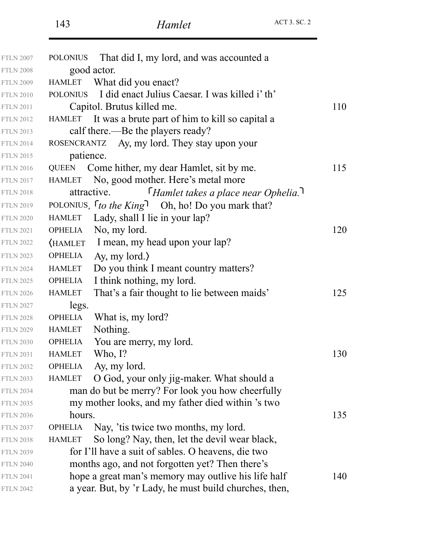| <b>FTLN 2007</b> | That did I, my lord, and was accounted a<br><b>POLONIUS</b>       |     |
|------------------|-------------------------------------------------------------------|-----|
| <b>FTLN 2008</b> | good actor.                                                       |     |
| <b>FTLN 2009</b> | HAMLET What did you enact?                                        |     |
| <b>FTLN 2010</b> | I did enact Julius Caesar. I was killed i' th'<br><b>POLONIUS</b> |     |
| <b>FTLN 2011</b> | Capitol. Brutus killed me.                                        | 110 |
| <b>FTLN 2012</b> | HAMLET It was a brute part of him to kill so capital a            |     |
| <b>FTLN 2013</b> | calf there.—Be the players ready?                                 |     |
| <b>FTLN 2014</b> | ROSENCRANTZ Ay, my lord. They stay upon your                      |     |
| <b>FTLN 2015</b> | patience.                                                         |     |
| <b>FTLN 2016</b> | Come hither, my dear Hamlet, sit by me.<br><b>QUEEN</b>           | 115 |
| <b>FTLN 2017</b> | No, good mother. Here's metal more<br>HAMLET                      |     |
| <b>FTLN 2018</b> | <i>Hamlet takes a place near Ophelia.</i><br>attractive.          |     |
| <b>FTLN 2019</b> | POLONIUS, <i>I to the King</i> 1 Oh, ho! Do you mark that?        |     |
| <b>FTLN 2020</b> | Lady, shall I lie in your lap?<br><b>HAMLET</b>                   |     |
| <b>FTLN 2021</b> | No, my lord.<br><b>OPHELIA</b>                                    | 120 |
| <b>FTLN 2022</b> | (HAMLET I mean, my head upon your lap?                            |     |
| <b>FTLN 2023</b> | <b>OPHELIA</b><br>Ay, my lord. $\rangle$                          |     |
| <b>FTLN 2024</b> | Do you think I meant country matters?<br><b>HAMLET</b>            |     |
| <b>FTLN 2025</b> | I think nothing, my lord.<br><b>OPHELIA</b>                       |     |
| <b>FTLN 2026</b> | That's a fair thought to lie between maids'<br><b>HAMLET</b>      | 125 |
| <b>FTLN 2027</b> | legs.                                                             |     |
| <b>FTLN 2028</b> | What is, my lord?<br><b>OPHELIA</b>                               |     |
| <b>FTLN 2029</b> | Nothing.<br><b>HAMLET</b>                                         |     |
| <b>FTLN 2030</b> | You are merry, my lord.<br><b>OPHELIA</b>                         |     |
| <b>FTLN 2031</b> | Who, $I$ ?<br><b>HAMLET</b>                                       | 130 |
| <b>FTLN 2032</b> | Ay, my lord.<br><b>OPHELIA</b>                                    |     |
| <b>FTLN 2033</b> | O God, your only jig-maker. What should a<br><b>HAMLET</b>        |     |
| <b>FTLN 2034</b> | man do but be merry? For look you how cheerfully                  |     |
| <b>FTLN 2035</b> | my mother looks, and my father died within 's two                 |     |
| <b>FTLN 2036</b> | hours.                                                            | 135 |
| <b>FTLN 2037</b> | Nay, 'tis twice two months, my lord.<br><b>OPHELIA</b>            |     |
| <b>FTLN 2038</b> | So long? Nay, then, let the devil wear black,<br><b>HAMLET</b>    |     |
| <b>FTLN 2039</b> | for I'll have a suit of sables. O heavens, die two                |     |
| <b>FTLN 2040</b> | months ago, and not forgotten yet? Then there's                   |     |
| <b>FTLN 2041</b> | hope a great man's memory may outlive his life half               | 140 |
| <b>FTLN 2042</b> | a year. But, by 'r Lady, he must build churches, then,            |     |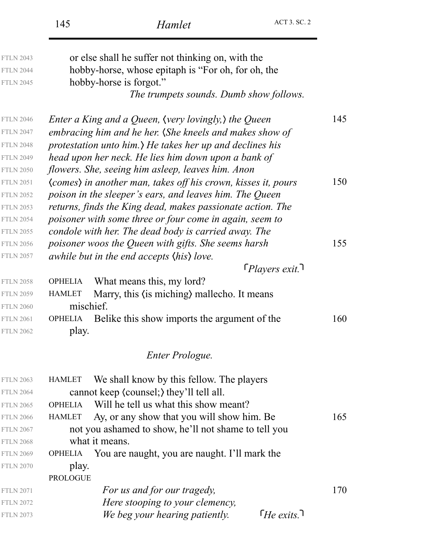| <b>FTLN 2043</b> | or else shall he suffer not thinking on, with the                                                               |     |  |
|------------------|-----------------------------------------------------------------------------------------------------------------|-----|--|
| <b>FTLN 2044</b> | hobby-horse, whose epitaph is "For oh, for oh, the                                                              |     |  |
| <b>FTLN 2045</b> | hobby-horse is forgot."                                                                                         |     |  |
|                  | The trumpets sounds. Dumb show follows.                                                                         |     |  |
| <b>FTLN 2046</b> |                                                                                                                 | 145 |  |
| <b>FTLN 2047</b> | Enter a King and a Queen, (very lovingly,) the Queen                                                            |     |  |
| <b>FTLN 2048</b> | embracing him and he her. (She kneels and makes show of                                                         |     |  |
| <b>FTLN 2049</b> | protestation unto him.) He takes her up and declines his<br>head upon her neck. He lies him down upon a bank of |     |  |
| <b>FTLN 2050</b> | flowers. She, seeing him asleep, leaves him. Anon                                                               |     |  |
| <b>FTLN 2051</b> | (comes) in another man, takes off his crown, kisses it, pours                                                   | 150 |  |
| <b>FTLN 2052</b> | poison in the sleeper's ears, and leaves him. The Queen                                                         |     |  |
| <b>FTLN 2053</b> | returns, finds the King dead, makes passionate action. The                                                      |     |  |
| <b>FTLN 2054</b> | poisoner with some three or four come in again, seem to                                                         |     |  |
| <b>FTLN 2055</b> | condole with her. The dead body is carried away. The                                                            |     |  |
| <b>FTLN 2056</b> | poisoner woos the Queen with gifts. She seems harsh                                                             | 155 |  |
| <b>FTLN 2057</b> | awhile but in the end accepts (his) love.                                                                       |     |  |
|                  | [Players exit.]                                                                                                 |     |  |
| <b>FTLN 2058</b> | What means this, my lord?<br><b>OPHELIA</b>                                                                     |     |  |
| <b>FTLN 2059</b> | <b>HAMLET</b><br>Marry, this (is miching) mallecho. It means                                                    |     |  |
| <b>FTLN 2060</b> | mischief.                                                                                                       |     |  |
| <b>FTLN 2061</b> | Belike this show imports the argument of the<br><b>OPHELIA</b>                                                  | 160 |  |
| <b>FTLN 2062</b> | play.                                                                                                           |     |  |
|                  |                                                                                                                 |     |  |
|                  | Enter Prologue.                                                                                                 |     |  |
| <b>FTLN 2063</b> | We shall know by this fellow. The players<br><b>HAMLET</b>                                                      |     |  |
| <b>FTLN 2064</b> | cannot keep (counsel;) they'll tell all.                                                                        |     |  |
| <b>FTLN 2065</b> | Will he tell us what this show meant?<br><b>OPHELIA</b>                                                         |     |  |
| <b>FTLN 2066</b> | Ay, or any show that you will show him. Be<br><b>HAMLET</b>                                                     | 165 |  |
| <b>FTLN 2067</b> | not you ashamed to show, he'll not shame to tell you                                                            |     |  |
| <b>FTLN 2068</b> | what it means.                                                                                                  |     |  |
| <b>FTLN 2069</b> | You are naught, you are naught. I'll mark the<br><b>OPHELIA</b>                                                 |     |  |
| <b>FTLN 2070</b> | play.                                                                                                           |     |  |
|                  | <b>PROLOGUE</b>                                                                                                 |     |  |
| <b>FTLN 2071</b> | For us and for our tragedy,                                                                                     | 170 |  |
| <b>FTLN 2072</b> | Here stooping to your clemency,                                                                                 |     |  |
| <b>FTLN 2073</b> | $\lceil$ He exits. $\lceil$<br>We beg your hearing patiently.                                                   |     |  |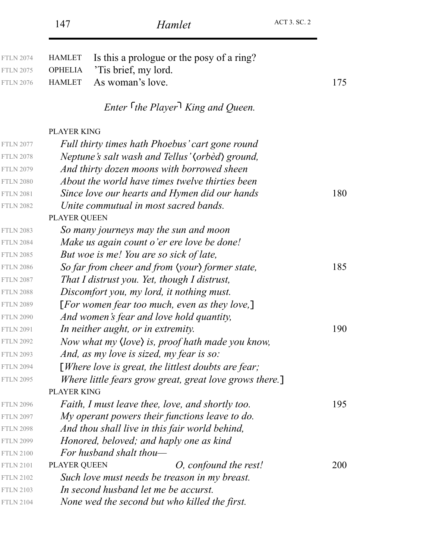| <b>FTLN 2074</b><br><b>FTLN 2075</b> | Is this a prologue or the posy of a ring?<br><b>HAMLET</b><br>Tis brief, my lord.<br><b>OPHELIA</b> |     |
|--------------------------------------|-----------------------------------------------------------------------------------------------------|-----|
| <b>FTLN 2076</b>                     | As woman's love.<br><b>HAMLET</b>                                                                   | 175 |
|                                      | Enter <sup>T</sup> the Player <sup>1</sup> King and Queen.                                          |     |
|                                      | <b>PLAYER KING</b>                                                                                  |     |
| <b>FTLN 2077</b>                     | Full thirty times hath Phoebus' cart gone round                                                     |     |
| <b>FTLN 2078</b>                     | Neptune's salt wash and Tellus' (orbed) ground,                                                     |     |
| <b>FTLN 2079</b>                     | And thirty dozen moons with borrowed sheen                                                          |     |
| <b>FTLN 2080</b>                     | About the world have times twelve thirties been                                                     |     |
| <b>FTLN 2081</b>                     | Since love our hearts and Hymen did our hands                                                       | 180 |
| <b>FTLN 2082</b>                     | Unite commutual in most sacred bands.                                                               |     |
|                                      | PLAYER QUEEN                                                                                        |     |
| <b>FTLN 2083</b>                     | So many journeys may the sun and moon                                                               |     |
| <b>FTLN 2084</b>                     | Make us again count o'er ere love be done!                                                          |     |
| <b>FTLN 2085</b>                     | But woe is me! You are so sick of late,                                                             |     |
| <b>FTLN 2086</b>                     | So far from cheer and from (your) former state,                                                     | 185 |
| <b>FTLN 2087</b>                     | That I distrust you. Yet, though I distrust,                                                        |     |
| <b>FTLN 2088</b>                     | Discomfort you, my lord, it nothing must.                                                           |     |
| <b>FTLN 2089</b>                     | [For women fear too much, even as they love,]                                                       |     |
| <b>FTLN 2090</b>                     | And women's fear and love hold quantity,                                                            |     |
| <b>FTLN 2091</b>                     | In neither aught, or in extremity.                                                                  | 190 |
| <b>FTLN 2092</b>                     | Now what my (love) is, proof hath made you know,                                                    |     |
| <b>FTLN 2093</b>                     | And, as my love is sized, my fear is so:                                                            |     |
| <b>FTLN 2094</b>                     | $[Where love is great, the little st doubts are fear;$                                              |     |
| <b>FTLN 2095</b>                     | Where little fears grow great, great love grows there.]                                             |     |
|                                      | <b>PLAYER KING</b>                                                                                  |     |
| <b>FTLN 2096</b>                     | Faith, I must leave thee, love, and shortly too.                                                    | 195 |
| <b>FTLN 2097</b>                     | My operant powers their functions leave to do.                                                      |     |
| <b>FTLN 2098</b>                     | And thou shall live in this fair world behind,                                                      |     |
| <b>FTLN 2099</b>                     | Honored, beloved; and haply one as kind                                                             |     |
| <b>FTLN 2100</b>                     | For husband shalt thou—                                                                             |     |
| <b>FTLN 2101</b>                     | O, confound the rest!<br>PLAYER QUEEN                                                               | 200 |
| <b>FTLN 2102</b>                     | Such love must needs be treason in my breast.                                                       |     |
| <b>FTLN 2103</b>                     | In second husband let me be accurst.                                                                |     |
| <b>FTLN 2104</b>                     | None wed the second but who killed the first.                                                       |     |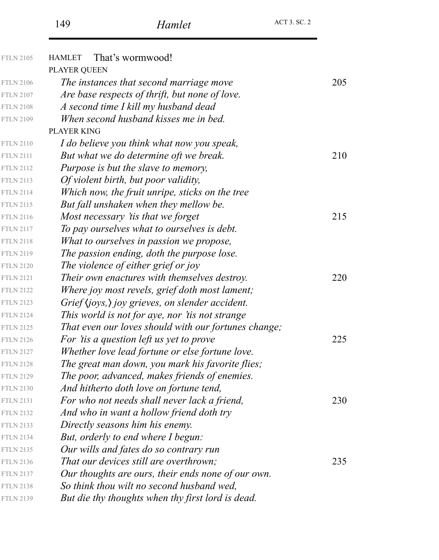| <b>FTLN 2105</b> | That's wormwood!<br><b>HAMLET</b>                               |     |
|------------------|-----------------------------------------------------------------|-----|
|                  | PLAYER QUEEN                                                    |     |
| <b>FTLN 2106</b> | The instances that second marriage move                         | 205 |
| <b>FTLN 2107</b> | Are base respects of thrift, but none of love.                  |     |
| <b>FTLN 2108</b> | A second time I kill my husband dead                            |     |
| <b>FTLN 2109</b> | When second husband kisses me in bed.                           |     |
|                  | PLAYER KING                                                     |     |
| <b>FTLN 2110</b> | I do believe you think what now you speak,                      |     |
| <b>FTLN 2111</b> | But what we do determine oft we break.                          | 210 |
| <b>FTLN 2112</b> | Purpose is but the slave to memory,                             |     |
| <b>FTLN 2113</b> | Of violent birth, but poor validity,                            |     |
| <b>FTLN 2114</b> | Which now, the fruit unripe, sticks on the tree                 |     |
| <b>FTLN 2115</b> | But fall unshaken when they mellow be.                          |     |
| <b>FTLN 2116</b> | Most necessary 'tis that we forget                              | 215 |
| <b>FTLN 2117</b> | To pay ourselves what to ourselves is debt.                     |     |
| <b>FTLN 2118</b> | What to ourselves in passion we propose,                        |     |
| <b>FTLN 2119</b> | The passion ending, doth the purpose lose.                      |     |
| <b>FTLN 2120</b> | The violence of either grief or joy                             |     |
| <b>FTLN 2121</b> | Their own enactures with themselves destroy.                    | 220 |
| <b>FTLN 2122</b> | Where joy most revels, grief doth most lament;                  |     |
| <b>FTLN 2123</b> | Grief $\langle joys, \rangle$ joy grieves, on slender accident. |     |
| <b>FTLN 2124</b> | This world is not for aye, nor 'tis not strange                 |     |
| FTLN 2125        | That even our loves should with our fortunes change;            |     |
| <b>FTLN 2126</b> | For 'tis a question left us yet to prove                        | 225 |
| <b>FTLN 2127</b> | Whether love lead fortune or else fortune love.                 |     |
| <b>FTLN 2128</b> | The great man down, you mark his favorite flies;                |     |
| <b>FTLN 2129</b> | The poor, advanced, makes friends of enemies.                   |     |
| <b>FTLN 2130</b> | And hitherto doth love on fortune tend,                         |     |
| <b>FTLN 2131</b> | For who not needs shall never lack a friend,                    | 230 |
| <b>FTLN 2132</b> | And who in want a hollow friend doth try                        |     |
| <b>FTLN 2133</b> | Directly seasons him his enemy.                                 |     |
| <b>FTLN 2134</b> | But, orderly to end where I begun:                              |     |
| <b>FTLN 2135</b> | Our wills and fates do so contrary run                          |     |
| <b>FTLN 2136</b> | That our devices still are overthrown;                          | 235 |
| <b>FTLN 2137</b> | Our thoughts are ours, their ends none of our own.              |     |
| <b>FTLN 2138</b> | So think thou wilt no second husband wed,                       |     |
| <b>FTLN 2139</b> | But die thy thoughts when thy first lord is dead.               |     |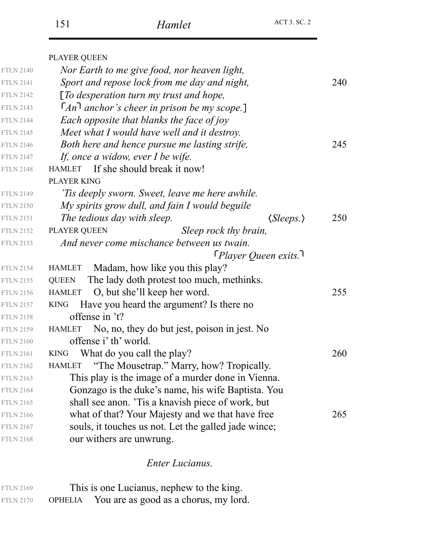|                  | PLAYER QUEEN                                                  |     |
|------------------|---------------------------------------------------------------|-----|
| <b>FTLN 2140</b> | Nor Earth to me give food, nor heaven light,                  |     |
| <b>FTLN 2141</b> | Sport and repose lock from me day and night,                  | 240 |
| <b>FTLN 2142</b> | [To desperation turn my trust and hope,                       |     |
| <b>FTLN 2143</b> | $\lceil An \rceil$ anchor's cheer in prison be my scope.]     |     |
| <b>FTLN 2144</b> | Each opposite that blanks the face of joy                     |     |
| <b>FTLN 2145</b> | Meet what I would have well and it destroy.                   |     |
| <b>FTLN 2146</b> | Both here and hence pursue me lasting strife,                 | 245 |
| <b>FTLN 2147</b> | If, once a widow, ever $I$ be wife.                           |     |
| <b>FTLN 2148</b> | If she should break it now!<br><b>HAMLET</b>                  |     |
|                  | <b>PLAYER KING</b>                                            |     |
| <b>FTLN 2149</b> | 'Tis deeply sworn. Sweet, leave me here awhile.               |     |
| <b>FTLN 2150</b> | My spirits grow dull, and fain I would beguile                |     |
| <b>FTLN 2151</b> | The tedious day with sleep.<br>$\langle Sleeps. \rangle$      | 250 |
| <b>FTLN 2152</b> | PLAYER QUEEN<br>Sleep rock thy brain,                         |     |
| <b>FTLN 2153</b> | And never come mischance between us twain.                    |     |
|                  | $[Player$ Queen exits.                                        |     |
| <b>FTLN 2154</b> | Madam, how like you this play?<br><b>HAMLET</b>               |     |
| <b>FTLN 2155</b> | The lady doth protest too much, methinks.<br><b>QUEEN</b>     |     |
| <b>FTLN 2156</b> | O, but she'll keep her word.<br><b>HAMLET</b>                 | 255 |
| <b>FTLN 2157</b> | Have you heard the argument? Is there no<br><b>KING</b>       |     |
| <b>FTLN 2158</b> | offense in 't?                                                |     |
| <b>FTLN 2159</b> | No, no, they do but jest, poison in jest. No<br><b>HAMLET</b> |     |
| <b>FTLN 2160</b> | offense i' th' world.                                         |     |
| <b>FTLN 2161</b> | What do you call the play?<br><b>KING</b>                     | 260 |
| <b>FTLN 2162</b> | "The Mousetrap." Marry, how? Tropically.<br><b>HAMLET</b>     |     |
| <b>FTLN 2163</b> | This play is the image of a murder done in Vienna.            |     |
| <b>FTLN 2164</b> | Gonzago is the duke's name, his wife Baptista. You            |     |
| <b>FTLN 2165</b> | shall see anon. This a knavish piece of work, but             |     |
| <b>FTLN 2166</b> | what of that? Your Majesty and we that have free              | 265 |
| <b>FTLN 2167</b> | souls, it touches us not. Let the galled jade wince;          |     |
| <b>FTLN 2168</b> | our withers are unwrung.                                      |     |
|                  |                                                               |     |

### *Enter Lucianus.*

| <b>FTLN 2169</b> |         | This is one Lucianus, nephew to the king. |
|------------------|---------|-------------------------------------------|
| <b>FTLN 2170</b> | OPHELIA | You are as good as a chorus, my lord.     |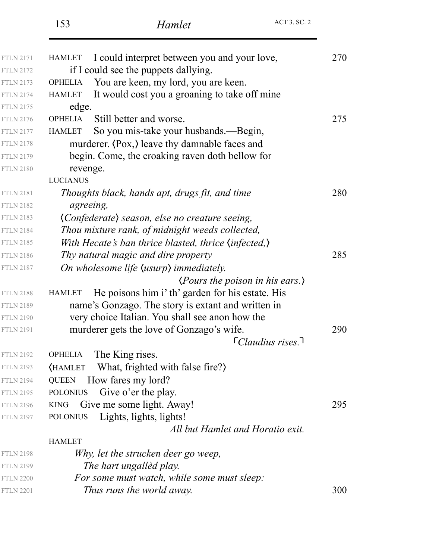| <b>FTLN 2171</b> | I could interpret between you and your love,<br><b>HAMLET</b>     | 270 |
|------------------|-------------------------------------------------------------------|-----|
| <b>FTLN 2172</b> | if I could see the puppets dallying.                              |     |
| <b>FTLN 2173</b> | You are keen, my lord, you are keen.<br><b>OPHELIA</b>            |     |
| <b>FTLN 2174</b> | It would cost you a groaning to take off mine<br><b>HAMLET</b>    |     |
| <b>FTLN 2175</b> | edge.                                                             |     |
| <b>FTLN 2176</b> | Still better and worse.<br><b>OPHELIA</b>                         | 275 |
| <b>FTLN 2177</b> | So you mis-take your husbands.—Begin,<br><b>HAMLET</b>            |     |
| <b>FTLN 2178</b> | murderer. (Pox,) leave thy damnable faces and                     |     |
| <b>FTLN 2179</b> | begin. Come, the croaking raven doth bellow for                   |     |
| <b>FTLN 2180</b> | revenge.                                                          |     |
|                  | <b>LUCIANUS</b>                                                   |     |
| <b>FTLN 2181</b> | Thoughts black, hands apt, drugs fit, and time                    | 280 |
| <b>FTLN 2182</b> | agreeing,                                                         |     |
| <b>FTLN 2183</b> | (Confederate) season, else no creature seeing,                    |     |
| <b>FTLN 2184</b> | Thou mixture rank, of midnight weeds collected,                   |     |
| <b>FTLN 2185</b> | With Hecate's ban thrice blasted, thrice (infected,)              |     |
| <b>FTLN 2186</b> | Thy natural magic and dire property                               | 285 |
| <b>FTLN 2187</b> | On wholesome life (usurp) immediately.                            |     |
|                  | $\langle Pours\ the\ poison\ in\ his\ ears.\rangle$               |     |
| <b>FTLN 2188</b> | He poisons him i' th' garden for his estate. His<br><b>HAMLET</b> |     |
| <b>FTLN 2189</b> | name's Gonzago. The story is extant and written in                |     |
| <b>FTLN 2190</b> | very choice Italian. You shall see anon how the                   |     |
| <b>FTLN 2191</b> | murderer gets the love of Gonzago's wife.                         | 290 |
|                  | $\lceil$ Claudius rises. $\rceil$                                 |     |
| <b>FTLN 2192</b> | The King rises.<br><b>OPHELIA</b>                                 |     |
| <b>FTLN 2193</b> | What, frighted with false fire?<br><b>HAMLET</b>                  |     |
| <b>FTLN 2194</b> | How fares my lord?<br><b>QUEEN</b>                                |     |
| <b>FTLN 2195</b> | Give o'er the play.<br><b>POLONIUS</b>                            |     |
| <b>FTLN 2196</b> | Give me some light. Away!<br><b>KING</b>                          | 295 |
| <b>FTLN 2197</b> | Lights, lights, lights!<br><b>POLONIUS</b>                        |     |
|                  | All but Hamlet and Horatio exit.                                  |     |
|                  | <b>HAMLET</b>                                                     |     |
| <b>FTLN 2198</b> | Why, let the strucken deer go weep,                               |     |
| <b>FTLN 2199</b> | The hart ungallèd play.                                           |     |
| <b>FTLN 2200</b> | For some must watch, while some must sleep:                       |     |
| <b>FTLN 2201</b> | Thus runs the world away.                                         | 300 |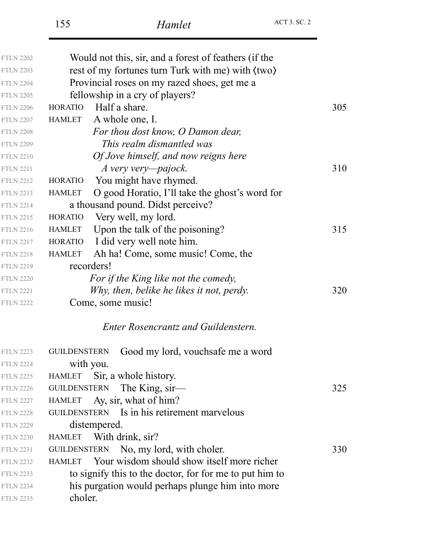| <b>FTLN 2202</b> | Would not this, sir, and a forest of feathers (if the             |     |  |
|------------------|-------------------------------------------------------------------|-----|--|
| <b>FTLN 2203</b> | rest of my fortunes turn Turk with me) with $\langle two \rangle$ |     |  |
| <b>FTLN 2204</b> | Provincial roses on my razed shoes, get me a                      |     |  |
| <b>FTLN 2205</b> | fellowship in a cry of players?                                   |     |  |
| <b>FTLN 2206</b> | Half a share.<br><b>HORATIO</b>                                   | 305 |  |
| <b>FTLN 2207</b> | A whole one, I.<br><b>HAMLET</b>                                  |     |  |
| <b>FTLN 2208</b> | For thou dost know, O Damon dear,                                 |     |  |
| <b>FTLN 2209</b> | This realm dismantled was                                         |     |  |
| <b>FTLN 2210</b> | Of Jove himself, and now reigns here                              |     |  |
| <b>FTLN 2211</b> | A very very—pajock.                                               | 310 |  |
| <b>FTLN 2212</b> | You might have rhymed.<br><b>HORATIO</b>                          |     |  |
| <b>FTLN 2213</b> | O good Horatio, I'll take the ghost's word for<br><b>HAMLET</b>   |     |  |
| <b>FTLN 2214</b> | a thousand pound. Didst perceive?                                 |     |  |
| <b>FTLN 2215</b> | Very well, my lord.<br><b>HORATIO</b>                             |     |  |
| <b>FTLN 2216</b> | Upon the talk of the poisoning?<br><b>HAMLET</b>                  | 315 |  |
| <b>FTLN 2217</b> | I did very well note him.<br><b>HORATIO</b>                       |     |  |
| <b>FTLN 2218</b> | Ah ha! Come, some music! Come, the<br><b>HAMLET</b>               |     |  |
| <b>FTLN 2219</b> | recorders!                                                        |     |  |
| <b>FTLN 2220</b> | For if the King like not the comedy,                              |     |  |
| <b>FTLN 2221</b> | Why, then, belike he likes it not, perdy.                         | 320 |  |
| <b>FTLN 2222</b> | Come, some music!                                                 |     |  |
|                  |                                                                   |     |  |
|                  | <b>Enter Rosencrantz and Guildenstern.</b>                        |     |  |
| <b>FTLN 2223</b> | Good my lord, vouchsafe me a word<br><b>GUILDENSTERN</b>          |     |  |
| <b>FTLN 2224</b> | with you.                                                         |     |  |
| <b>FTLN 2225</b> | Sir, a whole history.<br><b>HAMLET</b>                            |     |  |
| <b>FTLN 2226</b> | <b>GUILDENSTERN</b><br>The King, $s$ ir—                          | 325 |  |
| <b>FTLN 2227</b> | Ay, sir, what of him?<br><b>HAMLET</b>                            |     |  |
| <b>FTLN 2228</b> | GUILDENSTERN Is in his retirement marvelous                       |     |  |
| <b>FTLN 2229</b> | distempered.                                                      |     |  |
| <b>FTLN 2230</b> | With drink, sir?<br><b>HAMLET</b>                                 |     |  |
| <b>FTLN 2231</b> | No, my lord, with choler.<br><b>GUILDENSTERN</b>                  | 330 |  |
| <b>FTLN 2232</b> | Your wisdom should show itself more richer<br><b>HAMLET</b>       |     |  |
| <b>FTLN 2233</b> | to signify this to the doctor, for for me to put him to           |     |  |
| <b>FTLN 2234</b> | his purgation would perhaps plunge him into more                  |     |  |
|                  |                                                                   |     |  |

choler. FTLN 2235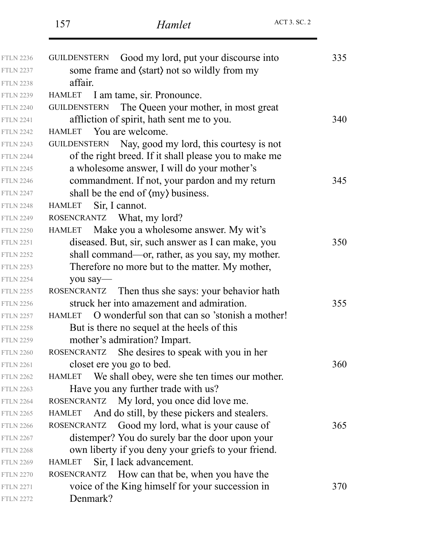| <b>FTLN 2236</b> | Good my lord, put your discourse into<br><b>GUILDENSTERN</b>   | 335 |
|------------------|----------------------------------------------------------------|-----|
| <b>FTLN 2237</b> | some frame and (start) not so wildly from my                   |     |
| <b>FTLN 2238</b> | affair.                                                        |     |
| <b>FTLN 2239</b> | I am tame, sir. Pronounce.<br><b>HAMLET</b>                    |     |
| <b>FTLN 2240</b> | The Queen your mother, in most great<br><b>GUILDENSTERN</b>    |     |
| <b>FTLN 2241</b> | affliction of spirit, hath sent me to you.                     | 340 |
| <b>FTLN 2242</b> | You are welcome.<br><b>HAMLET</b>                              |     |
| <b>FTLN 2243</b> | GUILDENSTERN Nay, good my lord, this courtesy is not           |     |
| <b>FTLN 2244</b> | of the right breed. If it shall please you to make me          |     |
| <b>FTLN 2245</b> | a wholesome answer, I will do your mother's                    |     |
| <b>FTLN 2246</b> | commandment. If not, your pardon and my return                 | 345 |
| <b>FTLN 2247</b> | shall be the end of $\langle$ my $\rangle$ business.           |     |
| <b>FTLN 2248</b> | Sir, I cannot.<br><b>HAMLET</b>                                |     |
| <b>FTLN 2249</b> | ROSENCRANTZ What, my lord?                                     |     |
| <b>FTLN 2250</b> | Make you a wholesome answer. My wit's<br>HAMLET                |     |
| <b>FTLN 2251</b> | diseased. But, sir, such answer as I can make, you             | 350 |
| <b>FTLN 2252</b> | shall command—or, rather, as you say, my mother.               |     |
| <b>FTLN 2253</b> | Therefore no more but to the matter. My mother,                |     |
| <b>FTLN 2254</b> | you say-                                                       |     |
| <b>FTLN 2255</b> | Then thus she says: your behavior hath<br><b>ROSENCRANTZ</b>   |     |
| <b>FTLN 2256</b> | struck her into amazement and admiration.                      | 355 |
| <b>FTLN 2257</b> | O wonderful son that can so 'stonish a mother!<br>HAMLET       |     |
| <b>FTLN 2258</b> | But is there no sequel at the heels of this                    |     |
| <b>FTLN 2259</b> | mother's admiration? Impart.                                   |     |
| <b>FTLN 2260</b> | She desires to speak with you in her<br>ROSENCRANTZ            |     |
| <b>FTLN 2261</b> | closet ere you go to bed.                                      | 360 |
| <b>FTLN 2262</b> | We shall obey, were she ten times our mother.<br><b>HAMLET</b> |     |
| <b>FTLN 2263</b> | Have you any further trade with us?                            |     |
| <b>FTLN 2264</b> | My lord, you once did love me.<br>ROSENCRANTZ                  |     |
| <b>FTLN 2265</b> | And do still, by these pickers and stealers.<br>HAMLET         |     |
| <b>FTLN 2266</b> | ROSENCRANTZ Good my lord, what is your cause of                | 365 |
| <b>FTLN 2267</b> | distemper? You do surely bar the door upon your                |     |
| <b>FTLN 2268</b> | own liberty if you deny your griefs to your friend.            |     |
| <b>FTLN 2269</b> | Sir, I lack advancement.<br><b>HAMLET</b>                      |     |
| <b>FTLN 2270</b> | How can that be, when you have the<br><b>ROSENCRANTZ</b>       |     |
| <b>FTLN 2271</b> | voice of the King himself for your succession in               | 370 |
| <b>FTLN 2272</b> | Denmark?                                                       |     |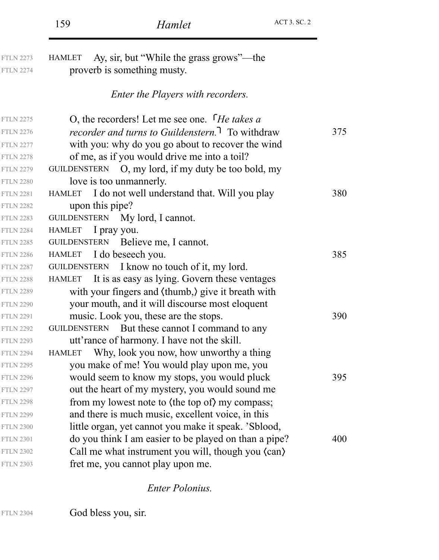| <b>FTLN 2273</b><br><b>FTLN 2274</b> | Ay, sir, but "While the grass grows"—the<br><b>HAMLET</b><br>proverb is something musty. |     |
|--------------------------------------|------------------------------------------------------------------------------------------|-----|
|                                      | Enter the Players with recorders.                                                        |     |
| <b>FTLN 2275</b>                     | O, the recorders! Let me see one. <i>He takes a</i>                                      |     |
| <b>FTLN 2276</b>                     | <i>recorder and turns to Guildenstern</i> . To withdraw                                  | 375 |
| <b>FTLN 2277</b>                     | with you: why do you go about to recover the wind                                        |     |
| <b>FTLN 2278</b>                     | of me, as if you would drive me into a toil?                                             |     |
| <b>FTLN 2279</b>                     | GUILDENSTERN $O$ , my lord, if my duty be too bold, my                                   |     |
| <b>FTLN 2280</b>                     | love is too unmannerly.                                                                  |     |
| <b>FTLN 2281</b>                     | HAMLET I do not well understand that. Will you play                                      | 380 |
| <b>FTLN 2282</b>                     | upon this pipe?                                                                          |     |
| <b>FTLN 2283</b>                     | GUILDENSTERN My lord, I cannot.                                                          |     |
| <b>FTLN 2284</b>                     | HAMLET I pray you.                                                                       |     |
| <b>FTLN 2285</b>                     | GUILDENSTERN Believe me, I cannot.                                                       |     |
| <b>FTLN 2286</b>                     | HAMLET I do beseech you.                                                                 | 385 |
| <b>FTLN 2287</b>                     | GUILDENSTERN I know no touch of it, my lord.                                             |     |
| <b>FTLN 2288</b>                     | HAMLET It is as easy as lying. Govern these ventages                                     |     |
| <b>FTLN 2289</b>                     | with your fingers and (thumb,) give it breath with                                       |     |
| <b>FTLN 2290</b>                     | your mouth, and it will discourse most eloquent                                          |     |
| <b>FTLN 2291</b>                     | music. Look you, these are the stops.                                                    | 390 |
| <b>FTLN 2292</b>                     | But these cannot I command to any<br><b>GUILDENSTERN</b>                                 |     |
| <b>FTLN 2293</b>                     | utt'rance of harmony. I have not the skill.                                              |     |
| <b>FTLN 2294</b>                     | Why, look you now, how unworthy a thing<br>HAMLET                                        |     |
| <b>FTLN 2295</b>                     | you make of me! You would play upon me, you                                              |     |
| <b>FTLN 2296</b>                     | would seem to know my stops, you would pluck                                             | 395 |
| <b>FTLN 2297</b>                     | out the heart of my mystery, you would sound me                                          |     |
| <b>FTLN 2298</b>                     | from my lowest note to (the top of) my compass;                                          |     |
| <b>FTLN 2299</b>                     | and there is much music, excellent voice, in this                                        |     |
| <b>FTLN 2300</b>                     | little organ, yet cannot you make it speak. 'Sblood,                                     |     |
| <b>FTLN 2301</b>                     | do you think I am easier to be played on than a pipe?                                    | 400 |
| <b>FTLN 2302</b>                     | Call me what instrument you will, though you (can)                                       |     |
| <b>FTLN 2303</b>                     | fret me, you cannot play upon me.                                                        |     |

*Enter Polonius.*

God bless you, sir. FTLN 2304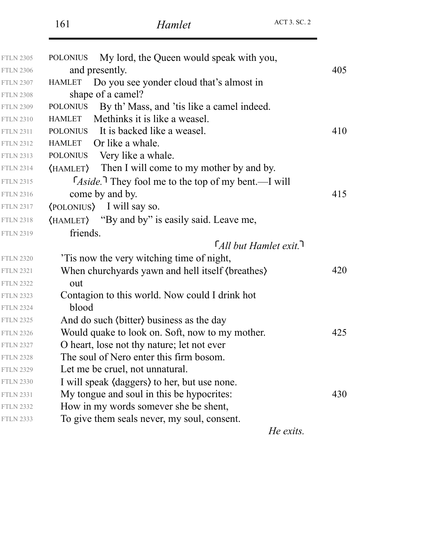| <b>FTLN 2305</b> | My lord, the Queen would speak with you,<br><b>POLONIUS</b>                |     |
|------------------|----------------------------------------------------------------------------|-----|
| <b>FTLN 2306</b> | and presently.                                                             | 405 |
| <b>FTLN 2307</b> | Do you see yonder cloud that's almost in<br><b>HAMLET</b>                  |     |
| <b>FTLN 2308</b> | shape of a camel?                                                          |     |
| <b>FTLN 2309</b> | By th' Mass, and 'tis like a camel indeed.<br><b>POLONIUS</b>              |     |
| <b>FTLN 2310</b> | Methinks it is like a weasel.<br><b>HAMLET</b>                             |     |
| <b>FTLN 2311</b> | It is backed like a weasel.<br><b>POLONIUS</b>                             | 410 |
| <b>FTLN 2312</b> | Or like a whale.<br><b>HAMLET</b>                                          |     |
| <b>FTLN 2313</b> | POLONIUS Very like a whale.                                                |     |
| <b>FTLN 2314</b> | (HAMLET) Then I will come to my mother by and by.                          |     |
| <b>FTLN 2315</b> | $\lceil$ Aside. $\rceil$ They fool me to the top of my bent. $\rceil$ will |     |
| <b>FTLN 2316</b> | come by and by.                                                            | 415 |
| <b>FTLN 2317</b> | (POLONIUS) I will say so.                                                  |     |
| <b>FTLN 2318</b> | (HAMLET) "By and by" is easily said. Leave me,                             |     |
| <b>FTLN 2319</b> | friends.                                                                   |     |
|                  | $\lceil$ All but Hamlet exit.                                              |     |
| <b>FTLN 2320</b> | This now the very witching time of night,                                  |     |
| <b>FTLN 2321</b> | When churchyards yawn and hell itself (breathes)                           | 420 |
| <b>FTLN 2322</b> | out                                                                        |     |
| <b>FTLN 2323</b> | Contagion to this world. Now could I drink hot                             |     |
| <b>FTLN 2324</b> | blood                                                                      |     |
| <b>FTLN 2325</b> | And do such (bitter) business as the day                                   |     |
| <b>FTLN 2326</b> | Would quake to look on. Soft, now to my mother.                            | 425 |
| <b>FTLN 2327</b> | O heart, lose not thy nature; let not ever                                 |     |
| <b>FTLN 2328</b> | The soul of Nero enter this firm bosom.                                    |     |
| <b>FTLN 2329</b> | Let me be cruel, not unnatural.                                            |     |
| <b>FTLN 2330</b> | I will speak (daggers) to her, but use none.                               |     |
| <b>FTLN 2331</b> | My tongue and soul in this be hypocrites:                                  | 430 |
| <b>FTLN 2332</b> | How in my words somever she be shent,                                      |     |
| <b>FTLN 2333</b> | To give them seals never, my soul, consent.                                |     |
|                  | He exits.                                                                  |     |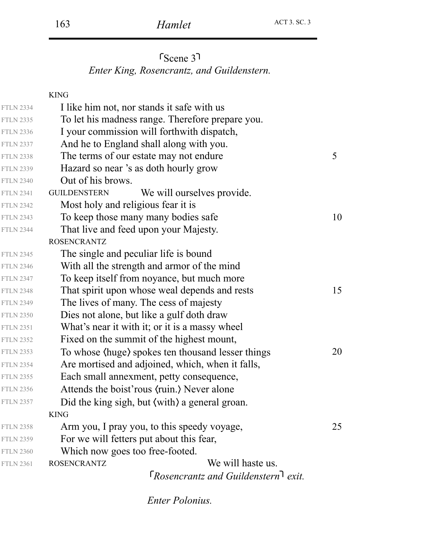*Enter King, Rosencrantz, and Guildenstern.* Scene 3

|                  | <b>KING</b>                                          |    |
|------------------|------------------------------------------------------|----|
| <b>FTLN 2334</b> | I like him not, nor stands it safe with us           |    |
| <b>FTLN 2335</b> | To let his madness range. Therefore prepare you.     |    |
| <b>FTLN 2336</b> | I your commission will forthwith dispatch,           |    |
| <b>FTLN 2337</b> | And he to England shall along with you.              |    |
| <b>FTLN 2338</b> | The terms of our estate may not endure               | 5  |
| <b>FTLN 2339</b> | Hazard so near 's as doth hourly grow                |    |
| <b>FTLN 2340</b> | Out of his brows.                                    |    |
| <b>FTLN 2341</b> | We will ourselves provide.<br><b>GUILDENSTERN</b>    |    |
| <b>FTLN 2342</b> | Most holy and religious fear it is                   |    |
| <b>FTLN 2343</b> | To keep those many many bodies safe                  | 10 |
| <b>FTLN 2344</b> | That live and feed upon your Majesty.                |    |
|                  | <b>ROSENCRANTZ</b>                                   |    |
| <b>FTLN 2345</b> | The single and peculiar life is bound                |    |
| <b>FTLN 2346</b> | With all the strength and armor of the mind          |    |
| <b>FTLN 2347</b> | To keep itself from noyance, but much more           |    |
| <b>FTLN 2348</b> | That spirit upon whose weal depends and rests        | 15 |
| <b>FTLN 2349</b> | The lives of many. The cess of majesty               |    |
| <b>FTLN 2350</b> | Dies not alone, but like a gulf doth draw            |    |
| <b>FTLN 2351</b> | What's near it with it; or it is a massy wheel       |    |
| <b>FTLN 2352</b> | Fixed on the summit of the highest mount,            |    |
| <b>FTLN 2353</b> | To whose (huge) spokes ten thousand lesser things    | 20 |
| <b>FTLN 2354</b> | Are mortised and adjoined, which, when it falls,     |    |
| <b>FTLN 2355</b> | Each small annexment, petty consequence,             |    |
| <b>FTLN 2356</b> | Attends the boist rous (ruin.) Never alone           |    |
| <b>FTLN 2357</b> | Did the king sigh, but (with) a general groan.       |    |
|                  | <b>KING</b>                                          |    |
| <b>FTLN 2358</b> | Arm you, I pray you, to this speedy voyage,          | 25 |
| <b>FTLN 2359</b> | For we will fetters put about this fear,             |    |
| <b>FTLN 2360</b> | Which now goes too free-footed.                      |    |
| <b>FTLN 2361</b> | We will haste us.<br><b>ROSENCRANTZ</b>              |    |
|                  | $\lceil$ Rosencrantz and Guildenstern $\lceil$ exit. |    |
|                  |                                                      |    |

*Enter Polonius.*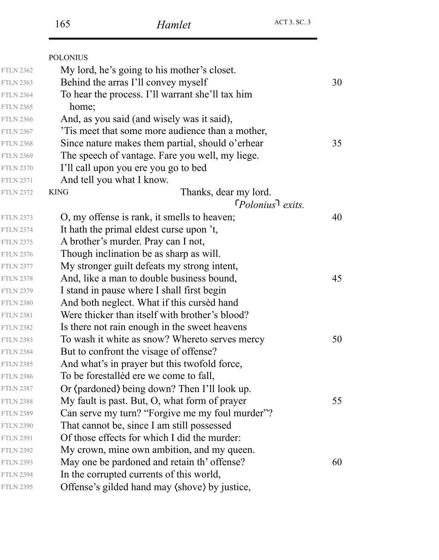|                  | <b>POLONIUS</b>                                         |    |
|------------------|---------------------------------------------------------|----|
| <b>FTLN 2362</b> | My lord, he's going to his mother's closet.             |    |
| <b>FTLN 2363</b> | Behind the arras I'll convey myself                     | 30 |
| <b>FTLN 2364</b> | To hear the process. I'll warrant she'll tax him        |    |
| <b>FTLN 2365</b> | home;                                                   |    |
| <b>FTLN 2366</b> | And, as you said (and wisely was it said),              |    |
| <b>FTLN 2367</b> | This meet that some more audience than a mother,        |    |
| <b>FTLN 2368</b> | Since nature makes them partial, should o'erhear        | 35 |
| <b>FTLN 2369</b> | The speech of vantage. Fare you well, my liege.         |    |
| <b>FTLN 2370</b> | I'll call upon you ere you go to bed                    |    |
| <b>FTLN 2371</b> | And tell you what I know.                               |    |
| <b>FTLN 2372</b> | <b>KING</b><br>Thanks, dear my lord.                    |    |
|                  | $\lceil$ Polonius <sup><math>\rceil</math></sup> exits. |    |
| <b>FTLN 2373</b> | O, my offense is rank, it smells to heaven;             | 40 |
| <b>FTLN 2374</b> | It hath the primal eldest curse upon 't,                |    |
| <b>FTLN 2375</b> | A brother's murder. Pray can I not,                     |    |
| <b>FTLN 2376</b> | Though inclination be as sharp as will.                 |    |
| <b>FTLN 2377</b> | My stronger guilt defeats my strong intent,             |    |
| <b>FTLN 2378</b> | And, like a man to double business bound,               | 45 |
| <b>FTLN 2379</b> | I stand in pause where I shall first begin              |    |
| <b>FTLN 2380</b> | And both neglect. What if this cursed hand              |    |
| <b>FTLN 2381</b> | Were thicker than itself with brother's blood?          |    |
| <b>FTLN 2382</b> | Is there not rain enough in the sweet heavens           |    |
| <b>FTLN 2383</b> | To wash it white as snow? Whereto serves mercy          | 50 |
| <b>FTLN 2384</b> | But to confront the visage of offense?                  |    |
| <b>FTLN 2385</b> | And what's in prayer but this twofold force,            |    |
| <b>FTLN 2386</b> | To be forestalled ere we come to fall,                  |    |
| <b>FTLN 2387</b> | Or (pardoned) being down? Then I'll look up.            |    |
| <b>FTLN 2388</b> | My fault is past. But, O, what form of prayer           | 55 |
| <b>FTLN 2389</b> | Can serve my turn? "Forgive me my foul murder"?         |    |
| <b>FTLN 2390</b> | That cannot be, since I am still possessed              |    |
| <b>FTLN 2391</b> | Of those effects for which I did the murder:            |    |
| <b>FTLN 2392</b> | My crown, mine own ambition, and my queen.              |    |
| <b>FTLN 2393</b> | May one be pardoned and retain th' offense?             | 60 |
| <b>FTLN 2394</b> | In the corrupted currents of this world,                |    |
| <b>FTLN 2395</b> | Offense's gilded hand may (shove) by justice,           |    |
|                  |                                                         |    |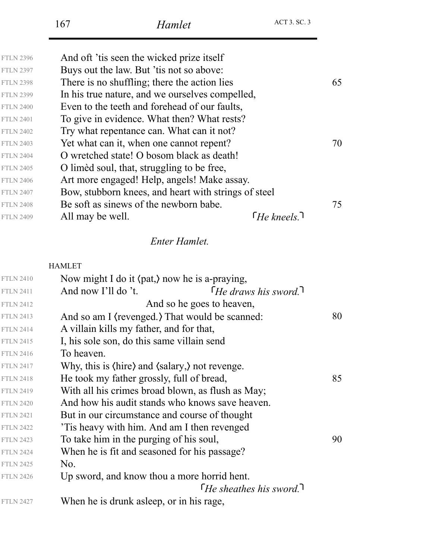|                  | 167                                          | Hamlet                                               | ACT 3. SC. 3 |
|------------------|----------------------------------------------|------------------------------------------------------|--------------|
|                  |                                              |                                                      |              |
| <b>FTLN 2396</b> | And oft 'tis seen the wicked prize itself    |                                                      |              |
| <b>FTLN 2397</b> | Buys out the law. But 'tis not so above:     |                                                      |              |
| <b>FTLN 2398</b> | There is no shuffling; there the action lies |                                                      | 65           |
| <b>FTLN 2399</b> |                                              | In his true nature, and we ourselves compelled,      |              |
| <b>FTLN 2400</b> |                                              | Even to the teeth and forehead of our faults,        |              |
| <b>FTLN 2401</b> |                                              | To give in evidence. What then? What rests?          |              |
| <b>FTLN 2402</b> | Try what repentance can. What can it not?    |                                                      |              |
| <b>FTLN 2403</b> | Yet what can it, when one cannot repent?     |                                                      | 70           |
| <b>FTLN 2404</b> |                                              | O wretched state! O bosom black as death!            |              |
| <b>FTLN 2405</b> | O limed soul, that, struggling to be free,   |                                                      |              |
| <b>FTLN 2406</b> |                                              | Art more engaged! Help, angels! Make assay.          |              |
| <b>FTLN 2407</b> |                                              | Bow, stubborn knees, and heart with strings of steel |              |

*He kneels.* Bow, stubborn knees, and heart with strings of steel FTLN 2408 Be soft as sinews of the newborn babe. 75 All may be well. FTLN 2409

#### HAMLET

| <b>FTLN 2410</b> | Now might I do it $\langle$ pat, $\rangle$ now he is a-praying, |    |
|------------------|-----------------------------------------------------------------|----|
| <b>FTLN 2411</b> | $\int$ He draws his sword.<br>And now I'll do 't.               |    |
| <b>FTLN 2412</b> | And so he goes to heaven,                                       |    |
| <b>FTLN 2413</b> | And so am I (revenged.) That would be scanned:                  | 80 |
| <b>FTLN 2414</b> | A villain kills my father, and for that,                        |    |
| <b>FTLN 2415</b> | I, his sole son, do this same villain send                      |    |
| <b>FTLN 2416</b> | To heaven.                                                      |    |
| <b>FTLN 2417</b> | Why, this is (hire) and (salary,) not revenge.                  |    |
| <b>FTLN 2418</b> | He took my father grossly, full of bread,                       | 85 |
| <b>FTLN 2419</b> | With all his crimes broad blown, as flush as May;               |    |
| <b>FTLN 2420</b> | And how his audit stands who knows save heaven.                 |    |
| <b>FTLN 2421</b> | But in our circumstance and course of thought                   |    |
| <b>FTLN 2422</b> | This heavy with him. And am I then revenged                     |    |
| <b>FTLN 2423</b> | To take him in the purging of his soul,                         | 90 |
| <b>FTLN 2424</b> | When he is fit and seasoned for his passage?                    |    |
| <b>FTLN 2425</b> | No.                                                             |    |
| <b>FTLN 2426</b> | Up sword, and know thou a more horrid hent.                     |    |
|                  | $\int$ He sheathes his sword.                                   |    |
| <b>FTLN 2427</b> | When he is drunk asleep, or in his rage,                        |    |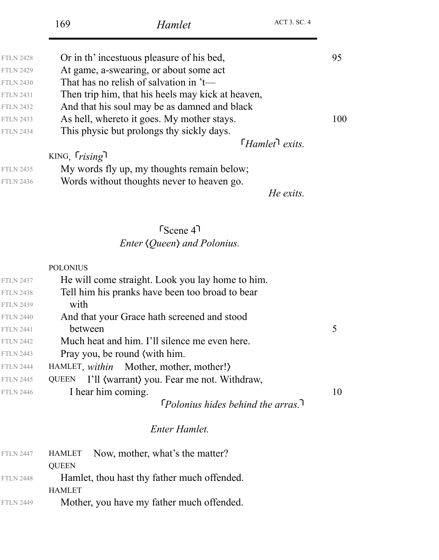|                  | 169                 | Hamlet                                            | <b>ACT 3. SC. 4</b>                                   |
|------------------|---------------------|---------------------------------------------------|-------------------------------------------------------|
| <b>FTLN 2428</b> |                     | Or in th' incestuous pleasure of his bed,         |                                                       |
| <b>FTLN 2429</b> |                     | At game, a-swearing, or about some act            |                                                       |
| <b>FTLN 2430</b> |                     | That has no relish of salvation in $'t$ —         |                                                       |
| <b>FTLN 2431</b> |                     | Then trip him, that his heels may kick at heaven, |                                                       |
| <b>FTLN 2432</b> |                     | And that his soul may be as damned and black      |                                                       |
| <b>FTLN 2433</b> |                     | As hell, whereto it goes. My mother stays.        |                                                       |
| <b>FTLN 2434</b> |                     | This physic but prolongs thy sickly days.         |                                                       |
|                  |                     |                                                   | $\lceil$ Hamlet <sup><math>\rceil</math></sup> exits. |
|                  | KING, <i>rising</i> |                                                   |                                                       |
| <b>FTLN 2435</b> |                     | My words fly up, my thoughts remain below;        |                                                       |
| <b>FTLN 2436</b> |                     | Words without thoughts never to heaven go.        |                                                       |
|                  |                     |                                                   | He exits.                                             |
|                  |                     | $r_{\text{Scene}}$ 41                             |                                                       |
|                  |                     | <i>Enter (Queen)</i> and <i>Polonius.</i>         |                                                       |
|                  | <b>POLONIUS</b>     |                                                   |                                                       |
| <b>FTLN 2437</b> |                     | He will come straight. Look you lay home to him.  |                                                       |
| <b>FTLN 2438</b> |                     | Tell him his pranks have been too broad to bear   |                                                       |
| <b>FTLN 2439</b> | with                |                                                   |                                                       |
| <b>FTLN 2440</b> |                     | And that your Grace hath screened and stood       |                                                       |
| <b>FTLN 2441</b> | between             |                                                   |                                                       |
| <b>FTLN 2442</b> |                     | Much heat and him. I'll silence me even here.     |                                                       |
| <b>FTLN 2443</b> |                     | Pray you, be round (with him.                     |                                                       |
| <b>FTLN 2444</b> |                     | HAMLET, <i>within</i> Mother, mother, mother!)    |                                                       |
| <b>FTLN 2445</b> | <b>QUEEN</b>        | I'll (warrant) you. Fear me not. Withdraw,        |                                                       |
| <b>FTLN 2446</b> | I hear him coming.  | $\lceil$ Polonius hides behind the arras.         |                                                       |
|                  |                     |                                                   |                                                       |

### *Enter Hamlet.*

| <b>FTLN 2447</b> | <b>HAMLET</b> | Now, mother, what's the matter?             |
|------------------|---------------|---------------------------------------------|
|                  | <b>QUEEN</b>  |                                             |
| <b>FTLN 2448</b> |               | Hamlet, thou hast thy father much offended. |
|                  | <b>HAMLET</b> |                                             |
| <b>FTLN 2449</b> |               | Mother, you have my father much offended.   |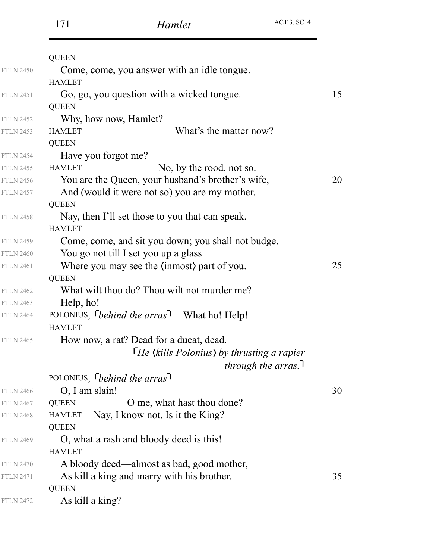|                                      | <b>QUEEN</b>                                                                            |    |
|--------------------------------------|-----------------------------------------------------------------------------------------|----|
| <b>FTLN 2450</b>                     | Come, come, you answer with an idle tongue.                                             |    |
|                                      | <b>HAMLET</b>                                                                           |    |
| <b>FTLN 2451</b>                     | Go, go, you question with a wicked tongue.                                              | 15 |
|                                      | <b>QUEEN</b>                                                                            |    |
| <b>FTLN 2452</b>                     | Why, how now, Hamlet?                                                                   |    |
| <b>FTLN 2453</b>                     | What's the matter now?<br><b>HAMLET</b>                                                 |    |
|                                      | <b>QUEEN</b>                                                                            |    |
| <b>FTLN 2454</b>                     | Have you forgot me?                                                                     |    |
| <b>FTLN 2455</b>                     | <b>HAMLET</b><br>No, by the rood, not so.                                               |    |
| <b>FTLN 2456</b>                     | You are the Queen, your husband's brother's wife,                                       | 20 |
| <b>FTLN 2457</b>                     | And (would it were not so) you are my mother.                                           |    |
|                                      | <b>OUEEN</b>                                                                            |    |
| <b>FTLN 2458</b>                     | Nay, then I'll set those to you that can speak.                                         |    |
|                                      | <b>HAMLET</b>                                                                           |    |
| <b>FTLN 2459</b>                     | Come, come, and sit you down; you shall not budge.                                      |    |
| <b>FTLN 2460</b>                     | You go not till I set you up a glass                                                    |    |
| <b>FTLN 2461</b>                     | Where you may see the (inmost) part of you.                                             | 25 |
|                                      | <b>QUEEN</b>                                                                            |    |
| <b>FTLN 2462</b>                     | What wilt thou do? Thou wilt not murder me?                                             |    |
| <b>FTLN 2463</b>                     | Help, ho!                                                                               |    |
| <b>FTLN 2464</b>                     | POLONIUS, <i>behind the arras</i> <sup>1</sup> What ho! Help!                           |    |
|                                      | <b>HAMLET</b>                                                                           |    |
| <b>FTLN 2465</b>                     | How now, a rat? Dead for a ducat, dead.                                                 |    |
|                                      | THe (kills Polonius) by thrusting a rapier                                              |    |
|                                      | through the arras.                                                                      |    |
|                                      | POLONIUS, <i>behind the arras</i> <sup>1</sup>                                          |    |
| <b>FTLN 2466</b>                     | O, I am slain!                                                                          | 30 |
| <b>FTLN 2467</b>                     | O me, what hast thou done?<br><b>QUEEN</b>                                              |    |
| <b>FTLN 2468</b>                     | Nay, I know not. Is it the King?<br>HAMLET                                              |    |
|                                      | <b>QUEEN</b>                                                                            |    |
| <b>FTLN 2469</b>                     | O, what a rash and bloody deed is this!<br><b>HAMLET</b>                                |    |
|                                      |                                                                                         |    |
| <b>FTLN 2470</b><br><b>FTLN 2471</b> | A bloody deed—almost as bad, good mother,<br>As kill a king and marry with his brother. | 35 |
|                                      | <b>QUEEN</b>                                                                            |    |
| <b>FTLN 2472</b>                     | As kill a king?                                                                         |    |
|                                      |                                                                                         |    |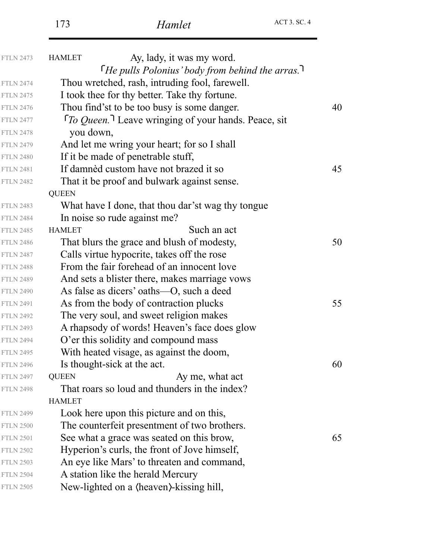| <b>FTLN 2473</b> | Ay, lady, it was my word.<br><b>HAMLET</b>                |    |
|------------------|-----------------------------------------------------------|----|
|                  | The pulls Polonius' body from behind the arras.           |    |
| <b>FTLN 2474</b> | Thou wretched, rash, intruding fool, farewell.            |    |
| <b>FTLN 2475</b> | I took thee for thy better. Take thy fortune.             |    |
| <b>FTLN 2476</b> | Thou find'st to be too busy is some danger.               | 40 |
| <b>FTLN 2477</b> | <i>To Queen.</i> Leave wringing of your hands. Peace, sit |    |
| <b>FTLN 2478</b> | you down,                                                 |    |
| <b>FTLN 2479</b> | And let me wring your heart; for so I shall               |    |
| <b>FTLN 2480</b> | If it be made of penetrable stuff,                        |    |
| <b>FTLN 2481</b> | If damned custom have not brazed it so                    | 45 |
| <b>FTLN 2482</b> | That it be proof and bulwark against sense.               |    |
|                  | <b>QUEEN</b>                                              |    |
| <b>FTLN 2483</b> | What have I done, that thou dar'st wag thy tongue         |    |
| <b>FTLN 2484</b> | In noise so rude against me?                              |    |
| <b>FTLN 2485</b> | Such an act<br><b>HAMLET</b>                              |    |
| <b>FTLN 2486</b> | That blurs the grace and blush of modesty,                | 50 |
| <b>FTLN 2487</b> | Calls virtue hypocrite, takes off the rose                |    |
| <b>FTLN 2488</b> | From the fair forehead of an innocent love                |    |
| <b>FTLN 2489</b> | And sets a blister there, makes marriage vows             |    |
| <b>FTLN 2490</b> | As false as dicers' oaths—O, such a deed                  |    |
| <b>FTLN 2491</b> | As from the body of contraction plucks                    | 55 |
| <b>FTLN 2492</b> | The very soul, and sweet religion makes                   |    |
| <b>FTLN 2493</b> | A rhapsody of words! Heaven's face does glow              |    |
| <b>FTLN 2494</b> | O'er this solidity and compound mass                      |    |
| <b>FTLN 2495</b> | With heated visage, as against the doom,                  |    |
| <b>FTLN 2496</b> | Is thought-sick at the act.                               | 60 |
| <b>FTLN 2497</b> | <b>QUEEN</b><br>Ay me, what act                           |    |
| <b>FTLN 2498</b> | That roars so loud and thunders in the index?             |    |
|                  | <b>HAMLET</b>                                             |    |
| <b>FTLN 2499</b> | Look here upon this picture and on this,                  |    |
| <b>FTLN 2500</b> | The counterfeit presentment of two brothers.              |    |
| <b>FTLN 2501</b> | See what a grace was seated on this brow,                 | 65 |
| <b>FTLN 2502</b> | Hyperion's curls, the front of Jove himself,              |    |
| <b>FTLN 2503</b> | An eye like Mars' to threaten and command,                |    |
| <b>FTLN 2504</b> | A station like the herald Mercury                         |    |
| <b>FTLN 2505</b> | New-lighted on a (heaven)-kissing hill,                   |    |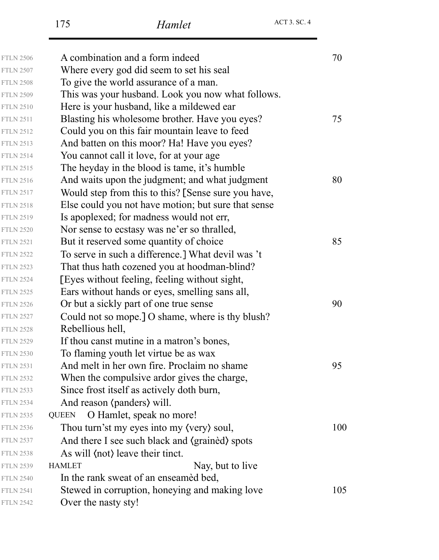| <b>FTLN 2506</b> | A combination and a form indeed                     | 70  |
|------------------|-----------------------------------------------------|-----|
| <b>FTLN 2507</b> | Where every god did seem to set his seal            |     |
| <b>FTLN 2508</b> | To give the world assurance of a man.               |     |
| <b>FTLN 2509</b> | This was your husband. Look you now what follows.   |     |
| <b>FTLN 2510</b> | Here is your husband, like a mildewed ear           |     |
| <b>FTLN 2511</b> | Blasting his wholesome brother. Have you eyes?      | 75  |
| <b>FTLN 2512</b> | Could you on this fair mountain leave to feed       |     |
| <b>FTLN 2513</b> | And batten on this moor? Ha! Have you eyes?         |     |
| <b>FTLN 2514</b> | You cannot call it love, for at your age            |     |
| <b>FTLN 2515</b> | The heyday in the blood is tame, it's humble        |     |
| <b>FTLN 2516</b> | And waits upon the judgment; and what judgment      | 80  |
| <b>FTLN 2517</b> | Would step from this to this? [Sense sure you have, |     |
| <b>FTLN 2518</b> | Else could you not have motion; but sure that sense |     |
| <b>FTLN 2519</b> | Is apoplexed; for madness would not err,            |     |
| <b>FTLN 2520</b> | Nor sense to ecstasy was ne'er so thralled,         |     |
| <b>FTLN 2521</b> | But it reserved some quantity of choice             | 85  |
| <b>FTLN 2522</b> | To serve in such a difference.] What devil was 't   |     |
| <b>FTLN 2523</b> | That thus hath cozened you at hoodman-blind?        |     |
| <b>FTLN 2524</b> | [Eyes without feeling, feeling without sight,       |     |
| <b>FTLN 2525</b> | Ears without hands or eyes, smelling sans all,      |     |
| <b>FTLN 2526</b> | Or but a sickly part of one true sense              | 90  |
| <b>FTLN 2527</b> | Could not so mope.] O shame, where is thy blush?    |     |
| <b>FTLN 2528</b> | Rebellious hell,                                    |     |
| <b>FTLN 2529</b> | If thou canst mutine in a matron's bones,           |     |
| <b>FTLN 2530</b> | To flaming youth let virtue be as wax               |     |
| <b>FTLN 2531</b> | And melt in her own fire. Proclaim no shame         | 95  |
| <b>FTLN 2532</b> | When the compulsive ardor gives the charge,         |     |
| <b>FTLN 2533</b> | Since frost itself as actively doth burn,           |     |
| <b>FTLN 2534</b> | And reason (panders) will.                          |     |
| <b>FTLN 2535</b> | O Hamlet, speak no more!<br><b>QUEEN</b>            |     |
| <b>FTLN 2536</b> | Thou turn'st my eyes into my (very) soul,           | 100 |
| <b>FTLN 2537</b> | And there I see such black and (grained) spots      |     |
| <b>FTLN 2538</b> | As will (not) leave their tinct.                    |     |
| <b>FTLN 2539</b> | Nay, but to live<br><b>HAMLET</b>                   |     |
| <b>FTLN 2540</b> | In the rank sweat of an enseamed bed,               |     |
| <b>FTLN 2541</b> | Stewed in corruption, honeying and making love      | 105 |
| <b>FTLN 2542</b> | Over the nasty sty!                                 |     |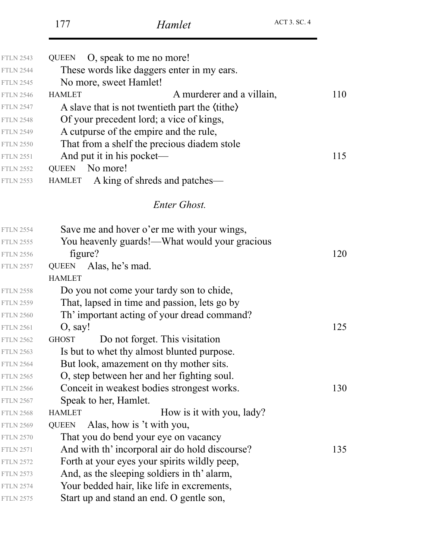| <b>FTLN 2543</b> | O, speak to me no more!<br><b>QUEEN</b>        |     |
|------------------|------------------------------------------------|-----|
| <b>FTLN 2544</b> | These words like daggers enter in my ears.     |     |
| <b>FTLN 2545</b> | No more, sweet Hamlet!                         |     |
| <b>FTLN 2546</b> | A murderer and a villain,<br><b>HAMLET</b>     | 110 |
| <b>FTLN 2547</b> | A slave that is not twentieth part the (tithe) |     |
| <b>FTLN 2548</b> | Of your precedent lord; a vice of kings,       |     |
| <b>FTLN 2549</b> | A cutpurse of the empire and the rule,         |     |
| <b>FTLN 2550</b> | That from a shelf the precious diadem stole    |     |
| <b>FTLN 2551</b> | And put it in his pocket—                      | 115 |
| <b>FTLN 2552</b> | QUEEN No more!                                 |     |
| <b>FTLN 2553</b> | A king of shreds and patches—<br>HAMLET        |     |
|                  | Enter Ghost.                                   |     |
| <b>FTLN 2554</b> | Save me and hover o'er me with your wings,     |     |
| <b>FTLN 2555</b> | You heavenly guards!—What would your gracious  |     |
| <b>FTLN 2556</b> | figure?                                        | 120 |
| <b>FTLN 2557</b> | QUEEN Alas, he's mad.                          |     |
|                  | <b>HAMLET</b>                                  |     |
| <b>FTLN 2558</b> | Do you not come your tardy son to chide,       |     |
| <b>FTLN 2559</b> | That, lapsed in time and passion, lets go by   |     |
| <b>FTLN 2560</b> | Th' important acting of your dread command?    |     |
| <b>FTLN 2561</b> | $O$ , say!                                     | 125 |
| <b>FTLN 2562</b> | Do not forget. This visitation<br><b>GHOST</b> |     |
| <b>FTLN 2563</b> | Is but to whet thy almost blunted purpose.     |     |
| <b>FTLN 2564</b> | But look, amazement on thy mother sits.        |     |
| <b>FTLN 2565</b> | O, step between her and her fighting soul.     |     |
| <b>FTLN 2566</b> | Conceit in weakest bodies strongest works.     | 130 |
| <b>FTLN 2567</b> | Speak to her, Hamlet.                          |     |
| <b>FTLN 2568</b> | How is it with you, lady?<br><b>HAMLET</b>     |     |
| <b>FTLN 2569</b> | Alas, how is 't with you,<br><b>QUEEN</b>      |     |
| <b>FTLN 2570</b> | That you do bend your eye on vacancy           |     |
| <b>FTLN 2571</b> | And with th' incorporal air do hold discourse? | 135 |
| <b>FTLN 2572</b> | Forth at your eyes your spirits wildly peep,   |     |
| <b>FTLN 2573</b> | And, as the sleeping soldiers in th' alarm,    |     |
| <b>FTLN 2574</b> | Your bedded hair, like life in excrements,     |     |

Start up and stand an end. O gentle son, FTLN 2575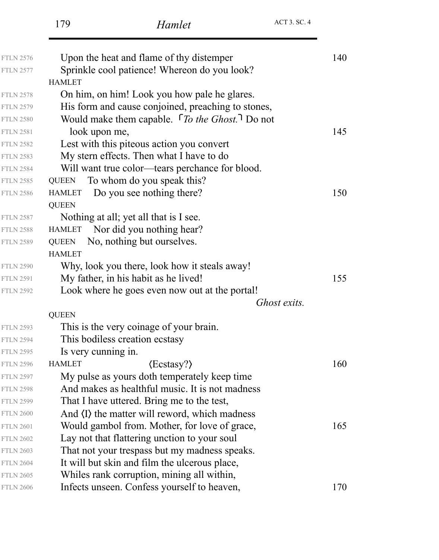|                  | 179                 | Hamlet                                                            | <b>ACT 3. SC. 4</b> |
|------------------|---------------------|-------------------------------------------------------------------|---------------------|
| <b>FTLN 2576</b> |                     | Upon the heat and flame of thy distemper                          |                     |
| <b>FTLN 2577</b> |                     | Sprinkle cool patience! Whereon do you look?                      |                     |
|                  | <b>HAMLET</b>       |                                                                   |                     |
| <b>FTLN 2578</b> |                     | On him, on him! Look you how pale he glares.                      |                     |
| <b>FTLN 2579</b> |                     | His form and cause conjoined, preaching to stones,                |                     |
|                  |                     | Would make them capable. $\int$ To the Ghost. <sup>1</sup> Do not |                     |
|                  | look upon me,       |                                                                   |                     |
|                  |                     | Lest with this piteous action you convert                         |                     |
|                  |                     | My stern effects. Then what I have to do                          |                     |
|                  |                     | Will want true color—tears perchance for blood.                   |                     |
|                  | QUEEN               | To whom do you speak this?                                        |                     |
|                  | <b>HAMLET</b>       | Do you see nothing there?                                         |                     |
|                  | <b>QUEEN</b>        |                                                                   |                     |
|                  |                     | Nothing at all; yet all that is I see.                            |                     |
|                  | <b>HAMLET</b>       | Nor did you nothing hear?                                         |                     |
|                  | <b>QUEEN</b>        | No, nothing but ourselves.                                        |                     |
|                  | <b>HAMLET</b>       |                                                                   |                     |
|                  |                     | Why, look you there, look how it steals away!                     |                     |
|                  |                     | My father, in his habit as he lived!                              |                     |
|                  |                     | Look where he goes even now out at the portal!                    |                     |
|                  |                     |                                                                   | Ghost exits.        |
|                  | <b>QUEEN</b>        |                                                                   |                     |
|                  |                     | This is the very coinage of your brain.                           |                     |
|                  |                     | This bodiless creation ecstasy                                    |                     |
|                  | Is very cunning in. |                                                                   |                     |
|                  | <b>HAMLET</b>       | $\langle Eestasy? \rangle$                                        |                     |
|                  |                     | My pulse as yours doth temperately keep time                      |                     |
|                  |                     | And makes as healthful music. It is not madness                   |                     |
|                  |                     | That I have uttered. Bring me to the test,                        |                     |
|                  |                     | And $\langle I \rangle$ the matter will reword, which madness     |                     |
|                  |                     | Would gambol from. Mother, for love of grace,                     |                     |
|                  |                     | Lay not that flattering unction to your soul                      |                     |
|                  |                     | That not your trespass but my madness speaks.                     |                     |
|                  |                     | It will but skin and film the ulcerous place,                     |                     |

Whiles rank corruption, mining all within, FTLN 2605

FTLN 2606 Infects unseen. Confess yourself to heaven, 170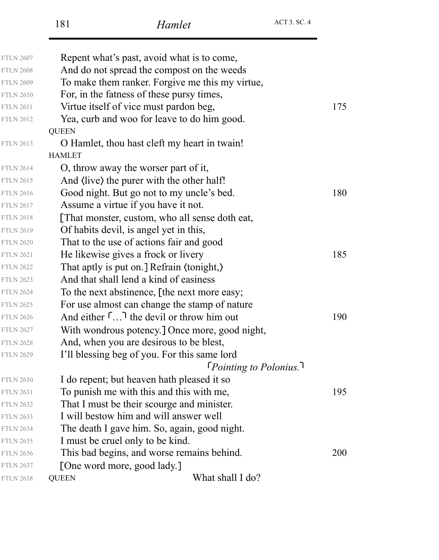| <b>FTLN 2607</b> | Repent what's past, avoid what is to come,                   |     |
|------------------|--------------------------------------------------------------|-----|
| <b>FTLN 2608</b> | And do not spread the compost on the weeds                   |     |
| <b>FTLN 2609</b> | To make them ranker. Forgive me this my virtue,              |     |
| <b>FTLN 2610</b> | For, in the fatness of these pursy times,                    |     |
| <b>FTLN 2611</b> | Virtue itself of vice must pardon beg,                       | 175 |
| <b>FTLN 2612</b> | Yea, curb and woo for leave to do him good.                  |     |
|                  | <b>OUEEN</b>                                                 |     |
| <b>FTLN 2613</b> | O Hamlet, thou hast cleft my heart in twain!                 |     |
|                  | <b>HAMLET</b>                                                |     |
| <b>FTLN 2614</b> | O, throw away the worser part of it,                         |     |
| <b>FTLN 2615</b> | And (live) the purer with the other half!                    |     |
| <b>FTLN 2616</b> | Good night. But go not to my uncle's bed.                    | 180 |
| <b>FTLN 2617</b> | Assume a virtue if you have it not.                          |     |
| <b>FTLN 2618</b> | [That monster, custom, who all sense doth eat,               |     |
| <b>FTLN 2619</b> | Of habits devil, is angel yet in this,                       |     |
| <b>FTLN 2620</b> | That to the use of actions fair and good                     |     |
| <b>FTLN 2621</b> | He likewise gives a frock or livery                          | 185 |
| <b>FTLN 2622</b> | That aptly is put on.] Refrain (tonight,)                    |     |
| <b>FTLN 2623</b> | And that shall lend a kind of easiness                       |     |
| <b>FTLN 2624</b> | To the next abstinence, [the next more easy;                 |     |
| <b>FTLN 2625</b> | For use almost can change the stamp of nature                |     |
| <b>FTLN 2626</b> | And either $\lceil \ldots \rceil$ the devil or throw him out | 190 |
| <b>FTLN 2627</b> | With wondrous potency.] Once more, good night,               |     |
| <b>FTLN 2628</b> | And, when you are desirous to be blest,                      |     |
| <b>FTLN 2629</b> | I'll blessing beg of you. For this same lord                 |     |
|                  | $\lceil$ Pointing to Polonius.                               |     |
| <b>FTLN 2630</b> | I do repent; but heaven hath pleased it so                   |     |
| <b>FTLN 2631</b> | To punish me with this and this with me,                     | 195 |
| <b>FTLN 2632</b> | That I must be their scourge and minister.                   |     |
| <b>FTLN 2633</b> | I will bestow him and will answer well                       |     |
| <b>FTLN 2634</b> | The death I gave him. So, again, good night.                 |     |
| <b>FTLN 2635</b> | I must be cruel only to be kind.                             |     |
| <b>FTLN 2636</b> | This bad begins, and worse remains behind.                   | 200 |
| <b>FTLN 2637</b> | [One word more, good lady.]                                  |     |
| <b>FTLN 2638</b> | What shall I do?<br><b>QUEEN</b>                             |     |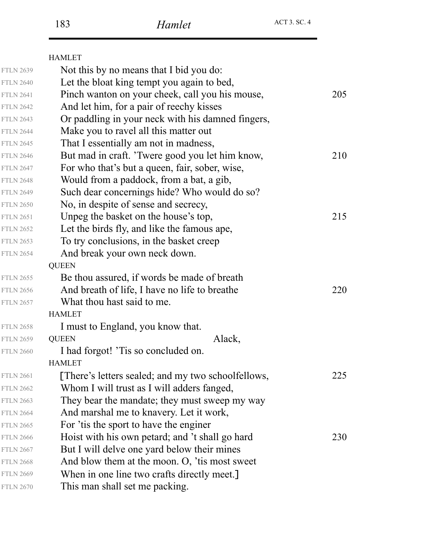| <b>HAMLET</b>                                      |     |
|----------------------------------------------------|-----|
| Not this by no means that I bid you do:            |     |
| Let the bloat king tempt you again to bed,         |     |
| Pinch wanton on your cheek, call you his mouse,    | 205 |
| And let him, for a pair of reechy kisses           |     |
| Or paddling in your neck with his damned fingers,  |     |
| Make you to ravel all this matter out              |     |
| That I essentially am not in madness,              |     |
| But mad in craft. 'Twere good you let him know,    | 210 |
| For who that's but a queen, fair, sober, wise,     |     |
| Would from a paddock, from a bat, a gib,           |     |
| Such dear concernings hide? Who would do so?       |     |
| No, in despite of sense and secrecy,               |     |
| Unpeg the basket on the house's top,               | 215 |
| Let the birds fly, and like the famous ape,        |     |
| To try conclusions, in the basket creep            |     |
| And break your own neck down.                      |     |
| <b>QUEEN</b>                                       |     |
| Be thou assured, if words be made of breath        |     |
| And breath of life, I have no life to breathe      | 220 |
| What thou hast said to me.                         |     |
| <b>HAMLET</b>                                      |     |
| I must to England, you know that.                  |     |
| Alack,<br><b>QUEEN</b>                             |     |
| I had forgot! Tis so concluded on.                 |     |
| <b>HAMLET</b>                                      |     |
| [There's letters sealed; and my two schoolfellows, | 225 |
| Whom I will trust as I will adders fanged,         |     |
| They bear the mandate; they must sweep my way      |     |
| And marshal me to knavery. Let it work,            |     |
| For 't is the sport to have the enginer            |     |
| Hoist with his own petard; and 't shall go hard    | 230 |
| But I will delve one yard below their mines        |     |
| And blow them at the moon. O, 'tis most sweet      |     |
| When in one line two crafts directly meet.]        |     |
| This man shall set me packing.                     |     |
|                                                    |     |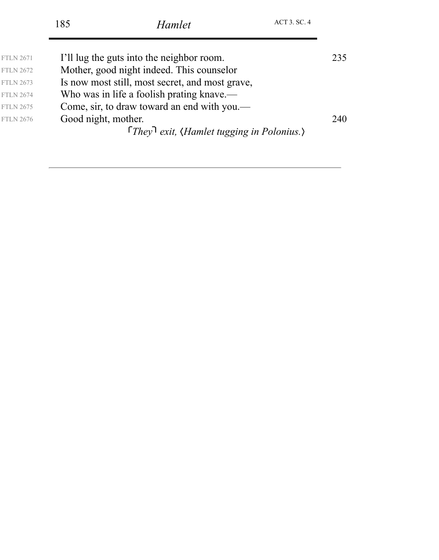|                  | 185                 | Hamlet                                          | <b>ACT 3. SC. 4</b> |     |
|------------------|---------------------|-------------------------------------------------|---------------------|-----|
| <b>FTLN 2671</b> |                     | I'll lug the guts into the neighbor room.       |                     | 235 |
| <b>FTLN 2672</b> |                     | Mother, good night indeed. This counselor       |                     |     |
| <b>FTLN 2673</b> |                     | Is now most still, most secret, and most grave, |                     |     |
| <b>FTLN 2674</b> |                     | Who was in life a foolish prating knave.—       |                     |     |
| <b>FTLN 2675</b> |                     | Come, sir, to draw toward an end with you.—     |                     |     |
| <b>FTLN 2676</b> | Good night, mother. |                                                 |                     | 240 |
|                  |                     | <i>They exit, (Hamlet tugging in Polonius.)</i> |                     |     |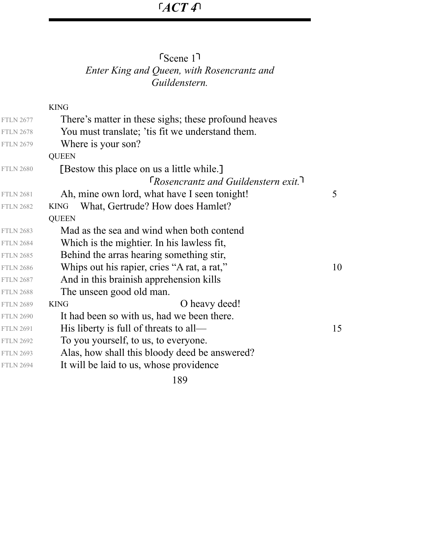# *ACT 4*

| $S_{\text{Cene}}$ 1                        |
|--------------------------------------------|
| Enter King and Queen, with Rosencrantz and |
| Guildenstern.                              |

|                  | <b>KING</b>                                          |    |
|------------------|------------------------------------------------------|----|
| <b>FTLN 2677</b> | There's matter in these sighs; these profound heaves |    |
| <b>FTLN 2678</b> | You must translate; 't is fit we understand them.    |    |
| <b>FTLN 2679</b> | Where is your son?                                   |    |
|                  | <b>QUEEN</b>                                         |    |
| <b>FTLN 2680</b> | [Bestow this place on us a little while.]            |    |
|                  | $\lceil$ Rosencrantz and Guildenstern exit.          |    |
| <b>FTLN 2681</b> | Ah, mine own lord, what have I seen tonight!         | 5  |
| <b>FTLN 2682</b> | What, Gertrude? How does Hamlet?<br><b>KING</b>      |    |
|                  | <b>QUEEN</b>                                         |    |
| <b>FTLN 2683</b> | Mad as the sea and wind when both contend            |    |
| <b>FTLN 2684</b> | Which is the mightier. In his lawless fit,           |    |
| <b>FTLN 2685</b> | Behind the arras hearing something stir,             |    |
| <b>FTLN 2686</b> | Whips out his rapier, cries "A rat, a rat,"          | 10 |
| <b>FTLN 2687</b> | And in this brainish apprehension kills              |    |
| <b>FTLN 2688</b> | The unseen good old man.                             |    |
| <b>FTLN 2689</b> | O heavy deed!<br><b>KING</b>                         |    |
| <b>FTLN 2690</b> | It had been so with us, had we been there.           |    |
| <b>FTLN 2691</b> | His liberty is full of threats to all-               | 15 |
| <b>FTLN 2692</b> | To you yourself, to us, to everyone.                 |    |
| <b>FTLN 2693</b> | Alas, how shall this bloody deed be answered?        |    |
| <b>FTLN 2694</b> | It will be laid to us, whose providence              |    |
|                  |                                                      |    |

189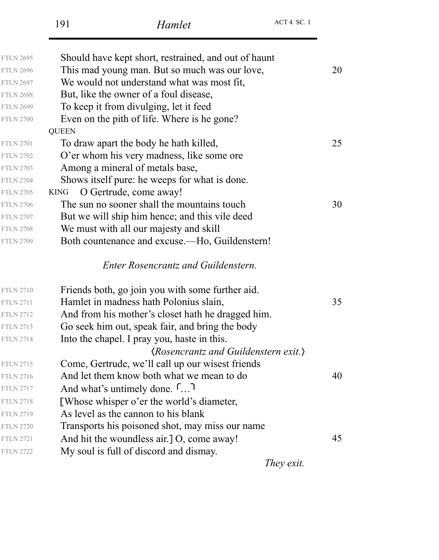| <b>FTLN 2695</b> | Should have kept short, restrained, and out of haunt   |    |
|------------------|--------------------------------------------------------|----|
| <b>FTLN 2696</b> | This mad young man. But so much was our love,          | 20 |
| <b>FTLN 2697</b> | We would not understand what was most fit,             |    |
| <b>FTLN 2698</b> | But, like the owner of a foul disease,                 |    |
| <b>FTLN 2699</b> | To keep it from divulging, let it feed                 |    |
| <b>FTLN 2700</b> | Even on the pith of life. Where is he gone?            |    |
|                  | <b>QUEEN</b>                                           |    |
| <b>FTLN 2701</b> | To draw apart the body he hath killed,                 | 25 |
| <b>FTLN 2702</b> | O'er whom his very madness, like some ore              |    |
| <b>FTLN 2703</b> | Among a mineral of metals base,                        |    |
| <b>FTLN 2704</b> | Shows itself pure: he weeps for what is done.          |    |
| <b>FTLN 2705</b> | O Gertrude, come away!<br><b>KING</b>                  |    |
| <b>FTLN 2706</b> | The sun no sooner shall the mountains touch            | 30 |
| <b>FTLN 2707</b> | But we will ship him hence; and this vile deed         |    |
| <b>FTLN 2708</b> | We must with all our majesty and skill                 |    |
| <b>FTLN 2709</b> | Both countenance and excuse.—Ho, Guildenstern!         |    |
|                  | <b>Enter Rosencrantz and Guildenstern.</b>             |    |
| <b>FTLN 2710</b> | Friends both, go join you with some further aid.       |    |
| <b>FTLN 2711</b> | Hamlet in madness hath Polonius slain,                 | 35 |
| <b>FTLN 2712</b> | And from his mother's closet hath he dragged him.      |    |
| <b>FTLN 2713</b> | Go seek him out, speak fair, and bring the body        |    |
| <b>FTLN 2714</b> | Into the chapel. I pray you, haste in this.            |    |
|                  | <i>(Rosencrantz and Guildenstern exit.)</i>            |    |
| <b>FTLN 2715</b> | Come, Gertrude, we'll call up our wisest friends       |    |
| <b>FTLN 2716</b> | And let them know both what we mean to do              | 40 |
| <b>FTLN 2717</b> | And what's untimely done. []                           |    |
| <b>FTLN 2718</b> | [Whose whisper o'er the world's diameter,              |    |
| <b>FTLN 2719</b> | As level as the cannon to his blank                    |    |
| <b>FTLN 2720</b> | Transports his poisoned shot, may miss our name        |    |
| <b>FTLN 2721</b> | And hit the woundless air. $\overline{O}$ , come away! | 45 |
| <b>FTLN 2722</b> | My soul is full of discord and dismay.                 |    |
|                  | They exit.                                             |    |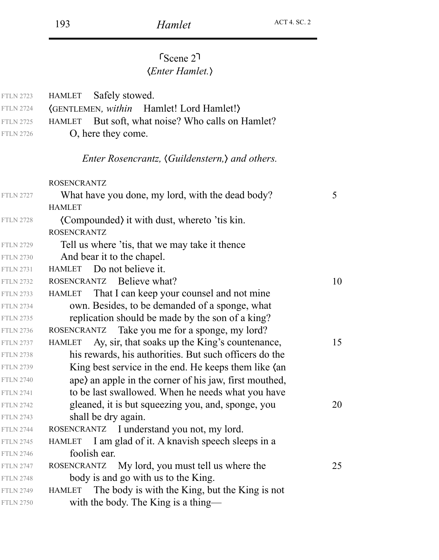## *Enter Hamlet.* Scene 2

| <b>FTLN 2723</b><br><b>FTLN 2724</b><br><b>FTLN 2725</b><br><b>FTLN 2726</b> | Safely stowed.<br>HAMLET<br>(GENTLEMEN, within Hamlet! Lord Hamlet!)<br>But soft, what noise? Who calls on Hamlet?<br><b>HAMLET</b><br>O, here they come. |    |
|------------------------------------------------------------------------------|-----------------------------------------------------------------------------------------------------------------------------------------------------------|----|
|                                                                              | Enter Rosencrantz, (Guildenstern,) and others.                                                                                                            |    |
|                                                                              | <b>ROSENCRANTZ</b>                                                                                                                                        |    |
| <b>FTLN 2727</b>                                                             | What have you done, my lord, with the dead body?                                                                                                          | 5  |
|                                                                              | <b>HAMLET</b>                                                                                                                                             |    |
| <b>FTLN 2728</b>                                                             | (Compounded) it with dust, whereto 'tis kin.                                                                                                              |    |
|                                                                              | <b>ROSENCRANTZ</b>                                                                                                                                        |    |
| <b>FTLN 2729</b>                                                             | Tell us where 'tis, that we may take it thence                                                                                                            |    |
| <b>FTLN 2730</b>                                                             | And bear it to the chapel.                                                                                                                                |    |
| <b>FTLN 2731</b>                                                             | HAMLET Do not believe it.                                                                                                                                 |    |
| <b>FTLN 2732</b>                                                             | ROSENCRANTZ Believe what?                                                                                                                                 | 10 |
| <b>FTLN 2733</b>                                                             | That I can keep your counsel and not mine<br><b>HAMLET</b>                                                                                                |    |
| <b>FTLN 2734</b>                                                             | own. Besides, to be demanded of a sponge, what                                                                                                            |    |
| <b>FTLN 2735</b>                                                             | replication should be made by the son of a king?                                                                                                          |    |
| <b>FTLN 2736</b>                                                             | Take you me for a sponge, my lord?<br><b>ROSENCRANTZ</b>                                                                                                  |    |
| <b>FTLN 2737</b>                                                             | Ay, sir, that soaks up the King's countenance,<br>HAMLET                                                                                                  | 15 |
| <b>FTLN 2738</b>                                                             | his rewards, his authorities. But such officers do the                                                                                                    |    |
| <b>FTLN 2739</b>                                                             | King best service in the end. He keeps them like (an                                                                                                      |    |
| <b>FTLN 2740</b>                                                             | ape) an apple in the corner of his jaw, first mouthed,                                                                                                    |    |
| <b>FTLN 2741</b>                                                             | to be last swallowed. When he needs what you have                                                                                                         |    |
| <b>FTLN 2742</b>                                                             | gleaned, it is but squeezing you, and, sponge, you                                                                                                        | 20 |
| <b>FTLN 2743</b>                                                             | shall be dry again.                                                                                                                                       |    |
| <b>FTLN 2744</b>                                                             | ROSENCRANTZ I understand you not, my lord.                                                                                                                |    |
| <b>FTLN 2745</b>                                                             | HAMLET I am glad of it. A knavish speech sleeps in a                                                                                                      |    |
| <b>FTLN 2746</b>                                                             | foolish ear.                                                                                                                                              |    |
| <b>FTLN 2747</b>                                                             | ROSENCRANTZ My lord, you must tell us where the                                                                                                           | 25 |
| <b>FTLN 2748</b>                                                             | body is and go with us to the King.                                                                                                                       |    |
| <b>FTLN 2749</b>                                                             | The body is with the King, but the King is not<br><b>HAMLET</b>                                                                                           |    |
| <b>FTLN 2750</b>                                                             | with the body. The King is a thing—                                                                                                                       |    |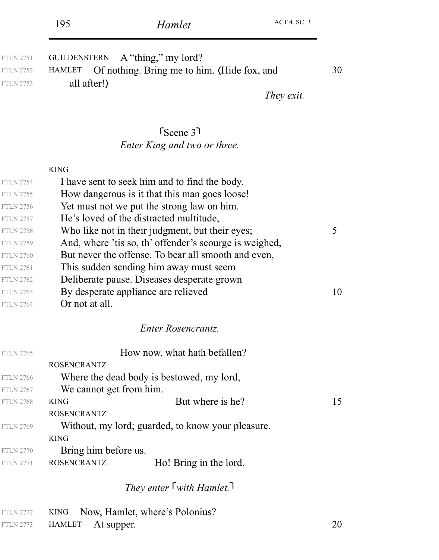|                  | FILN 2751 GUILDENSTERN $A$ "thing," my lord?       |    |
|------------------|----------------------------------------------------|----|
| <b>FTLN 2752</b> | HAMLET Of nothing. Bring me to him. (Hide fox, and | 30 |
| <b>FTLN 2753</b> | all after!)                                        |    |
|                  | They exit.                                         |    |

*Enter King and two or three.* Scene 3

#### KING

| <b>FTLN 2754</b> | I have sent to seek him and to find the body.          |    |
|------------------|--------------------------------------------------------|----|
| <b>FTLN 2755</b> | How dangerous is it that this man goes loose!          |    |
| <b>FTLN 2756</b> | Yet must not we put the strong law on him.             |    |
| <b>FTLN 2757</b> | He's loved of the distracted multitude,                |    |
| <b>FTLN 2758</b> | Who like not in their judgment, but their eyes;        |    |
| <b>FTLN 2759</b> | And, where 'tis so, th' offender's scourge is weighed, |    |
| <b>FTLN 2760</b> | But never the offense. To bear all smooth and even,    |    |
| <b>FTLN 2761</b> | This sudden sending him away must seem                 |    |
| <b>FTLN 2762</b> | Deliberate pause. Diseases desperate grown             |    |
| <b>FTLN 2763</b> | By desperate appliance are relieved                    | 10 |
| <b>FTLN 2764</b> | Or not at all.                                         |    |

### *Enter Rosencrantz.*

| <b>FTLN 2765</b> |                         | How now, what hath befallen?                      |    |
|------------------|-------------------------|---------------------------------------------------|----|
|                  | <b>ROSENCRANTZ</b>      |                                                   |    |
| <b>FTLN 2766</b> |                         | Where the dead body is bestowed, my lord,         |    |
| <b>FTLN 2767</b> | We cannot get from him. |                                                   |    |
| <b>FTLN 2768</b> | <b>KING</b>             | But where is he?                                  | 15 |
|                  | <b>ROSENCRANTZ</b>      |                                                   |    |
| <b>FTLN 2769</b> |                         | Without, my lord; guarded, to know your pleasure. |    |
|                  | <b>KING</b>             |                                                   |    |
| <b>FTLN 2770</b> | Bring him before us.    |                                                   |    |
|                  | <b>ROSENCRANTZ</b>      | Ho! Bring in the lord.                            |    |
|                  |                         |                                                   |    |

## *They enter with Hamlet.*

| <b>FTLN 2772</b> | KING Now, Hamlet, where's Polonius? |    |
|------------------|-------------------------------------|----|
|                  | FTLN 2773 HAMLET At supper.         | 20 |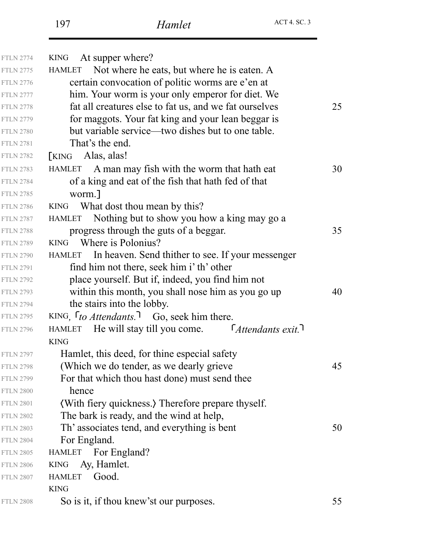| <b>FTLN 2774</b> | At supper where?<br><b>KING</b>                                                            |    |
|------------------|--------------------------------------------------------------------------------------------|----|
| <b>FTLN 2775</b> | Not where he eats, but where he is eaten. A<br><b>HAMLET</b>                               |    |
| <b>FTLN 2776</b> | certain convocation of politic worms are e'en at                                           |    |
| <b>FTLN 2777</b> | him. Your worm is your only emperor for diet. We                                           |    |
| <b>FTLN 2778</b> | fat all creatures else to fat us, and we fat ourselves                                     | 25 |
| <b>FTLN 2779</b> | for maggots. Your fat king and your lean beggar is                                         |    |
| <b>FTLN 2780</b> | but variable service—two dishes but to one table.                                          |    |
| <b>FTLN 2781</b> | That's the end.                                                                            |    |
| <b>FTLN 2782</b> | Alas, alas!<br><b>KING</b>                                                                 |    |
| <b>FTLN 2783</b> | A man may fish with the worm that hath eat<br><b>HAMLET</b>                                | 30 |
| <b>FTLN 2784</b> | of a king and eat of the fish that hath fed of that                                        |    |
| <b>FTLN 2785</b> | worm.]                                                                                     |    |
| <b>FTLN 2786</b> | What dost thou mean by this?<br><b>KING</b>                                                |    |
| <b>FTLN 2787</b> | Nothing but to show you how a king may go a<br><b>HAMLET</b>                               |    |
| <b>FTLN 2788</b> | progress through the guts of a beggar.                                                     | 35 |
| <b>FTLN 2789</b> | KING Where is Polonius?                                                                    |    |
| <b>FTLN 2790</b> | In heaven. Send thither to see. If your messenger<br><b>HAMLET</b>                         |    |
| <b>FTLN 2791</b> | find him not there, seek him i' th' other                                                  |    |
| <b>FTLN 2792</b> | place yourself. But if, indeed, you find him not                                           |    |
| <b>FTLN 2793</b> | within this month, you shall nose him as you go up                                         | 40 |
| <b>FTLN 2794</b> | the stairs into the lobby.                                                                 |    |
| <b>FTLN 2795</b> | KING, $\lceil$ to Attendants. <sup>1</sup> Go, seek him there.                             |    |
| <b>FTLN 2796</b> | <b>HAMLET</b><br>He will stay till you come.<br>$\mathsf{I}$ Attendants exit. $\mathsf{I}$ |    |
|                  | <b>KING</b>                                                                                |    |
| <b>FTLN 2797</b> | Hamlet, this deed, for thine especial safety                                               |    |
| <b>FTLN 2798</b> | (Which we do tender, as we dearly grieve                                                   | 45 |
| <b>FTLN 2799</b> | For that which thou hast done) must send thee                                              |    |
| <b>FTLN 2800</b> | hence                                                                                      |    |
| <b>FTLN 2801</b> | (With fiery quickness.) Therefore prepare thyself.                                         |    |
| <b>FTLN 2802</b> | The bark is ready, and the wind at help,                                                   |    |
| <b>FTLN 2803</b> | Th' associates tend, and everything is bent                                                | 50 |
| <b>FTLN 2804</b> | For England.                                                                               |    |
| <b>FTLN 2805</b> | For England?<br><b>HAMLET</b>                                                              |    |
| <b>FTLN 2806</b> | Ay, Hamlet.<br><b>KING</b>                                                                 |    |
| <b>FTLN 2807</b> | Good.<br><b>HAMLET</b>                                                                     |    |
|                  | <b>KING</b>                                                                                |    |
| <b>FTLN 2808</b> | So is it, if thou knew's tour purposes.                                                    | 55 |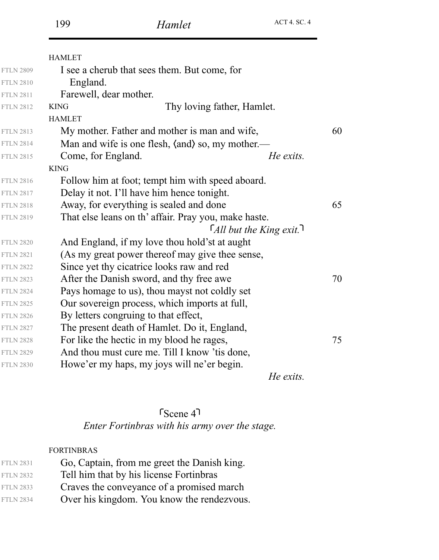|                  | <b>HAMLET</b>                                        |    |
|------------------|------------------------------------------------------|----|
| <b>FTLN 2809</b> | I see a cherub that sees them. But come, for         |    |
| <b>FTLN 2810</b> | England.                                             |    |
| <b>FTLN 2811</b> | Farewell, dear mother.                               |    |
| <b>FTLN 2812</b> | Thy loving father, Hamlet.<br><b>KING</b>            |    |
|                  | <b>HAMLET</b>                                        |    |
| <b>FTLN 2813</b> | My mother. Father and mother is man and wife,        | 60 |
| <b>FTLN 2814</b> | Man and wife is one flesh, (and) so, my mother.—     |    |
| <b>FTLN 2815</b> | Come, for England.<br>He exits.                      |    |
|                  | <b>KING</b>                                          |    |
| <b>FTLN 2816</b> | Follow him at foot; tempt him with speed aboard.     |    |
| <b>FTLN 2817</b> | Delay it not. I'll have him hence tonight.           |    |
| <b>FTLN 2818</b> | Away, for everything is sealed and done              | 65 |
| <b>FTLN 2819</b> | That else leans on th' affair. Pray you, make haste. |    |
|                  | $\lceil$ All but the King exit.                      |    |
| <b>FTLN 2820</b> | And England, if my love thou hold'st at aught        |    |
| <b>FTLN 2821</b> | (As my great power thereof may give thee sense,      |    |
| <b>FTLN 2822</b> | Since yet thy cicatrice looks raw and red            |    |
| <b>FTLN 2823</b> | After the Danish sword, and thy free awe             | 70 |
| <b>FTLN 2824</b> | Pays homage to us), thou mayst not coldly set        |    |
| <b>FTLN 2825</b> | Our sovereign process, which imports at full,        |    |
| <b>FTLN 2826</b> | By letters congruing to that effect,                 |    |
| <b>FTLN 2827</b> | The present death of Hamlet. Do it, England,         |    |
| <b>FTLN 2828</b> | For like the hectic in my blood he rages,            | 75 |
| <b>FTLN 2829</b> | And thou must cure me. Till I know 't is done,       |    |
| <b>FTLN 2830</b> | Howe'er my haps, my joys will ne'er begin.           |    |
|                  |                                                      |    |

*He exits.*

### *Enter Fortinbras with his army over the stage.* Scene 4

#### FORTINBRAS

| <b>FTLN 2831</b> | Go, Captain, from me greet the Danish king. |
|------------------|---------------------------------------------|
| <b>FTLN 2832</b> | Tell him that by his license Fortinbras     |
| <b>FTLN 2833</b> | Craves the conveyance of a promised march   |
| <b>FTLN 2834</b> | Over his kingdom. You know the rendezvous.  |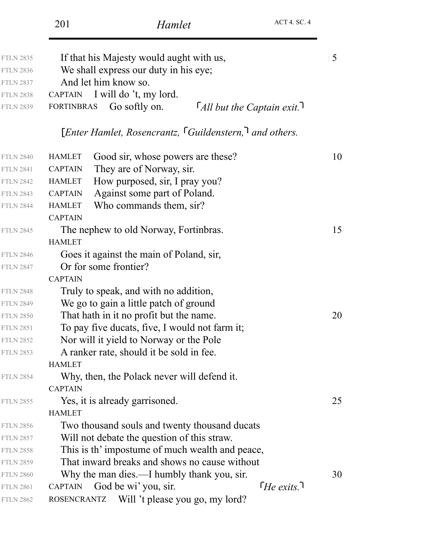| <b>FTLN 2835</b>                     | If that his Majesty would aught with us,                                                       | 5  |  |
|--------------------------------------|------------------------------------------------------------------------------------------------|----|--|
| <b>FTLN 2836</b>                     | We shall express our duty in his eye;                                                          |    |  |
| <b>FTLN 2837</b>                     | And let him know so.                                                                           |    |  |
| <b>FTLN 2838</b>                     | CAPTAIN I will do 't, my lord.                                                                 |    |  |
| <b>FTLN 2839</b>                     | Go softly on.<br>$\lceil$ All but the Captain exit.<br><b>FORTINBRAS</b>                       |    |  |
|                                      | [ <i>Enter Hamlet, Rosencrantz,</i> $\lceil$ <i>Guildenstern</i> , $\lceil$ <i>and others.</i> |    |  |
| <b>FTLN 2840</b>                     | Good sir, whose powers are these?<br><b>HAMLET</b>                                             | 10 |  |
| <b>FTLN 2841</b>                     | They are of Norway, sir.<br><b>CAPTAIN</b>                                                     |    |  |
| <b>FTLN 2842</b>                     | How purposed, sir, I pray you?<br><b>HAMLET</b>                                                |    |  |
| <b>FTLN 2843</b>                     | Against some part of Poland.<br><b>CAPTAIN</b>                                                 |    |  |
| <b>FTLN 2844</b>                     | Who commands them, sir?<br><b>HAMLET</b>                                                       |    |  |
|                                      | <b>CAPTAIN</b>                                                                                 |    |  |
| <b>FTLN 2845</b>                     | The nephew to old Norway, Fortinbras.                                                          | 15 |  |
|                                      | <b>HAMLET</b>                                                                                  |    |  |
| <b>FTLN 2846</b>                     | Goes it against the main of Poland, sir,                                                       |    |  |
| <b>FTLN 2847</b>                     | Or for some frontier?                                                                          |    |  |
|                                      | <b>CAPTAIN</b>                                                                                 |    |  |
| <b>FTLN 2848</b>                     | Truly to speak, and with no addition,                                                          |    |  |
| <b>FTLN 2849</b>                     | We go to gain a little patch of ground                                                         |    |  |
| <b>FTLN 2850</b><br><b>FTLN 2851</b> | That hath in it no profit but the name.<br>To pay five ducats, five, I would not farm it;      | 20 |  |
| <b>FTLN 2852</b>                     | Nor will it yield to Norway or the Pole                                                        |    |  |
| <b>FTLN 2853</b>                     | A ranker rate, should it be sold in fee.                                                       |    |  |
|                                      | <b>HAMLET</b>                                                                                  |    |  |
| <b>FTLN 2854</b>                     | Why, then, the Polack never will defend it.                                                    |    |  |
|                                      | <b>CAPTAIN</b>                                                                                 |    |  |
| <b>FTLN 2855</b>                     | Yes, it is already garrisoned.                                                                 | 25 |  |
|                                      | <b>HAMLET</b>                                                                                  |    |  |
| <b>FTLN 2856</b>                     | Two thousand souls and twenty thousand ducats                                                  |    |  |
| <b>FTLN 2857</b>                     | Will not debate the question of this straw.                                                    |    |  |
| <b>FTLN 2858</b>                     | This is th' impostume of much wealth and peace,                                                |    |  |
| <b>FTLN 2859</b>                     | That inward breaks and shows no cause without                                                  |    |  |
| <b>FTLN 2860</b>                     | Why the man dies.—I humbly thank you, sir.                                                     | 30 |  |
| <b>FTLN 2861</b>                     | God be wi' you, sir.<br>$\lceil He \text{ exits.} \rceil$<br><b>CAPTAIN</b>                    |    |  |
| <b>FTLN 2862</b>                     | Will 't please you go, my lord?<br>ROSENCRANTZ                                                 |    |  |

201 *Hamlet* ACT 4. SC. 4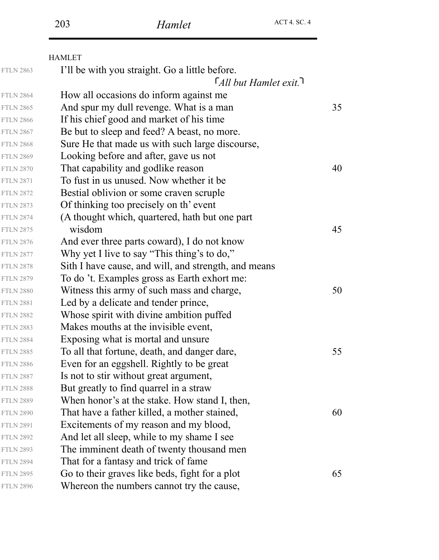|                  | <b>HAMLET</b>                                        |    |
|------------------|------------------------------------------------------|----|
| <b>FTLN 2863</b> | I'll be with you straight. Go a little before.       |    |
|                  | $\lceil$ All but Hamlet exit.                        |    |
| <b>FTLN 2864</b> | How all occasions do inform against me               |    |
| <b>FTLN 2865</b> | And spur my dull revenge. What is a man              | 35 |
| <b>FTLN 2866</b> | If his chief good and market of his time             |    |
| <b>FTLN 2867</b> | Be but to sleep and feed? A beast, no more.          |    |
| <b>FTLN 2868</b> | Sure He that made us with such large discourse,      |    |
| <b>FTLN 2869</b> | Looking before and after, gave us not                |    |
| <b>FTLN 2870</b> | That capability and godlike reason                   | 40 |
| <b>FTLN 2871</b> | To fust in us unused. Now whether it be              |    |
| <b>FTLN 2872</b> | Bestial oblivion or some craven scruple              |    |
| <b>FTLN 2873</b> | Of thinking too precisely on th' event               |    |
| <b>FTLN 2874</b> | (A thought which, quartered, hath but one part       |    |
| <b>FTLN 2875</b> | wisdom                                               | 45 |
| <b>FTLN 2876</b> | And ever three parts coward), I do not know          |    |
| <b>FTLN 2877</b> | Why yet I live to say "This thing's to do,"          |    |
| <b>FTLN 2878</b> | Sith I have cause, and will, and strength, and means |    |
| <b>FTLN 2879</b> | To do 't. Examples gross as Earth exhort me:         |    |
| <b>FTLN 2880</b> | Witness this army of such mass and charge,           | 50 |
| <b>FTLN 2881</b> | Led by a delicate and tender prince,                 |    |
| <b>FTLN 2882</b> | Whose spirit with divine ambition puffed             |    |
| <b>FTLN 2883</b> | Makes mouths at the invisible event,                 |    |
| <b>FTLN 2884</b> | Exposing what is mortal and unsure                   |    |
| <b>FTLN 2885</b> | To all that fortune, death, and danger dare,         | 55 |
| <b>FTLN 2886</b> | Even for an eggshell. Rightly to be great            |    |
| <b>FTLN 2887</b> | Is not to stir without great argument,               |    |
| <b>FTLN 2888</b> | But greatly to find quarrel in a straw               |    |
| <b>FTLN 2889</b> | When honor's at the stake. How stand I, then,        |    |
| <b>FTLN 2890</b> | That have a father killed, a mother stained,         | 60 |
| <b>FTLN 2891</b> | Excitements of my reason and my blood,               |    |
| <b>FTLN 2892</b> | And let all sleep, while to my shame I see           |    |
| <b>FTLN 2893</b> | The imminent death of twenty thousand men            |    |
| <b>FTLN 2894</b> | That for a fantasy and trick of fame                 |    |
| <b>FTLN 2895</b> | Go to their graves like beds, fight for a plot       | 65 |
| <b>FTLN 2896</b> | Whereon the numbers cannot try the cause,            |    |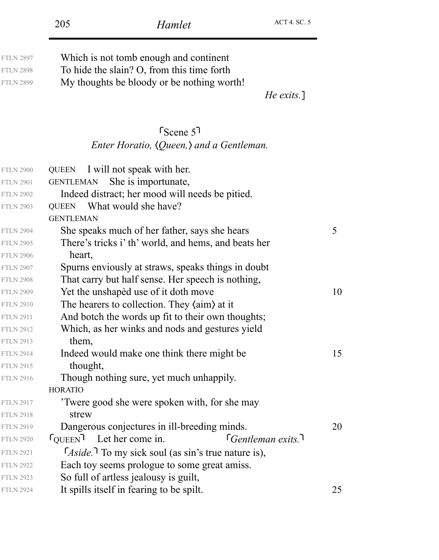| <b>FTLN 2897</b><br><b>FTLN 2898</b><br><b>FTLN 2899</b> | Which is not tomb enough and continent<br>To hide the slain? O, from this time forth<br>My thoughts be bloody or be nothing worth!<br>He exits.] |    |
|----------------------------------------------------------|--------------------------------------------------------------------------------------------------------------------------------------------------|----|
|                                                          | S <sub>cence</sub> 5                                                                                                                             |    |
|                                                          | Enter Horatio, <i>Queen</i> , and a Gentleman.                                                                                                   |    |
| <b>FTLN 2900</b>                                         | I will not speak with her.<br><b>QUEEN</b>                                                                                                       |    |
| <b>FTLN 2901</b>                                         | She is importunate,<br><b>GENTLEMAN</b>                                                                                                          |    |
| <b>FTLN 2902</b>                                         | Indeed distract; her mood will needs be pitied.                                                                                                  |    |
| <b>FTLN 2903</b>                                         | What would she have?<br><b>QUEEN</b>                                                                                                             |    |
|                                                          | <b>GENTLEMAN</b>                                                                                                                                 |    |
| <b>FTLN 2904</b>                                         | She speaks much of her father, says she hears                                                                                                    | 5  |
| <b>FTLN 2905</b>                                         | There's tricks i' th' world, and hems, and beats her                                                                                             |    |
| <b>FTLN 2906</b>                                         | heart,                                                                                                                                           |    |
| <b>FTLN 2907</b>                                         | Spurns enviously at straws, speaks things in doubt                                                                                               |    |
| <b>FTLN 2908</b>                                         | That carry but half sense. Her speech is nothing,                                                                                                |    |
| <b>FTLN 2909</b>                                         | Yet the unshaped use of it doth move                                                                                                             | 10 |
| <b>FTLN 2910</b>                                         | The hearers to collection. They (aim) at it                                                                                                      |    |
| <b>FTLN 2911</b>                                         | And botch the words up fit to their own thoughts;                                                                                                |    |
| <b>FTLN 2912</b>                                         | Which, as her winks and nods and gestures yield                                                                                                  |    |
| <b>FTLN 2913</b>                                         | them,                                                                                                                                            |    |
| <b>FTLN 2914</b>                                         | Indeed would make one think there might be                                                                                                       | 15 |
| <b>FTLN 2915</b>                                         | thought,                                                                                                                                         |    |
| <b>FTLN 2916</b>                                         | Though nothing sure, yet much unhappily.                                                                                                         |    |

HORATIO

QUEEN<sup>1</sup> Let her come in. Gentleman exits. 'Twere good she were spoken with, for she may strew FTLN 2919 Dangerous conjectures in ill-breeding minds. 20 *Aside*.<sup>1</sup> To my sick soul (as sin's true nature is), Each toy seems prologue to some great amiss. So full of artless jealousy is guilt, FTLN 2917 FTLN 2918 FTLN 2920 FTLN 2921 FTLN 2922 FTLN 2923

FTLN 2924 It spills itself in fearing to be spilt. 25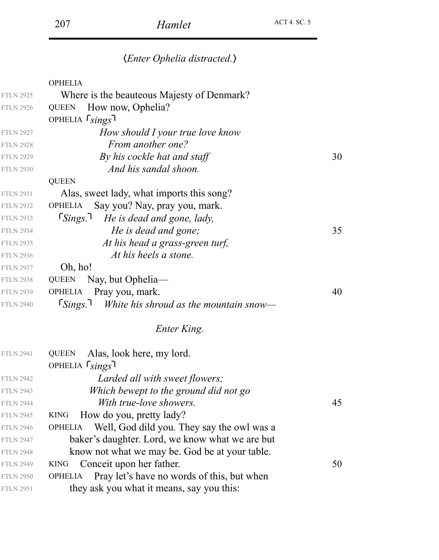|  |  | (Enter Ophelia distracted.) |
|--|--|-----------------------------|
|--|--|-----------------------------|

|                  | <b>OPHELIA</b>                                                     |    |
|------------------|--------------------------------------------------------------------|----|
| <b>FTLN 2925</b> | Where is the beauteous Majesty of Denmark?                         |    |
| <b>FTLN 2926</b> | How now, Ophelia?<br><b>QUEEN</b>                                  |    |
|                  | OPHELIA <sup>[sings]</sup>                                         |    |
| <b>FTLN 2927</b> | How should I your true love know                                   |    |
| <b>FTLN 2928</b> | From another one?                                                  |    |
| <b>FTLN 2929</b> | By his cockle hat and staff                                        | 30 |
| <b>FTLN 2930</b> | And his sandal shoon.                                              |    |
|                  | <b>QUEEN</b>                                                       |    |
| <b>FTLN 2931</b> | Alas, sweet lady, what imports this song?                          |    |
| <b>FTLN 2932</b> | Say you? Nay, pray you, mark.<br><b>OPHELIA</b>                    |    |
| <b>FTLN 2933</b> | $1$ Sings.<br>He is dead and gone, lady,                           |    |
| <b>FTLN 2934</b> | He is dead and gone;                                               | 35 |
| <b>FTLN 2935</b> | At his head a grass-green turf,                                    |    |
| <b>FTLN 2936</b> | At his heels a stone.                                              |    |
| <b>FTLN 2937</b> | Oh, ho!                                                            |    |
| <b>FTLN 2938</b> | Nay, but Ophelia—<br><b>QUEEN</b>                                  |    |
| <b>FTLN 2939</b> | Pray you, mark.<br><b>OPHELIA</b>                                  | 40 |
| <b>FTLN 2940</b> | $\lceil$ Sings. $\rceil$<br>White his shroud as the mountain snow— |    |
|                  | Enter King.                                                        |    |
| <b>FTLN 2941</b> | Alas, look here, my lord.<br><b>QUEEN</b>                          |    |
|                  | OPHELIA <sup>[sings]</sup>                                         |    |
| <b>FTLN 2942</b> | Larded all with sweet flowers;                                     |    |
| <b>FTLN 2943</b> | Which bewept to the ground did not go                              |    |
| <b>FTLN 2944</b> | With true-love showers.                                            | 45 |
| <b>FTLN 2945</b> | How do you, pretty lady?<br><b>KING</b>                            |    |
| <b>FTLN 2946</b> | Well, God dild you. They say the owl was a<br><b>OPHELIA</b>       |    |
| <b>FTLN 2947</b> | baker's daughter. Lord, we know what we are but                    |    |
| <b>FTLN 2948</b> | know not what we may be. God be at your table.                     |    |
| <b>FTLN 2949</b> | Conceit upon her father.<br>KING                                   | 50 |
| <b>FTLN 2950</b> | Pray let's have no words of this, but when<br><b>OPHELIA</b>       |    |
| <b>FTLN 2951</b> | they ask you what it means, say you this:                          |    |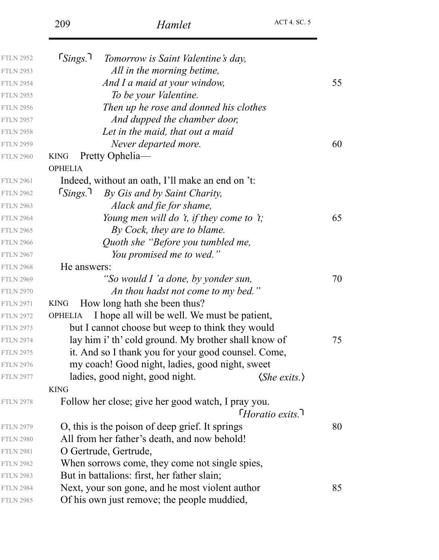| <b>FTLN 2952</b> | $1$ Sings. $1$<br>Tomorrow is Saint Valentine's day,               |    |
|------------------|--------------------------------------------------------------------|----|
| <b>FTLN 2953</b> | All in the morning betime,                                         |    |
| <b>FTLN 2954</b> | And I a maid at your window,                                       | 55 |
| <b>FTLN 2955</b> | To be your Valentine.                                              |    |
| <b>FTLN 2956</b> | Then up he rose and donned his clothes                             |    |
| <b>FTLN 2957</b> | And dupped the chamber door,                                       |    |
| <b>FTLN 2958</b> | Let in the maid, that out a maid                                   |    |
| <b>FTLN 2959</b> | Never departed more.                                               | 60 |
| <b>FTLN 2960</b> | Pretty Ophelia—<br><b>KING</b>                                     |    |
|                  | <b>OPHELIA</b>                                                     |    |
| <b>FTLN 2961</b> | Indeed, without an oath, I'll make an end on 't:                   |    |
| <b>FTLN 2962</b> | $\lceil$ Sings. $\lceil$<br>By Gis and by Saint Charity,           |    |
| <b>FTLN 2963</b> | Alack and fie for shame,                                           |    |
| <b>FTLN 2964</b> | Young men will do 't, if they come to 't;                          | 65 |
| <b>FTLN 2965</b> | By Cock, they are to blame.                                        |    |
| <b>FTLN 2966</b> | Quoth she "Before you tumbled me,                                  |    |
| <b>FTLN 2967</b> | You promised me to wed."                                           |    |
| <b>FTLN 2968</b> | He answers:                                                        |    |
| <b>FTLN 2969</b> | "So would I 'a done, by yonder sun,                                | 70 |
| <b>FTLN 2970</b> | An thou hadst not come to my bed."                                 |    |
| <b>FTLN 2971</b> | How long hath she been thus?<br><b>KING</b>                        |    |
| <b>FTLN 2972</b> | I hope all will be well. We must be patient,<br><b>OPHELIA</b>     |    |
| <b>FTLN 2973</b> | but I cannot choose but weep to think they would                   |    |
| <b>FTLN 2974</b> | lay him i' th' cold ground. My brother shall know of               | 75 |
| <b>FTLN 2975</b> | it. And so I thank you for your good counsel. Come,                |    |
| <b>FTLN 2976</b> | my coach! Good night, ladies, good night, sweet                    |    |
| <b>FTLN 2977</b> | ladies, good night, good night.<br>$\langle She \; exists.\rangle$ |    |
|                  | <b>KING</b>                                                        |    |
| <b>FTLN 2978</b> | Follow her close; give her good watch, I pray you.                 |    |
|                  | $\lceil$ Horatio exits. $\lceil$                                   |    |
| <b>FTLN 2979</b> | O, this is the poison of deep grief. It springs                    | 80 |
| <b>FTLN 2980</b> | All from her father's death, and now behold!                       |    |
| <b>FTLN 2981</b> | O Gertrude, Gertrude,                                              |    |
| <b>FTLN 2982</b> | When sorrows come, they come not single spies,                     |    |
| <b>FTLN 2983</b> | But in battalions: first, her father slain;                        |    |
| <b>FTLN 2984</b> | Next, your son gone, and he most violent author                    | 85 |
| <b>FTLN 2985</b> | Of his own just remove; the people muddied,                        |    |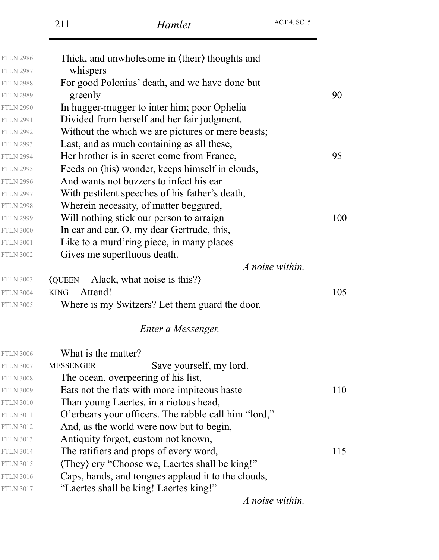| <b>FTLN 2986</b> | Thick, and unwholesome in (their) thoughts and            |     |
|------------------|-----------------------------------------------------------|-----|
| <b>FTLN 2987</b> | whispers                                                  |     |
| <b>FTLN 2988</b> | For good Polonius' death, and we have done but            |     |
| <b>FTLN 2989</b> | greenly                                                   | 90  |
| <b>FTLN 2990</b> | In hugger-mugger to inter him; poor Ophelia               |     |
| <b>FTLN 2991</b> | Divided from herself and her fair judgment,               |     |
| <b>FTLN 2992</b> | Without the which we are pictures or mere beasts;         |     |
| <b>FTLN 2993</b> | Last, and as much containing as all these,                |     |
| <b>FTLN 2994</b> | Her brother is in secret come from France,                | 95  |
| <b>FTLN 2995</b> | Feeds on (his) wonder, keeps himself in clouds,           |     |
| <b>FTLN 2996</b> | And wants not buzzers to infect his ear.                  |     |
| <b>FTLN 2997</b> | With pestilent speeches of his father's death,            |     |
| <b>FTLN 2998</b> | Wherein necessity, of matter beggared,                    |     |
| <b>FTLN 2999</b> | Will nothing stick our person to arraign                  | 100 |
| <b>FTLN 3000</b> | In ear and ear. O, my dear Gertrude, this,                |     |
| <b>FTLN 3001</b> | Like to a murd'ring piece, in many places                 |     |
| <b>FTLN 3002</b> | Gives me superfluous death.                               |     |
|                  | A noise within.                                           |     |
| <b>FTLN 3003</b> | Alack, what noise is this?)<br><b><i><u>QUEEN</u></i></b> |     |
| <b>FTLN 3004</b> | Attend!<br><b>KING</b>                                    | 105 |
| <b>FTLN 3005</b> | Where is my Switzers? Let them guard the door.            |     |
|                  | Enter a Messenger.                                        |     |
| <b>FTLN 3006</b> | What is the matter?                                       |     |
| <b>FTLN 3007</b> | Save yourself, my lord.<br><b>MESSENGER</b>               |     |
| <b>FTLN 3008</b> | The ocean, overpeering of his list,                       |     |
| <b>FTLN 3009</b> | Eats not the flats with more impiteous haste              | 110 |
| <b>FTLN 3010</b> | Than young Laertes, in a riotous head,                    |     |
| <b>FTLN 3011</b> | O'erbears your officers. The rabble call him "lord,"      |     |
| <b>FTLN 3012</b> | And, as the world were now but to begin,                  |     |
| <b>FTLN 3013</b> | Antiquity forgot, custom not known,                       |     |
| <b>FTLN 3014</b> | The ratifiers and props of every word,                    | 115 |
| <b>FTLN 3015</b> | (They) cry "Choose we, Laertes shall be king!"            |     |
| <b>FTLN 3016</b> | Caps, hands, and tongues applaud it to the clouds,        |     |
| <b>FTLN 3017</b> | "Laertes shall be king! Laertes king!"                    |     |
|                  |                                                           |     |

*A noise within.*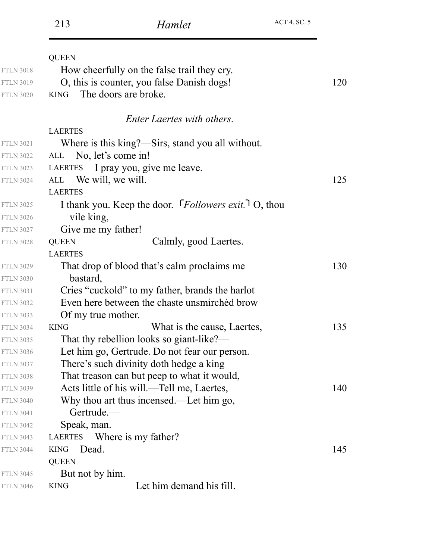| <b>FTLN 3018</b> | <b>QUEEN</b><br>How cheerfully on the false trail they cry.               |     |
|------------------|---------------------------------------------------------------------------|-----|
| <b>FTLN 3019</b> | O, this is counter, you false Danish dogs!                                | 120 |
| <b>FTLN 3020</b> | The doors are broke.<br><b>KING</b>                                       |     |
|                  |                                                                           |     |
|                  | <i>Enter Laertes with others.</i>                                         |     |
|                  | <b>LAERTES</b>                                                            |     |
| <b>FTLN 3021</b> | Where is this king?—Sirs, stand you all without.                          |     |
| <b>FTLN 3022</b> | ALL No, let's come in!                                                    |     |
| <b>FTLN 3023</b> | I pray you, give me leave.<br><b>LAERTES</b>                              |     |
| <b>FTLN 3024</b> | We will, we will.<br>ALL                                                  | 125 |
|                  | <b>LAERTES</b>                                                            |     |
| <b>FTLN 3025</b> | I thank you. Keep the door. $\lceil$ Followers exit. <sup>1</sup> O, thou |     |
| <b>FTLN 3026</b> | vile king,                                                                |     |
| <b>FTLN 3027</b> | Give me my father!                                                        |     |
| <b>FTLN 3028</b> | Calmly, good Laertes.<br><b>QUEEN</b>                                     |     |
|                  | <b>LAERTES</b>                                                            |     |
| <b>FTLN 3029</b> | That drop of blood that's calm proclaims me                               | 130 |
| <b>FTLN 3030</b> | bastard,                                                                  |     |
| <b>FTLN 3031</b> | Cries "cuckold" to my father, brands the harlot                           |     |
| <b>FTLN 3032</b> | Even here between the chaste unsmirched brow                              |     |
| <b>FTLN 3033</b> | Of my true mother.                                                        |     |
| <b>FTLN 3034</b> | What is the cause, Laertes,<br><b>KING</b>                                | 135 |
| <b>FTLN 3035</b> | That thy rebellion looks so giant-like?—                                  |     |
| <b>FTLN 3036</b> | Let him go, Gertrude. Do not fear our person.                             |     |
| <b>FTLN 3037</b> | There's such divinity doth hedge a king                                   |     |
| <b>FTLN 3038</b> | That treason can but peep to what it would,                               |     |
| <b>FTLN 3039</b> | Acts little of his will.—Tell me, Laertes,                                | 140 |
| <b>FTLN 3040</b> | Why thou art thus incensed.—Let him go,                                   |     |
| <b>FTLN 3041</b> | Gertrude.—                                                                |     |
| <b>FTLN 3042</b> | Speak, man.                                                               |     |
| <b>FTLN 3043</b> | Where is my father?<br><b>LAERTES</b>                                     |     |
| <b>FTLN 3044</b> | <b>KING</b><br>Dead.                                                      | 145 |
|                  | <b>QUEEN</b>                                                              |     |
| <b>FTLN 3045</b> | But not by him.                                                           |     |
| <b>FTLN 3046</b> | Let him demand his fill.<br><b>KING</b>                                   |     |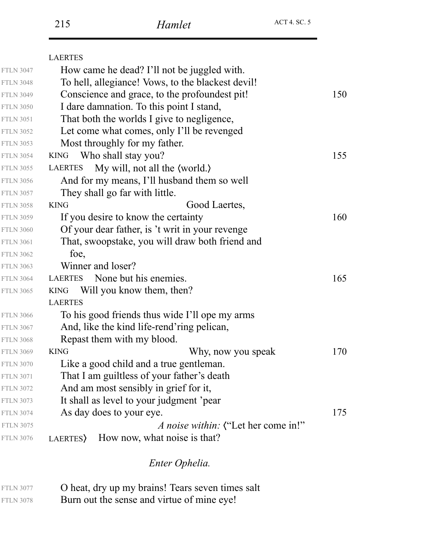|                  | <b>LAERTES</b>                                    |     |
|------------------|---------------------------------------------------|-----|
| <b>FTLN 3047</b> | How came he dead? I'll not be juggled with.       |     |
| <b>FTLN 3048</b> | To hell, allegiance! Vows, to the blackest devil! |     |
| <b>FTLN 3049</b> | Conscience and grace, to the profoundest pit!     | 150 |
| <b>FTLN 3050</b> | I dare damnation. To this point I stand,          |     |
| <b>FTLN 3051</b> | That both the worlds I give to negligence,        |     |
| <b>FTLN 3052</b> | Let come what comes, only I'll be revenged        |     |
| <b>FTLN 3053</b> | Most throughly for my father.                     |     |
| <b>FTLN 3054</b> | Who shall stay you?<br><b>KING</b>                | 155 |
| <b>FTLN 3055</b> | My will, not all the (world.)<br><b>LAERTES</b>   |     |
| <b>FTLN 3056</b> | And for my means, I'll husband them so well       |     |
| <b>FTLN 3057</b> | They shall go far with little.                    |     |
| <b>FTLN 3058</b> | Good Laertes,<br><b>KING</b>                      |     |
| <b>FTLN 3059</b> | If you desire to know the certainty               | 160 |
| <b>FTLN 3060</b> | Of your dear father, is 't writ in your revenge   |     |
| <b>FTLN 3061</b> | That, swoopstake, you will draw both friend and   |     |
| <b>FTLN 3062</b> | foe,                                              |     |
| <b>FTLN 3063</b> | Winner and loser?                                 |     |
| <b>FTLN 3064</b> | None but his enemies.<br><b>LAERTES</b>           | 165 |
| <b>FTLN 3065</b> | Will you know them, then?<br><b>KING</b>          |     |
|                  | <b>LAERTES</b>                                    |     |
| <b>FTLN 3066</b> | To his good friends thus wide I'll ope my arms    |     |
| <b>FTLN 3067</b> | And, like the kind life-rend'ring pelican,        |     |
| <b>FTLN 3068</b> | Repast them with my blood.                        |     |
| <b>FTLN 3069</b> | Why, now you speak<br><b>KING</b>                 | 170 |
| <b>FTLN 3070</b> | Like a good child and a true gentleman.           |     |
| <b>FTLN 3071</b> | That I am guiltless of your father's death        |     |
| <b>FTLN 3072</b> | And am most sensibly in grief for it,             |     |
| <b>FTLN 3073</b> | It shall as level to your judgment 'pear          |     |
| <b>FTLN 3074</b> | As day does to your eye.                          | 175 |
| <b>FTLN 3075</b> | <i>A noise within:</i> ("Let her come in!"        |     |
| <b>FTLN 3076</b> | How now, what noise is that?<br>LAERTES           |     |
|                  |                                                   |     |

#### *Enter Ophelia.*

| <b>FTLN 3077</b> | O heat, dry up my brains! Tears seven times salt |
|------------------|--------------------------------------------------|
| <b>FTLN 3078</b> | Burn out the sense and virtue of mine eye!       |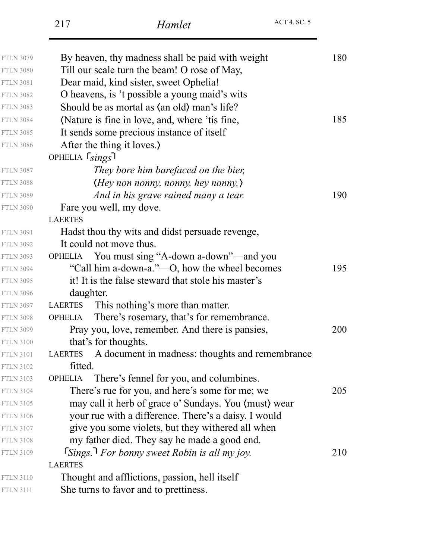|                                      | 217                        | Hamlet                                                                                            | <b>ACT 4. SC. 5</b> |
|--------------------------------------|----------------------------|---------------------------------------------------------------------------------------------------|---------------------|
| <b>FTLN 3079</b>                     |                            | By heaven, thy madness shall be paid with weight                                                  |                     |
| <b>FTLN 3080</b>                     |                            | Till our scale turn the beam! O rose of May,                                                      |                     |
| <b>FTLN 3081</b>                     |                            | Dear maid, kind sister, sweet Ophelia!                                                            |                     |
| <b>FTLN 3082</b>                     |                            | O heavens, is 't possible a young maid's wits                                                     |                     |
| <b>FTLN 3083</b>                     |                            | Should be as mortal as $\langle$ an old) man's life?                                              |                     |
| <b>FTLN 3084</b>                     |                            | (Nature is fine in love, and, where 'tis fine,                                                    |                     |
| <b>FTLN 3085</b>                     |                            | It sends some precious instance of itself                                                         |                     |
| <b>FTLN 3086</b>                     | After the thing it loves.) |                                                                                                   |                     |
|                                      | OPHELIA <i>Sings</i>       |                                                                                                   |                     |
| <b>FTLN 3087</b>                     |                            | They bore him barefaced on the bier,                                                              |                     |
| <b>FTLN 3088</b>                     |                            | $\langle$ Hey non nonny, nonny, hey nonny, $\rangle$                                              |                     |
| <b>FTLN 3089</b>                     |                            | And in his grave rained many a tear.                                                              |                     |
| <b>FTLN 3090</b>                     | Fare you well, my dove.    |                                                                                                   |                     |
|                                      | <b>LAERTES</b>             |                                                                                                   |                     |
| <b>FTLN 3091</b>                     |                            | Hadst thou thy wits and didst persuade revenge,                                                   |                     |
| <b>FTLN 3092</b>                     | It could not move thus.    |                                                                                                   |                     |
| <b>FTLN 3093</b>                     | <b>OPHELIA</b>             | You must sing "A-down a-down"—and you                                                             |                     |
| <b>FTLN 3094</b>                     |                            | "Call him a-down-a."—O, how the wheel becomes                                                     |                     |
| <b>FTLN 3095</b>                     |                            | it! It is the false steward that stole his master's                                               |                     |
| <b>FTLN 3096</b>                     | daughter.                  |                                                                                                   |                     |
| <b>FTLN 3097</b>                     | <b>LAERTES</b>             | This nothing's more than matter.                                                                  |                     |
| <b>FTLN 3098</b>                     | <b>OPHELIA</b>             | There's rosemary, that's for remembrance.                                                         |                     |
| <b>FTLN 3099</b>                     |                            | Pray you, love, remember. And there is pansies,                                                   |                     |
| <b>FTLN 3100</b>                     | that's for thoughts.       |                                                                                                   |                     |
| <b>FTLN 3101</b>                     | <b>LAERTES</b>             | A document in madness: thoughts and remembrance                                                   |                     |
| <b>FTLN 3102</b>                     | fitted.                    |                                                                                                   |                     |
| <b>FTLN 3103</b>                     | <b>OPHELIA</b>             | There's fennel for you, and columbines.                                                           |                     |
| <b>FTLN 3104</b>                     |                            | There's rue for you, and here's some for me; we                                                   |                     |
| <b>FTLN 3105</b>                     |                            | may call it herb of grace o' Sundays. You (must) wear                                             |                     |
| <b>FTLN 3106</b>                     |                            | your rue with a difference. There's a daisy. I would                                              |                     |
| <b>FTLN 3107</b>                     |                            | give you some violets, but they withered all when                                                 |                     |
| <b>FTLN 3108</b><br><b>FTLN 3109</b> |                            | my father died. They say he made a good end.<br>$5 \times 7$ For bonny sweet Robin is all my joy. |                     |
|                                      | <b>LAERTES</b>             |                                                                                                   |                     |
| <b>FTLN 3110</b>                     |                            | Thought and afflictions, passion, hell itself                                                     |                     |
| <b>FTLN 3111</b>                     |                            | She turns to favor and to prettiness.                                                             |                     |
|                                      |                            |                                                                                                   |                     |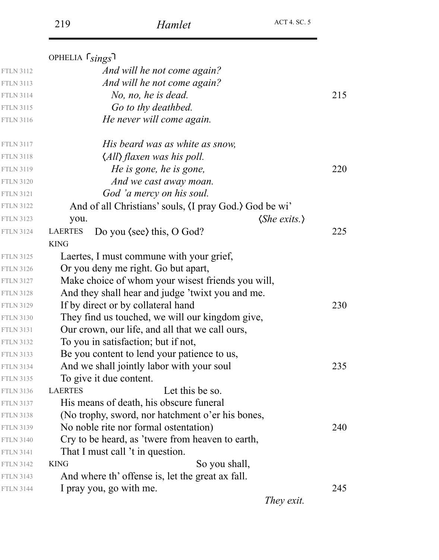|                  | OPHELIA <sup>[sings]</sup>                             |     |
|------------------|--------------------------------------------------------|-----|
| <b>FTLN 3112</b> | And will he not come again?                            |     |
| <b>FTLN 3113</b> | And will he not come again?                            |     |
| <b>FTLN 3114</b> | No, no, he is dead.                                    | 215 |
| <b>FTLN 3115</b> | Go to thy deathbed.                                    |     |
| <b>FTLN 3116</b> | He never will come again.                              |     |
| <b>FTLN 3117</b> | His beard was as white as snow,                        |     |
| <b>FTLN 3118</b> | (All) flaxen was his poll.                             |     |
| <b>FTLN 3119</b> | He is gone, he is gone,                                | 220 |
| <b>FTLN 3120</b> | And we cast away moan.                                 |     |
| <b>FTLN 3121</b> | God 'a mercy on his soul.                              |     |
| <b>FTLN 3122</b> | And of all Christians' souls, (I pray God.) God be wi' |     |
| <b>FTLN 3123</b> | $\langle She \; exists.\rangle$<br>you.                |     |
| <b>FTLN 3124</b> | <b>LAERTES</b><br>Do you (see) this, O God?            | 225 |
|                  | <b>KING</b>                                            |     |
| <b>FTLN 3125</b> | Laertes, I must commune with your grief,               |     |
| <b>FTLN 3126</b> | Or you deny me right. Go but apart,                    |     |
| <b>FTLN 3127</b> | Make choice of whom your wisest friends you will,      |     |
| <b>FTLN 3128</b> | And they shall hear and judge 'twixt you and me.       |     |
| <b>FTLN 3129</b> | If by direct or by collateral hand                     | 230 |
| <b>FTLN 3130</b> | They find us touched, we will our kingdom give,        |     |
| <b>FTLN 3131</b> | Our crown, our life, and all that we call ours,        |     |
| <b>FTLN 3132</b> | To you in satisfaction; but if not,                    |     |
| <b>FTLN 3133</b> | Be you content to lend your patience to us,            |     |
| <b>FTLN 3134</b> | And we shall jointly labor with your soul              | 235 |
| <b>FTLN 3135</b> | To give it due content.                                |     |
| <b>FTLN 3136</b> | Let this be so.<br><b>LAERTES</b>                      |     |
| <b>FTLN 3137</b> | His means of death, his obscure funeral                |     |
| <b>FTLN 3138</b> | (No trophy, sword, nor hatchment o'er his bones,       |     |
| <b>FTLN 3139</b> | No noble rite nor formal ostentation)                  | 240 |
| <b>FTLN 3140</b> | Cry to be heard, as 'twere from heaven to earth,       |     |
| <b>FTLN 3141</b> | That I must call 't in question.                       |     |
| <b>FTLN 3142</b> | So you shall,<br><b>KING</b>                           |     |
| <b>FTLN 3143</b> | And where th' offense is, let the great ax fall.       |     |
| <b>FTLN 3144</b> | I pray you, go with me.                                | 245 |
|                  | They exit.                                             |     |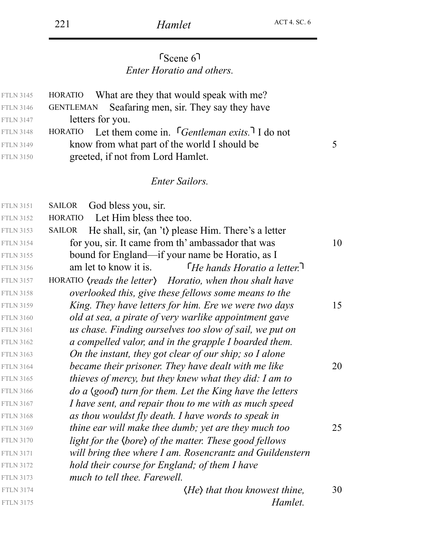#### *Enter Horatio and others.* Scene 6

| <b>FTLN 3145</b> | What are they that would speak with me?<br><b>HORATIO</b>                         |    |
|------------------|-----------------------------------------------------------------------------------|----|
| <b>FTLN 3146</b> | Seafaring men, sir. They say they have<br><b>GENTLEMAN</b>                        |    |
| <b>FTLN 3147</b> | letters for you.                                                                  |    |
| <b>FTLN 3148</b> | Let them come in. $\int$ Gentleman exits. <sup>7</sup> I do not<br><b>HORATIO</b> |    |
| <b>FTLN 3149</b> | know from what part of the world I should be                                      | 5  |
| <b>FTLN 3150</b> | greeted, if not from Lord Hamlet.                                                 |    |
|                  | <i>Enter Sailors.</i>                                                             |    |
| <b>FTLN 3151</b> | God bless you, sir.<br><b>SAILOR</b>                                              |    |
| <b>FTLN 3152</b> | Let Him bless thee too.<br><b>HORATIO</b>                                         |    |
| <b>FTLN 3153</b> | He shall, sir, $\langle$ an 't) please Him. There's a letter<br><b>SAILOR</b>     |    |
| <b>FTLN 3154</b> | for you, sir. It came from th' ambassador that was                                | 10 |
| <b>FTLN 3155</b> | bound for England—if your name be Horatio, as I                                   |    |
| <b>FTLN 3156</b> | $\int$ He hands Horatio a letter.<br>am let to know it is.                        |    |
| <b>FTLN 3157</b> | HORATIO (reads the letter) Horatio, when thou shalt have                          |    |
| <b>FTLN 3158</b> | overlooked this, give these fellows some means to the                             |    |
| <b>FTLN 3159</b> | King. They have letters for him. Ere we were two days                             | 15 |
| <b>FTLN 3160</b> | old at sea, a pirate of very warlike appointment gave                             |    |
| <b>FTLN 3161</b> | us chase. Finding ourselves too slow of sail, we put on                           |    |
| <b>FTLN 3162</b> | a compelled valor, and in the grapple I boarded them.                             |    |
| <b>FTLN 3163</b> | On the instant, they got clear of our ship; so I alone                            |    |
| <b>FTLN 3164</b> | became their prisoner. They have dealt with me like                               | 20 |
| <b>FTLN 3165</b> | thieves of mercy, but they knew what they did: I am to                            |    |
| <b>FTLN 3166</b> | $\phi$ a $\langle$ good) turn for them. Let the King have the letters             |    |
| <b>FTLN 3167</b> | I have sent, and repair thou to me with as much speed                             |    |
| <b>FTLN 3168</b> | as thou wouldst fly death. I have words to speak in                               |    |
| <b>FTLN 3169</b> | thine ear will make thee dumb; yet are they much too                              | 25 |
| <b>FTLN 3170</b> | light for the (bore) of the matter. These good fellows                            |    |
| <b>FTLN 3171</b> | will bring thee where I am. Rosencrantz and Guildenstern                          |    |
| <b>FTLN 3172</b> | hold their course for England; of them I have                                     |    |
| <b>FTLN 3173</b> | much to tell thee. Farewell.                                                      |    |
| <b>FTLN 3174</b> | $\langle He \rangle$ that thou knowest thine,                                     | 30 |
| <b>FTLN 3175</b> | Hamlet.                                                                           |    |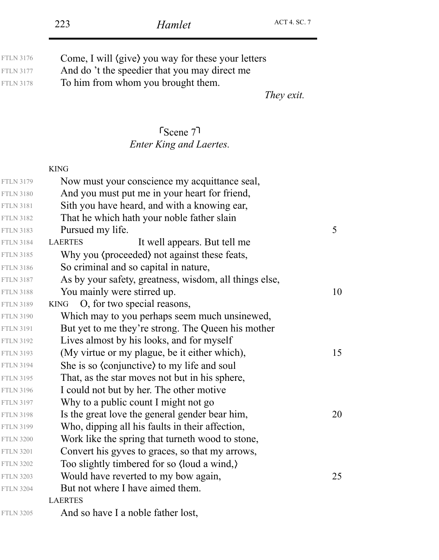| <b>FTLN 3176</b> | Come, I will (give) you way for these your letters |
|------------------|----------------------------------------------------|
| <b>FTLN 3177</b> | And do 't the speedier that you may direct me      |
| <b>FTLN 3178</b> | To him from whom you brought them.                 |
|                  | They exit.                                         |
|                  |                                                    |

### *Enter King and Laertes.* Scene 7

#### KING

| <b>FTLN 3179</b> | Now must your conscience my acquittance seal,          |    |
|------------------|--------------------------------------------------------|----|
| <b>FTLN 3180</b> | And you must put me in your heart for friend,          |    |
| <b>FTLN 3181</b> | Sith you have heard, and with a knowing ear,           |    |
| <b>FTLN 3182</b> | That he which hath your noble father slain             |    |
| <b>FTLN 3183</b> | Pursued my life.                                       | 5  |
| <b>FTLN 3184</b> | It well appears. But tell me<br><b>LAERTES</b>         |    |
| <b>FTLN 3185</b> | Why you (proceeded) not against these feats,           |    |
| <b>FTLN 3186</b> | So criminal and so capital in nature,                  |    |
| <b>FTLN 3187</b> | As by your safety, greatness, wisdom, all things else, |    |
| <b>FTLN 3188</b> | You mainly were stirred up.                            | 10 |
| <b>FTLN 3189</b> | O, for two special reasons,<br><b>KING</b>             |    |
| <b>FTLN 3190</b> | Which may to you perhaps seem much unsinewed,          |    |
| <b>FTLN 3191</b> | But yet to me they're strong. The Queen his mother     |    |
| <b>FTLN 3192</b> | Lives almost by his looks, and for myself              |    |
| <b>FTLN 3193</b> | (My virtue or my plague, be it either which),          | 15 |
| <b>FTLN 3194</b> | She is so (conjunctive) to my life and soul            |    |
| <b>FTLN 3195</b> | That, as the star moves not but in his sphere,         |    |
| <b>FTLN 3196</b> | I could not but by her. The other motive               |    |
| <b>FTLN 3197</b> | Why to a public count I might not go                   |    |
| <b>FTLN 3198</b> | Is the great love the general gender bear him,         | 20 |
| <b>FTLN 3199</b> | Who, dipping all his faults in their affection,        |    |
| <b>FTLN 3200</b> | Work like the spring that turneth wood to stone,       |    |
| <b>FTLN 3201</b> | Convert his gyves to graces, so that my arrows,        |    |
| <b>FTLN 3202</b> | Too slightly timbered for so (loud a wind,)            |    |
| <b>FTLN 3203</b> | Would have reverted to my bow again,                   | 25 |
| <b>FTLN 3204</b> | But not where I have aimed them.                       |    |
|                  | <b>LAERTES</b>                                         |    |
|                  | And so hove Lo noble fother loot                       |    |

And so have I a noble father lost, FTLN 3205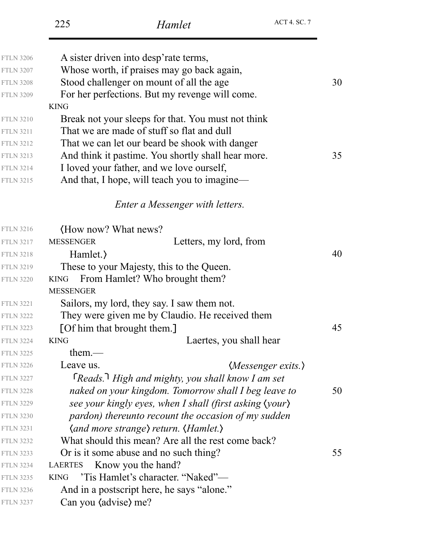|                  | <b>ACT 4. SC. 7</b><br>225<br>Hamlet                                   |  |
|------------------|------------------------------------------------------------------------|--|
| <b>FTLN 3206</b> | A sister driven into desp'rate terms,                                  |  |
| <b>FTLN 3207</b> | Whose worth, if praises may go back again,                             |  |
| <b>FTLN 3208</b> | Stood challenger on mount of all the age                               |  |
| <b>FTLN 3209</b> | For her perfections. But my revenge will come.                         |  |
|                  | <b>KING</b>                                                            |  |
| <b>FTLN 3210</b> | Break not your sleeps for that. You must not think                     |  |
| <b>FTLN 3211</b> | That we are made of stuff so flat and dull                             |  |
| <b>FTLN 3212</b> | That we can let our beard be shook with danger                         |  |
| <b>FTLN 3213</b> | And think it pastime. You shortly shall hear more.                     |  |
| <b>FTLN 3214</b> | I loved your father, and we love ourself,                              |  |
| <b>FTLN 3215</b> | And that, I hope, will teach you to imagine—                           |  |
|                  | Enter a Messenger with letters.                                        |  |
| <b>FTLN 3216</b> | (How now? What news?                                                   |  |
| <b>FTLN 3217</b> | <b>MESSENGER</b><br>Letters, my lord, from                             |  |
| <b>FTLN 3218</b> | Hamlet.                                                                |  |
| <b>FTLN 3219</b> | These to your Majesty, this to the Queen.                              |  |
| <b>FTLN 3220</b> | From Hamlet? Who brought them?<br><b>KING</b>                          |  |
|                  | <b>MESSENGER</b>                                                       |  |
| <b>FTLN 3221</b> | Sailors, my lord, they say. I saw them not.                            |  |
| <b>FTLN 3222</b> | They were given me by Claudio. He received them                        |  |
| <b>FTLN 3223</b> | [Of him that brought them.]                                            |  |
| <b>FTLN 3224</b> | Laertes, you shall hear<br><b>KING</b>                                 |  |
| <b>FTLN 3225</b> | them.—                                                                 |  |
| <b>FTLN 3226</b> | Leave us.<br>$\langle Messagenger \; exits. \rangle$                   |  |
| <b>FTLN 3227</b> | $\lceil \text{Reads.} \rceil$ High and mighty, you shall know I am set |  |
| <b>FTLN 3228</b> | naked on your kingdom. Tomorrow shall I beg leave to                   |  |
| <b>FTLN 3229</b> | see your kingly eyes, when I shall (first asking (your)                |  |
| <b>FTLN 3230</b> | pardon) thereunto recount the occasion of my sudden                    |  |
| <b>FTLN 3231</b> | <i>(and more strange) return. (Hamlet.)</i>                            |  |
| <b>FTLN 3232</b> | What should this mean? Are all the rest come back?                     |  |
| <b>FTLN 3233</b> | Or is it some abuse and no such thing?                                 |  |
| <b>FTLN 3234</b> | Know you the hand?<br><b>LAERTES</b>                                   |  |
| <b>FTLN 3235</b> | 'Tis Hamlet's character. "Naked"—<br><b>KING</b>                       |  |
| <b>FTLN 3236</b> | And in a postscript here, he says "alone."                             |  |
| <b>FTLN 3237</b> | Can you (advise) me?                                                   |  |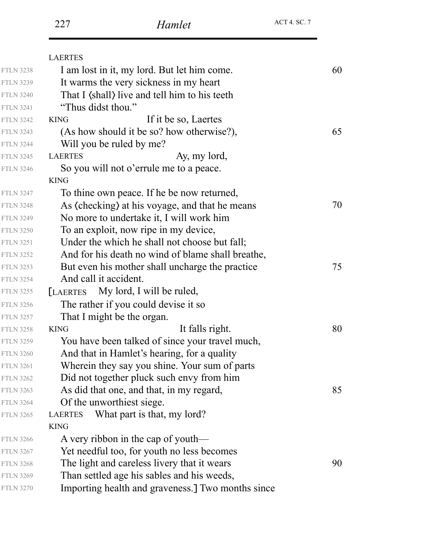|                  | <b>LAERTES</b>                                    |    |
|------------------|---------------------------------------------------|----|
| <b>FTLN 3238</b> | I am lost in it, my lord. But let him come.       | 60 |
| <b>FTLN 3239</b> | It warms the very sickness in my heart            |    |
| <b>FTLN 3240</b> | That I (shall) live and tell him to his teeth     |    |
| <b>FTLN 3241</b> | "Thus didst thou."                                |    |
| <b>FTLN 3242</b> | If it be so, Laertes<br><b>KING</b>               |    |
| <b>FTLN 3243</b> | (As how should it be so? how otherwise?),         | 65 |
| <b>FTLN 3244</b> | Will you be ruled by me?                          |    |
| <b>FTLN 3245</b> | <b>LAERTES</b><br>Ay, my lord,                    |    |
| <b>FTLN 3246</b> | So you will not o'errule me to a peace.           |    |
|                  | <b>KING</b>                                       |    |
| <b>FTLN 3247</b> | To thine own peace. If he be now returned,        |    |
| <b>FTLN 3248</b> | As (checking) at his voyage, and that he means    | 70 |
| <b>FTLN 3249</b> | No more to undertake it, I will work him          |    |
| <b>FTLN 3250</b> | To an exploit, now ripe in my device,             |    |
| <b>FTLN 3251</b> | Under the which he shall not choose but fall;     |    |
| <b>FTLN 3252</b> | And for his death no wind of blame shall breathe, |    |
| <b>FTLN 3253</b> | But even his mother shall uncharge the practice   | 75 |
| <b>FTLN 3254</b> | And call it accident.                             |    |
| <b>FTLN 3255</b> | [LAERTES My lord, I will be ruled,                |    |
| <b>FTLN 3256</b> | The rather if you could devise it so              |    |
| <b>FTLN 3257</b> | That I might be the organ.                        |    |
| <b>FTLN 3258</b> | It falls right.<br><b>KING</b>                    | 80 |
| <b>FTLN 3259</b> | You have been talked of since your travel much,   |    |
| <b>FTLN 3260</b> | And that in Hamlet's hearing, for a quality       |    |
| <b>FTLN 3261</b> | Wherein they say you shine. Your sum of parts     |    |
| <b>FTLN 3262</b> | Did not together pluck such envy from him         |    |
| <b>FTLN 3263</b> | As did that one, and that, in my regard,          | 85 |
| <b>FTLN 3264</b> | Of the unworthiest siege.                         |    |
| <b>FTLN 3265</b> | What part is that, my lord?<br><b>LAERTES</b>     |    |
|                  | <b>KING</b>                                       |    |
| <b>FTLN 3266</b> | A very ribbon in the cap of youth—                |    |
| <b>FTLN 3267</b> | Yet needful too, for youth no less becomes        |    |
| <b>FTLN 3268</b> | The light and careless livery that it wears       | 90 |
| <b>FTLN 3269</b> | Than settled age his sables and his weeds,        |    |
| <b>FTLN 3270</b> | Importing health and graveness. Two months since  |    |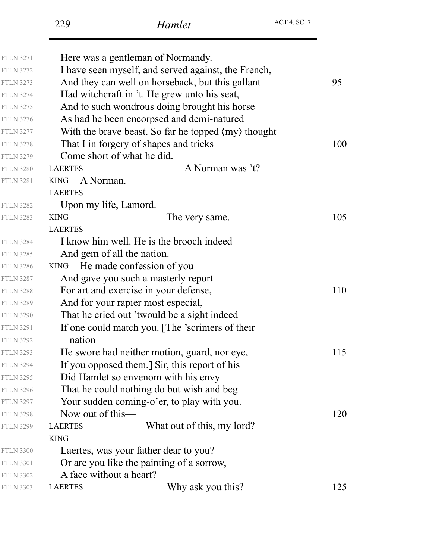| <b>FTLN 3271</b> | Here was a gentleman of Normandy.                      |  |     |  |
|------------------|--------------------------------------------------------|--|-----|--|
| <b>FTLN 3272</b> | I have seen myself, and served against, the French,    |  |     |  |
| <b>FTLN 3273</b> | And they can well on horseback, but this gallant<br>95 |  |     |  |
| <b>FTLN 3274</b> | Had witchcraft in 't. He grew unto his seat,           |  |     |  |
| <b>FTLN 3275</b> | And to such wondrous doing brought his horse           |  |     |  |
| <b>FTLN 3276</b> | As had he been encorpsed and demi-natured              |  |     |  |
| <b>FTLN 3277</b> | With the brave beast. So far he topped (my) thought    |  |     |  |
| <b>FTLN 3278</b> | That I in forgery of shapes and tricks                 |  | 100 |  |
| <b>FTLN 3279</b> | Come short of what he did.                             |  |     |  |
| <b>FTLN 3280</b> | A Norman was 't?<br><b>LAERTES</b>                     |  |     |  |
| <b>FTLN 3281</b> | <b>KING</b><br>A Norman.                               |  |     |  |
|                  | <b>LAERTES</b>                                         |  |     |  |
| <b>FTLN 3282</b> | Upon my life, Lamord.                                  |  |     |  |
| <b>FTLN 3283</b> | <b>KING</b><br>The very same.                          |  | 105 |  |
|                  | <b>LAERTES</b>                                         |  |     |  |
| <b>FTLN 3284</b> | I know him well. He is the brooch indeed               |  |     |  |
| <b>FTLN 3285</b> | And gem of all the nation.                             |  |     |  |
| <b>FTLN 3286</b> | He made confession of you<br><b>KING</b>               |  |     |  |
| <b>FTLN 3287</b> | And gave you such a masterly report                    |  |     |  |
| <b>FTLN 3288</b> | For art and exercise in your defense,                  |  | 110 |  |
| <b>FTLN 3289</b> | And for your rapier most especial,                     |  |     |  |
| <b>FTLN 3290</b> | That he cried out 'twould be a sight indeed            |  |     |  |
| <b>FTLN 3291</b> | If one could match you. [The 'scrimers of their        |  |     |  |
| <b>FTLN 3292</b> | nation                                                 |  |     |  |
| <b>FTLN 3293</b> | He swore had neither motion, guard, nor eye,           |  | 115 |  |
| <b>FTLN 3294</b> | If you opposed them.] Sir, this report of his          |  |     |  |
| <b>FTLN 3295</b> | Did Hamlet so envenom with his envy                    |  |     |  |
| <b>FTLN 3296</b> | That he could nothing do but wish and beg              |  |     |  |
| <b>FTLN 3297</b> | Your sudden coming-o'er, to play with you.             |  |     |  |
| <b>FTLN 3298</b> | Now out of this—                                       |  | 120 |  |
| <b>FTLN 3299</b> | What out of this, my lord?<br><b>LAERTES</b>           |  |     |  |
|                  | <b>KING</b>                                            |  |     |  |
| <b>FTLN 3300</b> | Laertes, was your father dear to you?                  |  |     |  |
| <b>FTLN 3301</b> | Or are you like the painting of a sorrow,              |  |     |  |
| <b>FTLN 3302</b> | A face without a heart?                                |  |     |  |
| <b>FTLN 3303</b> | Why ask you this?<br><b>LAERTES</b>                    |  | 125 |  |
|                  |                                                        |  |     |  |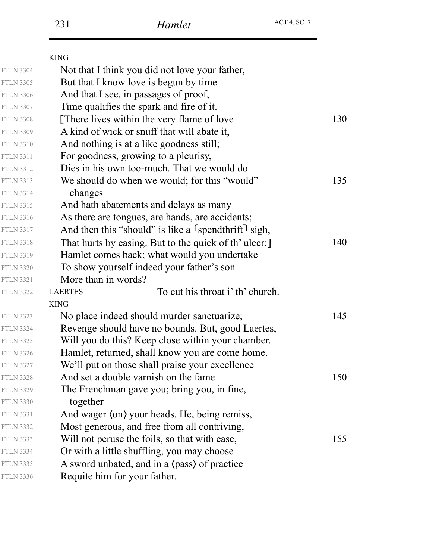|                  | <b>KING</b>                                                          |     |
|------------------|----------------------------------------------------------------------|-----|
| <b>FTLN 3304</b> | Not that I think you did not love your father,                       |     |
| <b>FTLN 3305</b> | But that I know love is begun by time                                |     |
| <b>FTLN 3306</b> | And that I see, in passages of proof,                                |     |
| <b>FTLN 3307</b> | Time qualifies the spark and fire of it.                             |     |
| <b>FTLN 3308</b> | [There lives within the very flame of love]                          | 130 |
| <b>FTLN 3309</b> | A kind of wick or snuff that will abate it,                          |     |
| <b>FTLN 3310</b> | And nothing is at a like goodness still;                             |     |
| <b>FTLN 3311</b> | For goodness, growing to a pleurisy,                                 |     |
| <b>FTLN 3312</b> | Dies in his own too-much. That we would do                           |     |
| <b>FTLN 3313</b> | We should do when we would; for this "would"                         | 135 |
| <b>FTLN 3314</b> | changes                                                              |     |
| <b>FTLN 3315</b> | And hath abatements and delays as many                               |     |
| <b>FTLN 3316</b> | As there are tongues, are hands, are accidents;                      |     |
| <b>FTLN 3317</b> | And then this "should" is like a $\lceil$ spendthrift $\lceil$ sigh, |     |
| <b>FTLN 3318</b> | That hurts by easing. But to the quick of th' ulcer:                 | 140 |
| <b>FTLN 3319</b> | Hamlet comes back; what would you undertake                          |     |
| <b>FTLN 3320</b> | To show yourself indeed your father's son                            |     |
| <b>FTLN 3321</b> | More than in words?                                                  |     |
| <b>FTLN 3322</b> | To cut his throat i' th' church.<br><b>LAERTES</b>                   |     |
|                  | <b>KING</b>                                                          |     |
| <b>FTLN 3323</b> | No place indeed should murder sanctuarize;                           | 145 |
| <b>FTLN 3324</b> | Revenge should have no bounds. But, good Laertes,                    |     |
| <b>FTLN 3325</b> | Will you do this? Keep close within your chamber.                    |     |
| <b>FTLN 3326</b> | Hamlet, returned, shall know you are come home.                      |     |
| <b>FTLN 3327</b> | We'll put on those shall praise your excellence                      |     |
| <b>FTLN 3328</b> | And set a double varnish on the fame.                                | 150 |
| <b>FTLN 3329</b> | The Frenchman gave you; bring you, in fine,                          |     |
| <b>FTLN 3330</b> | together                                                             |     |
| <b>FTLN 3331</b> | And wager (on) your heads. He, being remiss,                         |     |
| <b>FTLN 3332</b> | Most generous, and free from all contriving,                         |     |
| <b>FTLN 3333</b> | Will not peruse the foils, so that with ease,                        | 155 |
| <b>FTLN 3334</b> | Or with a little shuffling, you may choose                           |     |
| <b>FTLN 3335</b> | A sword unbated, and in a (pass) of practice                         |     |
| <b>FTLN 3336</b> | Requite him for your father.                                         |     |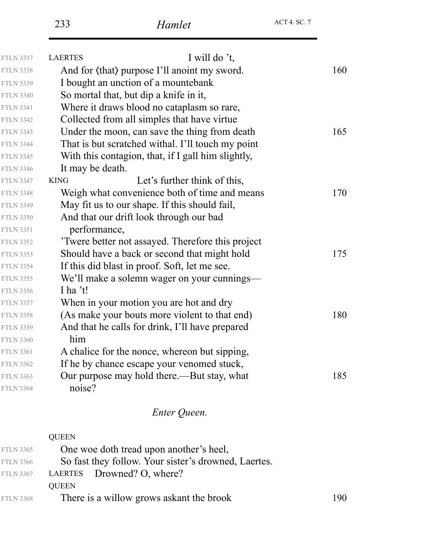| <b>FTLN 3337</b> | <b>LAERTES</b>                                     | I will do 't, |     |
|------------------|----------------------------------------------------|---------------|-----|
| <b>FTLN 3338</b> | And for (that) purpose I'll anoint my sword.       |               | 160 |
| <b>FTLN 3339</b> | I bought an unction of a mountebank                |               |     |
| <b>FTLN 3340</b> | So mortal that, but dip a knife in it,             |               |     |
| <b>FTLN 3341</b> | Where it draws blood no cataplasm so rare,         |               |     |
| <b>FTLN 3342</b> | Collected from all simples that have virtue        |               |     |
| <b>FTLN 3343</b> | Under the moon, can save the thing from death      |               | 165 |
| <b>FTLN 3344</b> | That is but scratched withal. I'll touch my point  |               |     |
| <b>FTLN 3345</b> | With this contagion, that, if I gall him slightly, |               |     |
| <b>FTLN 3346</b> | It may be death.                                   |               |     |
| <b>FTLN 3347</b> | Let's further think of this,<br><b>KING</b>        |               |     |
| <b>FTLN 3348</b> | Weigh what convenience both of time and means      |               | 170 |
| <b>FTLN 3349</b> | May fit us to our shape. If this should fail,      |               |     |
| <b>FTLN 3350</b> | And that our drift look through our bad            |               |     |
| <b>FTLN 3351</b> | performance,                                       |               |     |
| <b>FTLN 3352</b> | Twere better not assayed. Therefore this project   |               |     |
| <b>FTLN 3353</b> | Should have a back or second that might hold       |               | 175 |
| <b>FTLN 3354</b> | If this did blast in proof. Soft, let me see.      |               |     |
| <b>FTLN 3355</b> | We'll make a solemn wager on your cunnings—        |               |     |
| <b>FTLN 3356</b> | I ha 't!                                           |               |     |
| <b>FTLN 3357</b> | When in your motion you are hot and dry            |               |     |
| <b>FTLN 3358</b> | (As make your bouts more violent to that end)      |               | 180 |
| <b>FTLN 3359</b> | And that he calls for drink, I'll have prepared    |               |     |
| <b>FTLN 3360</b> | him                                                |               |     |
| <b>FTLN 3361</b> | A chalice for the nonce, whereon but sipping,      |               |     |
| <b>FTLN 3362</b> | If he by chance escape your venomed stuck,         |               |     |
| <b>FTLN 3363</b> | Our purpose may hold there.—But stay, what         |               | 185 |
| <b>FTLN 3364</b> | noise?                                             |               |     |
|                  |                                                    |               |     |

# *Enter Queen.*

|                  | <b>QUEEN</b>               |                                                      |     |
|------------------|----------------------------|------------------------------------------------------|-----|
| <b>FTLN 3365</b> |                            | One woe doth tread upon another's heel,              |     |
| <b>FTLN 3366</b> |                            | So fast they follow. Your sister's drowned, Laertes. |     |
| <b>FTLN 3367</b> | LAERTES Drowned? O, where? |                                                      |     |
|                  | <b>QUEEN</b>               |                                                      |     |
| <b>FTLN 3368</b> |                            | There is a willow grows askant the brook             | 190 |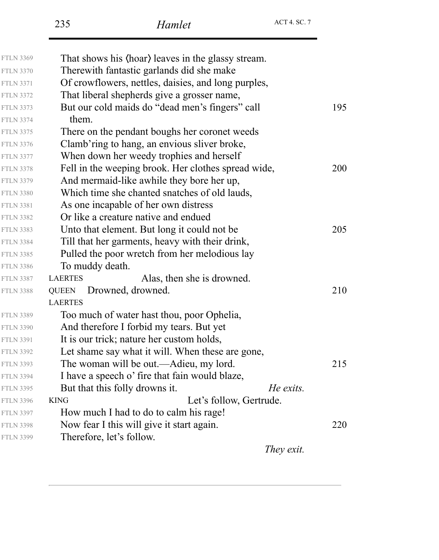| <b>FTLN 3369</b> | That shows his (hoar) leaves in the glassy stream.  |     |
|------------------|-----------------------------------------------------|-----|
| <b>FTLN 3370</b> | Therewith fantastic garlands did she make           |     |
| <b>FTLN 3371</b> | Of crowflowers, nettles, daisies, and long purples, |     |
| <b>FTLN 3372</b> | That liberal shepherds give a grosser name,         |     |
| <b>FTLN 3373</b> | But our cold maids do "dead men's fingers" call     | 195 |
| <b>FTLN 3374</b> | them.                                               |     |
| <b>FTLN 3375</b> | There on the pendant boughs her coronet weeds       |     |
| <b>FTLN 3376</b> | Clamb'ring to hang, an envious sliver broke,        |     |
| <b>FTLN 3377</b> | When down her weedy trophies and herself            |     |
| <b>FTLN 3378</b> | Fell in the weeping brook. Her clothes spread wide, | 200 |
| <b>FTLN 3379</b> | And mermaid-like awhile they bore her up,           |     |
| <b>FTLN 3380</b> | Which time she chanted snatches of old lauds,       |     |
| <b>FTLN 3381</b> | As one incapable of her own distress                |     |
| <b>FTLN 3382</b> | Or like a creature native and endued                |     |
| <b>FTLN 3383</b> | Unto that element. But long it could not be         | 205 |
| <b>FTLN 3384</b> | Till that her garments, heavy with their drink,     |     |
| <b>FTLN 3385</b> | Pulled the poor wretch from her melodious lay       |     |
| <b>FTLN 3386</b> | To muddy death.                                     |     |
| <b>FTLN 3387</b> | Alas, then she is drowned.<br><b>LAERTES</b>        |     |
| <b>FTLN 3388</b> | Drowned, drowned.<br><b>OUEEN</b>                   | 210 |
|                  | <b>LAERTES</b>                                      |     |
| <b>FTLN 3389</b> | Too much of water hast thou, poor Ophelia,          |     |
| <b>FTLN 3390</b> | And therefore I forbid my tears. But yet            |     |
| <b>FTLN 3391</b> | It is our trick; nature her custom holds,           |     |
| <b>FTLN 3392</b> | Let shame say what it will. When these are gone,    |     |
| <b>FTLN 3393</b> | The woman will be out.—Adieu, my lord.              | 215 |
| <b>FTLN 3394</b> | I have a speech o' fire that fain would blaze,      |     |
| <b>FTLN 3395</b> | But that this folly drowns it.<br>He exits.         |     |
| <b>FTLN 3396</b> | Let's follow, Gertrude.<br><b>KING</b>              |     |
| <b>FTLN 3397</b> | How much I had to do to calm his rage!              |     |
| <b>FTLN 3398</b> | Now fear I this will give it start again.           | 220 |
| <b>FTLN 3399</b> | Therefore, let's follow.                            |     |
|                  | They exit.                                          |     |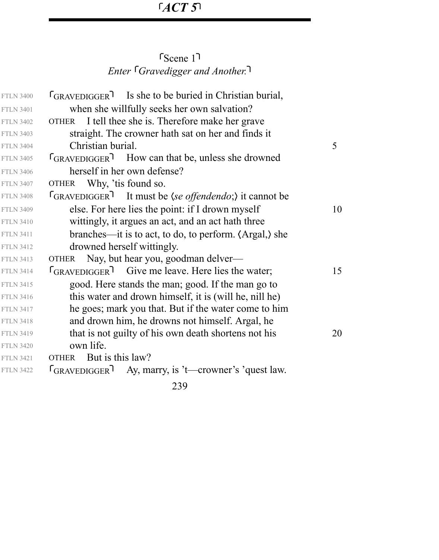*Enter Gravedigger and Another.* Scene 1

| <b>FTLN 3400</b> | $GRAVEDIGGER$ Is she to be buried in Christian burial,             |    |
|------------------|--------------------------------------------------------------------|----|
| <b>FTLN 3401</b> | when she willfully seeks her own salvation?                        |    |
| <b>FTLN 3402</b> | I tell thee she is. Therefore make her grave<br><b>OTHER</b>       |    |
| <b>FTLN 3403</b> | straight. The crowner hath sat on her and finds it                 |    |
| <b>FTLN 3404</b> | Christian burial.                                                  | 5  |
| <b>FTLN 3405</b> | <b>GRAVEDIGGER</b> How can that be, unless she drowned             |    |
| <b>FTLN 3406</b> | herself in her own defense?                                        |    |
| <b>FTLN 3407</b> | Why, 'tis found so.<br><b>OTHER</b>                                |    |
| <b>FTLN 3408</b> | FGRAVEDIGGER <sup>1</sup> It must be (se offendendo;) it cannot be |    |
| <b>FTLN 3409</b> | else. For here lies the point: if I drown myself                   | 10 |
| <b>FTLN 3410</b> | wittingly, it argues an act, and an act hath three                 |    |
| <b>FTLN 3411</b> | branches—it is to act, to do, to perform. (Argal,) she             |    |
| <b>FTLN 3412</b> | drowned herself wittingly.                                         |    |
| <b>FTLN 3413</b> | Nay, but hear you, goodman delver—<br><b>OTHER</b>                 |    |
| <b>FTLN 3414</b> | GRAVEDIGGER <sup>1</sup> Give me leave. Here lies the water;       | 15 |
| <b>FTLN 3415</b> | good. Here stands the man; good. If the man go to                  |    |
| <b>FTLN 3416</b> | this water and drown himself, it is (will he, nill he)             |    |
| <b>FTLN 3417</b> | he goes; mark you that. But if the water come to him               |    |
| <b>FTLN 3418</b> | and drown him, he drowns not himself. Argal, he                    |    |
| <b>FTLN 3419</b> | that is not guilty of his own death shortens not his               | 20 |
| <b>FTLN 3420</b> | own life.                                                          |    |
| <b>FTLN 3421</b> | But is this law?<br><b>OTHER</b>                                   |    |
| <b>FTLN 3422</b> | "GRAVEDIGGER" Ay, marry, is 't—crowner's 'quest law.               |    |
|                  |                                                                    |    |

239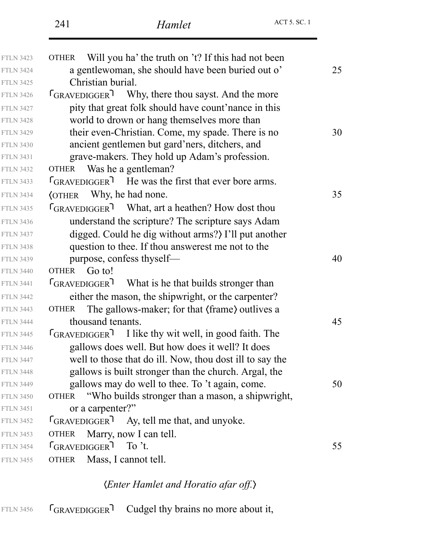| <b>FTLN 3423</b> | Will you ha' the truth on 't? If this had not been<br><b>OTHER</b>                |    |
|------------------|-----------------------------------------------------------------------------------|----|
| <b>FTLN 3424</b> | a gentlewoman, she should have been buried out o'                                 | 25 |
| <b>FTLN 3425</b> | Christian burial.                                                                 |    |
| <b>FTLN 3426</b> | GRAVEDIGGER Why, there thou sayst. And the more                                   |    |
| <b>FTLN 3427</b> | pity that great folk should have count' nance in this                             |    |
| <b>FTLN 3428</b> | world to drown or hang themselves more than                                       |    |
| <b>FTLN 3429</b> | their even-Christian. Come, my spade. There is no                                 | 30 |
| <b>FTLN 3430</b> | ancient gentlemen but gard'ners, ditchers, and                                    |    |
| <b>FTLN 3431</b> | grave-makers. They hold up Adam's profession.                                     |    |
| <b>FTLN 3432</b> | Was he a gentleman?<br><b>OTHER</b>                                               |    |
| <b>FTLN 3433</b> | $f_{GRAVEDIGGER}$ He was the first that ever bore arms.                           |    |
| <b>FTLN 3434</b> | Why, he had none.<br><b>COTHER</b>                                                | 35 |
| <b>FTLN 3435</b> | <b>GRAVEDIGGER</b> What, art a heather? How dost thou                             |    |
| <b>FTLN 3436</b> | understand the scripture? The scripture says Adam                                 |    |
| <b>FTLN 3437</b> | digged. Could he dig without arms?) I'll put another                              |    |
| <b>FTLN 3438</b> | question to thee. If thou answerest me not to the                                 |    |
| <b>FTLN 3439</b> | purpose, confess thyself—                                                         | 40 |
| <b>FTLN 3440</b> | Go to!<br><b>OTHER</b>                                                            |    |
| <b>FTLN 3441</b> | $f_{GRAVEDIGGER}$<br>What is he that builds stronger than                         |    |
| <b>FTLN 3442</b> | either the mason, the shipwright, or the carpenter?                               |    |
| <b>FTLN 3443</b> | The gallows-maker; for that (frame) outlives a<br><b>OTHER</b>                    |    |
| <b>FTLN 3444</b> | thousand tenants.                                                                 | 45 |
| <b>FTLN 3445</b> | <b>GRAVEDIGGER</b> 1 like thy wit well, in good faith. The                        |    |
| <b>FTLN 3446</b> | gallows does well. But how does it well? It does                                  |    |
| <b>FTLN 3447</b> | well to those that do ill. Now, thou dost ill to say the                          |    |
| <b>FTLN 3448</b> | gallows is built stronger than the church. Argal, the                             |    |
| <b>FTLN 3449</b> | gallows may do well to thee. To 't again, come.                                   | 50 |
| <b>FTLN 3450</b> | "Who builds stronger than a mason, a shipwright,<br><b>OTHER</b>                  |    |
| <b>FTLN 3451</b> | or a carpenter?"                                                                  |    |
| <b>FTLN 3452</b> | $\lceil$ GRAVEDIGGER <sup><math>\rceil</math></sup> Ay, tell me that, and unyoke. |    |
| <b>FTLN 3453</b> | Marry, now I can tell.<br><b>OTHER</b>                                            |    |
| <b>FTLN 3454</b> | $GRAVEDIGGER$ To 't.                                                              | 55 |
| <b>FTLN 3455</b> | Mass, I cannot tell.<br><b>OTHER</b>                                              |    |
|                  |                                                                                   |    |

# *Enter Hamlet and Horatio afar off.*

GRAVEDIGGER Cudgel thy brains no more about it, FTLN 3456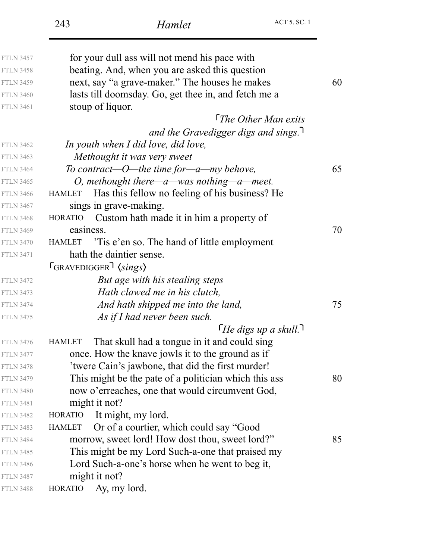| <b>FTLN 3457</b> | for your dull ass will not mend his pace with                   |    |  |
|------------------|-----------------------------------------------------------------|----|--|
| <b>FTLN 3458</b> | beating. And, when you are asked this question                  |    |  |
| <b>FTLN 3459</b> | next, say "a grave-maker." The houses he makes                  |    |  |
| <b>FTLN 3460</b> | lasts till doomsday. Go, get thee in, and fetch me a            |    |  |
| <b>FTLN 3461</b> | stoup of liquor.                                                |    |  |
|                  | <b>The Other Man exits</b>                                      |    |  |
|                  | and the Gravedigger digs and sings. $\lceil$                    |    |  |
| <b>FTLN 3462</b> | In youth when I did love, did love,                             |    |  |
| <b>FTLN 3463</b> | Methought it was very sweet                                     |    |  |
| <b>FTLN 3464</b> | To contract—O—the time for—a—my behove,                         | 65 |  |
| <b>FTLN 3465</b> | O, methought there—a—was nothing—a—meet.                        |    |  |
| <b>FTLN 3466</b> | Has this fellow no feeling of his business? He<br><b>HAMLET</b> |    |  |
| <b>FTLN 3467</b> | sings in grave-making.                                          |    |  |
| <b>FTLN 3468</b> | Custom hath made it in him a property of<br><b>HORATIO</b>      |    |  |
| <b>FTLN 3469</b> | easiness.                                                       | 70 |  |
| <b>FTLN 3470</b> | HAMLET 'Tis e'en so. The hand of little employment              |    |  |
| <b>FTLN 3471</b> | hath the daintier sense.                                        |    |  |
|                  | $\lceil$ GRAVEDIGGER <sup><math>\rceil</math></sup> (sings)     |    |  |
| <b>FTLN 3472</b> | But age with his stealing steps                                 |    |  |
| <b>FTLN 3473</b> | Hath clawed me in his clutch,                                   |    |  |
| <b>FTLN 3474</b> | And hath shipped me into the land,                              | 75 |  |
| <b>FTLN 3475</b> | As if I had never been such.                                    |    |  |
|                  | $\iint$ <i>He digs up a skull</i> .                             |    |  |
| <b>FTLN 3476</b> | That skull had a tongue in it and could sing<br><b>HAMLET</b>   |    |  |
| <b>FTLN 3477</b> | once. How the knave jowls it to the ground as if                |    |  |
| <b>FTLN 3478</b> | 'twere Cain's jawbone, that did the first murder!               |    |  |
| <b>FTLN 3479</b> | This might be the pate of a politician which this ass           | 80 |  |
| <b>FTLN 3480</b> | now o'erreaches, one that would circumvent God,                 |    |  |
| <b>FTLN 3481</b> | might it not?                                                   |    |  |
| <b>FTLN 3482</b> | It might, my lord.<br><b>HORATIO</b>                            |    |  |
| <b>FTLN 3483</b> | Or of a courtier, which could say "Good<br><b>HAMLET</b>        |    |  |
| <b>FTLN 3484</b> | morrow, sweet lord! How dost thou, sweet lord?"                 | 85 |  |
| <b>FTLN 3485</b> | This might be my Lord Such-a-one that praised my                |    |  |
| <b>FTLN 3486</b> | Lord Such-a-one's horse when he went to beg it,                 |    |  |
| <b>FTLN 3487</b> | might it not?                                                   |    |  |
| <b>FTLN 3488</b> | Ay, my lord.<br><b>HORATIO</b>                                  |    |  |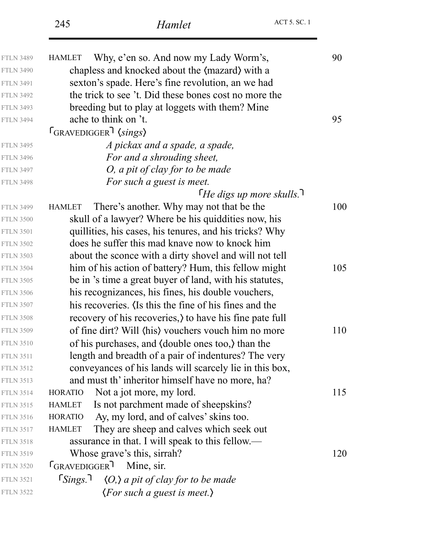| <b>FTLN 3489</b> | Why, e'en so. And now my Lady Worm's,<br><b>HAMLET</b>                     | 90  |
|------------------|----------------------------------------------------------------------------|-----|
| <b>FTLN 3490</b> | chapless and knocked about the (mazard) with a                             |     |
| <b>FTLN 3491</b> | sexton's spade. Here's fine revolution, an we had                          |     |
| <b>FTLN 3492</b> | the trick to see 't. Did these bones cost no more the                      |     |
| <b>FTLN 3493</b> | breeding but to play at loggets with them? Mine                            |     |
| <b>FTLN 3494</b> | ache to think on 't.                                                       | 95  |
|                  | $\lceil$ GRAVEDIGGER $\rceil$ (sings)                                      |     |
| <b>FTLN 3495</b> | A pickax and a spade, a spade,                                             |     |
| <b>FTLN 3496</b> | For and a shrouding sheet,                                                 |     |
| <b>FTLN 3497</b> | O, a pit of clay for to be made                                            |     |
| <b>FTLN 3498</b> | For such a guest is meet.                                                  |     |
|                  | $\int$ He digs up more skulls.                                             |     |
| <b>FTLN 3499</b> | There's another. Why may not that be the<br><b>HAMLET</b>                  | 100 |
| <b>FTLN 3500</b> | skull of a lawyer? Where be his quiddities now, his                        |     |
| <b>FTLN 3501</b> | quillities, his cases, his tenures, and his tricks? Why                    |     |
| <b>FTLN 3502</b> | does he suffer this mad knave now to knock him                             |     |
| <b>FTLN 3503</b> | about the sconce with a dirty shovel and will not tell                     |     |
| <b>FTLN 3504</b> | him of his action of battery? Hum, this fellow might                       | 105 |
| <b>FTLN 3505</b> | be in 's time a great buyer of land, with his statutes,                    |     |
| <b>FTLN 3506</b> | his recognizances, his fines, his double vouchers,                         |     |
| <b>FTLN 3507</b> | his recoveries. (Is this the fine of his fines and the                     |     |
| <b>FTLN 3508</b> | recovery of his recoveries, to have his fine pate full                     |     |
| <b>FTLN 3509</b> | of fine dirt? Will (his) vouchers vouch him no more                        | 110 |
| <b>FTLN 3510</b> | of his purchases, and (double ones too,) than the                          |     |
| <b>FTLN 3511</b> | length and breadth of a pair of indentures? The very                       |     |
| <b>FTLN 3512</b> | conveyances of his lands will scarcely lie in this box,                    |     |
| <b>FTLN 3513</b> | and must th' inheritor himself have no more, ha?                           |     |
| <b>FTLN 3514</b> | Not a jot more, my lord.<br><b>HORATIO</b>                                 | 115 |
| <b>FTLN 3515</b> | Is not parchment made of sheepskins?<br><b>HAMLET</b>                      |     |
| <b>FTLN 3516</b> | Ay, my lord, and of calves' skins too.<br><b>HORATIO</b>                   |     |
| <b>FTLN 3517</b> | They are sheep and calves which seek out<br><b>HAMLET</b>                  |     |
| <b>FTLN 3518</b> | assurance in that. I will speak to this fellow.—                           |     |
| <b>FTLN 3519</b> | Whose grave's this, sirrah?                                                | 120 |
| <b>FTLN 3520</b> | TGRAVEDIGGER <sup>1</sup> Mine, sir.                                       |     |
| <b>FTLN 3521</b> | $\lceil$ Sings. $\lceil$ $\langle O, \rangle$ a pit of clay for to be made |     |
| <b>FTLN 3522</b> | $\langle For such a guest is meet. \rangle$                                |     |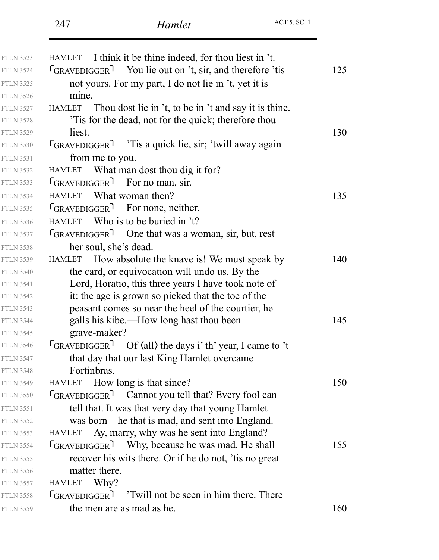| <b>FTLN 3523</b> | HAMLET I think it be thine indeed, for thou liest in 't.                 |     |
|------------------|--------------------------------------------------------------------------|-----|
| <b>FTLN 3524</b> | $\lceil$ GRAVEDIGGER $\lceil$ You lie out on 't, sir, and therefore 'tis | 125 |
| <b>FTLN 3525</b> | not yours. For my part, I do not lie in 't, yet it is                    |     |
| <b>FTLN 3526</b> | mine.                                                                    |     |
| <b>FTLN 3527</b> | Thou dost lie in 't, to be in 't and say it is thine.<br><b>HAMLET</b>   |     |
| <b>FTLN 3528</b> | This for the dead, not for the quick; therefore thou                     |     |
| <b>FTLN 3529</b> | liest.                                                                   | 130 |
| <b>FTLN 3530</b> | $\lceil$ GRAVEDIGGER $\rceil$ 'Tis a quick lie, sir; 'twill away again   |     |
| <b>FTLN 3531</b> | from me to you.                                                          |     |
| <b>FTLN 3532</b> | What man dost thou dig it for?<br><b>HAMLET</b>                          |     |
| <b>FTLN 3533</b> | $\lceil$ GRAVEDIGGER <sup>1</sup> For no man, sir.                       |     |
| <b>FTLN 3534</b> | HAMLET What woman then?                                                  | 135 |
| <b>FTLN 3535</b> | $f_{\text{GRAVEDIGGER}}$ For none, neither.                              |     |
| <b>FTLN 3536</b> | Who is to be buried in 't?<br><b>HAMLET</b>                              |     |
| <b>FTLN 3537</b> | $f_{GRAVEDIGGER}$ One that was a woman, sir, but, rest                   |     |
| <b>FTLN 3538</b> | her soul, she's dead.                                                    |     |
| <b>FTLN 3539</b> | HAMLET How absolute the knave is! We must speak by                       | 140 |
| <b>FTLN 3540</b> | the card, or equivocation will undo us. By the                           |     |
| <b>FTLN 3541</b> | Lord, Horatio, this three years I have took note of                      |     |
| <b>FTLN 3542</b> | it: the age is grown so picked that the toe of the                       |     |
| <b>FTLN 3543</b> | peasant comes so near the heel of the courtier, he                       |     |
| FTLN 3544        | galls his kibe.—How long hast thou been                                  | 145 |
| <b>FTLN 3545</b> | grave-maker?                                                             |     |
| <b>FTLN 3546</b> | "GRAVEDIGGER" Of (all) the days i' th' year, I came to 't                |     |
| <b>FTLN 3547</b> | that day that our last King Hamlet overcame                              |     |
| <b>FTLN 3548</b> | Fortinbras.                                                              |     |
| <b>FTLN 3549</b> | HAMLET How long is that since?                                           | 150 |
| <b>FTLN 3550</b> | <b>GRAVEDIGGER</b> Cannot you tell that? Every fool can                  |     |
| <b>FTLN 3551</b> | tell that. It was that very day that young Hamlet                        |     |
| <b>FTLN 3552</b> | was born—he that is mad, and sent into England.                          |     |
| <b>FTLN 3553</b> | Ay, marry, why was he sent into England?<br>HAMLET                       |     |
| <b>FTLN 3554</b> | <b>GRAVEDIGGER</b> Why, because he was mad. He shall                     | 155 |
| <b>FTLN 3555</b> | recover his wits there. Or if he do not, 'tis no great                   |     |
| <b>FTLN 3556</b> | matter there.                                                            |     |
| <b>FTLN 3557</b> | Why?<br><b>HAMLET</b>                                                    |     |
| <b>FTLN 3558</b> | $GRAVEDIGGER$ $'Twill$ not be seen in him there. There                   |     |
| <b>FTLN 3559</b> | the men are as mad as he.                                                | 160 |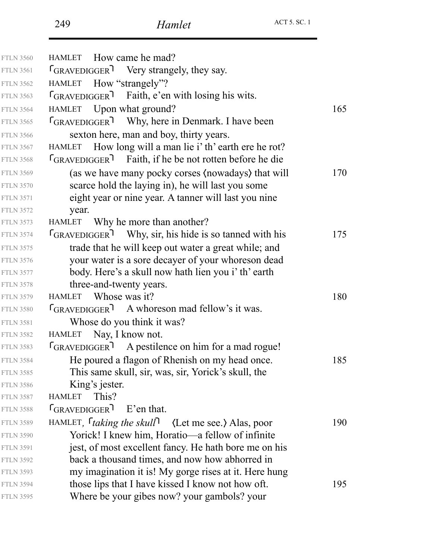| <b>FTLN 3560</b> | How came he mad?<br><b>HAMLET</b>                                                            |     |
|------------------|----------------------------------------------------------------------------------------------|-----|
| <b>FTLN 3561</b> | <b>GRAVEDIGGER</b> Very strangely, they say.                                                 |     |
| <b>FTLN 3562</b> | HAMLET How "strangely"?                                                                      |     |
| <b>FTLN 3563</b> | $\lceil$ GRAVEDIGGER <sup><math>\rceil</math></sup> Faith, e'en with losing his wits.        |     |
| <b>FTLN 3564</b> | Upon what ground?<br><b>HAMLET</b>                                                           | 165 |
| <b>FTLN 3565</b> | <b>GRAVEDIGGER</b> Why, here in Denmark. I have been                                         |     |
| <b>FTLN 3566</b> | sexton here, man and boy, thirty years.                                                      |     |
| <b>FTLN 3567</b> | How long will a man lie i' th' earth ere he rot?<br><b>HAMLET</b>                            |     |
| <b>FTLN 3568</b> | $\lceil$ GRAVEDIGGER <sup><math>\rceil</math></sup> Faith, if he be not rotten before he die |     |
| <b>FTLN 3569</b> | (as we have many pocky corses (nowadays) that will                                           | 170 |
| <b>FTLN 3570</b> | scarce hold the laying in), he will last you some                                            |     |
| <b>FTLN 3571</b> | eight year or nine year. A tanner will last you nine                                         |     |
| <b>FTLN 3572</b> | year.                                                                                        |     |
| <b>FTLN 3573</b> | Why he more than another?<br><b>HAMLET</b>                                                   |     |
| <b>FTLN 3574</b> | GRAVEDIGGER Why, sir, his hide is so tanned with his                                         | 175 |
| <b>FTLN 3575</b> | trade that he will keep out water a great while; and                                         |     |
| <b>FTLN 3576</b> | your water is a sore decayer of your whoreson dead                                           |     |
| <b>FTLN 3577</b> | body. Here's a skull now hath lien you i' th' earth                                          |     |
| <b>FTLN 3578</b> | three-and-twenty years.                                                                      |     |
| <b>FTLN 3579</b> | Whose was it?<br><b>HAMLET</b>                                                               | 180 |
| <b>FTLN 3580</b> | $f_{GRAVEDIGGER}$ A whoreson mad fellow's it was.                                            |     |
| <b>FTLN 3581</b> | Whose do you think it was?                                                                   |     |
| <b>FTLN 3582</b> | Nay, I know not.<br>HAMLET                                                                   |     |
| <b>FTLN 3583</b> | $f_{GRAVEDIGGER}$ <sup>1</sup> A pestilence on him for a mad rogue!                          |     |
| <b>FTLN 3584</b> | He poured a flagon of Rhenish on my head once.                                               | 185 |
| <b>FTLN 3585</b> | This same skull, sir, was, sir, Yorick's skull, the                                          |     |
| <b>FTLN 3586</b> | King's jester.                                                                               |     |
| <b>FTLN 3587</b> | This?<br><b>HAMLET</b>                                                                       |     |
| <b>FTLN 3588</b> | GRAVEDIGGER<br>E'en that.                                                                    |     |
| <b>FTLN 3589</b> | HAMLET, <i>raking the skull</i> (Let me see.) Alas, poor                                     | 190 |
| <b>FTLN 3590</b> | Yorick! I knew him, Horatio—a fellow of infinite                                             |     |
| <b>FTLN 3591</b> | jest, of most excellent fancy. He hath bore me on his                                        |     |
| <b>FTLN 3592</b> | back a thousand times, and now how abhorred in                                               |     |
| <b>FTLN 3593</b> | my imagination it is! My gorge rises at it. Here hung                                        |     |
| <b>FTLN 3594</b> | those lips that I have kissed I know not how oft.                                            | 195 |
| <b>FTLN 3595</b> | Where be your gibes now? your gambols? your                                                  |     |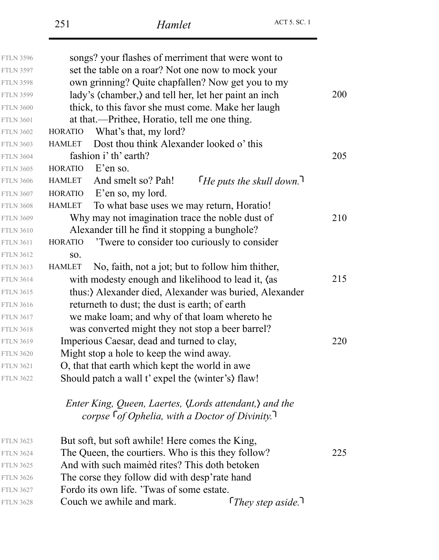*They step aside.*

| <b>FTLN 3596</b> | songs? your flashes of merriment that were wont to                   |     |  |
|------------------|----------------------------------------------------------------------|-----|--|
| <b>FTLN 3597</b> | set the table on a roar? Not one now to mock your                    |     |  |
| <b>FTLN 3598</b> | own grinning? Quite chapfallen? Now get you to my                    |     |  |
| <b>FTLN 3599</b> | lady's (chamber,) and tell her, let her paint an inch<br>200         |     |  |
| <b>FTLN 3600</b> | thick, to this favor she must come. Make her laugh                   |     |  |
| <b>FTLN 3601</b> | at that.—Prithee, Horatio, tell me one thing.                        |     |  |
| <b>FTLN 3602</b> | What's that, my lord?<br><b>HORATIO</b>                              |     |  |
| <b>FTLN 3603</b> | Dost thou think Alexander looked o' this<br><b>HAMLET</b>            |     |  |
| <b>FTLN 3604</b> | fashion i' th' earth?                                                | 205 |  |
| <b>FTLN 3605</b> | <b>HORATIO</b><br>$E$ 'en so.                                        |     |  |
| <b>FTLN 3606</b> | And smelt so? Pah!<br>$\mu$ He puts the skull down.<br><b>HAMLET</b> |     |  |
| <b>FTLN 3607</b> | E'en so, my lord.<br><b>HORATIO</b>                                  |     |  |
| <b>FTLN 3608</b> | To what base uses we may return, Horatio!<br><b>HAMLET</b>           |     |  |
| <b>FTLN 3609</b> | Why may not imagination trace the noble dust of                      | 210 |  |
| <b>FTLN 3610</b> | Alexander till he find it stopping a bunghole?                       |     |  |
| <b>FTLN 3611</b> | Twere to consider too curiously to consider<br><b>HORATIO</b>        |     |  |
| <b>FTLN 3612</b> | SO.                                                                  |     |  |
| <b>FTLN 3613</b> | No, faith, not a jot; but to follow him thither,<br><b>HAMLET</b>    |     |  |
| <b>FTLN 3614</b> | with modesty enough and likelihood to lead it, (as                   | 215 |  |
| <b>FTLN 3615</b> | thus:) Alexander died, Alexander was buried, Alexander               |     |  |
| <b>FTLN 3616</b> | returneth to dust; the dust is earth; of earth                       |     |  |
| <b>FTLN 3617</b> | we make loam; and why of that loam whereto he                        |     |  |
| <b>FTLN 3618</b> | was converted might they not stop a beer barrel?                     |     |  |
| <b>FTLN 3619</b> | Imperious Caesar, dead and turned to clay,                           | 220 |  |
| <b>FTLN 3620</b> | Might stop a hole to keep the wind away.                             |     |  |
| <b>FTLN 3621</b> | O, that that earth which kept the world in awe                       |     |  |
| <b>FTLN 3622</b> | Should patch a wall t' expel the (winter's) flaw!                    |     |  |
|                  | Enter King, Queen, Laertes, <i>(Lords attendant,)</i> and the        |     |  |
|                  | corpse $\lceil$ of Ophelia, with a Doctor of Divinity.               |     |  |
| <b>FTLN 3623</b> | But soft, but soft awhile! Here comes the King,                      |     |  |
| <b>FTLN 3624</b> | The Queen, the courtiers. Who is this they follow?                   | 225 |  |
| <b>FTLN 3625</b> | And with such maimed rites? This doth betoken                        |     |  |

The corse they follow did with desp'rate hand

Fordo its own life. 'Twas of some estate.

Couch we awhile and mark.

FTLN 3625 FTLN 3626

FTLN 3627 FTLN 3628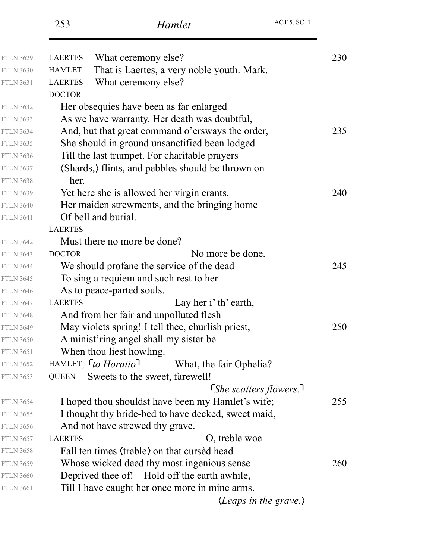| 253 | Hamlet | <b>ACT 5. SC. 1</b> |
|-----|--------|---------------------|
|     |        |                     |

| <b>FTLN 3629</b> | What ceremony else?<br><b>LAERTES</b>                       | 230 |
|------------------|-------------------------------------------------------------|-----|
| <b>FTLN 3630</b> | That is Laertes, a very noble youth. Mark.<br><b>HAMLET</b> |     |
| <b>FTLN 3631</b> | What ceremony else?<br><b>LAERTES</b>                       |     |
|                  | <b>DOCTOR</b>                                               |     |
| <b>FTLN 3632</b> | Her obsequies have been as far enlarged                     |     |
| <b>FTLN 3633</b> | As we have warranty. Her death was doubtful,                |     |
| <b>FTLN 3634</b> | And, but that great command o'ersways the order,            | 235 |
| <b>FTLN 3635</b> | She should in ground unsanctified been lodged               |     |
| <b>FTLN 3636</b> | Till the last trumpet. For charitable prayers               |     |
| <b>FTLN 3637</b> | (Shards,) flints, and pebbles should be thrown on           |     |
| <b>FTLN 3638</b> | her.                                                        |     |
| <b>FTLN 3639</b> | Yet here she is allowed her virgin crants,                  | 240 |
| <b>FTLN 3640</b> | Her maiden strewments, and the bringing home                |     |
| <b>FTLN 3641</b> | Of bell and burial.                                         |     |
|                  | <b>LAERTES</b>                                              |     |
| <b>FTLN 3642</b> | Must there no more be done?                                 |     |
| <b>FTLN 3643</b> | No more be done.<br><b>DOCTOR</b>                           |     |
| <b>FTLN 3644</b> | We should profane the service of the dead                   | 245 |
| <b>FTLN 3645</b> | To sing a requiem and such rest to her                      |     |
| <b>FTLN 3646</b> | As to peace-parted souls.                                   |     |
| <b>FTLN 3647</b> | Lay her i' th' earth,<br><b>LAERTES</b>                     |     |
| <b>FTLN 3648</b> | And from her fair and unpolluted flesh                      |     |
| <b>FTLN 3649</b> | May violets spring! I tell thee, churlish priest,           | 250 |
| <b>FTLN 3650</b> | A minist'ring angel shall my sister be                      |     |
| <b>FTLN 3651</b> | When thou liest howling.                                    |     |
| <b>FTLN 3652</b> | HAMLET, <i>ro Horatio</i><br>What, the fair Ophelia?        |     |
| <b>FTLN 3653</b> | Sweets to the sweet, farewell!<br><b>QUEEN</b>              |     |
|                  | <i>She scatters flowers.</i> <sup>1</sup>                   |     |
| <b>FTLN 3654</b> | I hoped thou shouldst have been my Hamlet's wife;           | 255 |
| <b>FTLN 3655</b> | I thought thy bride-bed to have decked, sweet maid,         |     |
| <b>FTLN 3656</b> | And not have strewed thy grave.                             |     |
| <b>FTLN 3657</b> | <b>LAERTES</b><br>O, treble woe                             |     |
| <b>FTLN 3658</b> | Fall ten times (treble) on that cursed head                 |     |
| <b>FTLN 3659</b> | Whose wicked deed thy most ingenious sense                  | 260 |
| <b>FTLN 3660</b> | Deprived thee of!—Hold off the earth awhile,                |     |
| <b>FTLN 3661</b> | Till I have caught her once more in mine arms.              |     |
|                  |                                                             |     |

*Leaps in the grave.*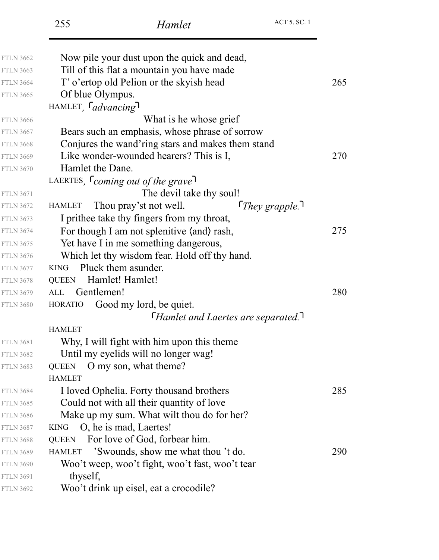| Now pile your dust upon the quick and dead,    |                                                                                                                                                                                                                                                                                                                                                                                                                                                                                                                                                                                                                                                                                                                                                                                                                                                                                                                                                                                                                                   |
|------------------------------------------------|-----------------------------------------------------------------------------------------------------------------------------------------------------------------------------------------------------------------------------------------------------------------------------------------------------------------------------------------------------------------------------------------------------------------------------------------------------------------------------------------------------------------------------------------------------------------------------------------------------------------------------------------------------------------------------------------------------------------------------------------------------------------------------------------------------------------------------------------------------------------------------------------------------------------------------------------------------------------------------------------------------------------------------------|
| Till of this flat a mountain you have made     |                                                                                                                                                                                                                                                                                                                                                                                                                                                                                                                                                                                                                                                                                                                                                                                                                                                                                                                                                                                                                                   |
| T' o'ertop old Pelion or the skyish head       | 265                                                                                                                                                                                                                                                                                                                                                                                                                                                                                                                                                                                                                                                                                                                                                                                                                                                                                                                                                                                                                               |
| Of blue Olympus.                               |                                                                                                                                                                                                                                                                                                                                                                                                                                                                                                                                                                                                                                                                                                                                                                                                                                                                                                                                                                                                                                   |
| HAMLET, <i>advancing</i>                       |                                                                                                                                                                                                                                                                                                                                                                                                                                                                                                                                                                                                                                                                                                                                                                                                                                                                                                                                                                                                                                   |
| What is he whose grief                         |                                                                                                                                                                                                                                                                                                                                                                                                                                                                                                                                                                                                                                                                                                                                                                                                                                                                                                                                                                                                                                   |
| Bears such an emphasis, whose phrase of sorrow |                                                                                                                                                                                                                                                                                                                                                                                                                                                                                                                                                                                                                                                                                                                                                                                                                                                                                                                                                                                                                                   |
|                                                |                                                                                                                                                                                                                                                                                                                                                                                                                                                                                                                                                                                                                                                                                                                                                                                                                                                                                                                                                                                                                                   |
|                                                | 270                                                                                                                                                                                                                                                                                                                                                                                                                                                                                                                                                                                                                                                                                                                                                                                                                                                                                                                                                                                                                               |
| Hamlet the Dane.                               |                                                                                                                                                                                                                                                                                                                                                                                                                                                                                                                                                                                                                                                                                                                                                                                                                                                                                                                                                                                                                                   |
|                                                |                                                                                                                                                                                                                                                                                                                                                                                                                                                                                                                                                                                                                                                                                                                                                                                                                                                                                                                                                                                                                                   |
|                                                |                                                                                                                                                                                                                                                                                                                                                                                                                                                                                                                                                                                                                                                                                                                                                                                                                                                                                                                                                                                                                                   |
| <b>HAMLET</b>                                  |                                                                                                                                                                                                                                                                                                                                                                                                                                                                                                                                                                                                                                                                                                                                                                                                                                                                                                                                                                                                                                   |
|                                                |                                                                                                                                                                                                                                                                                                                                                                                                                                                                                                                                                                                                                                                                                                                                                                                                                                                                                                                                                                                                                                   |
|                                                | 275                                                                                                                                                                                                                                                                                                                                                                                                                                                                                                                                                                                                                                                                                                                                                                                                                                                                                                                                                                                                                               |
|                                                |                                                                                                                                                                                                                                                                                                                                                                                                                                                                                                                                                                                                                                                                                                                                                                                                                                                                                                                                                                                                                                   |
|                                                |                                                                                                                                                                                                                                                                                                                                                                                                                                                                                                                                                                                                                                                                                                                                                                                                                                                                                                                                                                                                                                   |
| <b>KING</b>                                    |                                                                                                                                                                                                                                                                                                                                                                                                                                                                                                                                                                                                                                                                                                                                                                                                                                                                                                                                                                                                                                   |
|                                                |                                                                                                                                                                                                                                                                                                                                                                                                                                                                                                                                                                                                                                                                                                                                                                                                                                                                                                                                                                                                                                   |
| Gentlemen!<br>ALL                              | 280                                                                                                                                                                                                                                                                                                                                                                                                                                                                                                                                                                                                                                                                                                                                                                                                                                                                                                                                                                                                                               |
|                                                |                                                                                                                                                                                                                                                                                                                                                                                                                                                                                                                                                                                                                                                                                                                                                                                                                                                                                                                                                                                                                                   |
|                                                |                                                                                                                                                                                                                                                                                                                                                                                                                                                                                                                                                                                                                                                                                                                                                                                                                                                                                                                                                                                                                                   |
| <b>HAMLET</b>                                  |                                                                                                                                                                                                                                                                                                                                                                                                                                                                                                                                                                                                                                                                                                                                                                                                                                                                                                                                                                                                                                   |
|                                                |                                                                                                                                                                                                                                                                                                                                                                                                                                                                                                                                                                                                                                                                                                                                                                                                                                                                                                                                                                                                                                   |
|                                                |                                                                                                                                                                                                                                                                                                                                                                                                                                                                                                                                                                                                                                                                                                                                                                                                                                                                                                                                                                                                                                   |
|                                                |                                                                                                                                                                                                                                                                                                                                                                                                                                                                                                                                                                                                                                                                                                                                                                                                                                                                                                                                                                                                                                   |
| <b>HAMLET</b>                                  |                                                                                                                                                                                                                                                                                                                                                                                                                                                                                                                                                                                                                                                                                                                                                                                                                                                                                                                                                                                                                                   |
|                                                | 285                                                                                                                                                                                                                                                                                                                                                                                                                                                                                                                                                                                                                                                                                                                                                                                                                                                                                                                                                                                                                               |
|                                                |                                                                                                                                                                                                                                                                                                                                                                                                                                                                                                                                                                                                                                                                                                                                                                                                                                                                                                                                                                                                                                   |
|                                                |                                                                                                                                                                                                                                                                                                                                                                                                                                                                                                                                                                                                                                                                                                                                                                                                                                                                                                                                                                                                                                   |
|                                                |                                                                                                                                                                                                                                                                                                                                                                                                                                                                                                                                                                                                                                                                                                                                                                                                                                                                                                                                                                                                                                   |
| <b>QUEEN</b>                                   |                                                                                                                                                                                                                                                                                                                                                                                                                                                                                                                                                                                                                                                                                                                                                                                                                                                                                                                                                                                                                                   |
| <b>HAMLET</b>                                  | 290                                                                                                                                                                                                                                                                                                                                                                                                                                                                                                                                                                                                                                                                                                                                                                                                                                                                                                                                                                                                                               |
|                                                |                                                                                                                                                                                                                                                                                                                                                                                                                                                                                                                                                                                                                                                                                                                                                                                                                                                                                                                                                                                                                                   |
|                                                |                                                                                                                                                                                                                                                                                                                                                                                                                                                                                                                                                                                                                                                                                                                                                                                                                                                                                                                                                                                                                                   |
| Woo't drink up eisel, eat a crocodile?         |                                                                                                                                                                                                                                                                                                                                                                                                                                                                                                                                                                                                                                                                                                                                                                                                                                                                                                                                                                                                                                   |
|                                                | Conjures the wand ring stars and makes them stand<br>Like wonder-wounded hearers? This is I,<br>LAERTES, <i>Coming out of the grave</i><br>The devil take thy soul!<br>Thou pray'st not well.<br>$\lceil$ They grapple. $\lceil$<br>I prithee take thy fingers from my throat,<br>For though I am not splenitive (and) rash,<br>Yet have I in me something dangerous,<br>Which let thy wisdom fear. Hold off thy hand.<br>Pluck them as under.<br>Hamlet! Hamlet!<br><b>QUEEN</b><br>Good my lord, be quiet.<br><b>HORATIO</b><br><b>F</b> Hamlet and Laertes are separated.<br>Why, I will fight with him upon this theme<br>Until my eyelids will no longer wag!<br>O my son, what theme?<br><b>QUEEN</b><br>I loved Ophelia. Forty thousand brothers<br>Could not with all their quantity of love<br>Make up my sum. What wilt thou do for her?<br>O, he is mad, Laertes!<br><b>KING</b><br>For love of God, forbear him.<br>'Swounds, show me what thou 't do.<br>Woo't weep, woo't fight, woo't fast, woo't tear<br>thyself, |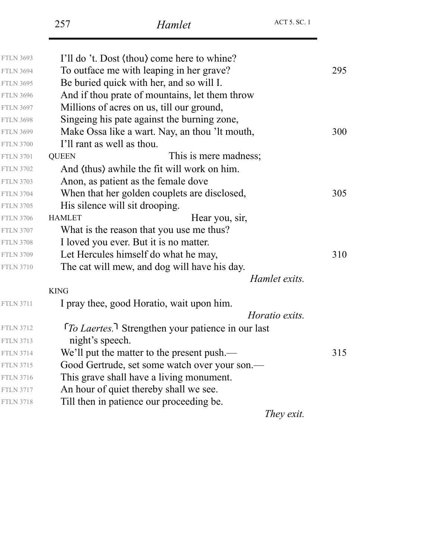| <b>FTLN 3693</b> | I'll do 't. Dost (thou) come here to whine?                           |     |
|------------------|-----------------------------------------------------------------------|-----|
| <b>FTLN 3694</b> | To outface me with leaping in her grave?                              | 295 |
| <b>FTLN 3695</b> | Be buried quick with her, and so will I.                              |     |
| <b>FTLN 3696</b> | And if thou prate of mountains, let them throw                        |     |
| <b>FTLN 3697</b> | Millions of acres on us, till our ground,                             |     |
| <b>FTLN 3698</b> | Singeing his pate against the burning zone,                           |     |
| <b>FTLN 3699</b> | Make Ossa like a wart. Nay, an thou 'lt mouth,                        | 300 |
| <b>FTLN 3700</b> | I'll rant as well as thou.                                            |     |
| <b>FTLN 3701</b> | This is mere madness;<br><b>QUEEN</b>                                 |     |
| <b>FTLN 3702</b> | And (thus) awhile the fit will work on him.                           |     |
| <b>FTLN 3703</b> | Anon, as patient as the female dove                                   |     |
| <b>FTLN 3704</b> | When that her golden couplets are disclosed,                          | 305 |
| <b>FTLN 3705</b> | His silence will sit drooping.                                        |     |
| <b>FTLN 3706</b> | <b>HAMLET</b><br>Hear you, sir,                                       |     |
| <b>FTLN 3707</b> | What is the reason that you use me thus?                              |     |
| <b>FTLN 3708</b> | I loved you ever. But it is no matter.                                |     |
| <b>FTLN 3709</b> | Let Hercules himself do what he may,                                  | 310 |
| <b>FTLN 3710</b> | The cat will mew, and dog will have his day.                          |     |
|                  | Hamlet exits.                                                         |     |
|                  | <b>KING</b>                                                           |     |
| <b>FTLN 3711</b> | I pray thee, good Horatio, wait upon him.                             |     |
|                  | <i>Horatio exits.</i>                                                 |     |
| <b>FTLN 3712</b> | <i>To Laertes</i> . <sup>1</sup> Strengthen your patience in our last |     |
| <b>FTLN 3713</b> | night's speech.                                                       |     |
| <b>FTLN 3714</b> | We'll put the matter to the present push.—                            | 315 |
| <b>FTLN 3715</b> | Good Gertrude, set some watch over your son.—                         |     |
| <b>FTLN 3716</b> | This grave shall have a living monument.                              |     |
| <b>FTLN 3717</b> | An hour of quiet thereby shall we see.                                |     |
| <b>FTLN 3718</b> | Till then in patience our proceeding be.                              |     |
|                  |                                                                       |     |

*They exit.*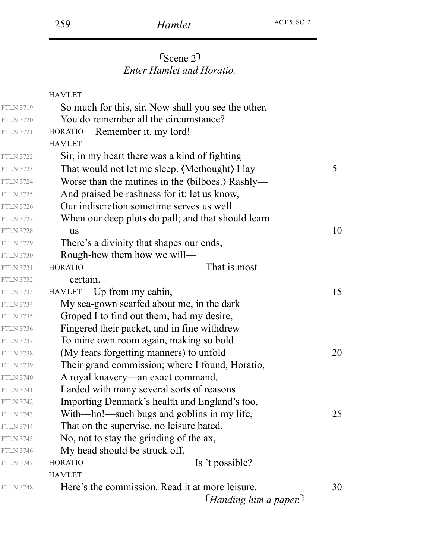#### *Enter Hamlet and Horatio.* Scene 2

|                  | <b>HAMLET</b>                                       |    |
|------------------|-----------------------------------------------------|----|
| <b>FTLN 3719</b> | So much for this, sir. Now shall you see the other. |    |
| <b>FTLN 3720</b> | You do remember all the circumstance?               |    |
| <b>FTLN 3721</b> | Remember it, my lord!<br><b>HORATIO</b>             |    |
|                  | <b>HAMLET</b>                                       |    |
| <b>FTLN 3722</b> | Sir, in my heart there was a kind of fighting       |    |
| <b>FTLN 3723</b> | That would not let me sleep. (Methought) I lay      | 5  |
| <b>FTLN 3724</b> | Worse than the mutines in the (bilboes.) Rashly—    |    |
| <b>FTLN 3725</b> | And praised be rashness for it: let us know,        |    |
| <b>FTLN 3726</b> | Our indiscretion sometime serves us well            |    |
| <b>FTLN 3727</b> | When our deep plots do pall; and that should learn  |    |
| <b>FTLN 3728</b> | <b>us</b>                                           | 10 |
| <b>FTLN 3729</b> | There's a divinity that shapes our ends,            |    |
| <b>FTLN 3730</b> | Rough-hew them how we will—                         |    |
| <b>FTLN 3731</b> | That is most<br><b>HORATIO</b>                      |    |
| <b>FTLN 3732</b> | certain.                                            |    |
| <b>FTLN 3733</b> | Up from my cabin,<br>HAMLET                         | 15 |
| <b>FTLN 3734</b> | My sea-gown scarfed about me, in the dark           |    |
| <b>FTLN 3735</b> | Groped I to find out them; had my desire,           |    |
| <b>FTLN 3736</b> | Fingered their packet, and in fine withdrew         |    |
| <b>FTLN 3737</b> | To mine own room again, making so bold              |    |
| <b>FTLN 3738</b> | (My fears forgetting manners) to unfold             | 20 |
| <b>FTLN 3739</b> | Their grand commission; where I found, Horatio,     |    |
| <b>FTLN 3740</b> | A royal knavery—an exact command,                   |    |
| <b>FTLN 3741</b> | Larded with many several sorts of reasons           |    |
| <b>FTLN 3742</b> | Importing Denmark's health and England's too,       |    |
| <b>FTLN 3743</b> | With—ho!—such bugs and goblins in my life,          | 25 |
| <b>FTLN 3744</b> | That on the supervise, no leisure bated,            |    |
| <b>FTLN 3745</b> | No, not to stay the grinding of the ax,             |    |
| <b>FTLN 3746</b> | My head should be struck off.                       |    |
| <b>FTLN 3747</b> | Is 't possible?<br><b>HORATIO</b>                   |    |
|                  | <b>HAMLET</b>                                       |    |
| <b>FTLN 3748</b> | Here's the commission. Read it at more leisure.     | 30 |
|                  | $\mathsf{H}$ anding him a paper.                    |    |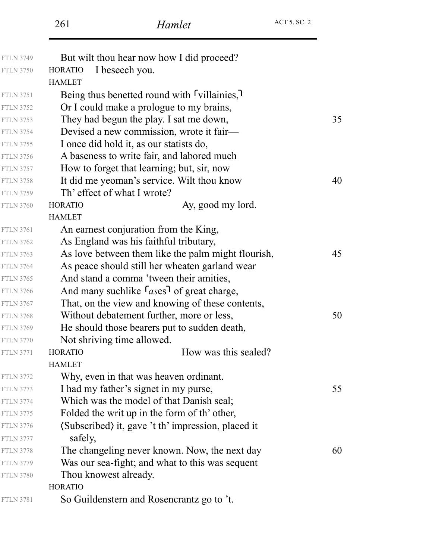| <b>FTLN 3749</b> | But wilt thou hear now how I did proceed?                         |    |
|------------------|-------------------------------------------------------------------|----|
| <b>FTLN 3750</b> | I beseech you.<br><b>HORATIO</b>                                  |    |
|                  | <b>HAMLET</b>                                                     |    |
| <b>FTLN 3751</b> | Being thus benetted round with [villainies,]                      |    |
| <b>FTLN 3752</b> | Or I could make a prologue to my brains,                          |    |
| <b>FTLN 3753</b> | They had begun the play. I sat me down,                           | 35 |
| <b>FTLN 3754</b> | Devised a new commission, wrote it fair—                          |    |
| <b>FTLN 3755</b> | I once did hold it, as our statists do,                           |    |
| <b>FTLN 3756</b> | A baseness to write fair, and labored much                        |    |
| <b>FTLN 3757</b> | How to forget that learning; but, sir, now                        |    |
| <b>FTLN 3758</b> | It did me yeoman's service. Wilt thou know                        | 40 |
| <b>FTLN 3759</b> | Th' effect of what I wrote?                                       |    |
| <b>FTLN 3760</b> | Ay, good my lord.<br><b>HORATIO</b>                               |    |
|                  | <b>HAMLET</b>                                                     |    |
| <b>FTLN 3761</b> | An earnest conjuration from the King,                             |    |
| <b>FTLN 3762</b> | As England was his faithful tributary,                            |    |
| <b>FTLN 3763</b> | As love between them like the palm might flourish,                | 45 |
| <b>FTLN 3764</b> | As peace should still her wheaten garland wear                    |    |
| <b>FTLN 3765</b> | And stand a comma 'tween their amities,                           |    |
| <b>FTLN 3766</b> | And many suchlike <sup>r</sup> ases <sup>1</sup> of great charge, |    |
| <b>FTLN 3767</b> | That, on the view and knowing of these contents,                  |    |
| <b>FTLN 3768</b> | Without debatement further, more or less,                         | 50 |
| <b>FTLN 3769</b> | He should those bearers put to sudden death,                      |    |
| <b>FTLN 3770</b> | Not shriving time allowed.                                        |    |
| <b>FTLN 3771</b> | How was this sealed?<br><b>HORATIO</b>                            |    |
|                  | <b>HAMLET</b>                                                     |    |
| <b>FTLN 3772</b> | Why, even in that was heaven ordinant.                            |    |
| <b>FTLN 3773</b> | I had my father's signet in my purse,                             | 55 |
| <b>FTLN 3774</b> | Which was the model of that Danish seal;                          |    |
| <b>FTLN 3775</b> | Folded the writ up in the form of th' other,                      |    |
| <b>FTLN 3776</b> | (Subscribed) it, gave 't th' impression, placed it                |    |
| <b>FTLN 3777</b> | safely,                                                           |    |
| <b>FTLN 3778</b> | The changeling never known. Now, the next day                     | 60 |
| <b>FTLN 3779</b> | Was our sea-fight; and what to this was sequent                   |    |
| <b>FTLN 3780</b> | Thou knowest already.                                             |    |
|                  | <b>HORATIO</b>                                                    |    |
| <b>FTLN 3781</b> | So Guildenstern and Rosencrantz go to 't.                         |    |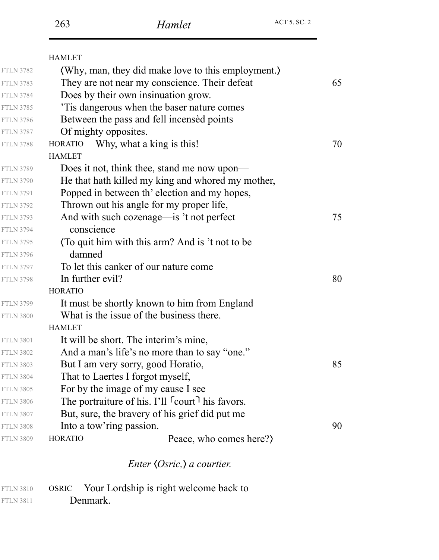|                  | <b>HAMLET</b>                                                         |    |
|------------------|-----------------------------------------------------------------------|----|
| <b>FTLN 3782</b> | (Why, man, they did make love to this employment.)                    |    |
| <b>FTLN 3783</b> | They are not near my conscience. Their defeat                         | 65 |
| <b>FTLN 3784</b> | Does by their own insinuation grow.                                   |    |
| <b>FTLN 3785</b> | This dangerous when the baser nature comes                            |    |
| <b>FTLN 3786</b> | Between the pass and fell incensed points                             |    |
| <b>FTLN 3787</b> | Of mighty opposites.                                                  |    |
| <b>FTLN 3788</b> | HORATIO<br>Why, what a king is this!                                  | 70 |
|                  | <b>HAMLET</b>                                                         |    |
| <b>FTLN 3789</b> | Does it not, think thee, stand me now upon—                           |    |
| <b>FTLN 3790</b> | He that hath killed my king and whored my mother,                     |    |
| <b>FTLN 3791</b> | Popped in between th' election and my hopes,                          |    |
| <b>FTLN 3792</b> | Thrown out his angle for my proper life,                              |    |
| <b>FTLN 3793</b> | And with such cozenage—is 't not perfect                              | 75 |
| <b>FTLN 3794</b> | conscience                                                            |    |
| <b>FTLN 3795</b> | (To quit him with this arm? And is 't not to be                       |    |
| <b>FTLN 3796</b> | damned                                                                |    |
| <b>FTLN 3797</b> | To let this canker of our nature come                                 |    |
| <b>FTLN 3798</b> | In further evil?                                                      | 80 |
|                  | <b>HORATIO</b>                                                        |    |
| <b>FTLN 3799</b> | It must be shortly known to him from England                          |    |
| <b>FTLN 3800</b> | What is the issue of the business there.                              |    |
|                  | <b>HAMLET</b>                                                         |    |
| <b>FTLN 3801</b> | It will be short. The interim's mine,                                 |    |
| <b>FTLN 3802</b> | And a man's life's no more than to say "one."                         |    |
| <b>FTLN 3803</b> | But I am very sorry, good Horatio,                                    | 85 |
| <b>FTLN 3804</b> | That to Laertes I forgot myself,                                      |    |
| <b>FTLN 3805</b> | For by the image of my cause I see                                    |    |
| <b>FTLN 3806</b> | The portraiture of his. I'll $\lceil \text{court} \rceil$ his favors. |    |
| <b>FTLN 3807</b> | But, sure, the bravery of his grief did put me                        |    |
| <b>FTLN 3808</b> | Into a tow'ring passion.                                              | 90 |
| <b>FTLN 3809</b> | <b>HORATIO</b><br>Peace, who comes here?)                             |    |
|                  |                                                                       |    |

# *Enter Osric, a courtier.*

|                  | FTLN 3810 OSRIC Your Lordship is right welcome back to |
|------------------|--------------------------------------------------------|
| <b>FTLN 3811</b> | Denmark.                                               |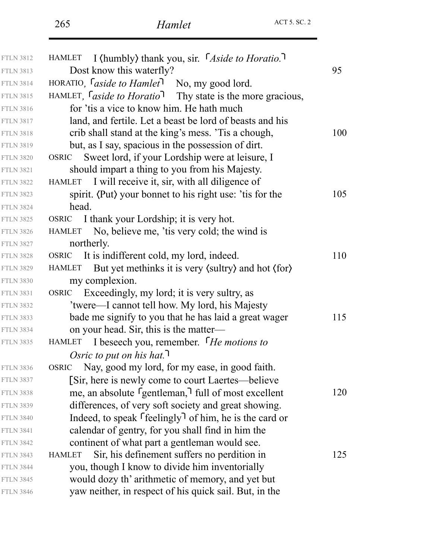| <b>FTLN 3812</b> | I (humbly) thank you, sir. <i>Aside to Horatio</i> .<br><b>HAMLET</b>         |     |
|------------------|-------------------------------------------------------------------------------|-----|
| <b>FTLN 3813</b> | Dost know this waterfly?                                                      | 95  |
| <b>FTLN 3814</b> | HORATIO, <i>Caside to Hamlet</i> <sup>1</sup> No, my good lord.               |     |
| <b>FTLN 3815</b> | HAMLET, <i>Caside to Horatio</i> <sup>1</sup> Thy state is the more gracious, |     |
| <b>FTLN 3816</b> | for 'tis a vice to know him. He hath much                                     |     |
| <b>FTLN 3817</b> | land, and fertile. Let a beast be lord of beasts and his                      |     |
| <b>FTLN 3818</b> | crib shall stand at the king's mess. 'Tis a chough,                           | 100 |
| <b>FTLN 3819</b> | but, as I say, spacious in the possession of dirt.                            |     |
| <b>FTLN 3820</b> | Sweet lord, if your Lordship were at leisure, I<br>OSRIC                      |     |
| <b>FTLN 3821</b> | should impart a thing to you from his Majesty.                                |     |
| <b>FTLN 3822</b> | HAMLET I will receive it, sir, with all diligence of                          |     |
| <b>FTLN 3823</b> | spirit. (Put) your bonnet to his right use: 'tis for the                      | 105 |
| <b>FTLN 3824</b> | head.                                                                         |     |
| <b>FTLN 3825</b> | OSRIC I thank your Lordship; it is very hot.                                  |     |
| <b>FTLN 3826</b> | No, believe me, 'tis very cold; the wind is<br><b>HAMLET</b>                  |     |
| <b>FTLN 3827</b> | northerly.                                                                    |     |
| <b>FTLN 3828</b> | It is indifferent cold, my lord, indeed.<br>OSRIC                             | 110 |
| <b>FTLN 3829</b> | But yet methinks it is very (sultry) and hot (for)<br><b>HAMLET</b>           |     |
| <b>FTLN 3830</b> | my complexion.                                                                |     |
| <b>FTLN 3831</b> | Exceedingly, my lord; it is very sultry, as<br>OSRIC                          |     |
| <b>FTLN 3832</b> | 'twere-I cannot tell how. My lord, his Majesty                                |     |
| <b>FTLN 3833</b> | bade me signify to you that he has laid a great wager                         | 115 |
| <b>FTLN 3834</b> | on your head. Sir, this is the matter—                                        |     |
| <b>FTLN 3835</b> | I beseech you, remember. <i>He motions to</i><br><b>HAMLET</b>                |     |
|                  | Osric to put on his hat.                                                      |     |
| <b>FTLN 3836</b> | Nay, good my lord, for my ease, in good faith.<br>OSRIC                       |     |
| <b>FTLN 3837</b> | [Sir, here is newly come to court Laertes—believe                             |     |
| <b>FTLN 3838</b> | me, an absolute [gentleman,] full of most excellent                           | 120 |
| <b>FTLN 3839</b> | differences, of very soft society and great showing.                          |     |
| <b>FTLN 3840</b> | Indeed, to speak $\lceil$ feelingly $\rceil$ of him, he is the card or        |     |
| <b>FTLN 3841</b> | calendar of gentry, for you shall find in him the                             |     |
| <b>FTLN 3842</b> | continent of what part a gentleman would see.                                 |     |
| <b>FTLN 3843</b> | Sir, his definement suffers no perdition in<br><b>HAMLET</b>                  | 125 |
| <b>FTLN 3844</b> | you, though I know to divide him inventorially                                |     |
| <b>FTLN 3845</b> | would dozy th' arithmetic of memory, and yet but                              |     |
| <b>FTLN 3846</b> | yaw neither, in respect of his quick sail. But, in the                        |     |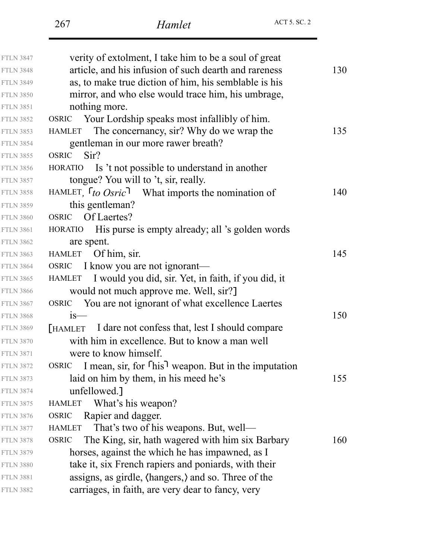| <b>FTLN 3847</b> | verity of extolment, I take him to be a soul of great                 |     |
|------------------|-----------------------------------------------------------------------|-----|
| <b>FTLN 3848</b> | article, and his infusion of such dearth and rareness                 | 130 |
| <b>FTLN 3849</b> | as, to make true diction of him, his semblable is his                 |     |
| <b>FTLN 3850</b> | mirror, and who else would trace him, his umbrage,                    |     |
| <b>FTLN 3851</b> | nothing more.                                                         |     |
| <b>FTLN 3852</b> | Your Lordship speaks most infallibly of him.<br>OSRIC                 |     |
| <b>FTLN 3853</b> | The concernancy, sir? Why do we wrap the<br><b>HAMLET</b>             | 135 |
| <b>FTLN 3854</b> | gentleman in our more rawer breath?                                   |     |
| <b>FTLN 3855</b> | Sir?<br><b>OSRIC</b>                                                  |     |
| <b>FTLN 3856</b> | HORATIO Is 't not possible to understand in another                   |     |
| <b>FTLN 3857</b> | tongue? You will to 't, sir, really.                                  |     |
| <b>FTLN 3858</b> | HAMLET, $\lceil t \circ O \rceil$ What imports the nomination of      | 140 |
| <b>FTLN 3859</b> | this gentleman?                                                       |     |
| <b>FTLN 3860</b> | Of Laertes?<br>OSRIC                                                  |     |
| <b>FTLN 3861</b> | His purse is empty already; all 's golden words<br>HORATIO            |     |
| <b>FTLN 3862</b> | are spent.                                                            |     |
| <b>FTLN 3863</b> | Of him, sir.<br><b>HAMLET</b>                                         | 145 |
| <b>FTLN 3864</b> | OSRIC I know you are not ignorant—                                    |     |
| <b>FTLN 3865</b> | I would you did, sir. Yet, in faith, if you did, it<br>HAMLET         |     |
| <b>FTLN 3866</b> | would not much approve me. Well, sir?]                                |     |
| <b>FTLN 3867</b> | OSRIC You are not ignorant of what excellence Laertes                 |     |
| <b>FTLN 3868</b> | $1S$ —                                                                | 150 |
| <b>FTLN 3869</b> | [HAMLET I dare not confess that, lest I should compare                |     |
| <b>FTLN 3870</b> | with him in excellence. But to know a man well                        |     |
| <b>FTLN 3871</b> | were to know himself.                                                 |     |
| <b>FTLN 3872</b> | OSRIC I mean, sir, for <sup>[his]</sup> weapon. But in the imputation |     |
| <b>FTLN 3873</b> | laid on him by them, in his meed he's                                 | 155 |
| <b>FTLN 3874</b> | unfellowed.]                                                          |     |
| <b>FTLN 3875</b> | What's his weapon?<br><b>HAMLET</b>                                   |     |
| <b>FTLN 3876</b> | Rapier and dagger.<br>OSRIC                                           |     |
| <b>FTLN 3877</b> | That's two of his weapons. But, well—<br><b>HAMLET</b>                |     |
| <b>FTLN 3878</b> | The King, sir, hath wagered with him six Barbary<br><b>OSRIC</b>      | 160 |
| <b>FTLN 3879</b> | horses, against the which he has impawned, as I                       |     |
| <b>FTLN 3880</b> | take it, six French rapiers and poniards, with their                  |     |
| <b>FTLN 3881</b> | assigns, as girdle, (hangers,) and so. Three of the                   |     |
| <b>FTLN 3882</b> | carriages, in faith, are very dear to fancy, very                     |     |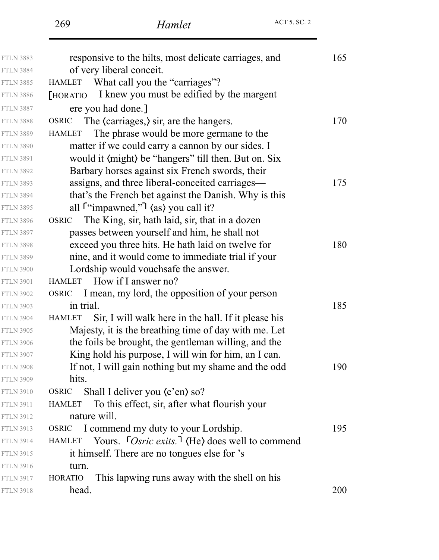| <b>FTLN 3883</b> | responsive to the hilts, most delicate carriages, and                            | 165 |
|------------------|----------------------------------------------------------------------------------|-----|
| <b>FTLN 3884</b> | of very liberal conceit.                                                         |     |
| <b>FTLN 3885</b> | What call you the "carriages"?<br><b>HAMLET</b>                                  |     |
| <b>FTLN 3886</b> | I knew you must be edified by the margent<br>[HORATIO]                           |     |
| <b>FTLN 3887</b> | ere you had done.]                                                               |     |
| <b>FTLN 3888</b> | The (carriages,) sir, are the hangers.<br>OSRIC                                  | 170 |
| <b>FTLN 3889</b> | The phrase would be more germane to the<br><b>HAMLET</b>                         |     |
| <b>FTLN 3890</b> | matter if we could carry a cannon by our sides. I                                |     |
| <b>FTLN 3891</b> | would it (might) be "hangers" till then. But on. Six                             |     |
| <b>FTLN 3892</b> | Barbary horses against six French swords, their                                  |     |
| <b>FTLN 3893</b> | assigns, and three liberal-conceited carriages—                                  | 175 |
| <b>FTLN 3894</b> | that's the French bet against the Danish. Why is this                            |     |
| <b>FTLN 3895</b> | all $\lceil$ "impawned," $\rceil$ (as) you call it?                              |     |
| <b>FTLN 3896</b> | The King, sir, hath laid, sir, that in a dozen<br><b>OSRIC</b>                   |     |
| <b>FTLN 3897</b> | passes between yourself and him, he shall not                                    |     |
| <b>FTLN 3898</b> | exceed you three hits. He hath laid on twelve for                                | 180 |
| <b>FTLN 3899</b> | nine, and it would come to immediate trial if your                               |     |
| <b>FTLN 3900</b> | Lordship would vouchsafe the answer.                                             |     |
| <b>FTLN 3901</b> | How if I answer no?<br><b>HAMLET</b>                                             |     |
| <b>FTLN 3902</b> | I mean, my lord, the opposition of your person<br><b>OSRIC</b>                   |     |
| <b>FTLN 3903</b> | in trial.                                                                        | 185 |
| <b>FTLN 3904</b> | Sir, I will walk here in the hall. If it please his<br><b>HAMLET</b>             |     |
| <b>FTLN 3905</b> | Majesty, it is the breathing time of day with me. Let                            |     |
| <b>FTLN 3906</b> | the foils be brought, the gentleman willing, and the                             |     |
| <b>FTLN 3907</b> | King hold his purpose, I will win for him, an I can.                             |     |
| <b>FTLN 3908</b> | If not, I will gain nothing but my shame and the odd                             | 190 |
| <b>FTLN 3909</b> | hits.                                                                            |     |
| <b>FTLN 3910</b> | <b>OSRIC</b><br>Shall I deliver you (e'en) so?                                   |     |
| <b>FTLN 3911</b> | To this effect, sir, after what flourish your<br><b>HAMLET</b>                   |     |
| <b>FTLN 3912</b> | nature will.                                                                     |     |
| <b>FTLN 3913</b> | I commend my duty to your Lordship.<br>OSRIC                                     | 195 |
| <b>FTLN 3914</b> | Yours. $\lceil$ Osric exits. $\rceil$ (He) does well to commend<br><b>HAMLET</b> |     |
| <b>FTLN 3915</b> | it himself. There are no tongues else for 's                                     |     |
| <b>FTLN 3916</b> | turn.                                                                            |     |
| <b>FTLN 3917</b> | This lapwing runs away with the shell on his<br><b>HORATIO</b>                   |     |
| <b>FTLN 3918</b> | head.                                                                            | 200 |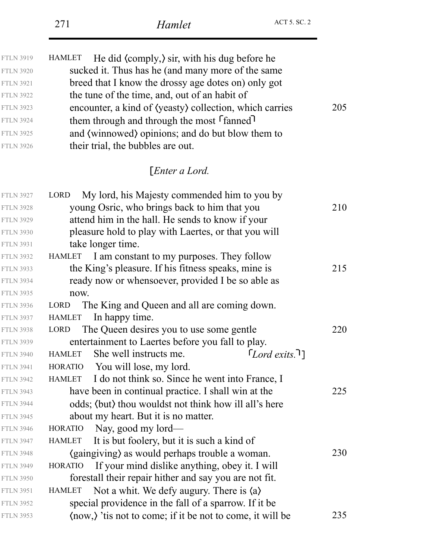FTLN 3919

FTLN 3920

| <b>FTLN 3921</b> | breed that I know the drossy age dotes on) only got                       |     |
|------------------|---------------------------------------------------------------------------|-----|
| <b>FTLN 3922</b> | the tune of the time, and, out of an habit of                             |     |
| <b>FTLN 3923</b> | encounter, a kind of (yeasty) collection, which carries                   | 205 |
| <b>FTLN 3924</b> | them through and through the most <i>fanned</i>                           |     |
| <b>FTLN 3925</b> | and (winnowed) opinions; and do but blow them to                          |     |
| <b>FTLN 3926</b> | their trial, the bubbles are out.                                         |     |
|                  | [Enter a Lord.                                                            |     |
| <b>FTLN 3927</b> | My lord, his Majesty commended him to you by<br><b>LORD</b>               |     |
| <b>FTLN 3928</b> | young Osric, who brings back to him that you                              | 210 |
| <b>FTLN 3929</b> | attend him in the hall. He sends to know if your                          |     |
| <b>FTLN 3930</b> | pleasure hold to play with Laertes, or that you will                      |     |
| <b>FTLN 3931</b> | take longer time.                                                         |     |
| <b>FTLN 3932</b> | I am constant to my purposes. They follow<br>HAMLET                       |     |
| <b>FTLN 3933</b> | the King's pleasure. If his fitness speaks, mine is                       | 215 |
| <b>FTLN 3934</b> | ready now or whensoever, provided I be so able as                         |     |
| <b>FTLN 3935</b> | now.                                                                      |     |
| <b>FTLN 3936</b> | The King and Queen and all are coming down.<br>LORD                       |     |
| <b>FTLN 3937</b> | In happy time.<br><b>HAMLET</b>                                           |     |
| <b>FTLN 3938</b> | The Queen desires you to use some gentle<br>LORD                          | 220 |
| <b>FTLN 3939</b> | entertainment to Laertes before you fall to play.                         |     |
| <b>FTLN 3940</b> | <b>HAMLET</b><br>She well instructs me.<br>$\lceil$ Lord exits. $\lceil$  |     |
| <b>FTLN 3941</b> | You will lose, my lord.<br><b>HORATIO</b>                                 |     |
| <b>FTLN 3942</b> | I do not think so. Since he went into France, I<br><b>HAMLET</b>          |     |
| <b>FTLN 3943</b> | have been in continual practice. I shall win at the                       | 225 |
| <b>FTLN 3944</b> | odds; (but) thou wouldst not think how ill all's here                     |     |
| <b>FTLN 3945</b> | about my heart. But it is no matter.                                      |     |
| <b>FTLN 3946</b> | Nay, good my lord—<br><b>HORATIO</b>                                      |     |
| <b>FTLN 3947</b> | It is but foolery, but it is such a kind of<br>HAMLET                     |     |
| <b>FTLN 3948</b> | (gaingiving) as would perhaps trouble a woman.                            | 230 |
| <b>FTLN 3949</b> | If your mind dislike anything, obey it. I will<br><b>HORATIO</b>          |     |
| <b>FTLN 3950</b> | forestall their repair hither and say you are not fit.                    |     |
| <b>FTLN 3951</b> | Not a whit. We defy augury. There is $\langle a \rangle$<br><b>HAMLET</b> |     |
| <b>FTLN 3952</b> | special providence in the fall of a sparrow. If it be                     |     |

FILN 3953  $\langle \text{now,} \rangle$  'tis not to come; if it be not to come, it will be 235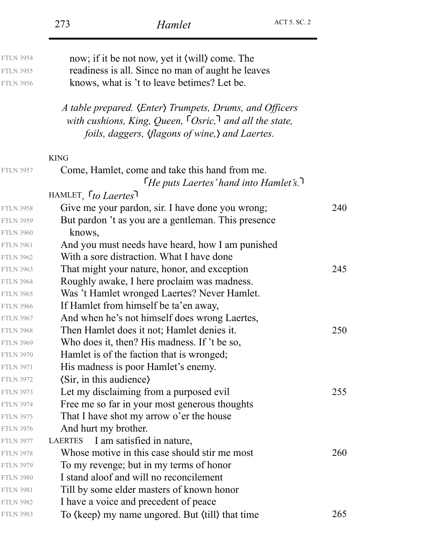| <b>FTLN 3954</b> | now; if it be not now, yet it (will) come. The                                                                            |     |
|------------------|---------------------------------------------------------------------------------------------------------------------------|-----|
| <b>FTLN 3955</b> | readiness is all. Since no man of aught he leaves                                                                         |     |
| <b>FTLN 3956</b> | knows, what is 't to leave betimes? Let be.                                                                               |     |
|                  |                                                                                                                           |     |
|                  | A table prepared. (Enter) Trumpets, Drums, and Officers<br>with cushions, King, Queen, $\lceil$ Osric, and all the state, |     |
|                  |                                                                                                                           |     |
|                  | foils, daggers, (flagons of wine,) and Laertes.                                                                           |     |
|                  | <b>KING</b>                                                                                                               |     |
| <b>FTLN 3957</b> | Come, Hamlet, come and take this hand from me.                                                                            |     |
|                  | $\lceil$ He puts Laertes' hand into Hamlet's.                                                                             |     |
|                  | HAMLET, <i>ro Laertes</i>                                                                                                 |     |
| <b>FTLN 3958</b> | Give me your pardon, sir. I have done you wrong;                                                                          | 240 |
| <b>FTLN 3959</b> | But pardon 't as you are a gentleman. This presence                                                                       |     |
| <b>FTLN 3960</b> | knows,                                                                                                                    |     |
| <b>FTLN 3961</b> | And you must needs have heard, how I am punished                                                                          |     |
| <b>FTLN 3962</b> | With a sore distraction. What I have done                                                                                 |     |
| <b>FTLN 3963</b> | That might your nature, honor, and exception                                                                              | 245 |
| <b>FTLN 3964</b> | Roughly awake, I here proclaim was madness.                                                                               |     |
| <b>FTLN 3965</b> | Was 't Hamlet wronged Laertes? Never Hamlet.                                                                              |     |
| <b>FTLN 3966</b> | If Hamlet from himself be ta'en away,                                                                                     |     |
| <b>FTLN 3967</b> | And when he's not himself does wrong Laertes,                                                                             |     |
| <b>FTLN 3968</b> | Then Hamlet does it not; Hamlet denies it.                                                                                | 250 |
| <b>FTLN 3969</b> | Who does it, then? His madness. If 't be so,                                                                              |     |
| <b>FTLN 3970</b> | Hamlet is of the faction that is wronged;                                                                                 |     |
| <b>FTLN 3971</b> | His madness is poor Hamlet's enemy.                                                                                       |     |
| <b>FTLN 3972</b> | (Sir, in this audience)                                                                                                   |     |
| <b>FTLN 3973</b> | Let my disclaiming from a purposed evil                                                                                   | 255 |
| <b>FTLN 3974</b> | Free me so far in your most generous thoughts                                                                             |     |
| <b>FTLN 3975</b> | That I have shot my arrow o'er the house                                                                                  |     |
| <b>FTLN 3976</b> | And hurt my brother.                                                                                                      |     |
| <b>FTLN 3977</b> | I am satisfied in nature,<br><b>LAERTES</b>                                                                               |     |
| <b>FTLN 3978</b> | Whose motive in this case should stir me most                                                                             | 260 |
| <b>FTLN 3979</b> | To my revenge; but in my terms of honor                                                                                   |     |
| <b>FTLN 3980</b> | I stand aloof and will no reconcilement                                                                                   |     |
| <b>FTLN 3981</b> | Till by some elder masters of known honor                                                                                 |     |
| <b>FTLN 3982</b> | I have a voice and precedent of peace                                                                                     |     |
| <b>FTLN 3983</b> | To (keep) my name ungored. But (till) that time                                                                           | 265 |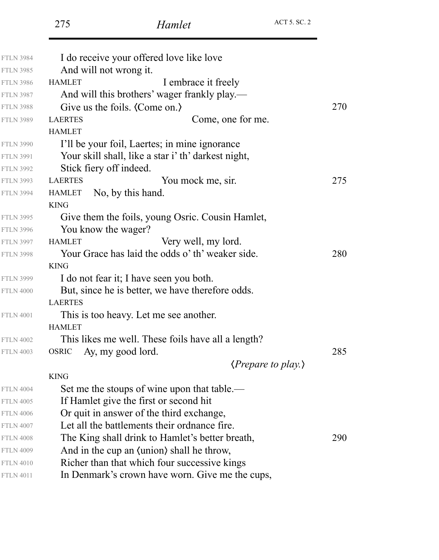| <b>FTLN 3984</b> | I do receive your offered love like love            |     |
|------------------|-----------------------------------------------------|-----|
| <b>FTLN 3985</b> | And will not wrong it.                              |     |
| <b>FTLN 3986</b> | I embrace it freely<br><b>HAMLET</b>                |     |
| <b>FTLN 3987</b> | And will this brothers' wager frankly play.—        |     |
| <b>FTLN 3988</b> | Give us the foils. (Come on.)                       | 270 |
| <b>FTLN 3989</b> | Come, one for me.<br><b>LAERTES</b>                 |     |
|                  | <b>HAMLET</b>                                       |     |
| <b>FTLN 3990</b> | I'll be your foil, Laertes; in mine ignorance       |     |
| <b>FTLN 3991</b> | Your skill shall, like a star i' th' darkest night, |     |
| <b>FTLN 3992</b> | Stick fiery off indeed.                             |     |
| <b>FTLN 3993</b> | You mock me, sir.<br><b>LAERTES</b>                 | 275 |
| <b>FTLN 3994</b> | No, by this hand.<br><b>HAMLET</b>                  |     |
|                  | <b>KING</b>                                         |     |
| <b>FTLN 3995</b> | Give them the foils, young Osric. Cousin Hamlet,    |     |
| <b>FTLN 3996</b> | You know the wager?                                 |     |
| <b>FTLN 3997</b> | Very well, my lord.<br><b>HAMLET</b>                |     |
| <b>FTLN 3998</b> | Your Grace has laid the odds o' th' weaker side.    | 280 |
|                  | <b>KING</b>                                         |     |
| <b>FTLN 3999</b> | I do not fear it; I have seen you both.             |     |
| <b>FTLN 4000</b> | But, since he is better, we have therefore odds.    |     |
|                  | <b>LAERTES</b>                                      |     |
| <b>FTLN 4001</b> | This is too heavy. Let me see another.              |     |
|                  | <b>HAMLET</b>                                       |     |
| <b>FTLN 4002</b> | This likes me well. These foils have all a length?  |     |
| <b>FTLN 4003</b> | Ay, my good lord.<br><b>OSRIC</b>                   | 285 |
|                  | $\langle$ <i>Prepare to play.</i> $\rangle$         |     |
|                  | <b>KING</b>                                         |     |
| <b>FTLN 4004</b> | Set me the stoups of wine upon that table.—         |     |
| <b>FTLN 4005</b> | If Hamlet give the first or second hit              |     |
| <b>FTLN 4006</b> | Or quit in answer of the third exchange,            |     |
| <b>FTLN 4007</b> | Let all the battlements their ordnance fire.        |     |
| <b>FTLN 4008</b> | The King shall drink to Hamlet's better breath,     | 290 |
| <b>FTLN 4009</b> | And in the cup an (union) shall he throw,           |     |
| <b>FTLN 4010</b> | Richer than that which four successive kings        |     |
| <b>FTLN 4011</b> | In Denmark's crown have worn. Give me the cups,     |     |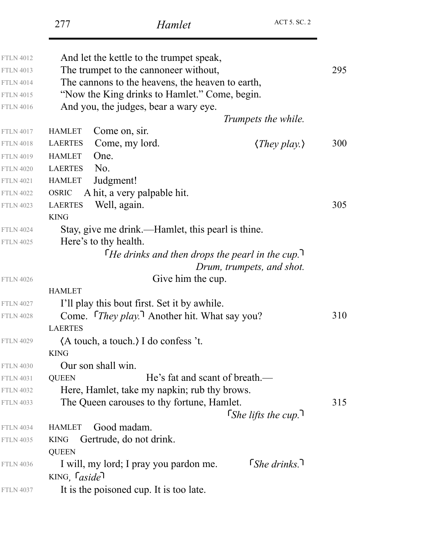| <b>FTLN 4012</b> | And let the kettle to the trumpet speak,                                 |     |  |
|------------------|--------------------------------------------------------------------------|-----|--|
| <b>FTLN 4013</b> | The trumpet to the cannoneer without,                                    |     |  |
| <b>FTLN 4014</b> | The cannons to the heavens, the heaven to earth,                         |     |  |
| <b>FTLN 4015</b> | "Now the King drinks to Hamlet." Come, begin.                            |     |  |
| <b>FTLN 4016</b> | And you, the judges, bear a wary eye.                                    |     |  |
|                  | Trumpets the while.                                                      |     |  |
| <b>FTLN 4017</b> | Come on, sir.<br><b>HAMLET</b>                                           |     |  |
| <b>FTLN 4018</b> | Come, my lord.<br><b>LAERTES</b><br>$\langle They \, play. \rangle$      | 300 |  |
| <b>FTLN 4019</b> | One.<br><b>HAMLET</b>                                                    |     |  |
| <b>FTLN 4020</b> | No.<br><b>LAERTES</b>                                                    |     |  |
| <b>FTLN 4021</b> | Judgment!<br><b>HAMLET</b>                                               |     |  |
| <b>FTLN 4022</b> | A hit, a very palpable hit.<br>OSRIC                                     |     |  |
| <b>FTLN 4023</b> | Well, again.<br><b>LAERTES</b>                                           | 305 |  |
|                  | <b>KING</b>                                                              |     |  |
| <b>FTLN 4024</b> | Stay, give me drink.—Hamlet, this pearl is thine.                        |     |  |
| <b>FTLN 4025</b> | Here's to thy health.                                                    |     |  |
|                  | $\mathsf{H}$ He drinks and then drops the pearl in the cup. $\mathsf{H}$ |     |  |
|                  | Drum, trumpets, and shot.                                                |     |  |
| <b>FTLN 4026</b> | Give him the cup.                                                        |     |  |
|                  | <b>HAMLET</b>                                                            |     |  |
| <b>FTLN 4027</b> | I'll play this bout first. Set it by awhile.                             |     |  |
| <b>FTLN 4028</b> | Come. <i>They play</i> . <sup>7</sup> Another hit. What say you?         | 310 |  |
|                  | <b>LAERTES</b>                                                           |     |  |
| <b>FTLN 4029</b> | (A touch, a touch.) I do confess 't.                                     |     |  |
|                  | <b>KING</b>                                                              |     |  |
| <b>FTLN 4030</b> | Our son shall win.                                                       |     |  |
| <b>FTLN 4031</b> | He's fat and scant of breath.—<br><b>QUEEN</b>                           |     |  |
| <b>FTLN 4032</b> | Here, Hamlet, take my napkin; rub thy brows.                             |     |  |
| <b>FTLN 4033</b> | The Queen carouses to thy fortune, Hamlet.                               | 315 |  |
|                  | <i>She lifts the cup.</i>                                                |     |  |
| <b>FTLN 4034</b> | Good madam.<br><b>HAMLET</b>                                             |     |  |
| <b>FTLN 4035</b> | Gertrude, do not drink.<br><b>KING</b>                                   |     |  |
|                  | <b>QUEEN</b>                                                             |     |  |
| <b>FTLN 4036</b> | $\lceil$ She drinks.<br>I will, my lord; I pray you pardon me.           |     |  |
|                  | KING, $\lceil \text{aside} \rceil$                                       |     |  |
| <b>FTLN 4037</b> | It is the poisoned cup. It is too late.                                  |     |  |
|                  |                                                                          |     |  |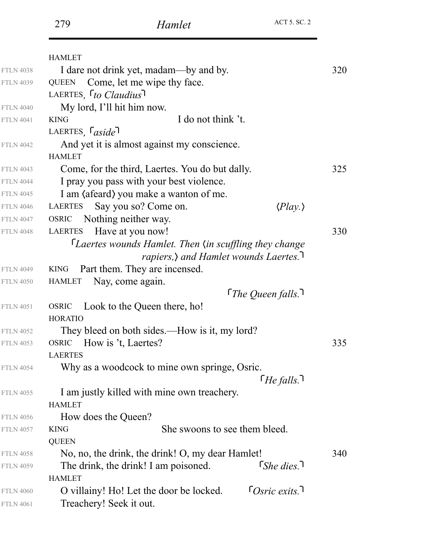|                  | <b>HAMLET</b>                                                    |     |
|------------------|------------------------------------------------------------------|-----|
| <b>FTLN 4038</b> | I dare not drink yet, madam—by and by.                           | 320 |
| <b>FTLN 4039</b> | Come, let me wipe thy face.<br>QUEEN                             |     |
|                  | LAERTES, <i>ro Claudius</i>                                      |     |
| <b>FTLN 4040</b> | My lord, I'll hit him now.                                       |     |
| <b>FTLN 4041</b> | I do not think 't.<br><b>KING</b>                                |     |
|                  | LAERTES, $\lceil \text{aside} \rceil$                            |     |
| <b>FTLN 4042</b> | And yet it is almost against my conscience.                      |     |
|                  | <b>HAMLET</b>                                                    |     |
| <b>FTLN 4043</b> | Come, for the third, Laertes. You do but dally.                  | 325 |
| <b>FTLN 4044</b> | I pray you pass with your best violence.                         |     |
| <b>FTLN 4045</b> | I am (afeard) you make a wanton of me.                           |     |
| <b>FTLN 4046</b> | Say you so? Come on.<br><b>LAERTES</b><br>$\langle Play.\rangle$ |     |
| <b>FTLN 4047</b> | OSRIC Nothing neither way.                                       |     |
| <b>FTLN 4048</b> | Have at you now!<br><b>LAERTES</b>                               | 330 |
|                  | Laertes wounds Hamlet. Then (in scuffling they change            |     |
|                  | rapiers,) and Hamlet wounds Laertes.                             |     |
| <b>FTLN 4049</b> | Part them. They are incensed.<br><b>KING</b>                     |     |
| <b>FTLN 4050</b> | Nay, come again.<br><b>HAMLET</b>                                |     |
|                  | $\lceil$ The Queen falls.                                        |     |
| <b>FTLN 4051</b> | Look to the Queen there, ho!<br><b>OSRIC</b>                     |     |
|                  | <b>HORATIO</b>                                                   |     |
| <b>FTLN 4052</b> | They bleed on both sides.—How is it, my lord?                    |     |
| <b>FTLN 4053</b> | OSRIC How is 't, Laertes?                                        | 335 |
|                  | <b>LAERTES</b>                                                   |     |
| <b>FTLN 4054</b> | Why as a woodcock to mine own springe, Osric.                    |     |
|                  | $\lceil$ He falls. $\lceil$                                      |     |
| <b>FTLN 4055</b> | I am justly killed with mine own treachery.                      |     |
|                  | <b>HAMLET</b>                                                    |     |
| <b>FTLN 4056</b> | How does the Queen?                                              |     |
| <b>FTLN 4057</b> | She swoons to see them bleed.<br><b>KING</b>                     |     |
|                  | <b>QUEEN</b>                                                     |     |
| <b>FTLN 4058</b> | No, no, the drink, the drink! O, my dear Hamlet!                 | 340 |
| <b>FTLN 4059</b> | $\lceil$ She dies.<br>The drink, the drink! I am poisoned.       |     |
|                  | <b>HAMLET</b>                                                    |     |
| <b>FTLN 4060</b> | $\lceil$ Osric exits.<br>O villainy! Ho! Let the door be locked. |     |
| <b>FTLN 4061</b> | Treachery! Seek it out.                                          |     |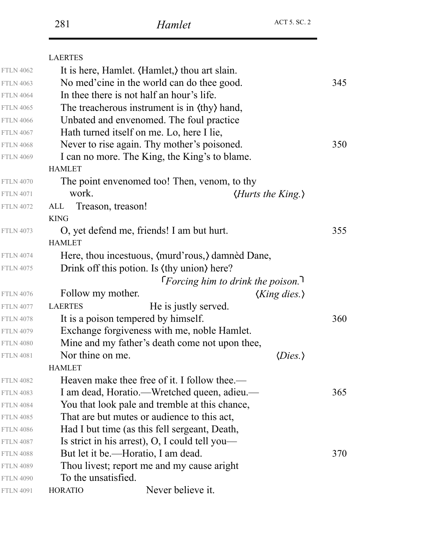|                  | <b>LAERTES</b>                                                 |     |
|------------------|----------------------------------------------------------------|-----|
| <b>FTLN 4062</b> | It is here, Hamlet. (Hamlet,) thou art slain.                  |     |
| <b>FTLN 4063</b> | No med'cine in the world can do thee good.                     | 345 |
| <b>FTLN 4064</b> | In thee there is not half an hour's life.                      |     |
| <b>FTLN 4065</b> | The treacherous instrument is in $\langle$ thy $\rangle$ hand, |     |
| <b>FTLN 4066</b> | Unbated and envenomed. The foul practice                       |     |
| <b>FTLN 4067</b> | Hath turned itself on me. Lo, here I lie,                      |     |
| <b>FTLN 4068</b> | Never to rise again. Thy mother's poisoned.                    | 350 |
| <b>FTLN 4069</b> | I can no more. The King, the King's to blame.                  |     |
|                  | <b>HAMLET</b>                                                  |     |
| <b>FTLN 4070</b> | The point envenomed too! Then, venom, to thy                   |     |
| <b>FTLN 4071</b> | work.<br>$\langle Hurts\ the\ King.\rangle$                    |     |
| <b>FTLN 4072</b> | Treason, treason!<br>ALL                                       |     |
|                  | <b>KING</b>                                                    |     |
| <b>FTLN 4073</b> | O, yet defend me, friends! I am but hurt.                      | 355 |
|                  | <b>HAMLET</b>                                                  |     |
| <b>FTLN 4074</b> | Here, thou incestuous, (murd'rous,) damned Dane,               |     |
| <b>FTLN 4075</b> | Drink off this potion. Is (thy union) here?                    |     |
|                  | $\Gamma$ Forcing him to drink the poison.                      |     |
| <b>FTLN 4076</b> | Follow my mother.<br>$\langle King \text{ dies.} \rangle$      |     |
| <b>FTLN 4077</b> | He is justly served.<br><b>LAERTES</b>                         |     |
| <b>FTLN 4078</b> | It is a poison tempered by himself.                            | 360 |
| <b>FTLN 4079</b> | Exchange forgiveness with me, noble Hamlet.                    |     |
| <b>FTLN 4080</b> | Mine and my father's death come not upon thee,                 |     |
| <b>FTLN 4081</b> | Nor thine on me.<br>$\langle Dies. \rangle$                    |     |
|                  | <b>HAMLET</b>                                                  |     |
| <b>FTLN 4082</b> | Heaven make thee free of it. I follow thee.—                   |     |
| <b>FTLN 4083</b> | I am dead, Horatio.—Wretched queen, adieu.—                    | 365 |
| <b>FTLN 4084</b> | You that look pale and tremble at this chance,                 |     |
| <b>FTLN 4085</b> | That are but mutes or audience to this act,                    |     |
| <b>FTLN 4086</b> | Had I but time (as this fell sergeant, Death,                  |     |
| <b>FTLN 4087</b> | Is strict in his arrest), O, I could tell you—                 |     |
| <b>FTLN 4088</b> | But let it be.—Horatio, I am dead.                             | 370 |
| <b>FTLN 4089</b> | Thou livest; report me and my cause aright                     |     |
| <b>FTLN 4090</b> | To the unsatisfied.                                            |     |
| <b>FTLN 4091</b> | Never believe it.<br><b>HORATIO</b>                            |     |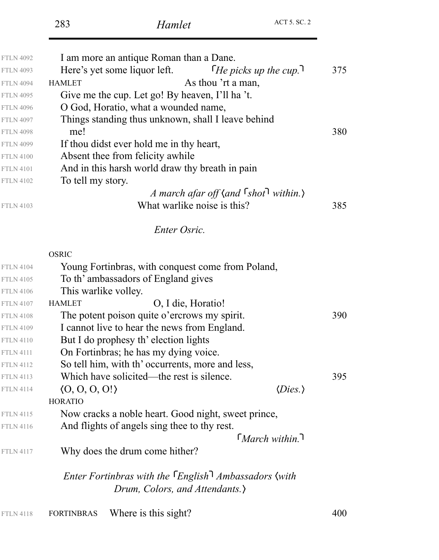| <b>FTLN 4092</b> | I am more an antique Roman than a Dane.                    |                                                                |     |
|------------------|------------------------------------------------------------|----------------------------------------------------------------|-----|
| <b>FTLN 4093</b> | Here's yet some liquor left. $\int$ $He$ picks up the cup. |                                                                | 375 |
| <b>FTLN 4094</b> | <b>HAMLET</b>                                              | As thou 'rt a man,                                             |     |
| <b>FTLN 4095</b> | Give me the cup. Let go! By heaven, I'll ha 't.            |                                                                |     |
| <b>FTLN 4096</b> | O God, Horatio, what a wounded name,                       |                                                                |     |
| <b>FTLN 4097</b> | Things standing thus unknown, shall I leave behind         |                                                                |     |
| <b>FTLN 4098</b> | me!                                                        |                                                                | 380 |
| <b>FTLN 4099</b> | If thou didst ever hold me in thy heart,                   |                                                                |     |
| <b>FTLN 4100</b> | Absent thee from felicity awhile                           |                                                                |     |
| <b>FTLN 4101</b> | And in this harsh world draw thy breath in pain            |                                                                |     |
| <b>FTLN 4102</b> | To tell my story.                                          |                                                                |     |
|                  |                                                            | A march afar off $\langle$ and $\lceil$ shot $\rceil$ within.) |     |
| <b>FTLN 4103</b> |                                                            | What warlike noise is this?                                    | 385 |
|                  | <i>Enter Osric.</i>                                        |                                                                |     |
|                  | <b>OSRIC</b>                                               |                                                                |     |

| Young Fortinbras, with conquest come from Poland,       |                                                                               |
|---------------------------------------------------------|-------------------------------------------------------------------------------|
| To th' ambassadors of England gives                     |                                                                               |
| This warlike volley.                                    |                                                                               |
| O, I die, Horatio!<br><b>HAMLET</b>                     |                                                                               |
| The potent poison quite o'ercrows my spirit.            | 390                                                                           |
| I cannot live to hear the news from England.            |                                                                               |
| But I do prophesy th' election lights                   |                                                                               |
| On Fortinbras; he has my dying voice.                   |                                                                               |
| So tell him, with th' occurrents, more and less,        |                                                                               |
| Which have solicited—the rest is silence.               | 395                                                                           |
| $\langle 0, 0, 0, 0 \rangle$<br>$\langle Dies. \rangle$ |                                                                               |
| <b>HORATIO</b>                                          |                                                                               |
| Now cracks a noble heart. Good night, sweet prince,     |                                                                               |
| And flights of angels sing thee to thy rest.            |                                                                               |
| $\lceil_{March\ within}\rceil$                          |                                                                               |
| Why does the drum come hither?                          |                                                                               |
|                                                         |                                                                               |
| Drum, Colors, and Attendants.)                          |                                                                               |
|                                                         | Enter Fortinbras with the <sup>F</sup> English <sup>1</sup> Ambassadors (with |

| <b>FTLN 4118</b> | <b>FORTINBRAS</b> | Where is this sight? | 400 |
|------------------|-------------------|----------------------|-----|
|------------------|-------------------|----------------------|-----|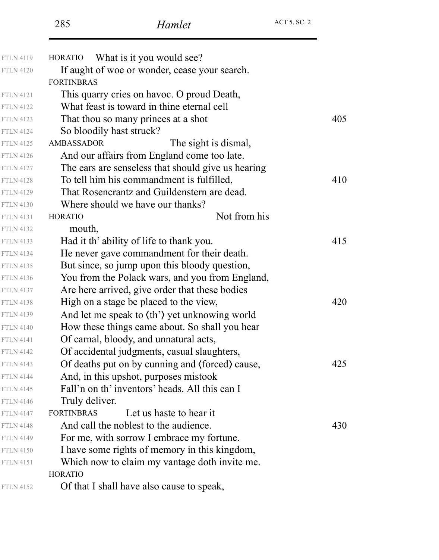| <b>FTLN 4119</b> | What is it you would see?<br><b>HORATIO</b>                          |     |
|------------------|----------------------------------------------------------------------|-----|
| <b>FTLN 4120</b> | If aught of woe or wonder, cease your search.                        |     |
|                  | <b>FORTINBRAS</b>                                                    |     |
| <b>FTLN 4121</b> | This quarry cries on havoc. O proud Death,                           |     |
| <b>FTLN 4122</b> | What feast is toward in thine eternal cell                           |     |
| <b>FTLN 4123</b> | That thou so many princes at a shot                                  | 405 |
| <b>FTLN 4124</b> | So bloodily hast struck?                                             |     |
| <b>FTLN 4125</b> | <b>AMBASSADOR</b><br>The sight is dismal,                            |     |
| <b>FTLN 4126</b> | And our affairs from England come too late.                          |     |
| <b>FTLN 4127</b> | The ears are senseless that should give us hearing                   |     |
| <b>FTLN 4128</b> | To tell him his commandment is fulfilled,                            | 410 |
| <b>FTLN 4129</b> | That Rosencrantz and Guildenstern are dead.                          |     |
| <b>FTLN 4130</b> | Where should we have our thanks?                                     |     |
| <b>FTLN 4131</b> | Not from his<br><b>HORATIO</b>                                       |     |
| <b>FTLN 4132</b> | mouth,                                                               |     |
| <b>FTLN 4133</b> | Had it th' ability of life to thank you.                             | 415 |
| <b>FTLN 4134</b> | He never gave commandment for their death.                           |     |
| <b>FTLN 4135</b> | But since, so jump upon this bloody question,                        |     |
| <b>FTLN 4136</b> | You from the Polack wars, and you from England,                      |     |
| <b>FTLN 4137</b> | Are here arrived, give order that these bodies                       |     |
| <b>FTLN 4138</b> | High on a stage be placed to the view,                               | 420 |
| <b>FTLN 4139</b> | And let me speak to $\langle \text{th'} \rangle$ yet unknowing world |     |
| <b>FTLN 4140</b> | How these things came about. So shall you hear                       |     |
| <b>FTLN 4141</b> | Of carnal, bloody, and unnatural acts,                               |     |
| <b>FTLN 4142</b> | Of accidental judgments, casual slaughters,                          |     |
| <b>FTLN 4143</b> | Of deaths put on by cunning and (forced) cause,                      | 425 |
| <b>FTLN 4144</b> | And, in this upshot, purposes mistook                                |     |
| <b>FTLN 4145</b> | Fall'n on th' inventors' heads. All this can I                       |     |
| <b>FTLN 4146</b> | Truly deliver.                                                       |     |
| <b>FTLN 4147</b> | <b>FORTINBRAS</b><br>Let us haste to hear it                         |     |
| <b>FTLN 4148</b> | And call the noblest to the audience.                                | 430 |
| <b>FTLN 4149</b> | For me, with sorrow I embrace my fortune.                            |     |
| <b>FTLN 4150</b> | I have some rights of memory in this kingdom,                        |     |
| <b>FTLN 4151</b> | Which now to claim my vantage doth invite me.                        |     |
|                  | <b>HORATIO</b>                                                       |     |
| <b>FTLN 4152</b> | Of that I shall have also cause to speak,                            |     |